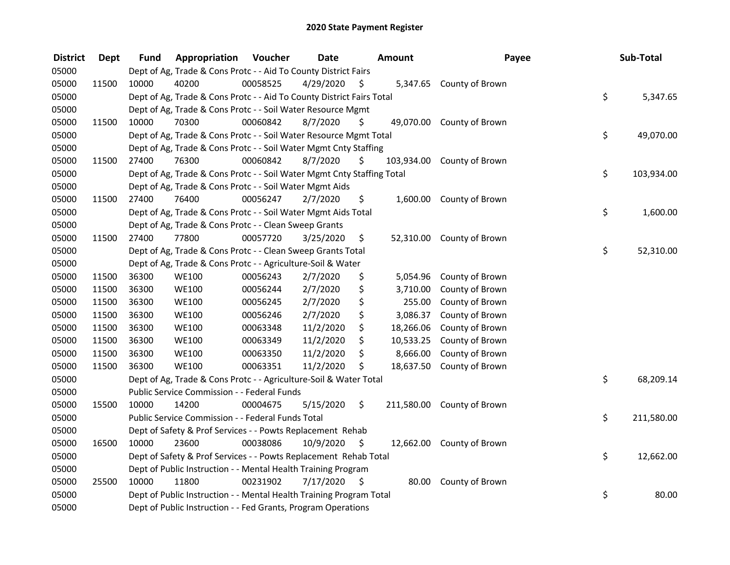| <b>District</b> | <b>Dept</b> | <b>Fund</b> | Appropriation                                                          | Voucher  | <b>Date</b> |     | <b>Amount</b> | Payee                      | Sub-Total        |
|-----------------|-------------|-------------|------------------------------------------------------------------------|----------|-------------|-----|---------------|----------------------------|------------------|
| 05000           |             |             | Dept of Ag, Trade & Cons Protc - - Aid To County District Fairs        |          |             |     |               |                            |                  |
| 05000           | 11500       | 10000       | 40200                                                                  | 00058525 | 4/29/2020   | \$. | 5,347.65      | County of Brown            |                  |
| 05000           |             |             | Dept of Ag, Trade & Cons Protc - - Aid To County District Fairs Total  |          |             |     |               |                            | \$<br>5,347.65   |
| 05000           |             |             | Dept of Ag, Trade & Cons Protc - - Soil Water Resource Mgmt            |          |             |     |               |                            |                  |
| 05000           | 11500       | 10000       | 70300                                                                  | 00060842 | 8/7/2020    | \$  | 49,070.00     | County of Brown            |                  |
| 05000           |             |             | Dept of Ag, Trade & Cons Protc - - Soil Water Resource Mgmt Total      |          |             |     |               |                            | \$<br>49,070.00  |
| 05000           |             |             | Dept of Ag, Trade & Cons Protc - - Soil Water Mgmt Cnty Staffing       |          |             |     |               |                            |                  |
| 05000           | 11500       | 27400       | 76300                                                                  | 00060842 | 8/7/2020    | S   |               | 103,934.00 County of Brown |                  |
| 05000           |             |             | Dept of Ag, Trade & Cons Protc - - Soil Water Mgmt Cnty Staffing Total |          |             |     |               |                            | \$<br>103,934.00 |
| 05000           |             |             | Dept of Ag, Trade & Cons Protc - - Soil Water Mgmt Aids                |          |             |     |               |                            |                  |
| 05000           | 11500       | 27400       | 76400                                                                  | 00056247 | 2/7/2020    | \$. | 1,600.00      | County of Brown            |                  |
| 05000           |             |             | Dept of Ag, Trade & Cons Protc - - Soil Water Mgmt Aids Total          |          |             |     |               |                            | \$<br>1,600.00   |
| 05000           |             |             | Dept of Ag, Trade & Cons Protc - - Clean Sweep Grants                  |          |             |     |               |                            |                  |
| 05000           | 11500       | 27400       | 77800                                                                  | 00057720 | 3/25/2020   | \$  | 52,310.00     | County of Brown            |                  |
| 05000           |             |             | Dept of Ag, Trade & Cons Protc - - Clean Sweep Grants Total            |          |             |     |               |                            | \$<br>52,310.00  |
| 05000           |             |             | Dept of Ag, Trade & Cons Protc - - Agriculture-Soil & Water            |          |             |     |               |                            |                  |
| 05000           | 11500       | 36300       | <b>WE100</b>                                                           | 00056243 | 2/7/2020    | \$  | 5,054.96      | County of Brown            |                  |
| 05000           | 11500       | 36300       | <b>WE100</b>                                                           | 00056244 | 2/7/2020    | \$  | 3,710.00      | County of Brown            |                  |
| 05000           | 11500       | 36300       | <b>WE100</b>                                                           | 00056245 | 2/7/2020    | \$  | 255.00        | County of Brown            |                  |
| 05000           | 11500       | 36300       | <b>WE100</b>                                                           | 00056246 | 2/7/2020    | \$  | 3,086.37      | County of Brown            |                  |
| 05000           | 11500       | 36300       | <b>WE100</b>                                                           | 00063348 | 11/2/2020   | \$  | 18,266.06     | County of Brown            |                  |
| 05000           | 11500       | 36300       | <b>WE100</b>                                                           | 00063349 | 11/2/2020   | \$  | 10,533.25     | County of Brown            |                  |
| 05000           | 11500       | 36300       | <b>WE100</b>                                                           | 00063350 | 11/2/2020   | \$  | 8,666.00      | County of Brown            |                  |
| 05000           | 11500       | 36300       | <b>WE100</b>                                                           | 00063351 | 11/2/2020   | \$  | 18,637.50     | County of Brown            |                  |
| 05000           |             |             | Dept of Ag, Trade & Cons Protc - - Agriculture-Soil & Water Total      |          |             |     |               |                            | \$<br>68,209.14  |
| 05000           |             |             | Public Service Commission - - Federal Funds                            |          |             |     |               |                            |                  |
| 05000           | 15500       | 10000       | 14200                                                                  | 00004675 | 5/15/2020   | \$  |               | 211,580.00 County of Brown |                  |
| 05000           |             |             | Public Service Commission - - Federal Funds Total                      |          |             |     |               |                            | \$<br>211,580.00 |
| 05000           |             |             | Dept of Safety & Prof Services - - Powts Replacement Rehab             |          |             |     |               |                            |                  |
| 05000           | 16500       | 10000       | 23600                                                                  | 00038086 | 10/9/2020   | \$. | 12,662.00     | County of Brown            |                  |
| 05000           |             |             | Dept of Safety & Prof Services - - Powts Replacement Rehab Total       |          |             |     |               |                            | \$<br>12,662.00  |
| 05000           |             |             | Dept of Public Instruction - - Mental Health Training Program          |          |             |     |               |                            |                  |
| 05000           | 25500       | 10000       | 11800                                                                  | 00231902 | 7/17/2020   | \$  | 80.00         | County of Brown            |                  |
| 05000           |             |             | Dept of Public Instruction - - Mental Health Training Program Total    |          |             |     |               |                            | \$<br>80.00      |
| 05000           |             |             | Dept of Public Instruction - - Fed Grants, Program Operations          |          |             |     |               |                            |                  |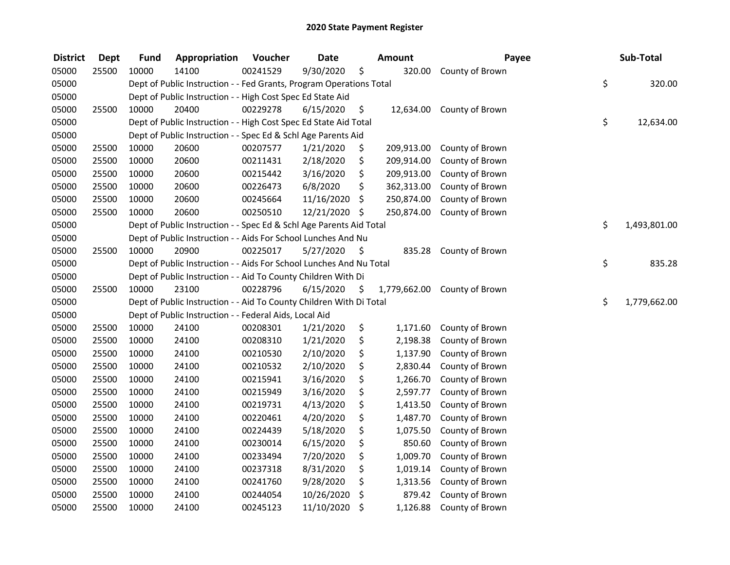| <b>District</b> | <b>Dept</b> | <b>Fund</b> | Appropriation                                                       | Voucher  | <b>Date</b> | Amount             | Payee           | Sub-Total          |
|-----------------|-------------|-------------|---------------------------------------------------------------------|----------|-------------|--------------------|-----------------|--------------------|
| 05000           | 25500       | 10000       | 14100                                                               | 00241529 | 9/30/2020   | \$<br>320.00       | County of Brown |                    |
| 05000           |             |             | Dept of Public Instruction - - Fed Grants, Program Operations Total |          |             |                    |                 | \$<br>320.00       |
| 05000           |             |             | Dept of Public Instruction - - High Cost Spec Ed State Aid          |          |             |                    |                 |                    |
| 05000           | 25500       | 10000       | 20400                                                               | 00229278 | 6/15/2020   | \$<br>12,634.00    | County of Brown |                    |
| 05000           |             |             | Dept of Public Instruction - - High Cost Spec Ed State Aid Total    |          |             |                    |                 | \$<br>12,634.00    |
| 05000           |             |             | Dept of Public Instruction - - Spec Ed & Schl Age Parents Aid       |          |             |                    |                 |                    |
| 05000           | 25500       | 10000       | 20600                                                               | 00207577 | 1/21/2020   | \$<br>209,913.00   | County of Brown |                    |
| 05000           | 25500       | 10000       | 20600                                                               | 00211431 | 2/18/2020   | \$<br>209,914.00   | County of Brown |                    |
| 05000           | 25500       | 10000       | 20600                                                               | 00215442 | 3/16/2020   | \$<br>209,913.00   | County of Brown |                    |
| 05000           | 25500       | 10000       | 20600                                                               | 00226473 | 6/8/2020    | \$<br>362,313.00   | County of Brown |                    |
| 05000           | 25500       | 10000       | 20600                                                               | 00245664 | 11/16/2020  | \$<br>250,874.00   | County of Brown |                    |
| 05000           | 25500       | 10000       | 20600                                                               | 00250510 | 12/21/2020  | \$<br>250,874.00   | County of Brown |                    |
| 05000           |             |             | Dept of Public Instruction - - Spec Ed & Schl Age Parents Aid Total |          |             |                    |                 | \$<br>1,493,801.00 |
| 05000           |             |             | Dept of Public Instruction - - Aids For School Lunches And Nu       |          |             |                    |                 |                    |
| 05000           | 25500       | 10000       | 20900                                                               | 00225017 | 5/27/2020   | \$<br>835.28       | County of Brown |                    |
| 05000           |             |             | Dept of Public Instruction - - Aids For School Lunches And Nu Total |          |             |                    |                 | \$<br>835.28       |
| 05000           |             |             | Dept of Public Instruction - - Aid To County Children With Di       |          |             |                    |                 |                    |
| 05000           | 25500       | 10000       | 23100                                                               | 00228796 | 6/15/2020   | \$<br>1,779,662.00 | County of Brown |                    |
| 05000           |             |             | Dept of Public Instruction - - Aid To County Children With Di Total |          |             |                    |                 | \$<br>1,779,662.00 |
| 05000           |             |             | Dept of Public Instruction - - Federal Aids, Local Aid              |          |             |                    |                 |                    |
| 05000           | 25500       | 10000       | 24100                                                               | 00208301 | 1/21/2020   | \$<br>1,171.60     | County of Brown |                    |
| 05000           | 25500       | 10000       | 24100                                                               | 00208310 | 1/21/2020   | \$<br>2,198.38     | County of Brown |                    |
| 05000           | 25500       | 10000       | 24100                                                               | 00210530 | 2/10/2020   | \$<br>1,137.90     | County of Brown |                    |
| 05000           | 25500       | 10000       | 24100                                                               | 00210532 | 2/10/2020   | \$<br>2,830.44     | County of Brown |                    |
| 05000           | 25500       | 10000       | 24100                                                               | 00215941 | 3/16/2020   | \$<br>1,266.70     | County of Brown |                    |
| 05000           | 25500       | 10000       | 24100                                                               | 00215949 | 3/16/2020   | \$<br>2,597.77     | County of Brown |                    |
| 05000           | 25500       | 10000       | 24100                                                               | 00219731 | 4/13/2020   | \$<br>1,413.50     | County of Brown |                    |
| 05000           | 25500       | 10000       | 24100                                                               | 00220461 | 4/20/2020   | \$<br>1,487.70     | County of Brown |                    |
| 05000           | 25500       | 10000       | 24100                                                               | 00224439 | 5/18/2020   | \$<br>1,075.50     | County of Brown |                    |
| 05000           | 25500       | 10000       | 24100                                                               | 00230014 | 6/15/2020   | \$<br>850.60       | County of Brown |                    |
| 05000           | 25500       | 10000       | 24100                                                               | 00233494 | 7/20/2020   | \$<br>1,009.70     | County of Brown |                    |
| 05000           | 25500       | 10000       | 24100                                                               | 00237318 | 8/31/2020   | \$<br>1,019.14     | County of Brown |                    |
| 05000           | 25500       | 10000       | 24100                                                               | 00241760 | 9/28/2020   | \$<br>1,313.56     | County of Brown |                    |
| 05000           | 25500       | 10000       | 24100                                                               | 00244054 | 10/26/2020  | \$<br>879.42       | County of Brown |                    |
| 05000           | 25500       | 10000       | 24100                                                               | 00245123 | 11/10/2020  | \$<br>1,126.88     | County of Brown |                    |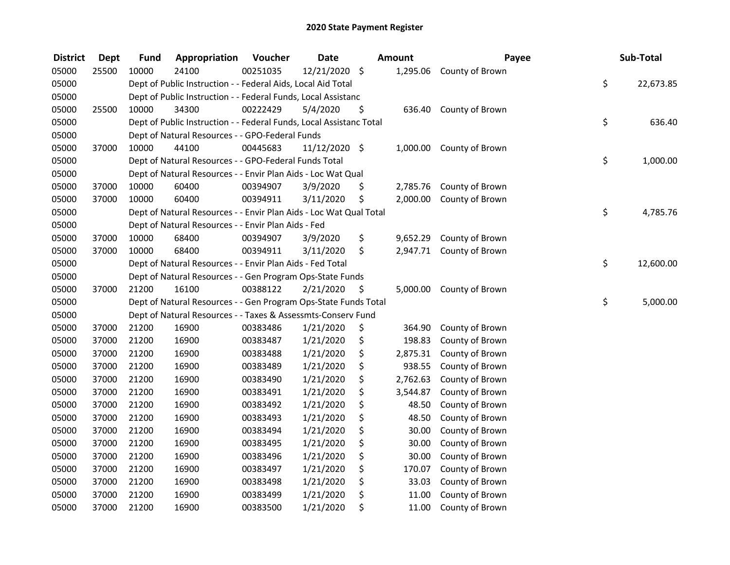| <b>District</b> | <b>Dept</b> | <b>Fund</b> | Appropriation                                                       | Voucher  | <b>Date</b>   |     | Amount   | Payee                    | Sub-Total       |
|-----------------|-------------|-------------|---------------------------------------------------------------------|----------|---------------|-----|----------|--------------------------|-----------------|
| 05000           | 25500       | 10000       | 24100                                                               | 00251035 | 12/21/2020 \$ |     | 1,295.06 | County of Brown          |                 |
| 05000           |             |             | Dept of Public Instruction - - Federal Aids, Local Aid Total        |          |               |     |          |                          | \$<br>22,673.85 |
| 05000           |             |             | Dept of Public Instruction - - Federal Funds, Local Assistanc       |          |               |     |          |                          |                 |
| 05000           | 25500       | 10000       | 34300                                                               | 00222429 | 5/4/2020      | \$  | 636.40   | County of Brown          |                 |
| 05000           |             |             | Dept of Public Instruction - - Federal Funds, Local Assistanc Total |          |               |     |          |                          | \$<br>636.40    |
| 05000           |             |             | Dept of Natural Resources - - GPO-Federal Funds                     |          |               |     |          |                          |                 |
| 05000           | 37000       | 10000       | 44100                                                               | 00445683 | 11/12/2020 \$ |     |          | 1,000.00 County of Brown |                 |
| 05000           |             |             | Dept of Natural Resources - - GPO-Federal Funds Total               |          |               |     |          |                          | \$<br>1,000.00  |
| 05000           |             |             | Dept of Natural Resources - - Envir Plan Aids - Loc Wat Qual        |          |               |     |          |                          |                 |
| 05000           | 37000       | 10000       | 60400                                                               | 00394907 | 3/9/2020      | \$  | 2,785.76 | County of Brown          |                 |
| 05000           | 37000       | 10000       | 60400                                                               | 00394911 | 3/11/2020     | \$  | 2,000.00 | County of Brown          |                 |
| 05000           |             |             | Dept of Natural Resources - - Envir Plan Aids - Loc Wat Qual Total  |          |               |     |          |                          | \$<br>4,785.76  |
| 05000           |             |             | Dept of Natural Resources - - Envir Plan Aids - Fed                 |          |               |     |          |                          |                 |
| 05000           | 37000       | 10000       | 68400                                                               | 00394907 | 3/9/2020      | \$  | 9,652.29 | County of Brown          |                 |
| 05000           | 37000       | 10000       | 68400                                                               | 00394911 | 3/11/2020     | \$  | 2,947.71 | County of Brown          |                 |
| 05000           |             |             | Dept of Natural Resources - - Envir Plan Aids - Fed Total           |          |               |     |          |                          | \$<br>12,600.00 |
| 05000           |             |             | Dept of Natural Resources - - Gen Program Ops-State Funds           |          |               |     |          |                          |                 |
| 05000           | 37000       | 21200       | 16100                                                               | 00388122 | 2/21/2020     | \$, | 5,000.00 | County of Brown          |                 |
| 05000           |             |             | Dept of Natural Resources - - Gen Program Ops-State Funds Total     |          |               |     |          |                          | \$<br>5,000.00  |
| 05000           |             |             | Dept of Natural Resources - - Taxes & Assessmts-Conserv Fund        |          |               |     |          |                          |                 |
| 05000           | 37000       | 21200       | 16900                                                               | 00383486 | 1/21/2020     | \$  | 364.90   | County of Brown          |                 |
| 05000           | 37000       | 21200       | 16900                                                               | 00383487 | 1/21/2020     | \$  | 198.83   | County of Brown          |                 |
| 05000           | 37000       | 21200       | 16900                                                               | 00383488 | 1/21/2020     | \$  | 2,875.31 | County of Brown          |                 |
| 05000           | 37000       | 21200       | 16900                                                               | 00383489 | 1/21/2020     | \$  | 938.55   | County of Brown          |                 |
| 05000           | 37000       | 21200       | 16900                                                               | 00383490 | 1/21/2020     | \$  | 2,762.63 | County of Brown          |                 |
| 05000           | 37000       | 21200       | 16900                                                               | 00383491 | 1/21/2020     | \$  | 3,544.87 | County of Brown          |                 |
| 05000           | 37000       | 21200       | 16900                                                               | 00383492 | 1/21/2020     | \$  | 48.50    | County of Brown          |                 |
| 05000           | 37000       | 21200       | 16900                                                               | 00383493 | 1/21/2020     | \$  | 48.50    | County of Brown          |                 |
| 05000           | 37000       | 21200       | 16900                                                               | 00383494 | 1/21/2020     | \$  | 30.00    | County of Brown          |                 |
| 05000           | 37000       | 21200       | 16900                                                               | 00383495 | 1/21/2020     | \$  | 30.00    | County of Brown          |                 |
| 05000           | 37000       | 21200       | 16900                                                               | 00383496 | 1/21/2020     | \$  | 30.00    | County of Brown          |                 |
| 05000           | 37000       | 21200       | 16900                                                               | 00383497 | 1/21/2020     | \$  | 170.07   | County of Brown          |                 |
| 05000           | 37000       | 21200       | 16900                                                               | 00383498 | 1/21/2020     | \$  | 33.03    | County of Brown          |                 |
| 05000           | 37000       | 21200       | 16900                                                               | 00383499 | 1/21/2020     | \$  | 11.00    | County of Brown          |                 |
| 05000           | 37000       | 21200       | 16900                                                               | 00383500 | 1/21/2020     | \$  | 11.00    | County of Brown          |                 |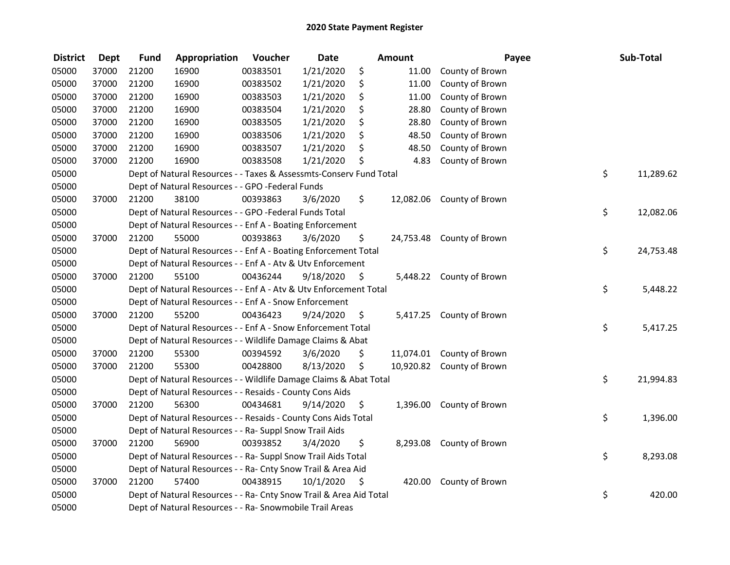| <b>District</b> | <b>Dept</b> | <b>Fund</b> | Appropriation                                                      | Voucher  | <b>Date</b> |     | Amount    | Payee                     | Sub-Total       |
|-----------------|-------------|-------------|--------------------------------------------------------------------|----------|-------------|-----|-----------|---------------------------|-----------------|
| 05000           | 37000       | 21200       | 16900                                                              | 00383501 | 1/21/2020   | \$  | 11.00     | County of Brown           |                 |
| 05000           | 37000       | 21200       | 16900                                                              | 00383502 | 1/21/2020   | \$  | 11.00     | County of Brown           |                 |
| 05000           | 37000       | 21200       | 16900                                                              | 00383503 | 1/21/2020   | \$  | 11.00     | County of Brown           |                 |
| 05000           | 37000       | 21200       | 16900                                                              | 00383504 | 1/21/2020   | \$  | 28.80     | County of Brown           |                 |
| 05000           | 37000       | 21200       | 16900                                                              | 00383505 | 1/21/2020   | \$  | 28.80     | County of Brown           |                 |
| 05000           | 37000       | 21200       | 16900                                                              | 00383506 | 1/21/2020   | \$  | 48.50     | County of Brown           |                 |
| 05000           | 37000       | 21200       | 16900                                                              | 00383507 | 1/21/2020   | \$  | 48.50     | County of Brown           |                 |
| 05000           | 37000       | 21200       | 16900                                                              | 00383508 | 1/21/2020   | \$. | 4.83      | County of Brown           |                 |
| 05000           |             |             | Dept of Natural Resources - - Taxes & Assessmts-Conserv Fund Total |          |             |     |           |                           | \$<br>11,289.62 |
| 05000           |             |             | Dept of Natural Resources - - GPO -Federal Funds                   |          |             |     |           |                           |                 |
| 05000           | 37000       | 21200       | 38100                                                              | 00393863 | 3/6/2020    | \$  | 12,082.06 | County of Brown           |                 |
| 05000           |             |             | Dept of Natural Resources - - GPO -Federal Funds Total             |          |             |     |           |                           | \$<br>12,082.06 |
| 05000           |             |             | Dept of Natural Resources - - Enf A - Boating Enforcement          |          |             |     |           |                           |                 |
| 05000           | 37000       | 21200       | 55000                                                              | 00393863 | 3/6/2020    | \$  |           | 24,753.48 County of Brown |                 |
| 05000           |             |             | Dept of Natural Resources - - Enf A - Boating Enforcement Total    |          |             |     |           |                           | \$<br>24,753.48 |
| 05000           |             |             | Dept of Natural Resources - - Enf A - Atv & Utv Enforcement        |          |             |     |           |                           |                 |
| 05000           | 37000       | 21200       | 55100                                                              | 00436244 | 9/18/2020   | \$  | 5,448.22  | County of Brown           |                 |
| 05000           |             |             | Dept of Natural Resources - - Enf A - Atv & Utv Enforcement Total  |          |             |     |           |                           | \$<br>5,448.22  |
| 05000           |             |             | Dept of Natural Resources - - Enf A - Snow Enforcement             |          |             |     |           |                           |                 |
| 05000           | 37000       | 21200       | 55200                                                              | 00436423 | 9/24/2020   | \$  |           | 5,417.25 County of Brown  |                 |
| 05000           |             |             | Dept of Natural Resources - - Enf A - Snow Enforcement Total       |          |             |     |           |                           | \$<br>5,417.25  |
| 05000           |             |             | Dept of Natural Resources - - Wildlife Damage Claims & Abat        |          |             |     |           |                           |                 |
| 05000           | 37000       | 21200       | 55300                                                              | 00394592 | 3/6/2020    | \$  |           | 11,074.01 County of Brown |                 |
| 05000           | 37000       | 21200       | 55300                                                              | 00428800 | 8/13/2020   | \$  | 10,920.82 | County of Brown           |                 |
| 05000           |             |             | Dept of Natural Resources - - Wildlife Damage Claims & Abat Total  |          |             |     |           |                           | \$<br>21,994.83 |
| 05000           |             |             | Dept of Natural Resources - - Resaids - County Cons Aids           |          |             |     |           |                           |                 |
| 05000           | 37000       | 21200       | 56300                                                              | 00434681 | 9/14/2020   | \$  |           | 1,396.00 County of Brown  |                 |
| 05000           |             |             | Dept of Natural Resources - - Resaids - County Cons Aids Total     |          |             |     |           |                           | \$<br>1,396.00  |
| 05000           |             |             | Dept of Natural Resources - - Ra- Suppl Snow Trail Aids            |          |             |     |           |                           |                 |
| 05000           | 37000       | 21200       | 56900                                                              | 00393852 | 3/4/2020    | \$  |           | 8,293.08 County of Brown  |                 |
| 05000           |             |             | Dept of Natural Resources - - Ra- Suppl Snow Trail Aids Total      |          |             |     |           |                           | \$<br>8,293.08  |
| 05000           |             |             | Dept of Natural Resources - - Ra- Cnty Snow Trail & Area Aid       |          |             |     |           |                           |                 |
| 05000           | 37000       | 21200       | 57400                                                              | 00438915 | 10/1/2020   | \$  | 420.00    | County of Brown           |                 |
| 05000           |             |             | Dept of Natural Resources - - Ra- Cnty Snow Trail & Area Aid Total |          |             |     |           |                           | \$<br>420.00    |
| 05000           |             |             | Dept of Natural Resources - - Ra- Snowmobile Trail Areas           |          |             |     |           |                           |                 |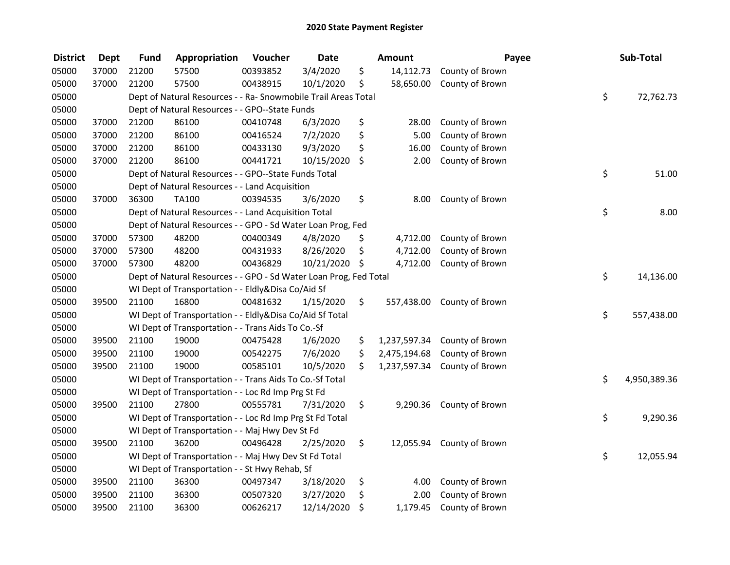| <b>District</b> | <b>Dept</b> | <b>Fund</b> | Appropriation                                                     | Voucher  | <b>Date</b>   |    | Amount       | Payee                     | Sub-Total          |
|-----------------|-------------|-------------|-------------------------------------------------------------------|----------|---------------|----|--------------|---------------------------|--------------------|
| 05000           | 37000       | 21200       | 57500                                                             | 00393852 | 3/4/2020      | \$ | 14,112.73    | County of Brown           |                    |
| 05000           | 37000       | 21200       | 57500                                                             | 00438915 | 10/1/2020     | \$ | 58,650.00    | County of Brown           |                    |
| 05000           |             |             | Dept of Natural Resources - - Ra- Snowmobile Trail Areas Total    |          |               |    |              |                           | \$<br>72,762.73    |
| 05000           |             |             | Dept of Natural Resources - - GPO--State Funds                    |          |               |    |              |                           |                    |
| 05000           | 37000       | 21200       | 86100                                                             | 00410748 | 6/3/2020      | \$ | 28.00        | County of Brown           |                    |
| 05000           | 37000       | 21200       | 86100                                                             | 00416524 | 7/2/2020      | \$ | 5.00         | County of Brown           |                    |
| 05000           | 37000       | 21200       | 86100                                                             | 00433130 | 9/3/2020      | \$ | 16.00        | County of Brown           |                    |
| 05000           | 37000       | 21200       | 86100                                                             | 00441721 | 10/15/2020    | \$ | 2.00         | County of Brown           |                    |
| 05000           |             |             | Dept of Natural Resources - - GPO--State Funds Total              |          |               |    |              |                           | \$<br>51.00        |
| 05000           |             |             | Dept of Natural Resources - - Land Acquisition                    |          |               |    |              |                           |                    |
| 05000           | 37000       | 36300       | TA100                                                             | 00394535 | 3/6/2020      | \$ | 8.00         | County of Brown           |                    |
| 05000           |             |             | Dept of Natural Resources - - Land Acquisition Total              |          |               |    |              |                           | \$<br>8.00         |
| 05000           |             |             | Dept of Natural Resources - - GPO - Sd Water Loan Prog, Fed       |          |               |    |              |                           |                    |
| 05000           | 37000       | 57300       | 48200                                                             | 00400349 | 4/8/2020      | \$ | 4,712.00     | County of Brown           |                    |
| 05000           | 37000       | 57300       | 48200                                                             | 00431933 | 8/26/2020     | \$ | 4,712.00     | County of Brown           |                    |
| 05000           | 37000       | 57300       | 48200                                                             | 00436829 | 10/21/2020 \$ |    | 4,712.00     | County of Brown           |                    |
| 05000           |             |             | Dept of Natural Resources - - GPO - Sd Water Loan Prog, Fed Total |          |               |    |              |                           | \$<br>14,136.00    |
| 05000           |             |             | WI Dept of Transportation - - Eldly&Disa Co/Aid Sf                |          |               |    |              |                           |                    |
| 05000           | 39500       | 21100       | 16800                                                             | 00481632 | 1/15/2020     | \$ | 557,438.00   | County of Brown           |                    |
| 05000           |             |             | WI Dept of Transportation - - Eldly&Disa Co/Aid Sf Total          |          |               |    |              |                           | \$<br>557,438.00   |
| 05000           |             |             | WI Dept of Transportation - - Trans Aids To Co.-Sf                |          |               |    |              |                           |                    |
| 05000           | 39500       | 21100       | 19000                                                             | 00475428 | 1/6/2020      | \$ | 1,237,597.34 | County of Brown           |                    |
| 05000           | 39500       | 21100       | 19000                                                             | 00542275 | 7/6/2020      | \$ | 2,475,194.68 | County of Brown           |                    |
| 05000           | 39500       | 21100       | 19000                                                             | 00585101 | 10/5/2020     | Ś. | 1,237,597.34 | County of Brown           |                    |
| 05000           |             |             | WI Dept of Transportation - - Trans Aids To Co.-Sf Total          |          |               |    |              |                           | \$<br>4,950,389.36 |
| 05000           |             |             | WI Dept of Transportation - - Loc Rd Imp Prg St Fd                |          |               |    |              |                           |                    |
| 05000           | 39500       | 21100       | 27800                                                             | 00555781 | 7/31/2020     | \$ | 9,290.36     | County of Brown           |                    |
| 05000           |             |             | WI Dept of Transportation - - Loc Rd Imp Prg St Fd Total          |          |               |    |              |                           | \$<br>9,290.36     |
| 05000           |             |             | WI Dept of Transportation - - Maj Hwy Dev St Fd                   |          |               |    |              |                           |                    |
| 05000           | 39500       | 21100       | 36200                                                             | 00496428 | 2/25/2020     | \$ |              | 12,055.94 County of Brown |                    |
| 05000           |             |             | WI Dept of Transportation - - Maj Hwy Dev St Fd Total             |          |               |    |              |                           | \$<br>12,055.94    |
| 05000           |             |             | WI Dept of Transportation - - St Hwy Rehab, Sf                    |          |               |    |              |                           |                    |
| 05000           | 39500       | 21100       | 36300                                                             | 00497347 | 3/18/2020     | \$ | 4.00         | County of Brown           |                    |
| 05000           | 39500       | 21100       | 36300                                                             | 00507320 | 3/27/2020     | \$ | 2.00         | County of Brown           |                    |
| 05000           | 39500       | 21100       | 36300                                                             | 00626217 | 12/14/2020    | \$ | 1,179.45     | County of Brown           |                    |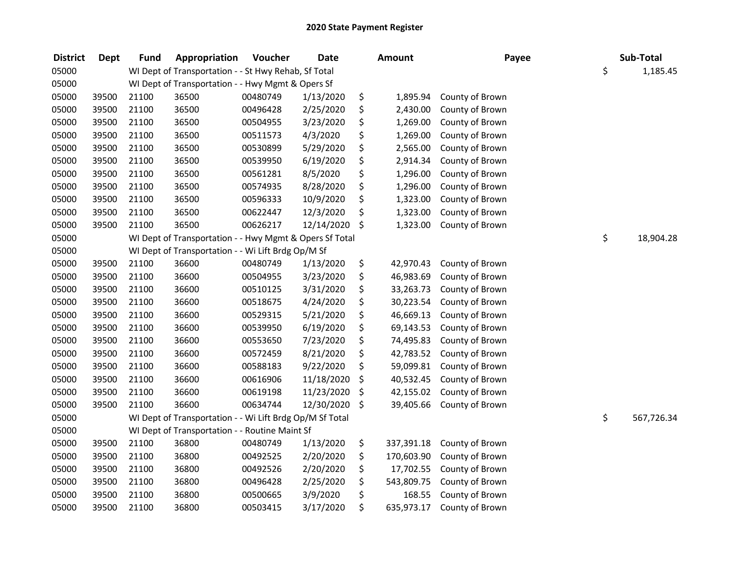| <b>District</b> | <b>Dept</b> | Fund  | Appropriation                                            | Voucher  | <b>Date</b> | Amount           | Payee           | Sub-Total        |
|-----------------|-------------|-------|----------------------------------------------------------|----------|-------------|------------------|-----------------|------------------|
| 05000           |             |       | WI Dept of Transportation - - St Hwy Rehab, Sf Total     |          |             |                  |                 | \$<br>1,185.45   |
| 05000           |             |       | WI Dept of Transportation - - Hwy Mgmt & Opers Sf        |          |             |                  |                 |                  |
| 05000           | 39500       | 21100 | 36500                                                    | 00480749 | 1/13/2020   | \$<br>1,895.94   | County of Brown |                  |
| 05000           | 39500       | 21100 | 36500                                                    | 00496428 | 2/25/2020   | \$<br>2,430.00   | County of Brown |                  |
| 05000           | 39500       | 21100 | 36500                                                    | 00504955 | 3/23/2020   | \$<br>1,269.00   | County of Brown |                  |
| 05000           | 39500       | 21100 | 36500                                                    | 00511573 | 4/3/2020    | \$<br>1,269.00   | County of Brown |                  |
| 05000           | 39500       | 21100 | 36500                                                    | 00530899 | 5/29/2020   | \$<br>2,565.00   | County of Brown |                  |
| 05000           | 39500       | 21100 | 36500                                                    | 00539950 | 6/19/2020   | \$<br>2,914.34   | County of Brown |                  |
| 05000           | 39500       | 21100 | 36500                                                    | 00561281 | 8/5/2020    | \$<br>1,296.00   | County of Brown |                  |
| 05000           | 39500       | 21100 | 36500                                                    | 00574935 | 8/28/2020   | \$<br>1,296.00   | County of Brown |                  |
| 05000           | 39500       | 21100 | 36500                                                    | 00596333 | 10/9/2020   | \$<br>1,323.00   | County of Brown |                  |
| 05000           | 39500       | 21100 | 36500                                                    | 00622447 | 12/3/2020   | \$<br>1,323.00   | County of Brown |                  |
| 05000           | 39500       | 21100 | 36500                                                    | 00626217 | 12/14/2020  | \$<br>1,323.00   | County of Brown |                  |
| 05000           |             |       | WI Dept of Transportation - - Hwy Mgmt & Opers Sf Total  |          |             |                  |                 | \$<br>18,904.28  |
| 05000           |             |       | WI Dept of Transportation - - Wi Lift Brdg Op/M Sf       |          |             |                  |                 |                  |
| 05000           | 39500       | 21100 | 36600                                                    | 00480749 | 1/13/2020   | \$<br>42,970.43  | County of Brown |                  |
| 05000           | 39500       | 21100 | 36600                                                    | 00504955 | 3/23/2020   | \$<br>46,983.69  | County of Brown |                  |
| 05000           | 39500       | 21100 | 36600                                                    | 00510125 | 3/31/2020   | \$<br>33,263.73  | County of Brown |                  |
| 05000           | 39500       | 21100 | 36600                                                    | 00518675 | 4/24/2020   | \$<br>30,223.54  | County of Brown |                  |
| 05000           | 39500       | 21100 | 36600                                                    | 00529315 | 5/21/2020   | \$<br>46,669.13  | County of Brown |                  |
| 05000           | 39500       | 21100 | 36600                                                    | 00539950 | 6/19/2020   | \$<br>69,143.53  | County of Brown |                  |
| 05000           | 39500       | 21100 | 36600                                                    | 00553650 | 7/23/2020   | \$<br>74,495.83  | County of Brown |                  |
| 05000           | 39500       | 21100 | 36600                                                    | 00572459 | 8/21/2020   | \$<br>42,783.52  | County of Brown |                  |
| 05000           | 39500       | 21100 | 36600                                                    | 00588183 | 9/22/2020   | \$<br>59,099.81  | County of Brown |                  |
| 05000           | 39500       | 21100 | 36600                                                    | 00616906 | 11/18/2020  | \$<br>40,532.45  | County of Brown |                  |
| 05000           | 39500       | 21100 | 36600                                                    | 00619198 | 11/23/2020  | \$<br>42,155.02  | County of Brown |                  |
| 05000           | 39500       | 21100 | 36600                                                    | 00634744 | 12/30/2020  | \$<br>39,405.66  | County of Brown |                  |
| 05000           |             |       | WI Dept of Transportation - - Wi Lift Brdg Op/M Sf Total |          |             |                  |                 | \$<br>567,726.34 |
| 05000           |             |       | WI Dept of Transportation - - Routine Maint Sf           |          |             |                  |                 |                  |
| 05000           | 39500       | 21100 | 36800                                                    | 00480749 | 1/13/2020   | \$<br>337,391.18 | County of Brown |                  |
| 05000           | 39500       | 21100 | 36800                                                    | 00492525 | 2/20/2020   | \$<br>170,603.90 | County of Brown |                  |
| 05000           | 39500       | 21100 | 36800                                                    | 00492526 | 2/20/2020   | \$<br>17,702.55  | County of Brown |                  |
| 05000           | 39500       | 21100 | 36800                                                    | 00496428 | 2/25/2020   | \$<br>543,809.75 | County of Brown |                  |
| 05000           | 39500       | 21100 | 36800                                                    | 00500665 | 3/9/2020    | \$<br>168.55     | County of Brown |                  |
| 05000           | 39500       | 21100 | 36800                                                    | 00503415 | 3/17/2020   | \$<br>635,973.17 | County of Brown |                  |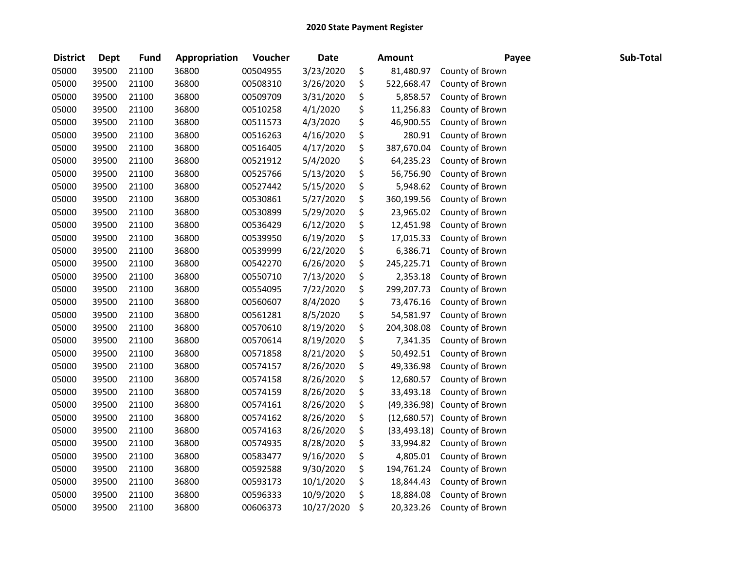| <b>District</b> | Dept  | <b>Fund</b> | Appropriation | Voucher  | <b>Date</b> | Amount             | Payee                       | Sub-Total |
|-----------------|-------|-------------|---------------|----------|-------------|--------------------|-----------------------------|-----------|
| 05000           | 39500 | 21100       | 36800         | 00504955 | 3/23/2020   | \$<br>81,480.97    | County of Brown             |           |
| 05000           | 39500 | 21100       | 36800         | 00508310 | 3/26/2020   | \$<br>522,668.47   | County of Brown             |           |
| 05000           | 39500 | 21100       | 36800         | 00509709 | 3/31/2020   | \$<br>5,858.57     | County of Brown             |           |
| 05000           | 39500 | 21100       | 36800         | 00510258 | 4/1/2020    | \$<br>11,256.83    | County of Brown             |           |
| 05000           | 39500 | 21100       | 36800         | 00511573 | 4/3/2020    | \$<br>46,900.55    | County of Brown             |           |
| 05000           | 39500 | 21100       | 36800         | 00516263 | 4/16/2020   | \$<br>280.91       | County of Brown             |           |
| 05000           | 39500 | 21100       | 36800         | 00516405 | 4/17/2020   | \$<br>387,670.04   | County of Brown             |           |
| 05000           | 39500 | 21100       | 36800         | 00521912 | 5/4/2020    | \$<br>64,235.23    | County of Brown             |           |
| 05000           | 39500 | 21100       | 36800         | 00525766 | 5/13/2020   | \$<br>56,756.90    | County of Brown             |           |
| 05000           | 39500 | 21100       | 36800         | 00527442 | 5/15/2020   | \$<br>5,948.62     | County of Brown             |           |
| 05000           | 39500 | 21100       | 36800         | 00530861 | 5/27/2020   | \$<br>360,199.56   | County of Brown             |           |
| 05000           | 39500 | 21100       | 36800         | 00530899 | 5/29/2020   | \$<br>23,965.02    | County of Brown             |           |
| 05000           | 39500 | 21100       | 36800         | 00536429 | 6/12/2020   | \$<br>12,451.98    | County of Brown             |           |
| 05000           | 39500 | 21100       | 36800         | 00539950 | 6/19/2020   | \$<br>17,015.33    | County of Brown             |           |
| 05000           | 39500 | 21100       | 36800         | 00539999 | 6/22/2020   | \$<br>6,386.71     | County of Brown             |           |
| 05000           | 39500 | 21100       | 36800         | 00542270 | 6/26/2020   | \$<br>245,225.71   | County of Brown             |           |
| 05000           | 39500 | 21100       | 36800         | 00550710 | 7/13/2020   | \$<br>2,353.18     | County of Brown             |           |
| 05000           | 39500 | 21100       | 36800         | 00554095 | 7/22/2020   | \$<br>299,207.73   | County of Brown             |           |
| 05000           | 39500 | 21100       | 36800         | 00560607 | 8/4/2020    | \$<br>73,476.16    | County of Brown             |           |
| 05000           | 39500 | 21100       | 36800         | 00561281 | 8/5/2020    | \$<br>54,581.97    | County of Brown             |           |
| 05000           | 39500 | 21100       | 36800         | 00570610 | 8/19/2020   | \$<br>204,308.08   | County of Brown             |           |
| 05000           | 39500 | 21100       | 36800         | 00570614 | 8/19/2020   | \$<br>7,341.35     | County of Brown             |           |
| 05000           | 39500 | 21100       | 36800         | 00571858 | 8/21/2020   | \$<br>50,492.51    | County of Brown             |           |
| 05000           | 39500 | 21100       | 36800         | 00574157 | 8/26/2020   | \$<br>49,336.98    | County of Brown             |           |
| 05000           | 39500 | 21100       | 36800         | 00574158 | 8/26/2020   | \$<br>12,680.57    | County of Brown             |           |
| 05000           | 39500 | 21100       | 36800         | 00574159 | 8/26/2020   | \$<br>33,493.18    | County of Brown             |           |
| 05000           | 39500 | 21100       | 36800         | 00574161 | 8/26/2020   | \$<br>(49, 336.98) | County of Brown             |           |
| 05000           | 39500 | 21100       | 36800         | 00574162 | 8/26/2020   | \$                 | (12,680.57) County of Brown |           |
| 05000           | 39500 | 21100       | 36800         | 00574163 | 8/26/2020   | \$                 | (33,493.18) County of Brown |           |
| 05000           | 39500 | 21100       | 36800         | 00574935 | 8/28/2020   | \$<br>33,994.82    | County of Brown             |           |
| 05000           | 39500 | 21100       | 36800         | 00583477 | 9/16/2020   | \$<br>4,805.01     | County of Brown             |           |
| 05000           | 39500 | 21100       | 36800         | 00592588 | 9/30/2020   | \$<br>194,761.24   | County of Brown             |           |
| 05000           | 39500 | 21100       | 36800         | 00593173 | 10/1/2020   | \$<br>18,844.43    | County of Brown             |           |
| 05000           | 39500 | 21100       | 36800         | 00596333 | 10/9/2020   | \$<br>18,884.08    | County of Brown             |           |
| 05000           | 39500 | 21100       | 36800         | 00606373 | 10/27/2020  | \$<br>20,323.26    | County of Brown             |           |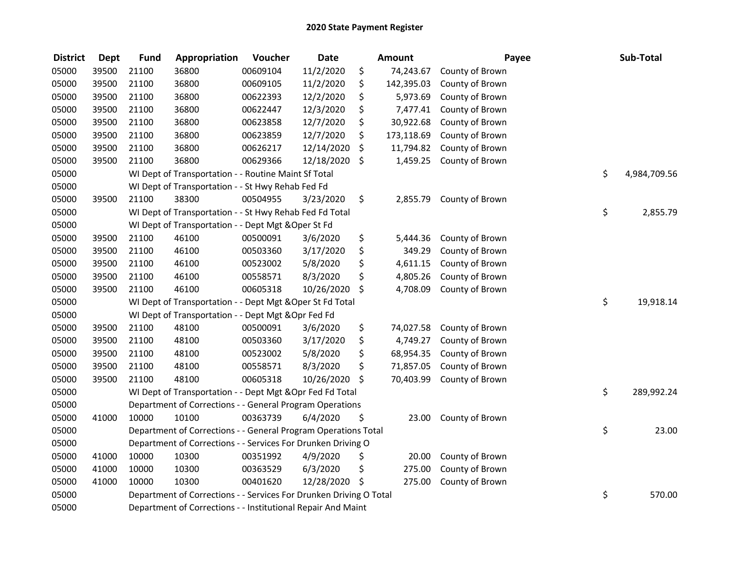| <b>District</b> | <b>Dept</b> | <b>Fund</b> | Appropriation                                                      | Voucher  | <b>Date</b> | <b>Amount</b>    | Payee           | Sub-Total          |
|-----------------|-------------|-------------|--------------------------------------------------------------------|----------|-------------|------------------|-----------------|--------------------|
| 05000           | 39500       | 21100       | 36800                                                              | 00609104 | 11/2/2020   | \$<br>74,243.67  | County of Brown |                    |
| 05000           | 39500       | 21100       | 36800                                                              | 00609105 | 11/2/2020   | \$<br>142,395.03 | County of Brown |                    |
| 05000           | 39500       | 21100       | 36800                                                              | 00622393 | 12/2/2020   | \$<br>5,973.69   | County of Brown |                    |
| 05000           | 39500       | 21100       | 36800                                                              | 00622447 | 12/3/2020   | \$<br>7,477.41   | County of Brown |                    |
| 05000           | 39500       | 21100       | 36800                                                              | 00623858 | 12/7/2020   | \$<br>30,922.68  | County of Brown |                    |
| 05000           | 39500       | 21100       | 36800                                                              | 00623859 | 12/7/2020   | \$<br>173,118.69 | County of Brown |                    |
| 05000           | 39500       | 21100       | 36800                                                              | 00626217 | 12/14/2020  | \$<br>11,794.82  | County of Brown |                    |
| 05000           | 39500       | 21100       | 36800                                                              | 00629366 | 12/18/2020  | \$<br>1,459.25   | County of Brown |                    |
| 05000           |             |             | WI Dept of Transportation - - Routine Maint Sf Total               |          |             |                  |                 | \$<br>4,984,709.56 |
| 05000           |             |             | WI Dept of Transportation - - St Hwy Rehab Fed Fd                  |          |             |                  |                 |                    |
| 05000           | 39500       | 21100       | 38300                                                              | 00504955 | 3/23/2020   | \$<br>2,855.79   | County of Brown |                    |
| 05000           |             |             | WI Dept of Transportation - - St Hwy Rehab Fed Fd Total            |          |             |                  |                 | \$<br>2,855.79     |
| 05000           |             |             | WI Dept of Transportation - - Dept Mgt & Oper St Fd                |          |             |                  |                 |                    |
| 05000           | 39500       | 21100       | 46100                                                              | 00500091 | 3/6/2020    | \$<br>5,444.36   | County of Brown |                    |
| 05000           | 39500       | 21100       | 46100                                                              | 00503360 | 3/17/2020   | \$<br>349.29     | County of Brown |                    |
| 05000           | 39500       | 21100       | 46100                                                              | 00523002 | 5/8/2020    | \$<br>4,611.15   | County of Brown |                    |
| 05000           | 39500       | 21100       | 46100                                                              | 00558571 | 8/3/2020    | \$<br>4,805.26   | County of Brown |                    |
| 05000           | 39500       | 21100       | 46100                                                              | 00605318 | 10/26/2020  | \$<br>4,708.09   | County of Brown |                    |
| 05000           |             |             | WI Dept of Transportation - - Dept Mgt & Oper St Fd Total          |          |             |                  |                 | \$<br>19,918.14    |
| 05000           |             |             | WI Dept of Transportation - - Dept Mgt & Opr Fed Fd                |          |             |                  |                 |                    |
| 05000           | 39500       | 21100       | 48100                                                              | 00500091 | 3/6/2020    | \$<br>74,027.58  | County of Brown |                    |
| 05000           | 39500       | 21100       | 48100                                                              | 00503360 | 3/17/2020   | \$<br>4,749.27   | County of Brown |                    |
| 05000           | 39500       | 21100       | 48100                                                              | 00523002 | 5/8/2020    | \$<br>68,954.35  | County of Brown |                    |
| 05000           | 39500       | 21100       | 48100                                                              | 00558571 | 8/3/2020    | \$<br>71,857.05  | County of Brown |                    |
| 05000           | 39500       | 21100       | 48100                                                              | 00605318 | 10/26/2020  | \$<br>70,403.99  | County of Brown |                    |
| 05000           |             |             | WI Dept of Transportation - - Dept Mgt & Opr Fed Fd Total          |          |             |                  |                 | \$<br>289,992.24   |
| 05000           |             |             | Department of Corrections - - General Program Operations           |          |             |                  |                 |                    |
| 05000           | 41000       | 10000       | 10100                                                              | 00363739 | 6/4/2020    | \$<br>23.00      | County of Brown |                    |
| 05000           |             |             | Department of Corrections - - General Program Operations Total     |          |             |                  |                 | \$<br>23.00        |
| 05000           |             |             | Department of Corrections - - Services For Drunken Driving O       |          |             |                  |                 |                    |
| 05000           | 41000       | 10000       | 10300                                                              | 00351992 | 4/9/2020    | \$<br>20.00      | County of Brown |                    |
| 05000           | 41000       | 10000       | 10300                                                              | 00363529 | 6/3/2020    | \$<br>275.00     | County of Brown |                    |
| 05000           | 41000       | 10000       | 10300                                                              | 00401620 | 12/28/2020  | \$<br>275.00     | County of Brown |                    |
| 05000           |             |             | Department of Corrections - - Services For Drunken Driving O Total |          |             |                  |                 | \$<br>570.00       |
| 05000           |             |             | Department of Corrections - - Institutional Repair And Maint       |          |             |                  |                 |                    |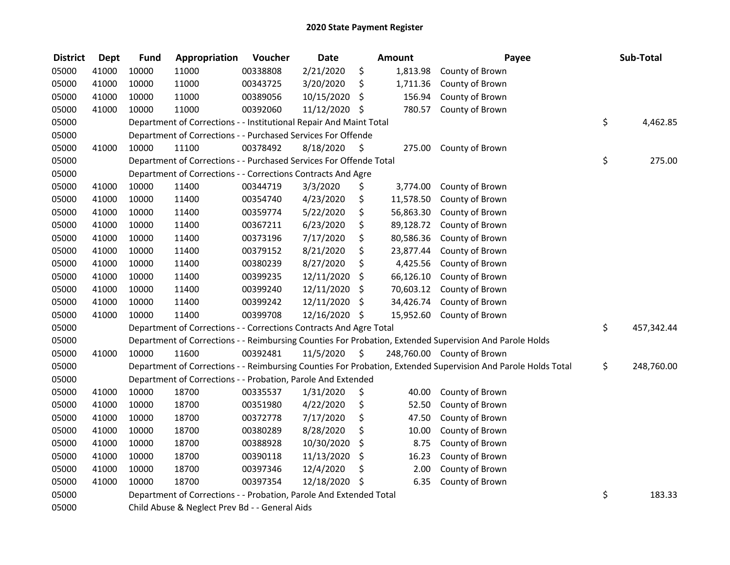| <b>District</b> | <b>Dept</b> | <b>Fund</b> | Appropriation                                                      | Voucher  | <b>Date</b>   |                     | <b>Amount</b> | Payee                                                                                                         | Sub-Total        |
|-----------------|-------------|-------------|--------------------------------------------------------------------|----------|---------------|---------------------|---------------|---------------------------------------------------------------------------------------------------------------|------------------|
| 05000           | 41000       | 10000       | 11000                                                              | 00338808 | 2/21/2020     | \$                  | 1,813.98      | County of Brown                                                                                               |                  |
| 05000           | 41000       | 10000       | 11000                                                              | 00343725 | 3/20/2020     | \$                  | 1,711.36      | County of Brown                                                                                               |                  |
| 05000           | 41000       | 10000       | 11000                                                              | 00389056 | 10/15/2020    | \$                  | 156.94        | County of Brown                                                                                               |                  |
| 05000           | 41000       | 10000       | 11000                                                              | 00392060 | 11/12/2020 \$ |                     | 780.57        | County of Brown                                                                                               |                  |
| 05000           |             |             | Department of Corrections - - Institutional Repair And Maint Total |          |               |                     |               |                                                                                                               | \$<br>4,462.85   |
| 05000           |             |             | Department of Corrections - - Purchased Services For Offende       |          |               |                     |               |                                                                                                               |                  |
| 05000           | 41000       | 10000       | 11100                                                              | 00378492 | 8/18/2020     | - \$                | 275.00        | County of Brown                                                                                               |                  |
| 05000           |             |             | Department of Corrections - - Purchased Services For Offende Total |          |               |                     |               |                                                                                                               | \$<br>275.00     |
| 05000           |             |             | Department of Corrections - - Corrections Contracts And Agre       |          |               |                     |               |                                                                                                               |                  |
| 05000           | 41000       | 10000       | 11400                                                              | 00344719 | 3/3/2020      | \$                  | 3,774.00      | County of Brown                                                                                               |                  |
| 05000           | 41000       | 10000       | 11400                                                              | 00354740 | 4/23/2020     | \$                  | 11,578.50     | County of Brown                                                                                               |                  |
| 05000           | 41000       | 10000       | 11400                                                              | 00359774 | 5/22/2020     | \$                  | 56,863.30     | County of Brown                                                                                               |                  |
| 05000           | 41000       | 10000       | 11400                                                              | 00367211 | 6/23/2020     | \$                  | 89,128.72     | County of Brown                                                                                               |                  |
| 05000           | 41000       | 10000       | 11400                                                              | 00373196 | 7/17/2020     | \$                  | 80,586.36     | County of Brown                                                                                               |                  |
| 05000           | 41000       | 10000       | 11400                                                              | 00379152 | 8/21/2020     | \$                  | 23,877.44     | County of Brown                                                                                               |                  |
| 05000           | 41000       | 10000       | 11400                                                              | 00380239 | 8/27/2020     | \$                  | 4,425.56      | County of Brown                                                                                               |                  |
| 05000           | 41000       | 10000       | 11400                                                              | 00399235 | 12/11/2020    | \$                  | 66,126.10     | County of Brown                                                                                               |                  |
| 05000           | 41000       | 10000       | 11400                                                              | 00399240 | 12/11/2020    | \$                  | 70,603.12     | County of Brown                                                                                               |                  |
| 05000           | 41000       | 10000       | 11400                                                              | 00399242 | 12/11/2020    | \$                  | 34,426.74     | County of Brown                                                                                               |                  |
| 05000           | 41000       | 10000       | 11400                                                              | 00399708 | 12/16/2020 \$ |                     | 15,952.60     | County of Brown                                                                                               |                  |
| 05000           |             |             | Department of Corrections - - Corrections Contracts And Agre Total |          |               |                     |               |                                                                                                               | \$<br>457,342.44 |
| 05000           |             |             |                                                                    |          |               |                     |               | Department of Corrections - - Reimbursing Counties For Probation, Extended Supervision And Parole Holds       |                  |
| 05000           | 41000       | 10000       | 11600                                                              | 00392481 | 11/5/2020     | $\ddot{\mathsf{s}}$ |               | 248,760.00 County of Brown                                                                                    |                  |
| 05000           |             |             |                                                                    |          |               |                     |               | Department of Corrections - - Reimbursing Counties For Probation, Extended Supervision And Parole Holds Total | \$<br>248,760.00 |
| 05000           |             |             | Department of Corrections - - Probation, Parole And Extended       |          |               |                     |               |                                                                                                               |                  |
| 05000           | 41000       | 10000       | 18700                                                              | 00335537 | 1/31/2020     | \$                  | 40.00         | County of Brown                                                                                               |                  |
| 05000           | 41000       | 10000       | 18700                                                              | 00351980 | 4/22/2020     | \$                  | 52.50         | County of Brown                                                                                               |                  |
| 05000           | 41000       | 10000       | 18700                                                              | 00372778 | 7/17/2020     | \$                  | 47.50         | County of Brown                                                                                               |                  |
| 05000           | 41000       | 10000       | 18700                                                              | 00380289 | 8/28/2020     | \$                  | 10.00         | County of Brown                                                                                               |                  |
| 05000           | 41000       | 10000       | 18700                                                              | 00388928 | 10/30/2020    | \$                  | 8.75          | County of Brown                                                                                               |                  |
| 05000           | 41000       | 10000       | 18700                                                              | 00390118 | 11/13/2020    | \$                  | 16.23         | County of Brown                                                                                               |                  |
| 05000           | 41000       | 10000       | 18700                                                              | 00397346 | 12/4/2020     | \$                  | 2.00          | County of Brown                                                                                               |                  |
| 05000           | 41000       | 10000       | 18700                                                              | 00397354 | 12/18/2020    | -\$                 | 6.35          | County of Brown                                                                                               |                  |
| 05000           |             |             | Department of Corrections - - Probation, Parole And Extended Total |          |               |                     |               |                                                                                                               | \$<br>183.33     |
| 05000           |             |             | Child Abuse & Neglect Prev Bd - - General Aids                     |          |               |                     |               |                                                                                                               |                  |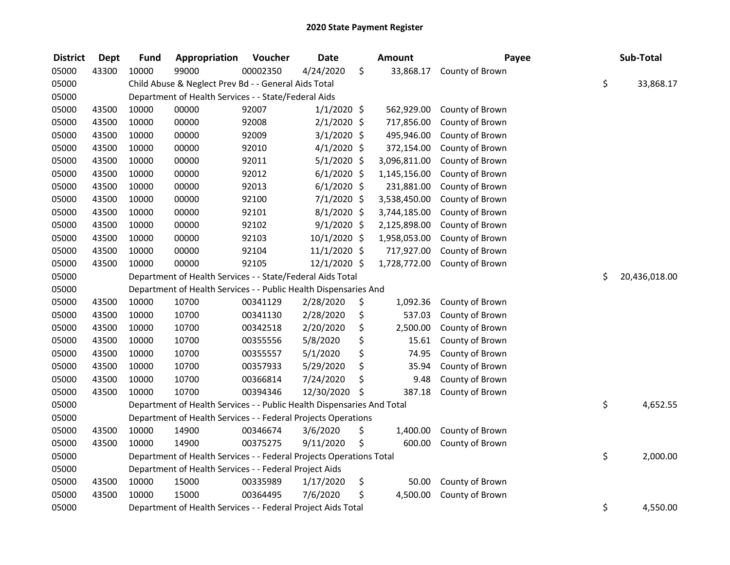| <b>District</b> | <b>Dept</b> | <b>Fund</b> | Appropriation                                                          | Voucher  | <b>Date</b>   | Amount          | Payee           | Sub-Total           |
|-----------------|-------------|-------------|------------------------------------------------------------------------|----------|---------------|-----------------|-----------------|---------------------|
| 05000           | 43300       | 10000       | 99000                                                                  | 00002350 | 4/24/2020     | \$<br>33,868.17 | County of Brown |                     |
| 05000           |             |             | Child Abuse & Neglect Prev Bd - - General Aids Total                   |          |               |                 |                 | \$<br>33,868.17     |
| 05000           |             |             | Department of Health Services - - State/Federal Aids                   |          |               |                 |                 |                     |
| 05000           | 43500       | 10000       | 00000                                                                  | 92007    | $1/1/2020$ \$ | 562,929.00      | County of Brown |                     |
| 05000           | 43500       | 10000       | 00000                                                                  | 92008    | $2/1/2020$ \$ | 717,856.00      | County of Brown |                     |
| 05000           | 43500       | 10000       | 00000                                                                  | 92009    | $3/1/2020$ \$ | 495,946.00      | County of Brown |                     |
| 05000           | 43500       | 10000       | 00000                                                                  | 92010    | $4/1/2020$ \$ | 372,154.00      | County of Brown |                     |
| 05000           | 43500       | 10000       | 00000                                                                  | 92011    | $5/1/2020$ \$ | 3,096,811.00    | County of Brown |                     |
| 05000           | 43500       | 10000       | 00000                                                                  | 92012    | $6/1/2020$ \$ | 1,145,156.00    | County of Brown |                     |
| 05000           | 43500       | 10000       | 00000                                                                  | 92013    | $6/1/2020$ \$ | 231,881.00      | County of Brown |                     |
| 05000           | 43500       | 10000       | 00000                                                                  | 92100    | 7/1/2020 \$   | 3,538,450.00    | County of Brown |                     |
| 05000           | 43500       | 10000       | 00000                                                                  | 92101    | 8/1/2020 \$   | 3,744,185.00    | County of Brown |                     |
| 05000           | 43500       | 10000       | 00000                                                                  | 92102    | $9/1/2020$ \$ | 2,125,898.00    | County of Brown |                     |
| 05000           | 43500       | 10000       | 00000                                                                  | 92103    | 10/1/2020 \$  | 1,958,053.00    | County of Brown |                     |
| 05000           | 43500       | 10000       | 00000                                                                  | 92104    | 11/1/2020 \$  | 717,927.00      | County of Brown |                     |
| 05000           | 43500       | 10000       | 00000                                                                  | 92105    | 12/1/2020 \$  | 1,728,772.00    | County of Brown |                     |
| 05000           |             |             | Department of Health Services - - State/Federal Aids Total             |          |               |                 |                 | \$<br>20,436,018.00 |
| 05000           |             |             | Department of Health Services - - Public Health Dispensaries And       |          |               |                 |                 |                     |
| 05000           | 43500       | 10000       | 10700                                                                  | 00341129 | 2/28/2020     | \$<br>1,092.36  | County of Brown |                     |
| 05000           | 43500       | 10000       | 10700                                                                  | 00341130 | 2/28/2020     | \$<br>537.03    | County of Brown |                     |
| 05000           | 43500       | 10000       | 10700                                                                  | 00342518 | 2/20/2020     | \$<br>2,500.00  | County of Brown |                     |
| 05000           | 43500       | 10000       | 10700                                                                  | 00355556 | 5/8/2020      | \$<br>15.61     | County of Brown |                     |
| 05000           | 43500       | 10000       | 10700                                                                  | 00355557 | 5/1/2020      | \$<br>74.95     | County of Brown |                     |
| 05000           | 43500       | 10000       | 10700                                                                  | 00357933 | 5/29/2020     | \$<br>35.94     | County of Brown |                     |
| 05000           | 43500       | 10000       | 10700                                                                  | 00366814 | 7/24/2020     | \$<br>9.48      | County of Brown |                     |
| 05000           | 43500       | 10000       | 10700                                                                  | 00394346 | 12/30/2020    | \$<br>387.18    | County of Brown |                     |
| 05000           |             |             | Department of Health Services - - Public Health Dispensaries And Total |          |               |                 |                 | \$<br>4,652.55      |
| 05000           |             |             | Department of Health Services - - Federal Projects Operations          |          |               |                 |                 |                     |
| 05000           | 43500       | 10000       | 14900                                                                  | 00346674 | 3/6/2020      | \$<br>1,400.00  | County of Brown |                     |
| 05000           | 43500       | 10000       | 14900                                                                  | 00375275 | 9/11/2020     | \$<br>600.00    | County of Brown |                     |
| 05000           |             |             | Department of Health Services - - Federal Projects Operations Total    |          |               |                 |                 | \$<br>2,000.00      |
| 05000           |             |             | Department of Health Services - - Federal Project Aids                 |          |               |                 |                 |                     |
| 05000           | 43500       | 10000       | 15000                                                                  | 00335989 | 1/17/2020     | \$<br>50.00     | County of Brown |                     |
| 05000           | 43500       | 10000       | 15000                                                                  | 00364495 | 7/6/2020      | \$<br>4,500.00  | County of Brown |                     |
| 05000           |             |             | Department of Health Services - - Federal Project Aids Total           |          |               |                 |                 | \$<br>4,550.00      |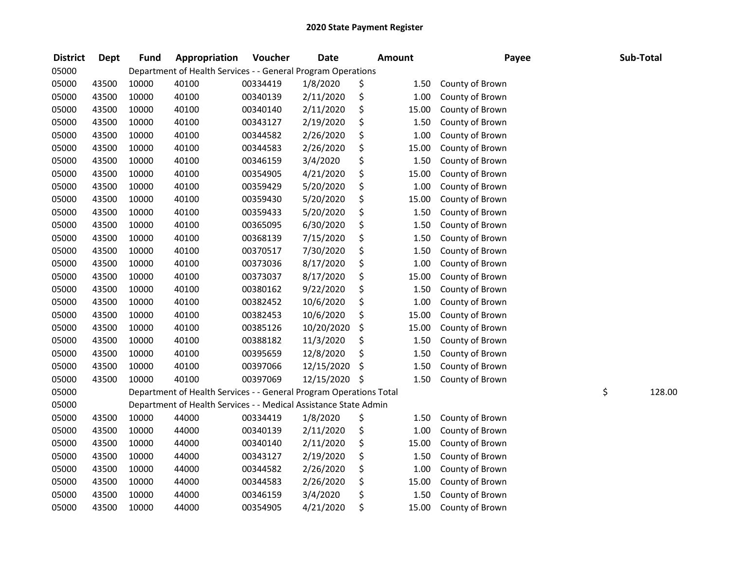| <b>District</b> | <b>Dept</b> | <b>Fund</b> | Appropriation                                                      | Voucher  | <b>Date</b> | <b>Amount</b>  | Payee           | Sub-Total    |
|-----------------|-------------|-------------|--------------------------------------------------------------------|----------|-------------|----------------|-----------------|--------------|
| 05000           |             |             | Department of Health Services - - General Program Operations       |          |             |                |                 |              |
| 05000           | 43500       | 10000       | 40100                                                              | 00334419 | 1/8/2020    | \$<br>1.50     | County of Brown |              |
| 05000           | 43500       | 10000       | 40100                                                              | 00340139 | 2/11/2020   | \$<br>1.00     | County of Brown |              |
| 05000           | 43500       | 10000       | 40100                                                              | 00340140 | 2/11/2020   | \$<br>15.00    | County of Brown |              |
| 05000           | 43500       | 10000       | 40100                                                              | 00343127 | 2/19/2020   | \$<br>1.50     | County of Brown |              |
| 05000           | 43500       | 10000       | 40100                                                              | 00344582 | 2/26/2020   | \$<br>1.00     | County of Brown |              |
| 05000           | 43500       | 10000       | 40100                                                              | 00344583 | 2/26/2020   | \$<br>15.00    | County of Brown |              |
| 05000           | 43500       | 10000       | 40100                                                              | 00346159 | 3/4/2020    | \$<br>1.50     | County of Brown |              |
| 05000           | 43500       | 10000       | 40100                                                              | 00354905 | 4/21/2020   | \$<br>15.00    | County of Brown |              |
| 05000           | 43500       | 10000       | 40100                                                              | 00359429 | 5/20/2020   | \$<br>$1.00\,$ | County of Brown |              |
| 05000           | 43500       | 10000       | 40100                                                              | 00359430 | 5/20/2020   | \$<br>15.00    | County of Brown |              |
| 05000           | 43500       | 10000       | 40100                                                              | 00359433 | 5/20/2020   | \$<br>1.50     | County of Brown |              |
| 05000           | 43500       | 10000       | 40100                                                              | 00365095 | 6/30/2020   | \$<br>1.50     | County of Brown |              |
| 05000           | 43500       | 10000       | 40100                                                              | 00368139 | 7/15/2020   | \$<br>1.50     | County of Brown |              |
| 05000           | 43500       | 10000       | 40100                                                              | 00370517 | 7/30/2020   | \$<br>1.50     | County of Brown |              |
| 05000           | 43500       | 10000       | 40100                                                              | 00373036 | 8/17/2020   | \$<br>1.00     | County of Brown |              |
| 05000           | 43500       | 10000       | 40100                                                              | 00373037 | 8/17/2020   | \$<br>15.00    | County of Brown |              |
| 05000           | 43500       | 10000       | 40100                                                              | 00380162 | 9/22/2020   | \$<br>1.50     | County of Brown |              |
| 05000           | 43500       | 10000       | 40100                                                              | 00382452 | 10/6/2020   | \$<br>1.00     | County of Brown |              |
| 05000           | 43500       | 10000       | 40100                                                              | 00382453 | 10/6/2020   | \$<br>15.00    | County of Brown |              |
| 05000           | 43500       | 10000       | 40100                                                              | 00385126 | 10/20/2020  | \$<br>15.00    | County of Brown |              |
| 05000           | 43500       | 10000       | 40100                                                              | 00388182 | 11/3/2020   | \$<br>1.50     | County of Brown |              |
| 05000           | 43500       | 10000       | 40100                                                              | 00395659 | 12/8/2020   | \$<br>1.50     | County of Brown |              |
| 05000           | 43500       | 10000       | 40100                                                              | 00397066 | 12/15/2020  | \$<br>1.50     | County of Brown |              |
| 05000           | 43500       | 10000       | 40100                                                              | 00397069 | 12/15/2020  | \$<br>1.50     | County of Brown |              |
| 05000           |             |             | Department of Health Services - - General Program Operations Total |          |             |                |                 | \$<br>128.00 |
| 05000           |             |             | Department of Health Services - - Medical Assistance State Admin   |          |             |                |                 |              |
| 05000           | 43500       | 10000       | 44000                                                              | 00334419 | 1/8/2020    | \$<br>1.50     | County of Brown |              |
| 05000           | 43500       | 10000       | 44000                                                              | 00340139 | 2/11/2020   | \$<br>1.00     | County of Brown |              |
| 05000           | 43500       | 10000       | 44000                                                              | 00340140 | 2/11/2020   | \$<br>15.00    | County of Brown |              |
| 05000           | 43500       | 10000       | 44000                                                              | 00343127 | 2/19/2020   | \$<br>1.50     | County of Brown |              |
| 05000           | 43500       | 10000       | 44000                                                              | 00344582 | 2/26/2020   | \$<br>1.00     | County of Brown |              |
| 05000           | 43500       | 10000       | 44000                                                              | 00344583 | 2/26/2020   | \$<br>15.00    | County of Brown |              |
| 05000           | 43500       | 10000       | 44000                                                              | 00346159 | 3/4/2020    | \$<br>1.50     | County of Brown |              |
| 05000           | 43500       | 10000       | 44000                                                              | 00354905 | 4/21/2020   | \$<br>15.00    | County of Brown |              |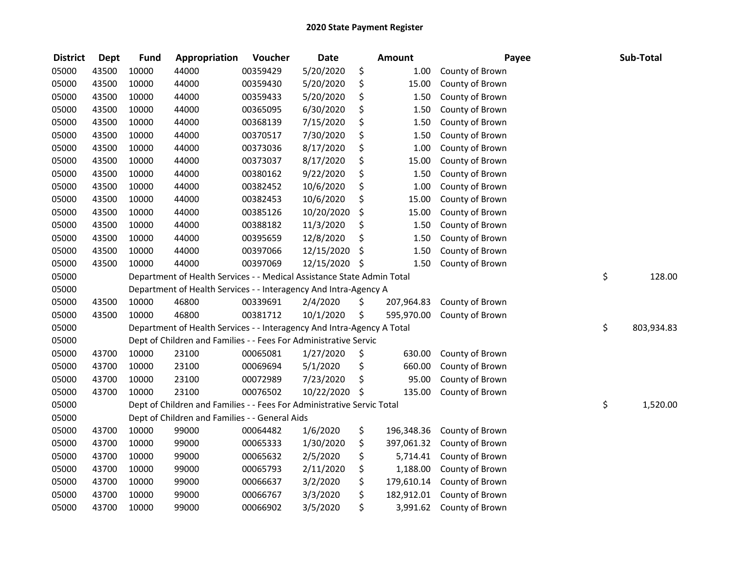| <b>District</b> | <b>Dept</b> | <b>Fund</b> | Appropriation                                                          | Voucher  | <b>Date</b>   | <b>Amount</b>    | Payee           | Sub-Total        |
|-----------------|-------------|-------------|------------------------------------------------------------------------|----------|---------------|------------------|-----------------|------------------|
| 05000           | 43500       | 10000       | 44000                                                                  | 00359429 | 5/20/2020     | \$<br>1.00       | County of Brown |                  |
| 05000           | 43500       | 10000       | 44000                                                                  | 00359430 | 5/20/2020     | \$<br>15.00      | County of Brown |                  |
| 05000           | 43500       | 10000       | 44000                                                                  | 00359433 | 5/20/2020     | \$<br>1.50       | County of Brown |                  |
| 05000           | 43500       | 10000       | 44000                                                                  | 00365095 | 6/30/2020     | \$<br>1.50       | County of Brown |                  |
| 05000           | 43500       | 10000       | 44000                                                                  | 00368139 | 7/15/2020     | \$<br>1.50       | County of Brown |                  |
| 05000           | 43500       | 10000       | 44000                                                                  | 00370517 | 7/30/2020     | \$<br>1.50       | County of Brown |                  |
| 05000           | 43500       | 10000       | 44000                                                                  | 00373036 | 8/17/2020     | \$<br>1.00       | County of Brown |                  |
| 05000           | 43500       | 10000       | 44000                                                                  | 00373037 | 8/17/2020     | \$<br>15.00      | County of Brown |                  |
| 05000           | 43500       | 10000       | 44000                                                                  | 00380162 | 9/22/2020     | \$<br>1.50       | County of Brown |                  |
| 05000           | 43500       | 10000       | 44000                                                                  | 00382452 | 10/6/2020     | \$<br>1.00       | County of Brown |                  |
| 05000           | 43500       | 10000       | 44000                                                                  | 00382453 | 10/6/2020     | \$<br>15.00      | County of Brown |                  |
| 05000           | 43500       | 10000       | 44000                                                                  | 00385126 | 10/20/2020    | \$<br>15.00      | County of Brown |                  |
| 05000           | 43500       | 10000       | 44000                                                                  | 00388182 | 11/3/2020     | \$<br>1.50       | County of Brown |                  |
| 05000           | 43500       | 10000       | 44000                                                                  | 00395659 | 12/8/2020     | \$<br>1.50       | County of Brown |                  |
| 05000           | 43500       | 10000       | 44000                                                                  | 00397066 | 12/15/2020    | \$<br>1.50       | County of Brown |                  |
| 05000           | 43500       | 10000       | 44000                                                                  | 00397069 | 12/15/2020 \$ | 1.50             | County of Brown |                  |
| 05000           |             |             | Department of Health Services - - Medical Assistance State Admin Total |          |               |                  |                 | \$<br>128.00     |
| 05000           |             |             | Department of Health Services - - Interagency And Intra-Agency A       |          |               |                  |                 |                  |
| 05000           | 43500       | 10000       | 46800                                                                  | 00339691 | 2/4/2020      | \$<br>207,964.83 | County of Brown |                  |
| 05000           | 43500       | 10000       | 46800                                                                  | 00381712 | 10/1/2020     | \$<br>595,970.00 | County of Brown |                  |
| 05000           |             |             | Department of Health Services - - Interagency And Intra-Agency A Total |          |               |                  |                 | \$<br>803,934.83 |
| 05000           |             |             | Dept of Children and Families - - Fees For Administrative Servic       |          |               |                  |                 |                  |
| 05000           | 43700       | 10000       | 23100                                                                  | 00065081 | 1/27/2020     | \$<br>630.00     | County of Brown |                  |
| 05000           | 43700       | 10000       | 23100                                                                  | 00069694 | 5/1/2020      | \$<br>660.00     | County of Brown |                  |
| 05000           | 43700       | 10000       | 23100                                                                  | 00072989 | 7/23/2020     | \$<br>95.00      | County of Brown |                  |
| 05000           | 43700       | 10000       | 23100                                                                  | 00076502 | 10/22/2020    | \$<br>135.00     | County of Brown |                  |
| 05000           |             |             | Dept of Children and Families - - Fees For Administrative Servic Total |          |               |                  |                 | \$<br>1,520.00   |
| 05000           |             |             | Dept of Children and Families - - General Aids                         |          |               |                  |                 |                  |
| 05000           | 43700       | 10000       | 99000                                                                  | 00064482 | 1/6/2020      | \$<br>196,348.36 | County of Brown |                  |
| 05000           | 43700       | 10000       | 99000                                                                  | 00065333 | 1/30/2020     | \$<br>397,061.32 | County of Brown |                  |
| 05000           | 43700       | 10000       | 99000                                                                  | 00065632 | 2/5/2020      | \$<br>5,714.41   | County of Brown |                  |
| 05000           | 43700       | 10000       | 99000                                                                  | 00065793 | 2/11/2020     | \$<br>1,188.00   | County of Brown |                  |
| 05000           | 43700       | 10000       | 99000                                                                  | 00066637 | 3/2/2020      | \$<br>179,610.14 | County of Brown |                  |
| 05000           | 43700       | 10000       | 99000                                                                  | 00066767 | 3/3/2020      | \$<br>182,912.01 | County of Brown |                  |
| 05000           | 43700       | 10000       | 99000                                                                  | 00066902 | 3/5/2020      | \$<br>3,991.62   | County of Brown |                  |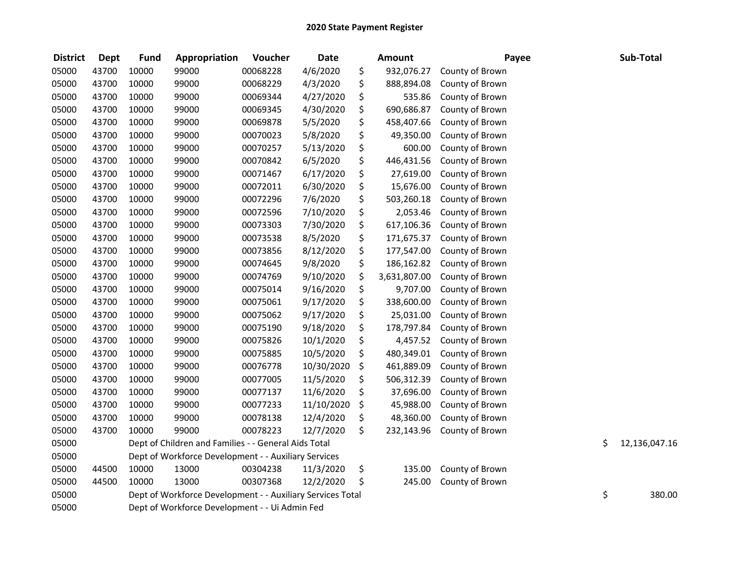| <b>District</b> | <b>Dept</b> | <b>Fund</b> | Appropriation                                              | Voucher  | <b>Date</b> | <b>Amount</b>      | Payee           | Sub-Total           |
|-----------------|-------------|-------------|------------------------------------------------------------|----------|-------------|--------------------|-----------------|---------------------|
| 05000           | 43700       | 10000       | 99000                                                      | 00068228 | 4/6/2020    | \$<br>932,076.27   | County of Brown |                     |
| 05000           | 43700       | 10000       | 99000                                                      | 00068229 | 4/3/2020    | \$<br>888,894.08   | County of Brown |                     |
| 05000           | 43700       | 10000       | 99000                                                      | 00069344 | 4/27/2020   | \$<br>535.86       | County of Brown |                     |
| 05000           | 43700       | 10000       | 99000                                                      | 00069345 | 4/30/2020   | \$<br>690,686.87   | County of Brown |                     |
| 05000           | 43700       | 10000       | 99000                                                      | 00069878 | 5/5/2020    | \$<br>458,407.66   | County of Brown |                     |
| 05000           | 43700       | 10000       | 99000                                                      | 00070023 | 5/8/2020    | \$<br>49,350.00    | County of Brown |                     |
| 05000           | 43700       | 10000       | 99000                                                      | 00070257 | 5/13/2020   | \$<br>600.00       | County of Brown |                     |
| 05000           | 43700       | 10000       | 99000                                                      | 00070842 | 6/5/2020    | \$<br>446,431.56   | County of Brown |                     |
| 05000           | 43700       | 10000       | 99000                                                      | 00071467 | 6/17/2020   | \$<br>27,619.00    | County of Brown |                     |
| 05000           | 43700       | 10000       | 99000                                                      | 00072011 | 6/30/2020   | \$<br>15,676.00    | County of Brown |                     |
| 05000           | 43700       | 10000       | 99000                                                      | 00072296 | 7/6/2020    | \$<br>503,260.18   | County of Brown |                     |
| 05000           | 43700       | 10000       | 99000                                                      | 00072596 | 7/10/2020   | \$<br>2,053.46     | County of Brown |                     |
| 05000           | 43700       | 10000       | 99000                                                      | 00073303 | 7/30/2020   | \$<br>617,106.36   | County of Brown |                     |
| 05000           | 43700       | 10000       | 99000                                                      | 00073538 | 8/5/2020    | \$<br>171,675.37   | County of Brown |                     |
| 05000           | 43700       | 10000       | 99000                                                      | 00073856 | 8/12/2020   | \$<br>177,547.00   | County of Brown |                     |
| 05000           | 43700       | 10000       | 99000                                                      | 00074645 | 9/8/2020    | \$<br>186,162.82   | County of Brown |                     |
| 05000           | 43700       | 10000       | 99000                                                      | 00074769 | 9/10/2020   | \$<br>3,631,807.00 | County of Brown |                     |
| 05000           | 43700       | 10000       | 99000                                                      | 00075014 | 9/16/2020   | \$<br>9,707.00     | County of Brown |                     |
| 05000           | 43700       | 10000       | 99000                                                      | 00075061 | 9/17/2020   | \$<br>338,600.00   | County of Brown |                     |
| 05000           | 43700       | 10000       | 99000                                                      | 00075062 | 9/17/2020   | \$<br>25,031.00    | County of Brown |                     |
| 05000           | 43700       | 10000       | 99000                                                      | 00075190 | 9/18/2020   | \$<br>178,797.84   | County of Brown |                     |
| 05000           | 43700       | 10000       | 99000                                                      | 00075826 | 10/1/2020   | \$<br>4,457.52     | County of Brown |                     |
| 05000           | 43700       | 10000       | 99000                                                      | 00075885 | 10/5/2020   | \$<br>480,349.01   | County of Brown |                     |
| 05000           | 43700       | 10000       | 99000                                                      | 00076778 | 10/30/2020  | \$<br>461,889.09   | County of Brown |                     |
| 05000           | 43700       | 10000       | 99000                                                      | 00077005 | 11/5/2020   | \$<br>506,312.39   | County of Brown |                     |
| 05000           | 43700       | 10000       | 99000                                                      | 00077137 | 11/6/2020   | \$<br>37,696.00    | County of Brown |                     |
| 05000           | 43700       | 10000       | 99000                                                      | 00077233 | 11/10/2020  | \$<br>45,988.00    | County of Brown |                     |
| 05000           | 43700       | 10000       | 99000                                                      | 00078138 | 12/4/2020   | \$<br>48,360.00    | County of Brown |                     |
| 05000           | 43700       | 10000       | 99000                                                      | 00078223 | 12/7/2020   | \$<br>232,143.96   | County of Brown |                     |
| 05000           |             |             | Dept of Children and Families - - General Aids Total       |          |             |                    |                 | \$<br>12,136,047.16 |
| 05000           |             |             | Dept of Workforce Development - - Auxiliary Services       |          |             |                    |                 |                     |
| 05000           | 44500       | 10000       | 13000                                                      | 00304238 | 11/3/2020   | \$<br>135.00       | County of Brown |                     |
| 05000           | 44500       | 10000       | 13000                                                      | 00307368 | 12/2/2020   | \$<br>245.00       | County of Brown |                     |
| 05000           |             |             | Dept of Workforce Development - - Auxiliary Services Total |          |             |                    |                 | \$<br>380.00        |
| 05000           |             |             | Dept of Workforce Development - - Ui Admin Fed             |          |             |                    |                 |                     |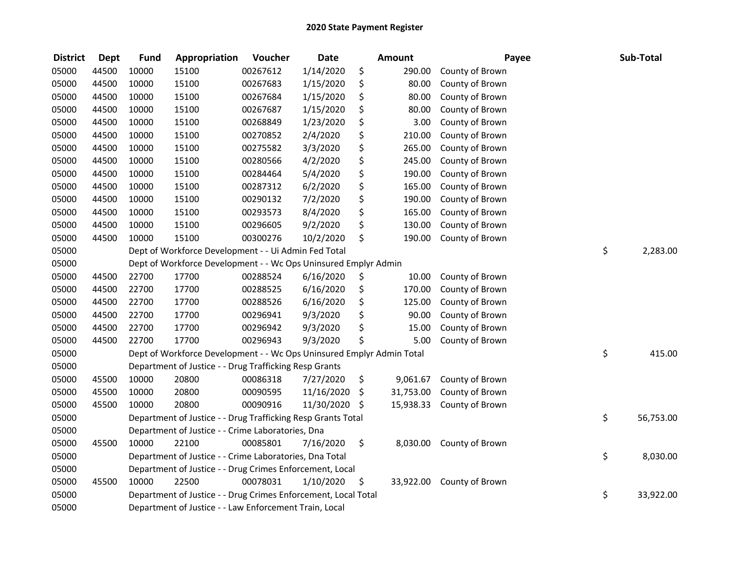| <b>District</b> | <b>Dept</b> | Fund  | Appropriation                                                         | Voucher  | <b>Date</b>   | <b>Amount</b>   | Payee           | Sub-Total       |
|-----------------|-------------|-------|-----------------------------------------------------------------------|----------|---------------|-----------------|-----------------|-----------------|
| 05000           | 44500       | 10000 | 15100                                                                 | 00267612 | 1/14/2020     | \$<br>290.00    | County of Brown |                 |
| 05000           | 44500       | 10000 | 15100                                                                 | 00267683 | 1/15/2020     | \$<br>80.00     | County of Brown |                 |
| 05000           | 44500       | 10000 | 15100                                                                 | 00267684 | 1/15/2020     | \$<br>80.00     | County of Brown |                 |
| 05000           | 44500       | 10000 | 15100                                                                 | 00267687 | 1/15/2020     | \$<br>80.00     | County of Brown |                 |
| 05000           | 44500       | 10000 | 15100                                                                 | 00268849 | 1/23/2020     | \$<br>3.00      | County of Brown |                 |
| 05000           | 44500       | 10000 | 15100                                                                 | 00270852 | 2/4/2020      | \$<br>210.00    | County of Brown |                 |
| 05000           | 44500       | 10000 | 15100                                                                 | 00275582 | 3/3/2020      | \$<br>265.00    | County of Brown |                 |
| 05000           | 44500       | 10000 | 15100                                                                 | 00280566 | 4/2/2020      | \$<br>245.00    | County of Brown |                 |
| 05000           | 44500       | 10000 | 15100                                                                 | 00284464 | 5/4/2020      | \$<br>190.00    | County of Brown |                 |
| 05000           | 44500       | 10000 | 15100                                                                 | 00287312 | 6/2/2020      | \$<br>165.00    | County of Brown |                 |
| 05000           | 44500       | 10000 | 15100                                                                 | 00290132 | 7/2/2020      | \$<br>190.00    | County of Brown |                 |
| 05000           | 44500       | 10000 | 15100                                                                 | 00293573 | 8/4/2020      | \$<br>165.00    | County of Brown |                 |
| 05000           | 44500       | 10000 | 15100                                                                 | 00296605 | 9/2/2020      | \$<br>130.00    | County of Brown |                 |
| 05000           | 44500       | 10000 | 15100                                                                 | 00300276 | 10/2/2020     | \$<br>190.00    | County of Brown |                 |
| 05000           |             |       | Dept of Workforce Development - - Ui Admin Fed Total                  |          |               |                 |                 | \$<br>2,283.00  |
| 05000           |             |       | Dept of Workforce Development - - Wc Ops Uninsured Emplyr Admin       |          |               |                 |                 |                 |
| 05000           | 44500       | 22700 | 17700                                                                 | 00288524 | 6/16/2020     | \$<br>10.00     | County of Brown |                 |
| 05000           | 44500       | 22700 | 17700                                                                 | 00288525 | 6/16/2020     | \$<br>170.00    | County of Brown |                 |
| 05000           | 44500       | 22700 | 17700                                                                 | 00288526 | 6/16/2020     | \$<br>125.00    | County of Brown |                 |
| 05000           | 44500       | 22700 | 17700                                                                 | 00296941 | 9/3/2020      | \$<br>90.00     | County of Brown |                 |
| 05000           | 44500       | 22700 | 17700                                                                 | 00296942 | 9/3/2020      | \$<br>15.00     | County of Brown |                 |
| 05000           | 44500       | 22700 | 17700                                                                 | 00296943 | 9/3/2020      | \$<br>5.00      | County of Brown |                 |
| 05000           |             |       | Dept of Workforce Development - - Wc Ops Uninsured Emplyr Admin Total |          |               |                 |                 | \$<br>415.00    |
| 05000           |             |       | Department of Justice - - Drug Trafficking Resp Grants                |          |               |                 |                 |                 |
| 05000           | 45500       | 10000 | 20800                                                                 | 00086318 | 7/27/2020     | \$<br>9,061.67  | County of Brown |                 |
| 05000           | 45500       | 10000 | 20800                                                                 | 00090595 | 11/16/2020    | \$<br>31,753.00 | County of Brown |                 |
| 05000           | 45500       | 10000 | 20800                                                                 | 00090916 | 11/30/2020 \$ | 15,938.33       | County of Brown |                 |
| 05000           |             |       | Department of Justice - - Drug Trafficking Resp Grants Total          |          |               |                 |                 | \$<br>56,753.00 |
| 05000           |             |       | Department of Justice - - Crime Laboratories, Dna                     |          |               |                 |                 |                 |
| 05000           | 45500       | 10000 | 22100                                                                 | 00085801 | 7/16/2020     | \$<br>8,030.00  | County of Brown |                 |
| 05000           |             |       | Department of Justice - - Crime Laboratories, Dna Total               |          |               |                 |                 | \$<br>8,030.00  |
| 05000           |             |       | Department of Justice - - Drug Crimes Enforcement, Local              |          |               |                 |                 |                 |
| 05000           | 45500       | 10000 | 22500                                                                 | 00078031 | 1/10/2020     | \$<br>33,922.00 | County of Brown |                 |
| 05000           |             |       | Department of Justice - - Drug Crimes Enforcement, Local Total        |          |               |                 |                 | \$<br>33,922.00 |
| 05000           |             |       | Department of Justice - - Law Enforcement Train, Local                |          |               |                 |                 |                 |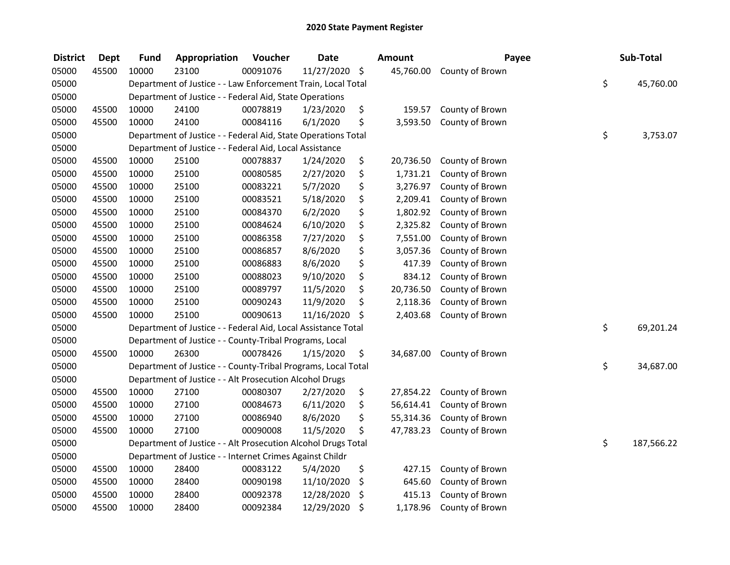| <b>District</b> | <b>Dept</b> | <b>Fund</b> | Appropriation                                                 | Voucher  | <b>Date</b>   | <b>Amount</b>   | Payee           | Sub-Total        |
|-----------------|-------------|-------------|---------------------------------------------------------------|----------|---------------|-----------------|-----------------|------------------|
| 05000           | 45500       | 10000       | 23100                                                         | 00091076 | 11/27/2020 \$ | 45,760.00       | County of Brown |                  |
| 05000           |             |             | Department of Justice - - Law Enforcement Train, Local Total  |          |               |                 |                 | \$<br>45,760.00  |
| 05000           |             |             | Department of Justice - - Federal Aid, State Operations       |          |               |                 |                 |                  |
| 05000           | 45500       | 10000       | 24100                                                         | 00078819 | 1/23/2020     | \$<br>159.57    | County of Brown |                  |
| 05000           | 45500       | 10000       | 24100                                                         | 00084116 | 6/1/2020      | \$<br>3,593.50  | County of Brown |                  |
| 05000           |             |             | Department of Justice - - Federal Aid, State Operations Total |          |               |                 |                 | \$<br>3,753.07   |
| 05000           |             |             | Department of Justice - - Federal Aid, Local Assistance       |          |               |                 |                 |                  |
| 05000           | 45500       | 10000       | 25100                                                         | 00078837 | 1/24/2020     | \$<br>20,736.50 | County of Brown |                  |
| 05000           | 45500       | 10000       | 25100                                                         | 00080585 | 2/27/2020     | \$<br>1,731.21  | County of Brown |                  |
| 05000           | 45500       | 10000       | 25100                                                         | 00083221 | 5/7/2020      | \$<br>3,276.97  | County of Brown |                  |
| 05000           | 45500       | 10000       | 25100                                                         | 00083521 | 5/18/2020     | \$<br>2,209.41  | County of Brown |                  |
| 05000           | 45500       | 10000       | 25100                                                         | 00084370 | 6/2/2020      | \$<br>1,802.92  | County of Brown |                  |
| 05000           | 45500       | 10000       | 25100                                                         | 00084624 | 6/10/2020     | \$<br>2,325.82  | County of Brown |                  |
| 05000           | 45500       | 10000       | 25100                                                         | 00086358 | 7/27/2020     | \$<br>7,551.00  | County of Brown |                  |
| 05000           | 45500       | 10000       | 25100                                                         | 00086857 | 8/6/2020      | \$<br>3,057.36  | County of Brown |                  |
| 05000           | 45500       | 10000       | 25100                                                         | 00086883 | 8/6/2020      | \$<br>417.39    | County of Brown |                  |
| 05000           | 45500       | 10000       | 25100                                                         | 00088023 | 9/10/2020     | \$<br>834.12    | County of Brown |                  |
| 05000           | 45500       | 10000       | 25100                                                         | 00089797 | 11/5/2020     | \$<br>20,736.50 | County of Brown |                  |
| 05000           | 45500       | 10000       | 25100                                                         | 00090243 | 11/9/2020     | \$<br>2,118.36  | County of Brown |                  |
| 05000           | 45500       | 10000       | 25100                                                         | 00090613 | 11/16/2020    | \$<br>2,403.68  | County of Brown |                  |
| 05000           |             |             | Department of Justice - - Federal Aid, Local Assistance Total |          |               |                 |                 | \$<br>69,201.24  |
| 05000           |             |             | Department of Justice - - County-Tribal Programs, Local       |          |               |                 |                 |                  |
| 05000           | 45500       | 10000       | 26300                                                         | 00078426 | 1/15/2020     | \$<br>34,687.00 | County of Brown |                  |
| 05000           |             |             | Department of Justice - - County-Tribal Programs, Local Total |          |               |                 |                 | \$<br>34,687.00  |
| 05000           |             |             | Department of Justice - - Alt Prosecution Alcohol Drugs       |          |               |                 |                 |                  |
| 05000           | 45500       | 10000       | 27100                                                         | 00080307 | 2/27/2020     | \$<br>27,854.22 | County of Brown |                  |
| 05000           | 45500       | 10000       | 27100                                                         | 00084673 | 6/11/2020     | \$<br>56,614.41 | County of Brown |                  |
| 05000           | 45500       | 10000       | 27100                                                         | 00086940 | 8/6/2020      | \$<br>55,314.36 | County of Brown |                  |
| 05000           | 45500       | 10000       | 27100                                                         | 00090008 | 11/5/2020     | \$<br>47,783.23 | County of Brown |                  |
| 05000           |             |             | Department of Justice - - Alt Prosecution Alcohol Drugs Total |          |               |                 |                 | \$<br>187,566.22 |
| 05000           |             |             | Department of Justice - - Internet Crimes Against Childr      |          |               |                 |                 |                  |
| 05000           | 45500       | 10000       | 28400                                                         | 00083122 | 5/4/2020      | \$<br>427.15    | County of Brown |                  |
| 05000           | 45500       | 10000       | 28400                                                         | 00090198 | 11/10/2020    | \$<br>645.60    | County of Brown |                  |
| 05000           | 45500       | 10000       | 28400                                                         | 00092378 | 12/28/2020    | \$<br>415.13    | County of Brown |                  |
| 05000           | 45500       | 10000       | 28400                                                         | 00092384 | 12/29/2020    | \$<br>1,178.96  | County of Brown |                  |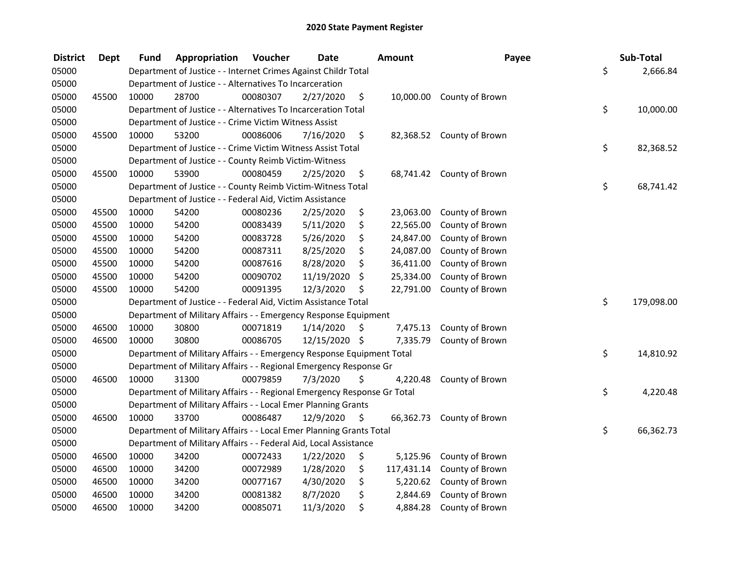| <b>District</b> | <b>Dept</b> | Fund  | Appropriation                                                           | Voucher  | <b>Date</b>   | Amount           | Payee                     | Sub-Total        |
|-----------------|-------------|-------|-------------------------------------------------------------------------|----------|---------------|------------------|---------------------------|------------------|
| 05000           |             |       | Department of Justice - - Internet Crimes Against Childr Total          |          |               |                  |                           | \$<br>2,666.84   |
| 05000           |             |       | Department of Justice - - Alternatives To Incarceration                 |          |               |                  |                           |                  |
| 05000           | 45500       | 10000 | 28700                                                                   | 00080307 | 2/27/2020     | \$               | 10,000.00 County of Brown |                  |
| 05000           |             |       | Department of Justice - - Alternatives To Incarceration Total           |          |               |                  |                           | \$<br>10,000.00  |
| 05000           |             |       | Department of Justice - - Crime Victim Witness Assist                   |          |               |                  |                           |                  |
| 05000           | 45500       | 10000 | 53200                                                                   | 00086006 | 7/16/2020     | \$               | 82,368.52 County of Brown |                  |
| 05000           |             |       | Department of Justice - - Crime Victim Witness Assist Total             |          |               |                  |                           | \$<br>82,368.52  |
| 05000           |             |       | Department of Justice - - County Reimb Victim-Witness                   |          |               |                  |                           |                  |
| 05000           | 45500       | 10000 | 53900                                                                   | 00080459 | 2/25/2020     | \$               | 68,741.42 County of Brown |                  |
| 05000           |             |       | Department of Justice - - County Reimb Victim-Witness Total             |          |               |                  |                           | \$<br>68,741.42  |
| 05000           |             |       | Department of Justice - - Federal Aid, Victim Assistance                |          |               |                  |                           |                  |
| 05000           | 45500       | 10000 | 54200                                                                   | 00080236 | 2/25/2020     | \$<br>23,063.00  | County of Brown           |                  |
| 05000           | 45500       | 10000 | 54200                                                                   | 00083439 | 5/11/2020     | \$<br>22,565.00  | County of Brown           |                  |
| 05000           | 45500       | 10000 | 54200                                                                   | 00083728 | 5/26/2020     | \$<br>24,847.00  | County of Brown           |                  |
| 05000           | 45500       | 10000 | 54200                                                                   | 00087311 | 8/25/2020     | \$<br>24,087.00  | County of Brown           |                  |
| 05000           | 45500       | 10000 | 54200                                                                   | 00087616 | 8/28/2020     | \$<br>36,411.00  | County of Brown           |                  |
| 05000           | 45500       | 10000 | 54200                                                                   | 00090702 | 11/19/2020    | \$<br>25,334.00  | County of Brown           |                  |
| 05000           | 45500       | 10000 | 54200                                                                   | 00091395 | 12/3/2020     | \$<br>22,791.00  | County of Brown           |                  |
| 05000           |             |       | Department of Justice - - Federal Aid, Victim Assistance Total          |          |               |                  |                           | \$<br>179,098.00 |
| 05000           |             |       | Department of Military Affairs - - Emergency Response Equipment         |          |               |                  |                           |                  |
| 05000           | 46500       | 10000 | 30800                                                                   | 00071819 | 1/14/2020     | \$<br>7,475.13   | County of Brown           |                  |
| 05000           | 46500       | 10000 | 30800                                                                   | 00086705 | 12/15/2020 \$ | 7,335.79         | County of Brown           |                  |
| 05000           |             |       | Department of Military Affairs - - Emergency Response Equipment Total   |          |               |                  |                           | \$<br>14,810.92  |
| 05000           |             |       | Department of Military Affairs - - Regional Emergency Response Gr       |          |               |                  |                           |                  |
| 05000           | 46500       | 10000 | 31300                                                                   | 00079859 | 7/3/2020      | \$<br>4,220.48   | County of Brown           |                  |
| 05000           |             |       | Department of Military Affairs - - Regional Emergency Response Gr Total |          |               |                  |                           | \$<br>4,220.48   |
| 05000           |             |       | Department of Military Affairs - - Local Emer Planning Grants           |          |               |                  |                           |                  |
| 05000           | 46500       | 10000 | 33700                                                                   | 00086487 | 12/9/2020     | \$<br>66,362.73  | County of Brown           |                  |
| 05000           |             |       | Department of Military Affairs - - Local Emer Planning Grants Total     |          |               |                  |                           | \$<br>66,362.73  |
| 05000           |             |       | Department of Military Affairs - - Federal Aid, Local Assistance        |          |               |                  |                           |                  |
| 05000           | 46500       | 10000 | 34200                                                                   | 00072433 | 1/22/2020     | \$<br>5,125.96   | County of Brown           |                  |
| 05000           | 46500       | 10000 | 34200                                                                   | 00072989 | 1/28/2020     | \$<br>117,431.14 | County of Brown           |                  |
| 05000           | 46500       | 10000 | 34200                                                                   | 00077167 | 4/30/2020     | \$<br>5,220.62   | County of Brown           |                  |
| 05000           | 46500       | 10000 | 34200                                                                   | 00081382 | 8/7/2020      | \$<br>2,844.69   | County of Brown           |                  |
| 05000           | 46500       | 10000 | 34200                                                                   | 00085071 | 11/3/2020     | \$<br>4,884.28   | County of Brown           |                  |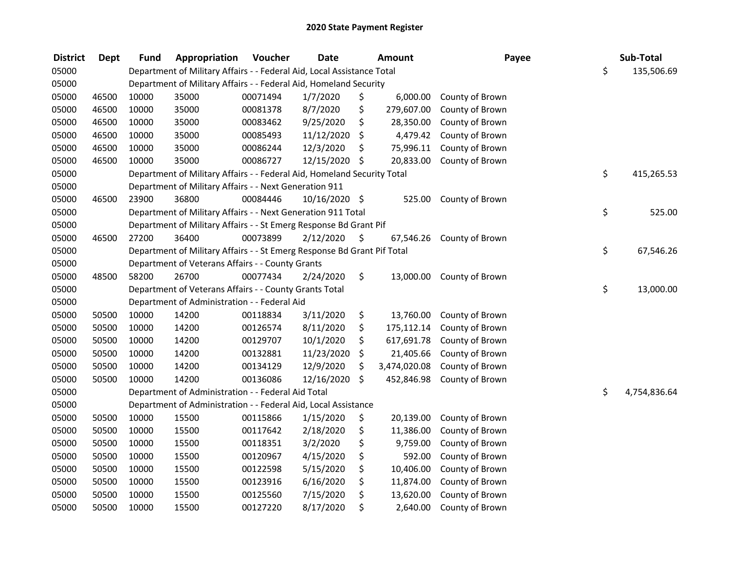| <b>District</b> | <b>Dept</b> | <b>Fund</b> | Appropriation                                                           | Voucher  | <b>Date</b>   | Amount             | Payee           | Sub-Total          |
|-----------------|-------------|-------------|-------------------------------------------------------------------------|----------|---------------|--------------------|-----------------|--------------------|
| 05000           |             |             | Department of Military Affairs - - Federal Aid, Local Assistance Total  |          |               |                    |                 | \$<br>135,506.69   |
| 05000           |             |             | Department of Military Affairs - - Federal Aid, Homeland Security       |          |               |                    |                 |                    |
| 05000           | 46500       | 10000       | 35000                                                                   | 00071494 | 1/7/2020      | \$<br>6,000.00     | County of Brown |                    |
| 05000           | 46500       | 10000       | 35000                                                                   | 00081378 | 8/7/2020      | \$<br>279,607.00   | County of Brown |                    |
| 05000           | 46500       | 10000       | 35000                                                                   | 00083462 | 9/25/2020     | \$<br>28,350.00    | County of Brown |                    |
| 05000           | 46500       | 10000       | 35000                                                                   | 00085493 | 11/12/2020    | \$<br>4,479.42     | County of Brown |                    |
| 05000           | 46500       | 10000       | 35000                                                                   | 00086244 | 12/3/2020     | \$<br>75,996.11    | County of Brown |                    |
| 05000           | 46500       | 10000       | 35000                                                                   | 00086727 | 12/15/2020    | \$<br>20,833.00    | County of Brown |                    |
| 05000           |             |             | Department of Military Affairs - - Federal Aid, Homeland Security Total |          |               |                    |                 | \$<br>415,265.53   |
| 05000           |             |             | Department of Military Affairs - - Next Generation 911                  |          |               |                    |                 |                    |
| 05000           | 46500       | 23900       | 36800                                                                   | 00084446 | 10/16/2020 \$ | 525.00             | County of Brown |                    |
| 05000           |             |             | Department of Military Affairs - - Next Generation 911 Total            |          |               |                    |                 | \$<br>525.00       |
| 05000           |             |             | Department of Military Affairs - - St Emerg Response Bd Grant Pif       |          |               |                    |                 |                    |
| 05000           | 46500       | 27200       | 36400                                                                   | 00073899 | 2/12/2020     | \$<br>67,546.26    | County of Brown |                    |
| 05000           |             |             | Department of Military Affairs - - St Emerg Response Bd Grant Pif Total |          |               |                    |                 | \$<br>67,546.26    |
| 05000           |             |             | Department of Veterans Affairs - - County Grants                        |          |               |                    |                 |                    |
| 05000           | 48500       | 58200       | 26700                                                                   | 00077434 | 2/24/2020     | \$<br>13,000.00    | County of Brown |                    |
| 05000           |             |             | Department of Veterans Affairs - - County Grants Total                  |          |               |                    |                 | \$<br>13,000.00    |
| 05000           |             |             | Department of Administration - - Federal Aid                            |          |               |                    |                 |                    |
| 05000           | 50500       | 10000       | 14200                                                                   | 00118834 | 3/11/2020     | \$<br>13,760.00    | County of Brown |                    |
| 05000           | 50500       | 10000       | 14200                                                                   | 00126574 | 8/11/2020     | \$<br>175,112.14   | County of Brown |                    |
| 05000           | 50500       | 10000       | 14200                                                                   | 00129707 | 10/1/2020     | \$<br>617,691.78   | County of Brown |                    |
| 05000           | 50500       | 10000       | 14200                                                                   | 00132881 | 11/23/2020    | \$<br>21,405.66    | County of Brown |                    |
| 05000           | 50500       | 10000       | 14200                                                                   | 00134129 | 12/9/2020     | \$<br>3,474,020.08 | County of Brown |                    |
| 05000           | 50500       | 10000       | 14200                                                                   | 00136086 | 12/16/2020    | \$<br>452,846.98   | County of Brown |                    |
| 05000           |             |             | Department of Administration - - Federal Aid Total                      |          |               |                    |                 | \$<br>4,754,836.64 |
| 05000           |             |             | Department of Administration - - Federal Aid, Local Assistance          |          |               |                    |                 |                    |
| 05000           | 50500       | 10000       | 15500                                                                   | 00115866 | 1/15/2020     | \$<br>20,139.00    | County of Brown |                    |
| 05000           | 50500       | 10000       | 15500                                                                   | 00117642 | 2/18/2020     | \$<br>11,386.00    | County of Brown |                    |
| 05000           | 50500       | 10000       | 15500                                                                   | 00118351 | 3/2/2020      | \$<br>9,759.00     | County of Brown |                    |
| 05000           | 50500       | 10000       | 15500                                                                   | 00120967 | 4/15/2020     | \$<br>592.00       | County of Brown |                    |
| 05000           | 50500       | 10000       | 15500                                                                   | 00122598 | 5/15/2020     | \$<br>10,406.00    | County of Brown |                    |
| 05000           | 50500       | 10000       | 15500                                                                   | 00123916 | 6/16/2020     | \$<br>11,874.00    | County of Brown |                    |
| 05000           | 50500       | 10000       | 15500                                                                   | 00125560 | 7/15/2020     | \$<br>13,620.00    | County of Brown |                    |
| 05000           | 50500       | 10000       | 15500                                                                   | 00127220 | 8/17/2020     | \$<br>2,640.00     | County of Brown |                    |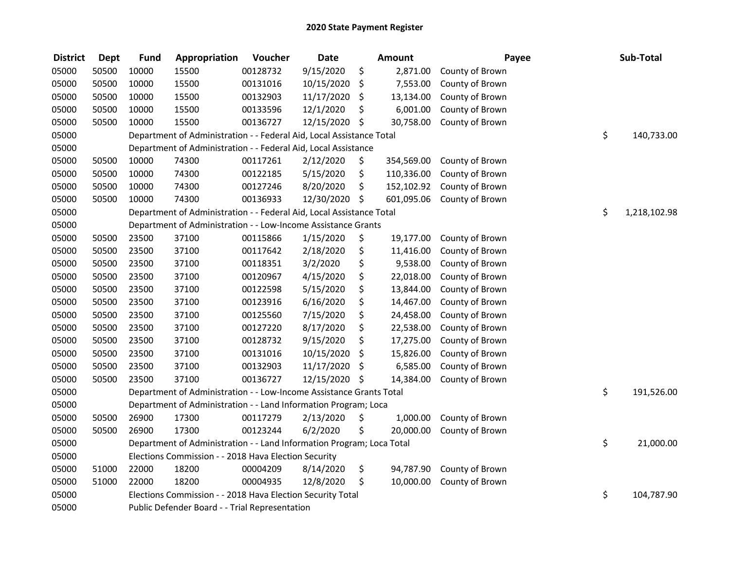| <b>District</b> | <b>Dept</b> | <b>Fund</b> | Appropriation                                                         | Voucher  | <b>Date</b> | <b>Amount</b>    | Payee           | Sub-Total          |
|-----------------|-------------|-------------|-----------------------------------------------------------------------|----------|-------------|------------------|-----------------|--------------------|
| 05000           | 50500       | 10000       | 15500                                                                 | 00128732 | 9/15/2020   | \$<br>2,871.00   | County of Brown |                    |
| 05000           | 50500       | 10000       | 15500                                                                 | 00131016 | 10/15/2020  | \$<br>7,553.00   | County of Brown |                    |
| 05000           | 50500       | 10000       | 15500                                                                 | 00132903 | 11/17/2020  | \$<br>13,134.00  | County of Brown |                    |
| 05000           | 50500       | 10000       | 15500                                                                 | 00133596 | 12/1/2020   | \$<br>6,001.00   | County of Brown |                    |
| 05000           | 50500       | 10000       | 15500                                                                 | 00136727 | 12/15/2020  | \$<br>30,758.00  | County of Brown |                    |
| 05000           |             |             | Department of Administration - - Federal Aid, Local Assistance Total  |          |             |                  |                 | \$<br>140,733.00   |
| 05000           |             |             | Department of Administration - - Federal Aid, Local Assistance        |          |             |                  |                 |                    |
| 05000           | 50500       | 10000       | 74300                                                                 | 00117261 | 2/12/2020   | \$<br>354,569.00 | County of Brown |                    |
| 05000           | 50500       | 10000       | 74300                                                                 | 00122185 | 5/15/2020   | \$<br>110,336.00 | County of Brown |                    |
| 05000           | 50500       | 10000       | 74300                                                                 | 00127246 | 8/20/2020   | \$<br>152,102.92 | County of Brown |                    |
| 05000           | 50500       | 10000       | 74300                                                                 | 00136933 | 12/30/2020  | \$<br>601,095.06 | County of Brown |                    |
| 05000           |             |             | Department of Administration - - Federal Aid, Local Assistance Total  |          |             |                  |                 | \$<br>1,218,102.98 |
| 05000           |             |             | Department of Administration - - Low-Income Assistance Grants         |          |             |                  |                 |                    |
| 05000           | 50500       | 23500       | 37100                                                                 | 00115866 | 1/15/2020   | \$<br>19,177.00  | County of Brown |                    |
| 05000           | 50500       | 23500       | 37100                                                                 | 00117642 | 2/18/2020   | \$<br>11,416.00  | County of Brown |                    |
| 05000           | 50500       | 23500       | 37100                                                                 | 00118351 | 3/2/2020    | \$<br>9,538.00   | County of Brown |                    |
| 05000           | 50500       | 23500       | 37100                                                                 | 00120967 | 4/15/2020   | \$<br>22,018.00  | County of Brown |                    |
| 05000           | 50500       | 23500       | 37100                                                                 | 00122598 | 5/15/2020   | \$<br>13,844.00  | County of Brown |                    |
| 05000           | 50500       | 23500       | 37100                                                                 | 00123916 | 6/16/2020   | \$<br>14,467.00  | County of Brown |                    |
| 05000           | 50500       | 23500       | 37100                                                                 | 00125560 | 7/15/2020   | \$<br>24,458.00  | County of Brown |                    |
| 05000           | 50500       | 23500       | 37100                                                                 | 00127220 | 8/17/2020   | \$<br>22,538.00  | County of Brown |                    |
| 05000           | 50500       | 23500       | 37100                                                                 | 00128732 | 9/15/2020   | \$<br>17,275.00  | County of Brown |                    |
| 05000           | 50500       | 23500       | 37100                                                                 | 00131016 | 10/15/2020  | \$<br>15,826.00  | County of Brown |                    |
| 05000           | 50500       | 23500       | 37100                                                                 | 00132903 | 11/17/2020  | \$<br>6,585.00   | County of Brown |                    |
| 05000           | 50500       | 23500       | 37100                                                                 | 00136727 | 12/15/2020  | \$<br>14,384.00  | County of Brown |                    |
| 05000           |             |             | Department of Administration - - Low-Income Assistance Grants Total   |          |             |                  |                 | \$<br>191,526.00   |
| 05000           |             |             | Department of Administration - - Land Information Program; Loca       |          |             |                  |                 |                    |
| 05000           | 50500       | 26900       | 17300                                                                 | 00117279 | 2/13/2020   | \$<br>1,000.00   | County of Brown |                    |
| 05000           | 50500       | 26900       | 17300                                                                 | 00123244 | 6/2/2020    | \$<br>20,000.00  | County of Brown |                    |
| 05000           |             |             | Department of Administration - - Land Information Program; Loca Total |          |             |                  |                 | \$<br>21,000.00    |
| 05000           |             |             | Elections Commission - - 2018 Hava Election Security                  |          |             |                  |                 |                    |
| 05000           | 51000       | 22000       | 18200                                                                 | 00004209 | 8/14/2020   | \$<br>94,787.90  | County of Brown |                    |
| 05000           | 51000       | 22000       | 18200                                                                 | 00004935 | 12/8/2020   | \$<br>10,000.00  | County of Brown |                    |
| 05000           |             |             | Elections Commission - - 2018 Hava Election Security Total            |          |             |                  |                 | \$<br>104,787.90   |
| 05000           |             |             | Public Defender Board - - Trial Representation                        |          |             |                  |                 |                    |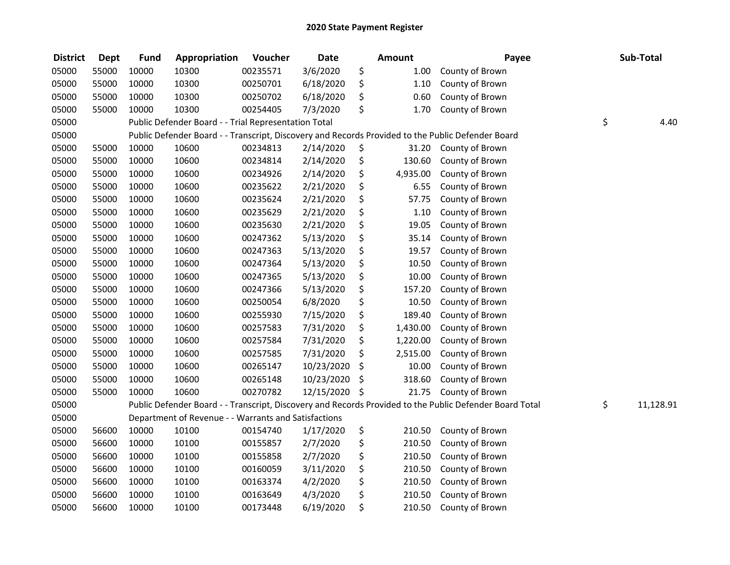| <b>District</b> | <b>Dept</b> | <b>Fund</b> | Appropriation                                        | Voucher  | <b>Date</b> | <b>Amount</b>  | Payee                                                                                                   | Sub-Total       |
|-----------------|-------------|-------------|------------------------------------------------------|----------|-------------|----------------|---------------------------------------------------------------------------------------------------------|-----------------|
| 05000           | 55000       | 10000       | 10300                                                | 00235571 | 3/6/2020    | \$<br>1.00     | County of Brown                                                                                         |                 |
| 05000           | 55000       | 10000       | 10300                                                | 00250701 | 6/18/2020   | \$<br>1.10     | County of Brown                                                                                         |                 |
| 05000           | 55000       | 10000       | 10300                                                | 00250702 | 6/18/2020   | \$<br>0.60     | County of Brown                                                                                         |                 |
| 05000           | 55000       | 10000       | 10300                                                | 00254405 | 7/3/2020    | \$<br>1.70     | County of Brown                                                                                         |                 |
| 05000           |             |             | Public Defender Board - - Trial Representation Total |          |             |                |                                                                                                         | \$<br>4.40      |
| 05000           |             |             |                                                      |          |             |                | Public Defender Board - - Transcript, Discovery and Records Provided to the Public Defender Board       |                 |
| 05000           | 55000       | 10000       | 10600                                                | 00234813 | 2/14/2020   | \$<br>31.20    | County of Brown                                                                                         |                 |
| 05000           | 55000       | 10000       | 10600                                                | 00234814 | 2/14/2020   | \$<br>130.60   | County of Brown                                                                                         |                 |
| 05000           | 55000       | 10000       | 10600                                                | 00234926 | 2/14/2020   | \$<br>4,935.00 | County of Brown                                                                                         |                 |
| 05000           | 55000       | 10000       | 10600                                                | 00235622 | 2/21/2020   | \$<br>6.55     | County of Brown                                                                                         |                 |
| 05000           | 55000       | 10000       | 10600                                                | 00235624 | 2/21/2020   | \$<br>57.75    | County of Brown                                                                                         |                 |
| 05000           | 55000       | 10000       | 10600                                                | 00235629 | 2/21/2020   | \$<br>1.10     | County of Brown                                                                                         |                 |
| 05000           | 55000       | 10000       | 10600                                                | 00235630 | 2/21/2020   | \$<br>19.05    | County of Brown                                                                                         |                 |
| 05000           | 55000       | 10000       | 10600                                                | 00247362 | 5/13/2020   | \$<br>35.14    | County of Brown                                                                                         |                 |
| 05000           | 55000       | 10000       | 10600                                                | 00247363 | 5/13/2020   | \$<br>19.57    | County of Brown                                                                                         |                 |
| 05000           | 55000       | 10000       | 10600                                                | 00247364 | 5/13/2020   | \$<br>10.50    | County of Brown                                                                                         |                 |
| 05000           | 55000       | 10000       | 10600                                                | 00247365 | 5/13/2020   | \$<br>10.00    | County of Brown                                                                                         |                 |
| 05000           | 55000       | 10000       | 10600                                                | 00247366 | 5/13/2020   | \$<br>157.20   | County of Brown                                                                                         |                 |
| 05000           | 55000       | 10000       | 10600                                                | 00250054 | 6/8/2020    | \$<br>10.50    | County of Brown                                                                                         |                 |
| 05000           | 55000       | 10000       | 10600                                                | 00255930 | 7/15/2020   | \$<br>189.40   | County of Brown                                                                                         |                 |
| 05000           | 55000       | 10000       | 10600                                                | 00257583 | 7/31/2020   | \$<br>1,430.00 | County of Brown                                                                                         |                 |
| 05000           | 55000       | 10000       | 10600                                                | 00257584 | 7/31/2020   | \$<br>1,220.00 | County of Brown                                                                                         |                 |
| 05000           | 55000       | 10000       | 10600                                                | 00257585 | 7/31/2020   | \$<br>2,515.00 | County of Brown                                                                                         |                 |
| 05000           | 55000       | 10000       | 10600                                                | 00265147 | 10/23/2020  | \$<br>10.00    | County of Brown                                                                                         |                 |
| 05000           | 55000       | 10000       | 10600                                                | 00265148 | 10/23/2020  | \$<br>318.60   | County of Brown                                                                                         |                 |
| 05000           | 55000       | 10000       | 10600                                                | 00270782 | 12/15/2020  | \$<br>21.75    | County of Brown                                                                                         |                 |
| 05000           |             |             |                                                      |          |             |                | Public Defender Board - - Transcript, Discovery and Records Provided to the Public Defender Board Total | \$<br>11,128.91 |
| 05000           |             |             | Department of Revenue - - Warrants and Satisfactions |          |             |                |                                                                                                         |                 |
| 05000           | 56600       | 10000       | 10100                                                | 00154740 | 1/17/2020   | \$<br>210.50   | County of Brown                                                                                         |                 |
| 05000           | 56600       | 10000       | 10100                                                | 00155857 | 2/7/2020    | \$<br>210.50   | County of Brown                                                                                         |                 |
| 05000           | 56600       | 10000       | 10100                                                | 00155858 | 2/7/2020    | \$<br>210.50   | County of Brown                                                                                         |                 |
| 05000           | 56600       | 10000       | 10100                                                | 00160059 | 3/11/2020   | \$<br>210.50   | County of Brown                                                                                         |                 |
| 05000           | 56600       | 10000       | 10100                                                | 00163374 | 4/2/2020    | \$<br>210.50   | County of Brown                                                                                         |                 |
| 05000           | 56600       | 10000       | 10100                                                | 00163649 | 4/3/2020    | \$<br>210.50   | County of Brown                                                                                         |                 |
| 05000           | 56600       | 10000       | 10100                                                | 00173448 | 6/19/2020   | \$<br>210.50   | County of Brown                                                                                         |                 |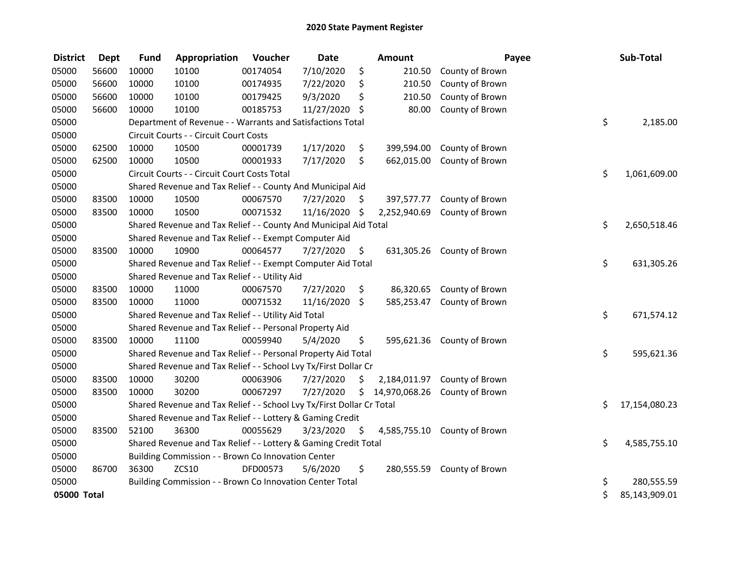| <b>District</b> | <b>Dept</b> | <b>Fund</b> | Appropriation                                                         | Voucher  | <b>Date</b>   |     | <b>Amount</b> | Payee                      | Sub-Total           |
|-----------------|-------------|-------------|-----------------------------------------------------------------------|----------|---------------|-----|---------------|----------------------------|---------------------|
| 05000           | 56600       | 10000       | 10100                                                                 | 00174054 | 7/10/2020     | \$  | 210.50        | County of Brown            |                     |
| 05000           | 56600       | 10000       | 10100                                                                 | 00174935 | 7/22/2020     | \$  | 210.50        | County of Brown            |                     |
| 05000           | 56600       | 10000       | 10100                                                                 | 00179425 | 9/3/2020      | \$  | 210.50        | County of Brown            |                     |
| 05000           | 56600       | 10000       | 10100                                                                 | 00185753 | 11/27/2020    | \$  | 80.00         | County of Brown            |                     |
| 05000           |             |             | Department of Revenue - - Warrants and Satisfactions Total            |          |               |     |               |                            | \$<br>2,185.00      |
| 05000           |             |             | Circuit Courts - - Circuit Court Costs                                |          |               |     |               |                            |                     |
| 05000           | 62500       | 10000       | 10500                                                                 | 00001739 | 1/17/2020     | \$  | 399,594.00    | County of Brown            |                     |
| 05000           | 62500       | 10000       | 10500                                                                 | 00001933 | 7/17/2020     | \$  | 662,015.00    | County of Brown            |                     |
| 05000           |             |             | Circuit Courts - - Circuit Court Costs Total                          |          |               |     |               |                            | \$<br>1,061,609.00  |
| 05000           |             |             | Shared Revenue and Tax Relief - - County And Municipal Aid            |          |               |     |               |                            |                     |
| 05000           | 83500       | 10000       | 10500                                                                 | 00067570 | 7/27/2020     | \$. | 397,577.77    | County of Brown            |                     |
| 05000           | 83500       | 10000       | 10500                                                                 | 00071532 | 11/16/2020 \$ |     | 2,252,940.69  | County of Brown            |                     |
| 05000           |             |             | Shared Revenue and Tax Relief - - County And Municipal Aid Total      |          |               |     |               |                            | \$<br>2,650,518.46  |
| 05000           |             |             | Shared Revenue and Tax Relief - - Exempt Computer Aid                 |          |               |     |               |                            |                     |
| 05000           | 83500       | 10000       | 10900                                                                 | 00064577 | 7/27/2020     | \$  |               | 631,305.26 County of Brown |                     |
| 05000           |             |             | Shared Revenue and Tax Relief - - Exempt Computer Aid Total           |          |               |     |               |                            | \$<br>631,305.26    |
| 05000           |             |             | Shared Revenue and Tax Relief - - Utility Aid                         |          |               |     |               |                            |                     |
| 05000           | 83500       | 10000       | 11000                                                                 | 00067570 | 7/27/2020     | \$  | 86,320.65     | County of Brown            |                     |
| 05000           | 83500       | 10000       | 11000                                                                 | 00071532 | 11/16/2020 \$ |     | 585,253.47    | County of Brown            |                     |
| 05000           |             |             | Shared Revenue and Tax Relief - - Utility Aid Total                   |          |               |     |               |                            | \$<br>671,574.12    |
| 05000           |             |             | Shared Revenue and Tax Relief - - Personal Property Aid               |          |               |     |               |                            |                     |
| 05000           | 83500       | 10000       | 11100                                                                 | 00059940 | 5/4/2020      | \$  | 595,621.36    | County of Brown            |                     |
| 05000           |             |             | Shared Revenue and Tax Relief - - Personal Property Aid Total         |          |               |     |               |                            | \$<br>595,621.36    |
| 05000           |             |             | Shared Revenue and Tax Relief - - School Lvy Tx/First Dollar Cr       |          |               |     |               |                            |                     |
| 05000           | 83500       | 10000       | 30200                                                                 | 00063906 | 7/27/2020     | \$  | 2,184,011.97  | County of Brown            |                     |
| 05000           | 83500       | 10000       | 30200                                                                 | 00067297 | 7/27/2020     | \$  | 14,970,068.26 | County of Brown            |                     |
| 05000           |             |             | Shared Revenue and Tax Relief - - School Lvy Tx/First Dollar Cr Total |          |               |     |               |                            | \$<br>17,154,080.23 |
| 05000           |             |             | Shared Revenue and Tax Relief - - Lottery & Gaming Credit             |          |               |     |               |                            |                     |
| 05000           | 83500       | 52100       | 36300                                                                 | 00055629 | 3/23/2020     | \$  | 4,585,755.10  | County of Brown            |                     |
| 05000           |             |             | Shared Revenue and Tax Relief - - Lottery & Gaming Credit Total       |          |               |     |               |                            | \$<br>4,585,755.10  |
| 05000           |             |             | Building Commission - - Brown Co Innovation Center                    |          |               |     |               |                            |                     |
| 05000           | 86700       | 36300       | <b>ZCS10</b>                                                          | DFD00573 | 5/6/2020      | \$  | 280,555.59    | County of Brown            |                     |
| 05000           |             |             | Building Commission - - Brown Co Innovation Center Total              |          |               |     |               |                            | \$<br>280,555.59    |
| 05000 Total     |             |             |                                                                       |          |               |     |               |                            | \$<br>85,143,909.01 |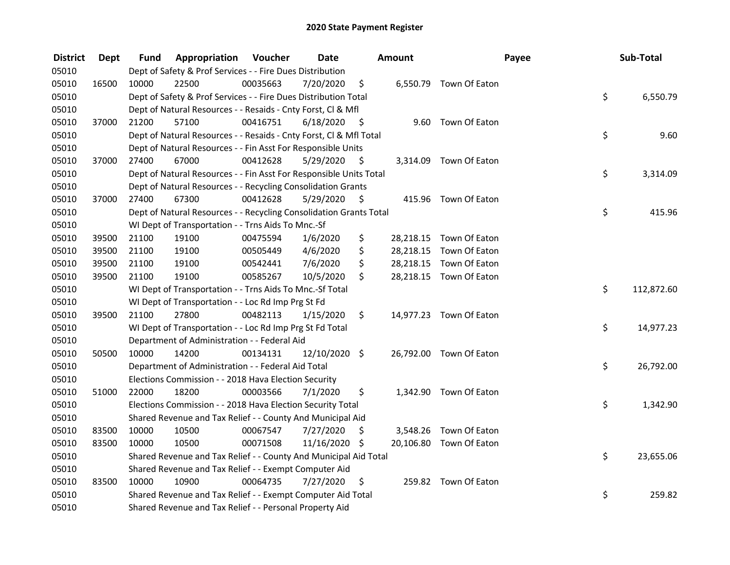| <b>District</b> | <b>Dept</b> | Fund  | Appropriation                                                      | Voucher  | <b>Date</b>     |      | Amount |                         | Payee | Sub-Total  |
|-----------------|-------------|-------|--------------------------------------------------------------------|----------|-----------------|------|--------|-------------------------|-------|------------|
| 05010           |             |       | Dept of Safety & Prof Services - - Fire Dues Distribution          |          |                 |      |        |                         |       |            |
| 05010           | 16500       | 10000 | 22500                                                              | 00035663 | 7/20/2020       | \$   |        | 6,550.79 Town Of Eaton  |       |            |
| 05010           |             |       | Dept of Safety & Prof Services - - Fire Dues Distribution Total    |          |                 |      |        |                         | \$    | 6,550.79   |
| 05010           |             |       | Dept of Natural Resources - - Resaids - Cnty Forst, Cl & Mfl       |          |                 |      |        |                         |       |            |
| 05010           | 37000       | 21200 | 57100                                                              | 00416751 | 6/18/2020       | - \$ |        | 9.60 Town Of Eaton      |       |            |
| 05010           |             |       | Dept of Natural Resources - - Resaids - Cnty Forst, Cl & Mfl Total |          |                 |      |        |                         | \$    | 9.60       |
| 05010           |             |       | Dept of Natural Resources - - Fin Asst For Responsible Units       |          |                 |      |        |                         |       |            |
| 05010           | 37000       | 27400 | 67000                                                              | 00412628 | 5/29/2020       | - \$ |        | 3,314.09 Town Of Eaton  |       |            |
| 05010           |             |       | Dept of Natural Resources - - Fin Asst For Responsible Units Total |          |                 |      |        |                         | \$    | 3,314.09   |
| 05010           |             |       | Dept of Natural Resources - - Recycling Consolidation Grants       |          |                 |      |        |                         |       |            |
| 05010           | 37000       | 27400 | 67300                                                              | 00412628 | 5/29/2020       | \$   |        | 415.96 Town Of Eaton    |       |            |
| 05010           |             |       | Dept of Natural Resources - - Recycling Consolidation Grants Total |          |                 |      |        |                         | \$    | 415.96     |
| 05010           |             |       | WI Dept of Transportation - - Trns Aids To Mnc.-Sf                 |          |                 |      |        |                         |       |            |
| 05010           | 39500       | 21100 | 19100                                                              | 00475594 | 1/6/2020        | \$   |        | 28,218.15 Town Of Eaton |       |            |
| 05010           | 39500       | 21100 | 19100                                                              | 00505449 | 4/6/2020        | \$   |        | 28,218.15 Town Of Eaton |       |            |
| 05010           | 39500       | 21100 | 19100                                                              | 00542441 | 7/6/2020        | \$   |        | 28,218.15 Town Of Eaton |       |            |
| 05010           | 39500       | 21100 | 19100                                                              | 00585267 | 10/5/2020       | \$   |        | 28,218.15 Town Of Eaton |       |            |
| 05010           |             |       | WI Dept of Transportation - - Trns Aids To Mnc.-Sf Total           |          |                 |      |        |                         | \$    | 112,872.60 |
| 05010           |             |       | WI Dept of Transportation - - Loc Rd Imp Prg St Fd                 |          |                 |      |        |                         |       |            |
| 05010           | 39500       | 21100 | 27800                                                              | 00482113 | 1/15/2020       | \$   |        | 14,977.23 Town Of Eaton |       |            |
| 05010           |             |       | WI Dept of Transportation - - Loc Rd Imp Prg St Fd Total           |          |                 |      |        |                         | \$    | 14,977.23  |
| 05010           |             |       | Department of Administration - - Federal Aid                       |          |                 |      |        |                         |       |            |
| 05010           | 50500       | 10000 | 14200                                                              | 00134131 | $12/10/2020$ \$ |      |        | 26,792.00 Town Of Eaton |       |            |
| 05010           |             |       | Department of Administration - - Federal Aid Total                 |          |                 |      |        |                         | \$    | 26,792.00  |
| 05010           |             |       | Elections Commission - - 2018 Hava Election Security               |          |                 |      |        |                         |       |            |
| 05010           | 51000       | 22000 | 18200                                                              | 00003566 | 7/1/2020        | \$   |        | 1,342.90 Town Of Eaton  |       |            |
| 05010           |             |       | Elections Commission - - 2018 Hava Election Security Total         |          |                 |      |        |                         | \$    | 1,342.90   |
| 05010           |             |       | Shared Revenue and Tax Relief - - County And Municipal Aid         |          |                 |      |        |                         |       |            |
| 05010           | 83500       | 10000 | 10500                                                              | 00067547 | 7/27/2020       | \$   |        | 3,548.26 Town Of Eaton  |       |            |
| 05010           | 83500       | 10000 | 10500                                                              | 00071508 | 11/16/2020 \$   |      |        | 20,106.80 Town Of Eaton |       |            |
| 05010           |             |       | Shared Revenue and Tax Relief - - County And Municipal Aid Total   |          |                 |      |        |                         | \$    | 23,655.06  |
| 05010           |             |       | Shared Revenue and Tax Relief - - Exempt Computer Aid              |          |                 |      |        |                         |       |            |
| 05010           | 83500       | 10000 | 10900                                                              | 00064735 | 7/27/2020       | \$   |        | 259.82 Town Of Eaton    |       |            |
| 05010           |             |       | Shared Revenue and Tax Relief - - Exempt Computer Aid Total        |          |                 |      |        |                         | \$    | 259.82     |
| 05010           |             |       | Shared Revenue and Tax Relief - - Personal Property Aid            |          |                 |      |        |                         |       |            |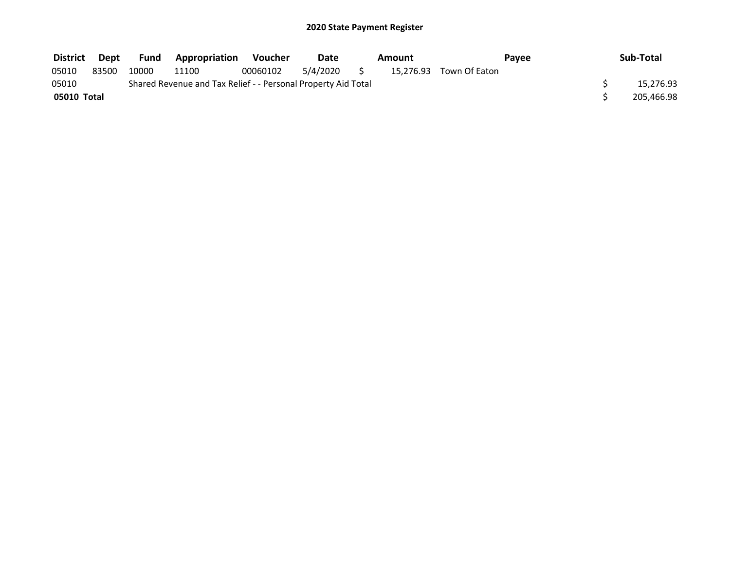| <b>District</b> | Dept  | <b>Fund</b> | <b>Appropriation</b>                                          | Voucher  | Date     | Amount |                         | Pavee | Sub-Total  |
|-----------------|-------|-------------|---------------------------------------------------------------|----------|----------|--------|-------------------------|-------|------------|
| 05010           | 83500 | 10000       | 11100                                                         | 00060102 | 5/4/2020 |        | 15,276.93 Town Of Eaton |       |            |
| 05010           |       |             | Shared Revenue and Tax Relief - - Personal Property Aid Total |          |          |        |                         |       | 15,276.93  |
| 05010 Total     |       |             |                                                               |          |          |        |                         |       | 205,466.98 |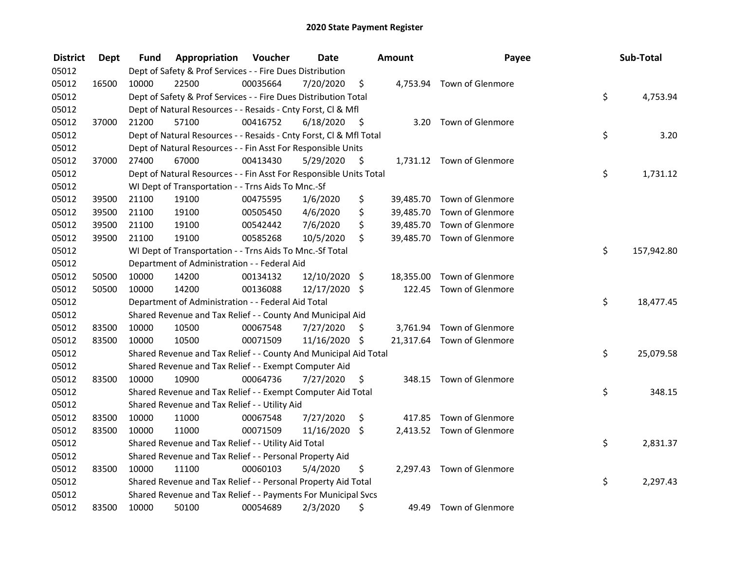| <b>District</b> | <b>Dept</b> | Fund  | Appropriation                                                      | Voucher  | <b>Date</b>   |      | Amount    | Payee                      | Sub-Total        |
|-----------------|-------------|-------|--------------------------------------------------------------------|----------|---------------|------|-----------|----------------------------|------------------|
| 05012           |             |       | Dept of Safety & Prof Services - - Fire Dues Distribution          |          |               |      |           |                            |                  |
| 05012           | 16500       | 10000 | 22500                                                              | 00035664 | 7/20/2020     | \$   |           | 4,753.94 Town of Glenmore  |                  |
| 05012           |             |       | Dept of Safety & Prof Services - - Fire Dues Distribution Total    |          |               |      |           |                            | \$<br>4,753.94   |
| 05012           |             |       | Dept of Natural Resources - - Resaids - Cnty Forst, Cl & Mfl       |          |               |      |           |                            |                  |
| 05012           | 37000       | 21200 | 57100                                                              | 00416752 | 6/18/2020     | - \$ |           | 3.20 Town of Glenmore      |                  |
| 05012           |             |       | Dept of Natural Resources - - Resaids - Cnty Forst, CI & Mfl Total |          |               |      |           |                            | \$<br>3.20       |
| 05012           |             |       | Dept of Natural Resources - - Fin Asst For Responsible Units       |          |               |      |           |                            |                  |
| 05012           | 37000       | 27400 | 67000                                                              | 00413430 | 5/29/2020     | - \$ |           | 1,731.12 Town of Glenmore  |                  |
| 05012           |             |       | Dept of Natural Resources - - Fin Asst For Responsible Units Total |          |               |      |           |                            | \$<br>1,731.12   |
| 05012           |             |       | WI Dept of Transportation - - Trns Aids To Mnc.-Sf                 |          |               |      |           |                            |                  |
| 05012           | 39500       | 21100 | 19100                                                              | 00475595 | 1/6/2020      | \$   | 39,485.70 | Town of Glenmore           |                  |
| 05012           | 39500       | 21100 | 19100                                                              | 00505450 | 4/6/2020      | \$   | 39,485.70 | Town of Glenmore           |                  |
| 05012           | 39500       | 21100 | 19100                                                              | 00542442 | 7/6/2020      | \$   | 39,485.70 | Town of Glenmore           |                  |
| 05012           | 39500       | 21100 | 19100                                                              | 00585268 | 10/5/2020     | \$   |           | 39,485.70 Town of Glenmore |                  |
| 05012           |             |       | WI Dept of Transportation - - Trns Aids To Mnc.-Sf Total           |          |               |      |           |                            | \$<br>157,942.80 |
| 05012           |             |       | Department of Administration - - Federal Aid                       |          |               |      |           |                            |                  |
| 05012           | 50500       | 10000 | 14200                                                              | 00134132 | 12/10/2020 \$ |      | 18,355.00 | Town of Glenmore           |                  |
| 05012           | 50500       | 10000 | 14200                                                              | 00136088 | 12/17/2020 \$ |      |           | 122.45 Town of Glenmore    |                  |
| 05012           |             |       | Department of Administration - - Federal Aid Total                 |          |               |      |           |                            | \$<br>18,477.45  |
| 05012           |             |       | Shared Revenue and Tax Relief - - County And Municipal Aid         |          |               |      |           |                            |                  |
| 05012           | 83500       | 10000 | 10500                                                              | 00067548 | 7/27/2020     | \$   |           | 3,761.94 Town of Glenmore  |                  |
| 05012           | 83500       | 10000 | 10500                                                              | 00071509 | 11/16/2020 \$ |      |           | 21,317.64 Town of Glenmore |                  |
| 05012           |             |       | Shared Revenue and Tax Relief - - County And Municipal Aid Total   |          |               |      |           |                            | \$<br>25,079.58  |
| 05012           |             |       | Shared Revenue and Tax Relief - - Exempt Computer Aid              |          |               |      |           |                            |                  |
| 05012           | 83500       | 10000 | 10900                                                              | 00064736 | 7/27/2020     | \$   |           | 348.15 Town of Glenmore    |                  |
| 05012           |             |       | Shared Revenue and Tax Relief - - Exempt Computer Aid Total        |          |               |      |           |                            | \$<br>348.15     |
| 05012           |             |       | Shared Revenue and Tax Relief - - Utility Aid                      |          |               |      |           |                            |                  |
| 05012           | 83500       | 10000 | 11000                                                              | 00067548 | 7/27/2020     | \$   |           | 417.85 Town of Glenmore    |                  |
| 05012           | 83500       | 10000 | 11000                                                              | 00071509 | 11/16/2020    | \$   |           | 2,413.52 Town of Glenmore  |                  |
| 05012           |             |       | Shared Revenue and Tax Relief - - Utility Aid Total                |          |               |      |           |                            | \$<br>2,831.37   |
| 05012           |             |       | Shared Revenue and Tax Relief - - Personal Property Aid            |          |               |      |           |                            |                  |
| 05012           | 83500       | 10000 | 11100                                                              | 00060103 | 5/4/2020      | \$   |           | 2,297.43 Town of Glenmore  |                  |
| 05012           |             |       | Shared Revenue and Tax Relief - - Personal Property Aid Total      |          |               |      |           |                            | \$<br>2,297.43   |
| 05012           |             |       | Shared Revenue and Tax Relief - - Payments For Municipal Svcs      |          |               |      |           |                            |                  |
| 05012           | 83500       | 10000 | 50100                                                              | 00054689 | 2/3/2020      | \$   |           | 49.49 Town of Glenmore     |                  |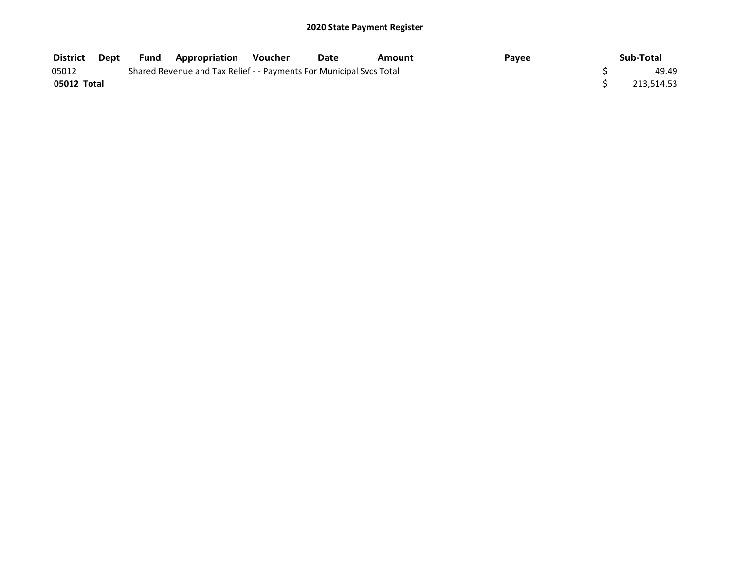| District    | Dept | <b>Fund Appropriation Voucher</b>                                   | Date | Amount | Payee | Sub-Total  |
|-------------|------|---------------------------------------------------------------------|------|--------|-------|------------|
| 05012       |      | Shared Revenue and Tax Relief - - Payments For Municipal Svcs Total |      |        |       | 49.49      |
| 05012 Total |      |                                                                     |      |        |       | 213.514.53 |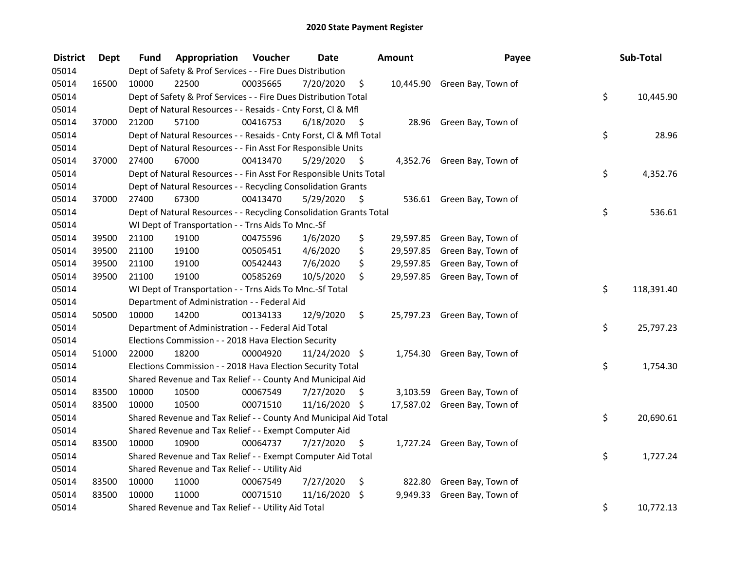| <b>District</b> | <b>Dept</b> | Fund  | Appropriation                                                      | Voucher  | <b>Date</b>   |      | Amount   | Payee                        | Sub-Total        |
|-----------------|-------------|-------|--------------------------------------------------------------------|----------|---------------|------|----------|------------------------------|------------------|
| 05014           |             |       | Dept of Safety & Prof Services - - Fire Dues Distribution          |          |               |      |          |                              |                  |
| 05014           | 16500       | 10000 | 22500                                                              | 00035665 | 7/20/2020     | \$   |          | 10,445.90 Green Bay, Town of |                  |
| 05014           |             |       | Dept of Safety & Prof Services - - Fire Dues Distribution Total    |          |               |      |          |                              | \$<br>10,445.90  |
| 05014           |             |       | Dept of Natural Resources - - Resaids - Cnty Forst, Cl & Mfl       |          |               |      |          |                              |                  |
| 05014           | 37000       | 21200 | 57100                                                              | 00416753 | 6/18/2020     | - \$ |          | 28.96 Green Bay, Town of     |                  |
| 05014           |             |       | Dept of Natural Resources - - Resaids - Cnty Forst, Cl & Mfl Total |          |               |      |          |                              | \$<br>28.96      |
| 05014           |             |       | Dept of Natural Resources - - Fin Asst For Responsible Units       |          |               |      |          |                              |                  |
| 05014           | 37000       | 27400 | 67000                                                              | 00413470 | 5/29/2020     | - \$ |          | 4,352.76 Green Bay, Town of  |                  |
| 05014           |             |       | Dept of Natural Resources - - Fin Asst For Responsible Units Total |          |               |      |          |                              | \$<br>4,352.76   |
| 05014           |             |       | Dept of Natural Resources - - Recycling Consolidation Grants       |          |               |      |          |                              |                  |
| 05014           | 37000       | 27400 | 67300                                                              | 00413470 | 5/29/2020     | -\$  |          | 536.61 Green Bay, Town of    |                  |
| 05014           |             |       | Dept of Natural Resources - - Recycling Consolidation Grants Total |          |               |      |          |                              | \$<br>536.61     |
| 05014           |             |       | WI Dept of Transportation - - Trns Aids To Mnc.-Sf                 |          |               |      |          |                              |                  |
| 05014           | 39500       | 21100 | 19100                                                              | 00475596 | 1/6/2020      | \$   |          | 29,597.85 Green Bay, Town of |                  |
| 05014           | 39500       | 21100 | 19100                                                              | 00505451 | 4/6/2020      | \$   |          | 29,597.85 Green Bay, Town of |                  |
| 05014           | 39500       | 21100 | 19100                                                              | 00542443 | 7/6/2020      | \$   |          | 29,597.85 Green Bay, Town of |                  |
| 05014           | 39500       | 21100 | 19100                                                              | 00585269 | 10/5/2020     | \$   |          | 29,597.85 Green Bay, Town of |                  |
| 05014           |             |       | WI Dept of Transportation - - Trns Aids To Mnc.-Sf Total           |          |               |      |          |                              | \$<br>118,391.40 |
| 05014           |             |       | Department of Administration - - Federal Aid                       |          |               |      |          |                              |                  |
| 05014           | 50500       | 10000 | 14200                                                              | 00134133 | 12/9/2020     | \$   |          | 25,797.23 Green Bay, Town of |                  |
| 05014           |             |       | Department of Administration - - Federal Aid Total                 |          |               |      |          |                              | \$<br>25,797.23  |
| 05014           |             |       | Elections Commission - - 2018 Hava Election Security               |          |               |      |          |                              |                  |
| 05014           | 51000       | 22000 | 18200                                                              | 00004920 | 11/24/2020 \$ |      |          | 1,754.30 Green Bay, Town of  |                  |
| 05014           |             |       | Elections Commission - - 2018 Hava Election Security Total         |          |               |      |          |                              | \$<br>1,754.30   |
| 05014           |             |       | Shared Revenue and Tax Relief - - County And Municipal Aid         |          |               |      |          |                              |                  |
| 05014           | 83500       | 10000 | 10500                                                              | 00067549 | 7/27/2020     | S    |          | 3,103.59 Green Bay, Town of  |                  |
| 05014           | 83500       | 10000 | 10500                                                              | 00071510 | 11/16/2020 \$ |      |          | 17,587.02 Green Bay, Town of |                  |
| 05014           |             |       | Shared Revenue and Tax Relief - - County And Municipal Aid Total   |          |               |      |          |                              | \$<br>20,690.61  |
| 05014           |             |       | Shared Revenue and Tax Relief - - Exempt Computer Aid              |          |               |      |          |                              |                  |
| 05014           | 83500       | 10000 | 10900                                                              | 00064737 | 7/27/2020     | \$   |          | 1,727.24 Green Bay, Town of  |                  |
| 05014           |             |       | Shared Revenue and Tax Relief - - Exempt Computer Aid Total        |          |               |      |          |                              | \$<br>1,727.24   |
| 05014           |             |       | Shared Revenue and Tax Relief - - Utility Aid                      |          |               |      |          |                              |                  |
| 05014           | 83500       | 10000 | 11000                                                              | 00067549 | 7/27/2020     | \$   |          | 822.80 Green Bay, Town of    |                  |
| 05014           | 83500       | 10000 | 11000                                                              | 00071510 | 11/16/2020    | \$   | 9,949.33 | Green Bay, Town of           |                  |
| 05014           |             |       | Shared Revenue and Tax Relief - - Utility Aid Total                |          |               |      |          |                              | \$<br>10,772.13  |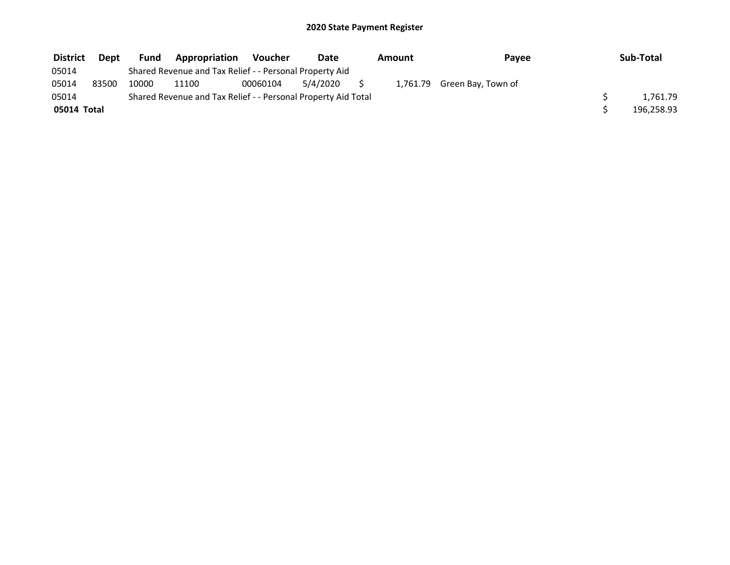| <b>District</b> | Dept  | <b>Fund</b> | <b>Appropriation</b>                                          | <b>Voucher</b> | Date     | Amount | Payee                       | Sub-Total  |
|-----------------|-------|-------------|---------------------------------------------------------------|----------------|----------|--------|-----------------------------|------------|
| 05014           |       |             | Shared Revenue and Tax Relief - - Personal Property Aid       |                |          |        |                             |            |
| 05014           | 83500 | 10000       | 11100                                                         | 00060104       | 5/4/2020 |        | 1,761.79 Green Bay, Town of |            |
| 05014           |       |             | Shared Revenue and Tax Relief - - Personal Property Aid Total |                |          |        |                             | 1.761.79   |
| 05014 Total     |       |             |                                                               |                |          |        |                             | 196,258.93 |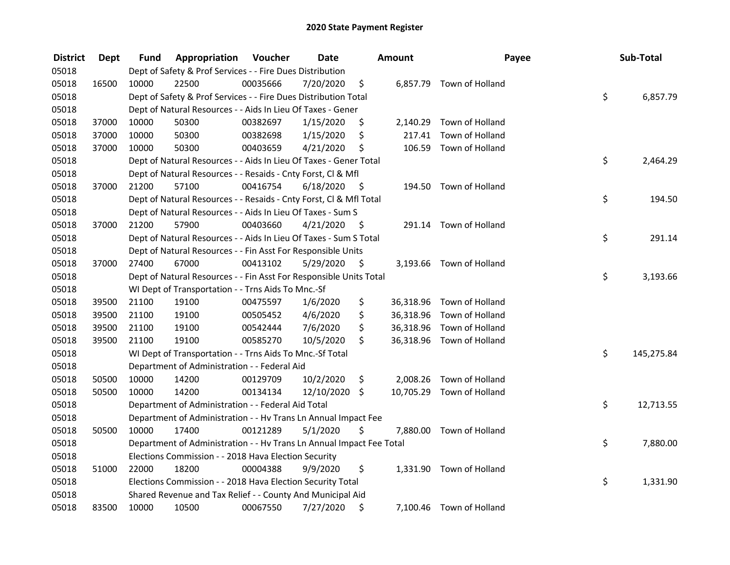| <b>District</b> | <b>Dept</b> | Fund  | Appropriation                                                        | Voucher  | <b>Date</b> |      | Amount   | Payee                     | Sub-Total        |
|-----------------|-------------|-------|----------------------------------------------------------------------|----------|-------------|------|----------|---------------------------|------------------|
| 05018           |             |       | Dept of Safety & Prof Services - - Fire Dues Distribution            |          |             |      |          |                           |                  |
| 05018           | 16500       | 10000 | 22500                                                                | 00035666 | 7/20/2020   | \$   |          | 6,857.79 Town of Holland  |                  |
| 05018           |             |       | Dept of Safety & Prof Services - - Fire Dues Distribution Total      |          |             |      |          |                           | \$<br>6,857.79   |
| 05018           |             |       | Dept of Natural Resources - - Aids In Lieu Of Taxes - Gener          |          |             |      |          |                           |                  |
| 05018           | 37000       | 10000 | 50300                                                                | 00382697 | 1/15/2020   | \$   | 2,140.29 | Town of Holland           |                  |
| 05018           | 37000       | 10000 | 50300                                                                | 00382698 | 1/15/2020   | \$   | 217.41   | Town of Holland           |                  |
| 05018           | 37000       | 10000 | 50300                                                                | 00403659 | 4/21/2020   | \$   |          | 106.59 Town of Holland    |                  |
| 05018           |             |       | Dept of Natural Resources - - Aids In Lieu Of Taxes - Gener Total    |          |             |      |          |                           | \$<br>2,464.29   |
| 05018           |             |       | Dept of Natural Resources - - Resaids - Cnty Forst, Cl & Mfl         |          |             |      |          |                           |                  |
| 05018           | 37000       | 21200 | 57100                                                                | 00416754 | 6/18/2020   | - \$ |          | 194.50 Town of Holland    |                  |
| 05018           |             |       | Dept of Natural Resources - - Resaids - Cnty Forst, Cl & Mfl Total   |          |             |      |          |                           | \$<br>194.50     |
| 05018           |             |       | Dept of Natural Resources - - Aids In Lieu Of Taxes - Sum S          |          |             |      |          |                           |                  |
| 05018           | 37000       | 21200 | 57900                                                                | 00403660 | 4/21/2020   | -\$  |          | 291.14 Town of Holland    |                  |
| 05018           |             |       | Dept of Natural Resources - - Aids In Lieu Of Taxes - Sum S Total    |          |             |      |          |                           | \$<br>291.14     |
| 05018           |             |       | Dept of Natural Resources - - Fin Asst For Responsible Units         |          |             |      |          |                           |                  |
| 05018           | 37000       | 27400 | 67000                                                                | 00413102 | 5/29/2020   | \$   |          | 3,193.66 Town of Holland  |                  |
| 05018           |             |       | Dept of Natural Resources - - Fin Asst For Responsible Units Total   |          |             |      |          |                           | \$<br>3,193.66   |
| 05018           |             |       | WI Dept of Transportation - - Trns Aids To Mnc.-Sf                   |          |             |      |          |                           |                  |
| 05018           | 39500       | 21100 | 19100                                                                | 00475597 | 1/6/2020    | \$   |          | 36,318.96 Town of Holland |                  |
| 05018           | 39500       | 21100 | 19100                                                                | 00505452 | 4/6/2020    | \$   |          | 36,318.96 Town of Holland |                  |
| 05018           | 39500       | 21100 | 19100                                                                | 00542444 | 7/6/2020    | \$   |          | 36,318.96 Town of Holland |                  |
| 05018           | 39500       | 21100 | 19100                                                                | 00585270 | 10/5/2020   | \$   |          | 36,318.96 Town of Holland |                  |
| 05018           |             |       | WI Dept of Transportation - - Trns Aids To Mnc.-Sf Total             |          |             |      |          |                           | \$<br>145,275.84 |
| 05018           |             |       | Department of Administration - - Federal Aid                         |          |             |      |          |                           |                  |
| 05018           | 50500       | 10000 | 14200                                                                | 00129709 | 10/2/2020   | \$   | 2,008.26 | Town of Holland           |                  |
| 05018           | 50500       | 10000 | 14200                                                                | 00134134 | 12/10/2020  | \$   |          | 10,705.29 Town of Holland |                  |
| 05018           |             |       | Department of Administration - - Federal Aid Total                   |          |             |      |          |                           | \$<br>12,713.55  |
| 05018           |             |       | Department of Administration - - Hv Trans Ln Annual Impact Fee       |          |             |      |          |                           |                  |
| 05018           | 50500       | 10000 | 17400                                                                | 00121289 | 5/1/2020    | \$   |          | 7,880.00 Town of Holland  |                  |
| 05018           |             |       | Department of Administration - - Hv Trans Ln Annual Impact Fee Total |          |             |      |          |                           | \$<br>7,880.00   |
| 05018           |             |       | Elections Commission - - 2018 Hava Election Security                 |          |             |      |          |                           |                  |
| 05018           | 51000       | 22000 | 18200                                                                | 00004388 | 9/9/2020    | \$   |          | 1,331.90 Town of Holland  |                  |
| 05018           |             |       | Elections Commission - - 2018 Hava Election Security Total           |          |             |      |          |                           | \$<br>1,331.90   |
| 05018           |             |       | Shared Revenue and Tax Relief - - County And Municipal Aid           |          |             |      |          |                           |                  |
| 05018           | 83500       | 10000 | 10500                                                                | 00067550 | 7/27/2020   | \$   |          | 7,100.46 Town of Holland  |                  |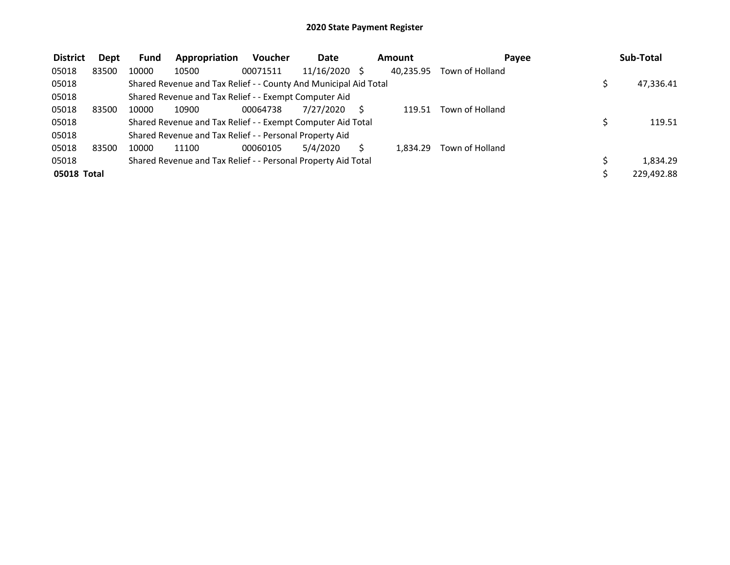| <b>District</b> | Dept  | <b>Fund</b> | Appropriation                                                    | <b>Voucher</b> | <b>Date</b>   | <b>Amount</b> | Pavee           | Sub-Total  |
|-----------------|-------|-------------|------------------------------------------------------------------|----------------|---------------|---------------|-----------------|------------|
| 05018           | 83500 | 10000       | 10500                                                            | 00071511       | 11/16/2020 \$ | 40.235.95     | Town of Holland |            |
| 05018           |       |             | Shared Revenue and Tax Relief - - County And Municipal Aid Total |                |               |               |                 | 47,336.41  |
| 05018           |       |             | Shared Revenue and Tax Relief - - Exempt Computer Aid            |                |               |               |                 |            |
| 05018           | 83500 | 10000       | 10900                                                            | 00064738       | 7/27/2020     | 119.51        | Town of Holland |            |
| 05018           |       |             | Shared Revenue and Tax Relief - - Exempt Computer Aid Total      |                |               |               |                 | 119.51     |
| 05018           |       |             | Shared Revenue and Tax Relief - - Personal Property Aid          |                |               |               |                 |            |
| 05018           | 83500 | 10000       | 11100                                                            | 00060105       | 5/4/2020      | 1.834.29      | Town of Holland |            |
| 05018           |       |             | Shared Revenue and Tax Relief - - Personal Property Aid Total    |                |               |               |                 | 1,834.29   |
| 05018 Total     |       |             |                                                                  |                |               |               |                 | 229,492.88 |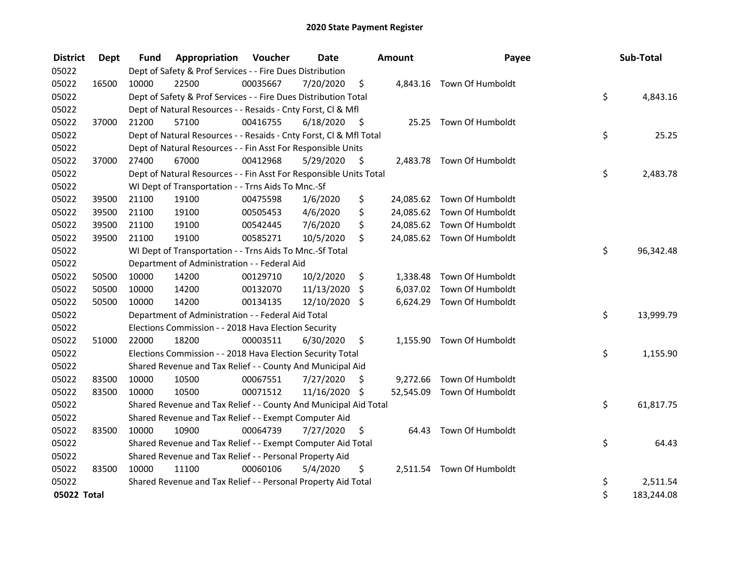| <b>District</b> | Dept  | <b>Fund</b> | Appropriation                                                      | Voucher  | <b>Date</b>   |      | Amount | Payee                      | Sub-Total        |
|-----------------|-------|-------------|--------------------------------------------------------------------|----------|---------------|------|--------|----------------------------|------------------|
| 05022           |       |             | Dept of Safety & Prof Services - - Fire Dues Distribution          |          |               |      |        |                            |                  |
| 05022           | 16500 | 10000       | 22500                                                              | 00035667 | 7/20/2020     | \$   |        | 4,843.16 Town Of Humboldt  |                  |
| 05022           |       |             | Dept of Safety & Prof Services - - Fire Dues Distribution Total    |          |               |      |        |                            | \$<br>4,843.16   |
| 05022           |       |             | Dept of Natural Resources - - Resaids - Cnty Forst, Cl & Mfl       |          |               |      |        |                            |                  |
| 05022           | 37000 | 21200       | 57100                                                              | 00416755 | 6/18/2020     | - \$ |        | 25.25 Town Of Humboldt     |                  |
| 05022           |       |             | Dept of Natural Resources - - Resaids - Cnty Forst, Cl & Mfl Total |          |               |      |        |                            | \$<br>25.25      |
| 05022           |       |             | Dept of Natural Resources - - Fin Asst For Responsible Units       |          |               |      |        |                            |                  |
| 05022           | 37000 | 27400       | 67000                                                              | 00412968 | 5/29/2020     | \$   |        | 2,483.78 Town Of Humboldt  |                  |
| 05022           |       |             | Dept of Natural Resources - - Fin Asst For Responsible Units Total |          |               |      |        |                            | \$<br>2,483.78   |
| 05022           |       |             | WI Dept of Transportation - - Trns Aids To Mnc.-Sf                 |          |               |      |        |                            |                  |
| 05022           | 39500 | 21100       | 19100                                                              | 00475598 | 1/6/2020      | \$   |        | 24,085.62 Town Of Humboldt |                  |
| 05022           | 39500 | 21100       | 19100                                                              | 00505453 | 4/6/2020      | \$   |        | 24,085.62 Town Of Humboldt |                  |
| 05022           | 39500 | 21100       | 19100                                                              | 00542445 | 7/6/2020      | \$   |        | 24,085.62 Town Of Humboldt |                  |
| 05022           | 39500 | 21100       | 19100                                                              | 00585271 | 10/5/2020     | \$   |        | 24,085.62 Town Of Humboldt |                  |
| 05022           |       |             | WI Dept of Transportation - - Trns Aids To Mnc.-Sf Total           |          |               |      |        |                            | \$<br>96,342.48  |
| 05022           |       |             | Department of Administration - - Federal Aid                       |          |               |      |        |                            |                  |
| 05022           | 50500 | 10000       | 14200                                                              | 00129710 | 10/2/2020     | \$   |        | 1,338.48 Town Of Humboldt  |                  |
| 05022           | 50500 | 10000       | 14200                                                              | 00132070 | 11/13/2020    | \$   |        | 6,037.02 Town Of Humboldt  |                  |
| 05022           | 50500 | 10000       | 14200                                                              | 00134135 | 12/10/2020 \$ |      |        | 6,624.29 Town Of Humboldt  |                  |
| 05022           |       |             | Department of Administration - - Federal Aid Total                 |          |               |      |        |                            | \$<br>13,999.79  |
| 05022           |       |             | Elections Commission - - 2018 Hava Election Security               |          |               |      |        |                            |                  |
| 05022           | 51000 | 22000       | 18200                                                              | 00003511 | 6/30/2020     | \$   |        | 1,155.90 Town Of Humboldt  |                  |
| 05022           |       |             | Elections Commission - - 2018 Hava Election Security Total         |          |               |      |        |                            | \$<br>1,155.90   |
| 05022           |       |             | Shared Revenue and Tax Relief - - County And Municipal Aid         |          |               |      |        |                            |                  |
| 05022           | 83500 | 10000       | 10500                                                              | 00067551 | 7/27/2020     | \$   |        | 9,272.66 Town Of Humboldt  |                  |
| 05022           | 83500 | 10000       | 10500                                                              | 00071512 | 11/16/2020 \$ |      |        | 52,545.09 Town Of Humboldt |                  |
| 05022           |       |             | Shared Revenue and Tax Relief - - County And Municipal Aid Total   |          |               |      |        |                            | \$<br>61,817.75  |
| 05022           |       |             | Shared Revenue and Tax Relief - - Exempt Computer Aid              |          |               |      |        |                            |                  |
| 05022           | 83500 | 10000       | 10900                                                              | 00064739 | 7/27/2020     | S    |        | 64.43 Town Of Humboldt     |                  |
| 05022           |       |             | Shared Revenue and Tax Relief - - Exempt Computer Aid Total        |          |               |      |        |                            | \$<br>64.43      |
| 05022           |       |             | Shared Revenue and Tax Relief - - Personal Property Aid            |          |               |      |        |                            |                  |
| 05022           | 83500 | 10000       | 11100                                                              | 00060106 | 5/4/2020      | \$   |        | 2,511.54 Town Of Humboldt  |                  |
| 05022           |       |             | Shared Revenue and Tax Relief - - Personal Property Aid Total      |          |               |      |        |                            | \$<br>2,511.54   |
| 05022 Total     |       |             |                                                                    |          |               |      |        |                            | \$<br>183,244.08 |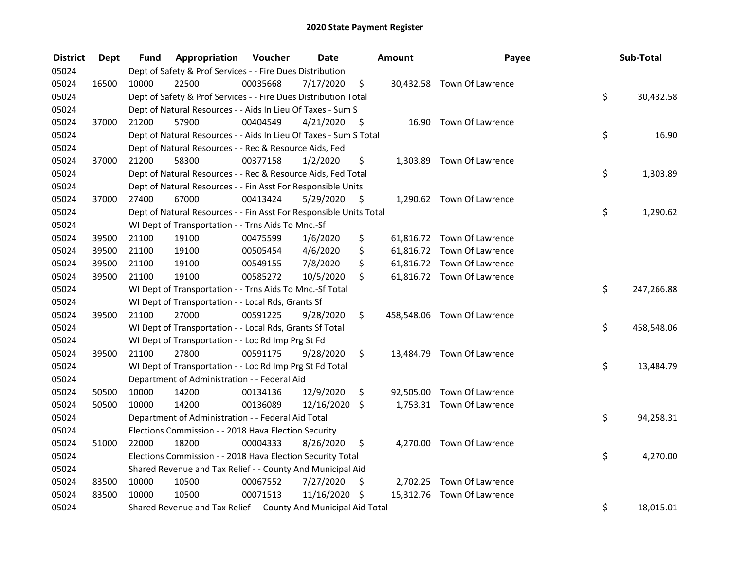| <b>District</b> | <b>Dept</b> | Fund  | Appropriation                                                      | Voucher  | <b>Date</b> |      | Amount | Payee                       | Sub-Total        |
|-----------------|-------------|-------|--------------------------------------------------------------------|----------|-------------|------|--------|-----------------------------|------------------|
| 05024           |             |       | Dept of Safety & Prof Services - - Fire Dues Distribution          |          |             |      |        |                             |                  |
| 05024           | 16500       | 10000 | 22500                                                              | 00035668 | 7/17/2020   | \$   |        | 30,432.58 Town Of Lawrence  |                  |
| 05024           |             |       | Dept of Safety & Prof Services - - Fire Dues Distribution Total    |          |             |      |        |                             | \$<br>30,432.58  |
| 05024           |             |       | Dept of Natural Resources - - Aids In Lieu Of Taxes - Sum S        |          |             |      |        |                             |                  |
| 05024           | 37000       | 21200 | 57900                                                              | 00404549 | 4/21/2020   | - \$ |        | 16.90 Town Of Lawrence      |                  |
| 05024           |             |       | Dept of Natural Resources - - Aids In Lieu Of Taxes - Sum S Total  |          |             |      |        |                             | \$<br>16.90      |
| 05024           |             |       | Dept of Natural Resources - - Rec & Resource Aids, Fed             |          |             |      |        |                             |                  |
| 05024           | 37000       | 21200 | 58300                                                              | 00377158 | 1/2/2020    | \$   |        | 1,303.89 Town Of Lawrence   |                  |
| 05024           |             |       | Dept of Natural Resources - - Rec & Resource Aids, Fed Total       |          |             |      |        |                             | \$<br>1,303.89   |
| 05024           |             |       | Dept of Natural Resources - - Fin Asst For Responsible Units       |          |             |      |        |                             |                  |
| 05024           | 37000       | 27400 | 67000                                                              | 00413424 | 5/29/2020   | - \$ |        | 1,290.62 Town Of Lawrence   |                  |
| 05024           |             |       | Dept of Natural Resources - - Fin Asst For Responsible Units Total |          |             |      |        |                             | \$<br>1,290.62   |
| 05024           |             |       | WI Dept of Transportation - - Trns Aids To Mnc.-Sf                 |          |             |      |        |                             |                  |
| 05024           | 39500       | 21100 | 19100                                                              | 00475599 | 1/6/2020    | \$   |        | 61,816.72 Town Of Lawrence  |                  |
| 05024           | 39500       | 21100 | 19100                                                              | 00505454 | 4/6/2020    | \$   |        | 61,816.72 Town Of Lawrence  |                  |
| 05024           | 39500       | 21100 | 19100                                                              | 00549155 | 7/8/2020    | \$   |        | 61,816.72 Town Of Lawrence  |                  |
| 05024           | 39500       | 21100 | 19100                                                              | 00585272 | 10/5/2020   | \$.  |        | 61,816.72 Town Of Lawrence  |                  |
| 05024           |             |       | WI Dept of Transportation - - Trns Aids To Mnc.-Sf Total           |          |             |      |        |                             | \$<br>247,266.88 |
| 05024           |             |       | WI Dept of Transportation - - Local Rds, Grants Sf                 |          |             |      |        |                             |                  |
| 05024           | 39500       | 21100 | 27000                                                              | 00591225 | 9/28/2020   | \$   |        | 458,548.06 Town Of Lawrence |                  |
| 05024           |             |       | WI Dept of Transportation - - Local Rds, Grants Sf Total           |          |             |      |        |                             | \$<br>458,548.06 |
| 05024           |             |       | WI Dept of Transportation - - Loc Rd Imp Prg St Fd                 |          |             |      |        |                             |                  |
| 05024           | 39500       | 21100 | 27800                                                              | 00591175 | 9/28/2020   | \$   |        | 13,484.79 Town Of Lawrence  |                  |
| 05024           |             |       | WI Dept of Transportation - - Loc Rd Imp Prg St Fd Total           |          |             |      |        |                             | \$<br>13,484.79  |
| 05024           |             |       | Department of Administration - - Federal Aid                       |          |             |      |        |                             |                  |
| 05024           | 50500       | 10000 | 14200                                                              | 00134136 | 12/9/2020   | \$   |        | 92,505.00 Town Of Lawrence  |                  |
| 05024           | 50500       | 10000 | 14200                                                              | 00136089 | 12/16/2020  | \$   |        | 1,753.31 Town Of Lawrence   |                  |
| 05024           |             |       | Department of Administration - - Federal Aid Total                 |          |             |      |        |                             | \$<br>94,258.31  |
| 05024           |             |       | Elections Commission - - 2018 Hava Election Security               |          |             |      |        |                             |                  |
| 05024           | 51000       | 22000 | 18200                                                              | 00004333 | 8/26/2020   | \$   |        | 4,270.00 Town Of Lawrence   |                  |
| 05024           |             |       | Elections Commission - - 2018 Hava Election Security Total         |          |             |      |        |                             | \$<br>4,270.00   |
| 05024           |             |       | Shared Revenue and Tax Relief - - County And Municipal Aid         |          |             |      |        |                             |                  |
| 05024           | 83500       | 10000 | 10500                                                              | 00067552 | 7/27/2020   | \$   |        | 2,702.25 Town Of Lawrence   |                  |
| 05024           | 83500       | 10000 | 10500                                                              | 00071513 | 11/16/2020  | \$   |        | 15,312.76 Town Of Lawrence  |                  |
| 05024           |             |       | Shared Revenue and Tax Relief - - County And Municipal Aid Total   |          |             |      |        |                             | \$<br>18,015.01  |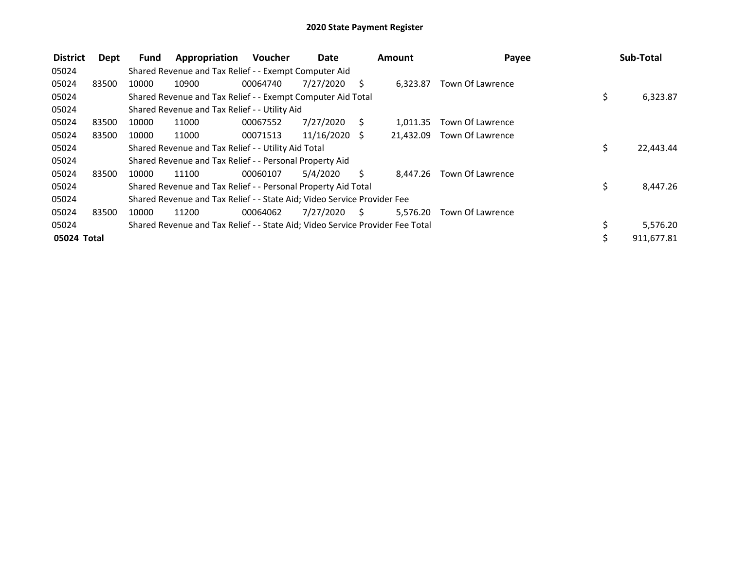| <b>District</b> | Dept  | Fund  | Appropriation                                                                 | <b>Voucher</b> | Date       |      | <b>Amount</b> | Payee                      | Sub-Total       |
|-----------------|-------|-------|-------------------------------------------------------------------------------|----------------|------------|------|---------------|----------------------------|-----------------|
| 05024           |       |       | Shared Revenue and Tax Relief - - Exempt Computer Aid                         |                |            |      |               |                            |                 |
| 05024           | 83500 | 10000 | 10900                                                                         | 00064740       | 7/27/2020  | S    | 6,323.87      | Town Of Lawrence           |                 |
| 05024           |       |       | Shared Revenue and Tax Relief - - Exempt Computer Aid Total                   |                |            |      |               |                            | \$<br>6,323.87  |
| 05024           |       |       | Shared Revenue and Tax Relief - - Utility Aid                                 |                |            |      |               |                            |                 |
| 05024           | 83500 | 10000 | 11000                                                                         | 00067552       | 7/27/2020  | - S  | 1.011.35      | Town Of Lawrence           |                 |
| 05024           | 83500 | 10000 | 11000                                                                         | 00071513       | 11/16/2020 | -S   |               | 21,432.09 Town Of Lawrence |                 |
| 05024           |       |       | Shared Revenue and Tax Relief - - Utility Aid Total                           |                |            |      |               |                            | \$<br>22,443.44 |
| 05024           |       |       | Shared Revenue and Tax Relief - - Personal Property Aid                       |                |            |      |               |                            |                 |
| 05024           | 83500 | 10000 | 11100                                                                         | 00060107       | 5/4/2020   | Ś.   | 8,447.26      | Town Of Lawrence           |                 |
| 05024           |       |       | Shared Revenue and Tax Relief - - Personal Property Aid Total                 |                |            |      |               |                            | \$<br>8,447.26  |
| 05024           |       |       | Shared Revenue and Tax Relief - - State Aid; Video Service Provider Fee       |                |            |      |               |                            |                 |
| 05024           | 83500 | 10000 | 11200                                                                         | 00064062       | 7/27/2020  | - \$ | 5,576.20      | Town Of Lawrence           |                 |
| 05024           |       |       | Shared Revenue and Tax Relief - - State Aid; Video Service Provider Fee Total |                |            |      |               |                            | 5,576.20        |
| 05024 Total     |       |       |                                                                               |                |            |      |               |                            | 911,677.81      |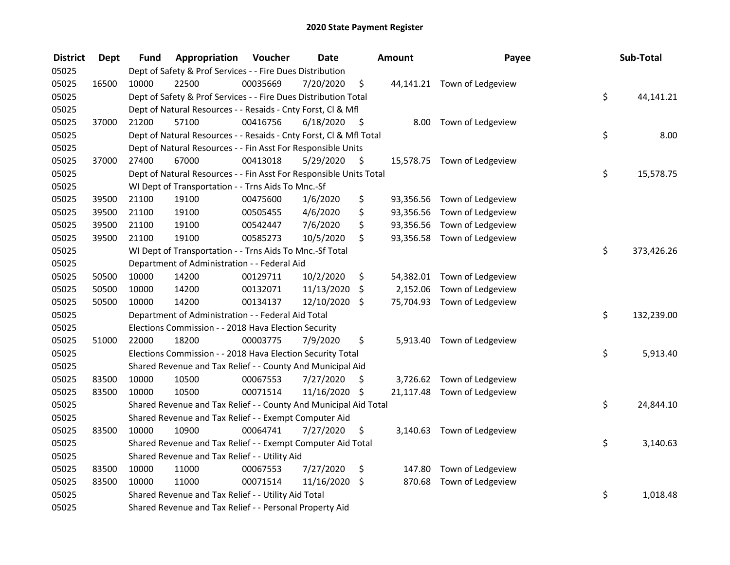| <b>District</b> | <b>Dept</b> | Fund  | Appropriation                                                      | Voucher  | <b>Date</b>   |                     | Amount   | Payee                       | Sub-Total        |
|-----------------|-------------|-------|--------------------------------------------------------------------|----------|---------------|---------------------|----------|-----------------------------|------------------|
| 05025           |             |       | Dept of Safety & Prof Services - - Fire Dues Distribution          |          |               |                     |          |                             |                  |
| 05025           | 16500       | 10000 | 22500                                                              | 00035669 | 7/20/2020     | \$                  |          | 44,141.21 Town of Ledgeview |                  |
| 05025           |             |       | Dept of Safety & Prof Services - - Fire Dues Distribution Total    |          |               |                     |          |                             | \$<br>44,141.21  |
| 05025           |             |       | Dept of Natural Resources - - Resaids - Cnty Forst, Cl & Mfl       |          |               |                     |          |                             |                  |
| 05025           | 37000       | 21200 | 57100                                                              | 00416756 | 6/18/2020     | - \$                |          | 8.00 Town of Ledgeview      |                  |
| 05025           |             |       | Dept of Natural Resources - - Resaids - Cnty Forst, CI & Mfl Total |          |               |                     |          |                             | \$<br>8.00       |
| 05025           |             |       | Dept of Natural Resources - - Fin Asst For Responsible Units       |          |               |                     |          |                             |                  |
| 05025           | 37000       | 27400 | 67000                                                              | 00413018 | 5/29/2020     | $\ddot{\mathsf{s}}$ |          | 15,578.75 Town of Ledgeview |                  |
| 05025           |             |       | Dept of Natural Resources - - Fin Asst For Responsible Units Total |          |               |                     |          |                             | \$<br>15,578.75  |
| 05025           |             |       | WI Dept of Transportation - - Trns Aids To Mnc.-Sf                 |          |               |                     |          |                             |                  |
| 05025           | 39500       | 21100 | 19100                                                              | 00475600 | 1/6/2020      | \$                  |          | 93,356.56 Town of Ledgeview |                  |
| 05025           | 39500       | 21100 | 19100                                                              | 00505455 | 4/6/2020      | \$                  |          | 93,356.56 Town of Ledgeview |                  |
| 05025           | 39500       | 21100 | 19100                                                              | 00542447 | 7/6/2020      | \$                  |          | 93,356.56 Town of Ledgeview |                  |
| 05025           | 39500       | 21100 | 19100                                                              | 00585273 | 10/5/2020     | \$                  |          | 93,356.58 Town of Ledgeview |                  |
| 05025           |             |       | WI Dept of Transportation - - Trns Aids To Mnc.-Sf Total           |          |               |                     |          |                             | \$<br>373,426.26 |
| 05025           |             |       | Department of Administration - - Federal Aid                       |          |               |                     |          |                             |                  |
| 05025           | 50500       | 10000 | 14200                                                              | 00129711 | 10/2/2020     | \$                  |          | 54,382.01 Town of Ledgeview |                  |
| 05025           | 50500       | 10000 | 14200                                                              | 00132071 | 11/13/2020    | \$                  | 2,152.06 | Town of Ledgeview           |                  |
| 05025           | 50500       | 10000 | 14200                                                              | 00134137 | 12/10/2020 \$ |                     |          | 75,704.93 Town of Ledgeview |                  |
| 05025           |             |       | Department of Administration - - Federal Aid Total                 |          |               |                     |          |                             | \$<br>132,239.00 |
| 05025           |             |       | Elections Commission - - 2018 Hava Election Security               |          |               |                     |          |                             |                  |
| 05025           | 51000       | 22000 | 18200                                                              | 00003775 | 7/9/2020      | \$                  |          | 5,913.40 Town of Ledgeview  |                  |
| 05025           |             |       | Elections Commission - - 2018 Hava Election Security Total         |          |               |                     |          |                             | \$<br>5,913.40   |
| 05025           |             |       | Shared Revenue and Tax Relief - - County And Municipal Aid         |          |               |                     |          |                             |                  |
| 05025           | 83500       | 10000 | 10500                                                              | 00067553 | 7/27/2020     | \$.                 |          | 3,726.62 Town of Ledgeview  |                  |
| 05025           | 83500       | 10000 | 10500                                                              | 00071514 | 11/16/2020 \$ |                     |          | 21,117.48 Town of Ledgeview |                  |
| 05025           |             |       | Shared Revenue and Tax Relief - - County And Municipal Aid Total   |          |               |                     |          |                             | \$<br>24,844.10  |
| 05025           |             |       | Shared Revenue and Tax Relief - - Exempt Computer Aid              |          |               |                     |          |                             |                  |
| 05025           | 83500       | 10000 | 10900                                                              | 00064741 | 7/27/2020     | \$                  |          | 3,140.63 Town of Ledgeview  |                  |
| 05025           |             |       | Shared Revenue and Tax Relief - - Exempt Computer Aid Total        |          |               |                     |          |                             | \$<br>3,140.63   |
| 05025           |             |       | Shared Revenue and Tax Relief - - Utility Aid                      |          |               |                     |          |                             |                  |
| 05025           | 83500       | 10000 | 11000                                                              | 00067553 | 7/27/2020     | \$                  | 147.80   | Town of Ledgeview           |                  |
| 05025           | 83500       | 10000 | 11000                                                              | 00071514 | 11/16/2020    | \$                  |          | 870.68 Town of Ledgeview    |                  |
| 05025           |             |       | Shared Revenue and Tax Relief - - Utility Aid Total                |          |               |                     |          |                             | \$<br>1,018.48   |
| 05025           |             |       | Shared Revenue and Tax Relief - - Personal Property Aid            |          |               |                     |          |                             |                  |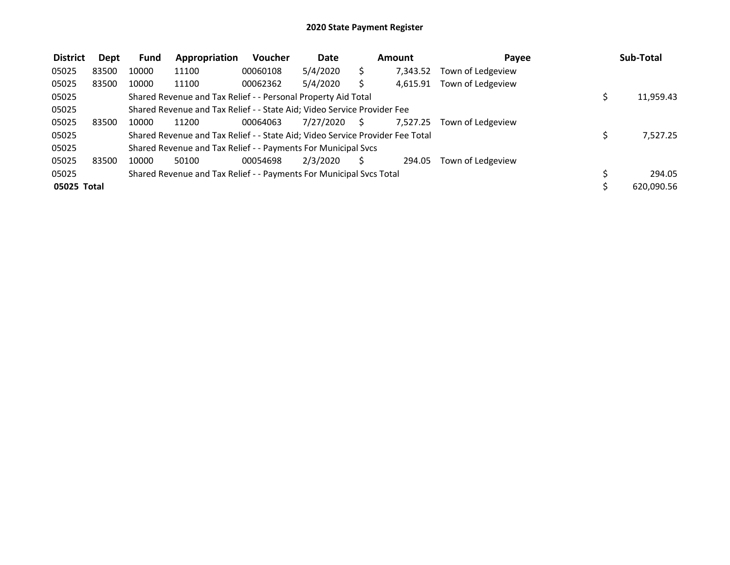| <b>District</b> | Dept  | <b>Fund</b> | Appropriation                                                                 | Voucher  | <b>Date</b> |    | Amount   | Payee             | Sub-Total  |
|-----------------|-------|-------------|-------------------------------------------------------------------------------|----------|-------------|----|----------|-------------------|------------|
| 05025           | 83500 | 10000       | 11100                                                                         | 00060108 | 5/4/2020    |    | 7,343.52 | Town of Ledgeview |            |
| 05025           | 83500 | 10000       | 11100                                                                         | 00062362 | 5/4/2020    |    | 4,615.91 | Town of Ledgeview |            |
| 05025           |       |             | Shared Revenue and Tax Relief - - Personal Property Aid Total                 |          |             |    |          |                   | 11,959.43  |
| 05025           |       |             | Shared Revenue and Tax Relief - - State Aid; Video Service Provider Fee       |          |             |    |          |                   |            |
| 05025           | 83500 | 10000       | 11200                                                                         | 00064063 | 7/27/2020   | S. | 7,527.25 | Town of Ledgeview |            |
| 05025           |       |             | Shared Revenue and Tax Relief - - State Aid; Video Service Provider Fee Total |          |             |    |          |                   | 7.527.25   |
| 05025           |       |             | Shared Revenue and Tax Relief - - Payments For Municipal Svcs                 |          |             |    |          |                   |            |
| 05025           | 83500 | 10000       | 50100                                                                         | 00054698 | 2/3/2020    |    | 294.05   | Town of Ledgeview |            |
| 05025           |       |             | Shared Revenue and Tax Relief - - Payments For Municipal Svcs Total           |          |             |    |          |                   | 294.05     |
| 05025 Total     |       |             |                                                                               |          |             |    |          |                   | 620,090.56 |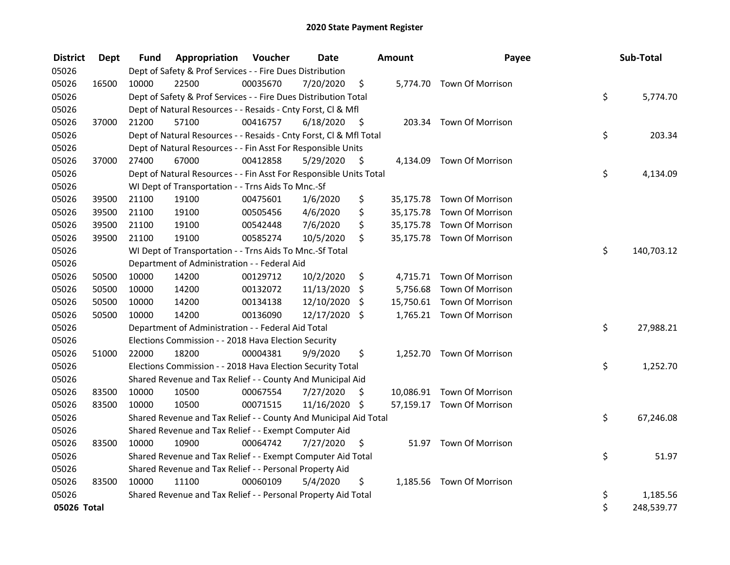| <b>District</b> | <b>Dept</b> | Fund  | Appropriation                                                      | Voucher  | <b>Date</b>   |                     | Amount | Payee                      | Sub-Total        |
|-----------------|-------------|-------|--------------------------------------------------------------------|----------|---------------|---------------------|--------|----------------------------|------------------|
| 05026           |             |       | Dept of Safety & Prof Services - - Fire Dues Distribution          |          |               |                     |        |                            |                  |
| 05026           | 16500       | 10000 | 22500                                                              | 00035670 | 7/20/2020     | \$                  |        | 5,774.70 Town Of Morrison  |                  |
| 05026           |             |       | Dept of Safety & Prof Services - - Fire Dues Distribution Total    |          |               |                     |        |                            | \$<br>5,774.70   |
| 05026           |             |       | Dept of Natural Resources - - Resaids - Cnty Forst, Cl & Mfl       |          |               |                     |        |                            |                  |
| 05026           | 37000       | 21200 | 57100                                                              | 00416757 | 6/18/2020     | $\ddot{\mathsf{s}}$ |        | 203.34 Town Of Morrison    |                  |
| 05026           |             |       | Dept of Natural Resources - - Resaids - Cnty Forst, Cl & Mfl Total |          |               |                     |        |                            | \$<br>203.34     |
| 05026           |             |       | Dept of Natural Resources - - Fin Asst For Responsible Units       |          |               |                     |        |                            |                  |
| 05026           | 37000       | 27400 | 67000                                                              | 00412858 | 5/29/2020     | - \$                |        | 4,134.09 Town Of Morrison  |                  |
| 05026           |             |       | Dept of Natural Resources - - Fin Asst For Responsible Units Total |          |               |                     |        |                            | \$<br>4,134.09   |
| 05026           |             |       | WI Dept of Transportation - - Trns Aids To Mnc.-Sf                 |          |               |                     |        |                            |                  |
| 05026           | 39500       | 21100 | 19100                                                              | 00475601 | 1/6/2020      | \$                  |        | 35,175.78 Town Of Morrison |                  |
| 05026           | 39500       | 21100 | 19100                                                              | 00505456 | 4/6/2020      | \$                  |        | 35,175.78 Town Of Morrison |                  |
| 05026           | 39500       | 21100 | 19100                                                              | 00542448 | 7/6/2020      | \$                  |        | 35,175.78 Town Of Morrison |                  |
| 05026           | 39500       | 21100 | 19100                                                              | 00585274 | 10/5/2020     | \$                  |        | 35,175.78 Town Of Morrison |                  |
| 05026           |             |       | WI Dept of Transportation - - Trns Aids To Mnc.-Sf Total           |          |               |                     |        |                            | \$<br>140,703.12 |
| 05026           |             |       | Department of Administration - - Federal Aid                       |          |               |                     |        |                            |                  |
| 05026           | 50500       | 10000 | 14200                                                              | 00129712 | 10/2/2020     | \$                  |        | 4,715.71 Town Of Morrison  |                  |
| 05026           | 50500       | 10000 | 14200                                                              | 00132072 | 11/13/2020    | \$                  |        | 5,756.68 Town Of Morrison  |                  |
| 05026           | 50500       | 10000 | 14200                                                              | 00134138 | 12/10/2020    | \$                  |        | 15,750.61 Town Of Morrison |                  |
| 05026           | 50500       | 10000 | 14200                                                              | 00136090 | 12/17/2020    | \$                  |        | 1,765.21 Town Of Morrison  |                  |
| 05026           |             |       | Department of Administration - - Federal Aid Total                 |          |               |                     |        |                            | \$<br>27,988.21  |
| 05026           |             |       | Elections Commission - - 2018 Hava Election Security               |          |               |                     |        |                            |                  |
| 05026           | 51000       | 22000 | 18200                                                              | 00004381 | 9/9/2020      | \$                  |        | 1,252.70 Town Of Morrison  |                  |
| 05026           |             |       | Elections Commission - - 2018 Hava Election Security Total         |          |               |                     |        |                            | \$<br>1,252.70   |
| 05026           |             |       | Shared Revenue and Tax Relief - - County And Municipal Aid         |          |               |                     |        |                            |                  |
| 05026           | 83500       | 10000 | 10500                                                              | 00067554 | 7/27/2020     | \$                  |        | 10,086.91 Town Of Morrison |                  |
| 05026           | 83500       | 10000 | 10500                                                              | 00071515 | 11/16/2020 \$ |                     |        | 57,159.17 Town Of Morrison |                  |
| 05026           |             |       | Shared Revenue and Tax Relief - - County And Municipal Aid Total   |          |               |                     |        |                            | \$<br>67,246.08  |
| 05026           |             |       | Shared Revenue and Tax Relief - - Exempt Computer Aid              |          |               |                     |        |                            |                  |
| 05026           | 83500       | 10000 | 10900                                                              | 00064742 | 7/27/2020     | \$                  |        | 51.97 Town Of Morrison     |                  |
| 05026           |             |       | Shared Revenue and Tax Relief - - Exempt Computer Aid Total        |          |               |                     |        |                            | \$<br>51.97      |
| 05026           |             |       | Shared Revenue and Tax Relief - - Personal Property Aid            |          |               |                     |        |                            |                  |
| 05026           | 83500       | 10000 | 11100                                                              | 00060109 | 5/4/2020      | \$                  |        | 1,185.56 Town Of Morrison  |                  |
| 05026           |             |       | Shared Revenue and Tax Relief - - Personal Property Aid Total      |          |               |                     |        |                            | \$<br>1,185.56   |
| 05026 Total     |             |       |                                                                    |          |               |                     |        |                            | \$<br>248,539.77 |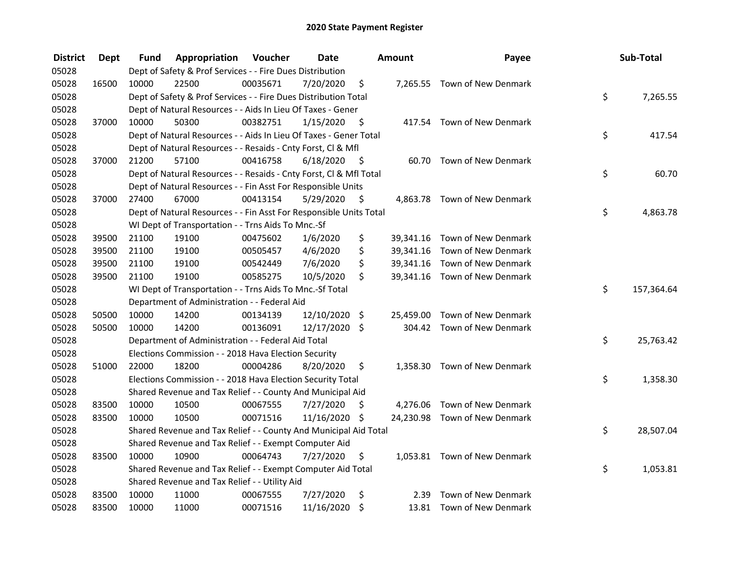| <b>District</b> | <b>Dept</b> | Fund  | Appropriation                                                      | Voucher  | <b>Date</b>   |         | <b>Amount</b> | Payee                         | Sub-Total        |
|-----------------|-------------|-------|--------------------------------------------------------------------|----------|---------------|---------|---------------|-------------------------------|------------------|
| 05028           |             |       | Dept of Safety & Prof Services - - Fire Dues Distribution          |          |               |         |               |                               |                  |
| 05028           | 16500       | 10000 | 22500                                                              | 00035671 | 7/20/2020     | \$      |               | 7,265.55 Town of New Denmark  |                  |
| 05028           |             |       | Dept of Safety & Prof Services - - Fire Dues Distribution Total    |          |               |         |               |                               | \$<br>7,265.55   |
| 05028           |             |       | Dept of Natural Resources - - Aids In Lieu Of Taxes - Gener        |          |               |         |               |                               |                  |
| 05028           | 37000       | 10000 | 50300                                                              | 00382751 | 1/15/2020     | - \$    |               | 417.54 Town of New Denmark    |                  |
| 05028           |             |       | Dept of Natural Resources - - Aids In Lieu Of Taxes - Gener Total  |          |               |         |               |                               | \$<br>417.54     |
| 05028           |             |       | Dept of Natural Resources - - Resaids - Cnty Forst, Cl & Mfl       |          |               |         |               |                               |                  |
| 05028           | 37000       | 21200 | 57100                                                              | 00416758 | 6/18/2020     | - \$    |               | 60.70 Town of New Denmark     |                  |
| 05028           |             |       | Dept of Natural Resources - - Resaids - Cnty Forst, Cl & Mfl Total |          |               |         |               |                               | \$<br>60.70      |
| 05028           |             |       | Dept of Natural Resources - - Fin Asst For Responsible Units       |          |               |         |               |                               |                  |
| 05028           | 37000       | 27400 | 67000                                                              | 00413154 | 5/29/2020     | - \$    |               | 4,863.78 Town of New Denmark  |                  |
| 05028           |             |       | Dept of Natural Resources - - Fin Asst For Responsible Units Total |          |               |         |               |                               | \$<br>4,863.78   |
| 05028           |             |       | WI Dept of Transportation - - Trns Aids To Mnc.-Sf                 |          |               |         |               |                               |                  |
| 05028           | 39500       | 21100 | 19100                                                              | 00475602 | 1/6/2020      | \$      |               | 39,341.16 Town of New Denmark |                  |
| 05028           | 39500       | 21100 | 19100                                                              | 00505457 | 4/6/2020      | \$      |               | 39,341.16 Town of New Denmark |                  |
| 05028           | 39500       | 21100 | 19100                                                              | 00542449 | 7/6/2020      | \$      |               | 39,341.16 Town of New Denmark |                  |
| 05028           | 39500       | 21100 | 19100                                                              | 00585275 | 10/5/2020     | \$      |               | 39,341.16 Town of New Denmark |                  |
| 05028           |             |       | WI Dept of Transportation - - Trns Aids To Mnc.-Sf Total           |          |               |         |               |                               | \$<br>157,364.64 |
| 05028           |             |       | Department of Administration - - Federal Aid                       |          |               |         |               |                               |                  |
| 05028           | 50500       | 10000 | 14200                                                              | 00134139 | 12/10/2020    | $\zeta$ | 25,459.00     | Town of New Denmark           |                  |
| 05028           | 50500       | 10000 | 14200                                                              | 00136091 | 12/17/2020 \$ |         |               | 304.42 Town of New Denmark    |                  |
| 05028           |             |       | Department of Administration - - Federal Aid Total                 |          |               |         |               |                               | \$<br>25,763.42  |
| 05028           |             |       | Elections Commission - - 2018 Hava Election Security               |          |               |         |               |                               |                  |
| 05028           | 51000       | 22000 | 18200                                                              | 00004286 | 8/20/2020     | \$      |               | 1,358.30 Town of New Denmark  |                  |
| 05028           |             |       | Elections Commission - - 2018 Hava Election Security Total         |          |               |         |               |                               | \$<br>1,358.30   |
| 05028           |             |       | Shared Revenue and Tax Relief - - County And Municipal Aid         |          |               |         |               |                               |                  |
| 05028           | 83500       | 10000 | 10500                                                              | 00067555 | 7/27/2020     | S       |               | 4,276.06 Town of New Denmark  |                  |
| 05028           | 83500       | 10000 | 10500                                                              | 00071516 | 11/16/2020 \$ |         |               | 24,230.98 Town of New Denmark |                  |
| 05028           |             |       | Shared Revenue and Tax Relief - - County And Municipal Aid Total   |          |               |         |               |                               | \$<br>28,507.04  |
| 05028           |             |       | Shared Revenue and Tax Relief - - Exempt Computer Aid              |          |               |         |               |                               |                  |
| 05028           | 83500       | 10000 | 10900                                                              | 00064743 | 7/27/2020     | \$      |               | 1,053.81 Town of New Denmark  |                  |
| 05028           |             |       | Shared Revenue and Tax Relief - - Exempt Computer Aid Total        |          |               |         |               |                               | \$<br>1,053.81   |
| 05028           |             |       | Shared Revenue and Tax Relief - - Utility Aid                      |          |               |         |               |                               |                  |
| 05028           | 83500       | 10000 | 11000                                                              | 00067555 | 7/27/2020     | \$      | 2.39          | Town of New Denmark           |                  |
| 05028           | 83500       | 10000 | 11000                                                              | 00071516 | 11/16/2020    | $\zeta$ |               | 13.81 Town of New Denmark     |                  |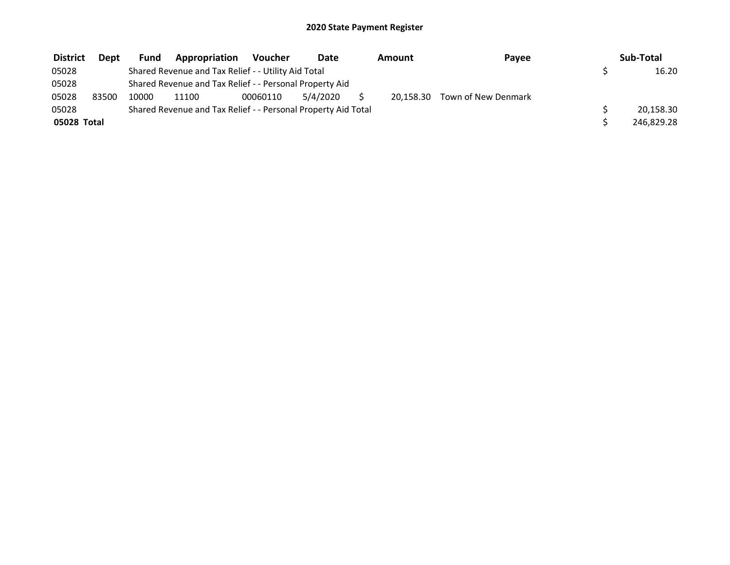| <b>District</b> | <b>Dept</b> | <b>Fund</b> | Appropriation                                                 | Voucher  | <b>Date</b> | Amount | Payee                         | Sub-Total  |
|-----------------|-------------|-------------|---------------------------------------------------------------|----------|-------------|--------|-------------------------------|------------|
| 05028           |             |             | Shared Revenue and Tax Relief - - Utility Aid Total           |          |             |        |                               | 16.20      |
| 05028           |             |             | Shared Revenue and Tax Relief - - Personal Property Aid       |          |             |        |                               |            |
| 05028           | 83500       | 10000       | 11100                                                         | 00060110 | 5/4/2020    |        | 20,158.30 Town of New Denmark |            |
| 05028           |             |             | Shared Revenue and Tax Relief - - Personal Property Aid Total |          |             |        |                               | 20,158.30  |
| 05028 Total     |             |             |                                                               |          |             |        |                               | 246,829.28 |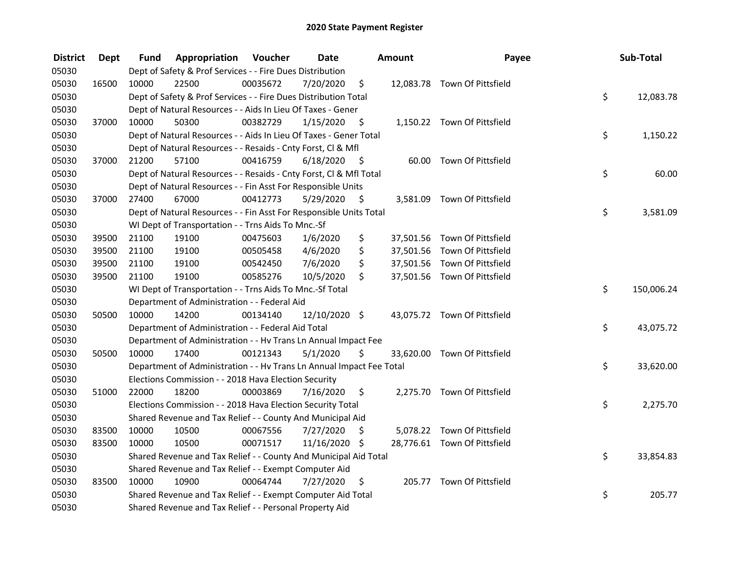| <b>District</b> | <b>Dept</b> | Fund  | <b>Appropriation Voucher</b>                                         |          | <b>Date</b>   |      | Amount | Payee                        | Sub-Total        |
|-----------------|-------------|-------|----------------------------------------------------------------------|----------|---------------|------|--------|------------------------------|------------------|
| 05030           |             |       | Dept of Safety & Prof Services - - Fire Dues Distribution            |          |               |      |        |                              |                  |
| 05030           | 16500       | 10000 | 22500                                                                | 00035672 | 7/20/2020     | \$   |        | 12,083.78 Town Of Pittsfield |                  |
| 05030           |             |       | Dept of Safety & Prof Services - - Fire Dues Distribution Total      |          |               |      |        |                              | \$<br>12,083.78  |
| 05030           |             |       | Dept of Natural Resources - - Aids In Lieu Of Taxes - Gener          |          |               |      |        |                              |                  |
| 05030           | 37000       | 10000 | 50300                                                                | 00382729 | 1/15/2020     | - \$ |        | 1,150.22 Town Of Pittsfield  |                  |
| 05030           |             |       | Dept of Natural Resources - - Aids In Lieu Of Taxes - Gener Total    |          |               |      |        |                              | \$<br>1,150.22   |
| 05030           |             |       | Dept of Natural Resources - - Resaids - Cnty Forst, Cl & Mfl         |          |               |      |        |                              |                  |
| 05030           | 37000       | 21200 | 57100                                                                | 00416759 | 6/18/2020     | - \$ |        | 60.00 Town Of Pittsfield     |                  |
| 05030           |             |       | Dept of Natural Resources - - Resaids - Cnty Forst, Cl & Mfl Total   |          |               |      |        |                              | \$<br>60.00      |
| 05030           |             |       | Dept of Natural Resources - - Fin Asst For Responsible Units         |          |               |      |        |                              |                  |
| 05030           | 37000       | 27400 | 67000                                                                | 00412773 | 5/29/2020     | \$   |        | 3,581.09 Town Of Pittsfield  |                  |
| 05030           |             |       | Dept of Natural Resources - - Fin Asst For Responsible Units Total   |          |               |      |        |                              | \$<br>3,581.09   |
| 05030           |             |       | WI Dept of Transportation - - Trns Aids To Mnc.-Sf                   |          |               |      |        |                              |                  |
| 05030           | 39500       | 21100 | 19100                                                                | 00475603 | 1/6/2020      | \$   |        | 37,501.56 Town Of Pittsfield |                  |
| 05030           | 39500       | 21100 | 19100                                                                | 00505458 | 4/6/2020      | \$   |        | 37,501.56 Town Of Pittsfield |                  |
| 05030           | 39500       | 21100 | 19100                                                                | 00542450 | 7/6/2020      | \$   |        | 37,501.56 Town Of Pittsfield |                  |
| 05030           | 39500       | 21100 | 19100                                                                | 00585276 | 10/5/2020     | \$   |        | 37,501.56 Town Of Pittsfield |                  |
| 05030           |             |       | WI Dept of Transportation - - Trns Aids To Mnc.-Sf Total             |          |               |      |        |                              | \$<br>150,006.24 |
| 05030           |             |       | Department of Administration - - Federal Aid                         |          |               |      |        |                              |                  |
| 05030           | 50500       | 10000 | 14200                                                                | 00134140 | 12/10/2020 \$ |      |        | 43,075.72 Town Of Pittsfield |                  |
| 05030           |             |       | Department of Administration - - Federal Aid Total                   |          |               |      |        |                              | \$<br>43,075.72  |
| 05030           |             |       | Department of Administration - - Hv Trans Ln Annual Impact Fee       |          |               |      |        |                              |                  |
| 05030           | 50500       | 10000 | 17400                                                                | 00121343 | 5/1/2020      | \$   |        | 33,620.00 Town Of Pittsfield |                  |
| 05030           |             |       | Department of Administration - - Hv Trans Ln Annual Impact Fee Total |          |               |      |        |                              | \$<br>33,620.00  |
| 05030           |             |       | Elections Commission - - 2018 Hava Election Security                 |          |               |      |        |                              |                  |
| 05030           | 51000       | 22000 | 18200                                                                | 00003869 | 7/16/2020     | \$   |        | 2,275.70 Town Of Pittsfield  |                  |
| 05030           |             |       | Elections Commission - - 2018 Hava Election Security Total           |          |               |      |        |                              | \$<br>2,275.70   |
| 05030           |             |       | Shared Revenue and Tax Relief - - County And Municipal Aid           |          |               |      |        |                              |                  |
| 05030           | 83500       | 10000 | 10500                                                                | 00067556 | 7/27/2020     | \$   |        | 5,078.22 Town Of Pittsfield  |                  |
| 05030           | 83500       | 10000 | 10500                                                                | 00071517 | 11/16/2020 \$ |      |        | 28,776.61 Town Of Pittsfield |                  |
| 05030           |             |       | Shared Revenue and Tax Relief - - County And Municipal Aid Total     |          |               |      |        |                              | \$<br>33,854.83  |
| 05030           |             |       | Shared Revenue and Tax Relief - - Exempt Computer Aid                |          |               |      |        |                              |                  |
| 05030           | 83500       | 10000 | 10900                                                                | 00064744 | 7/27/2020     | \$   |        | 205.77 Town Of Pittsfield    |                  |
| 05030           |             |       | Shared Revenue and Tax Relief - - Exempt Computer Aid Total          |          |               |      |        |                              | \$<br>205.77     |
| 05030           |             |       | Shared Revenue and Tax Relief - - Personal Property Aid              |          |               |      |        |                              |                  |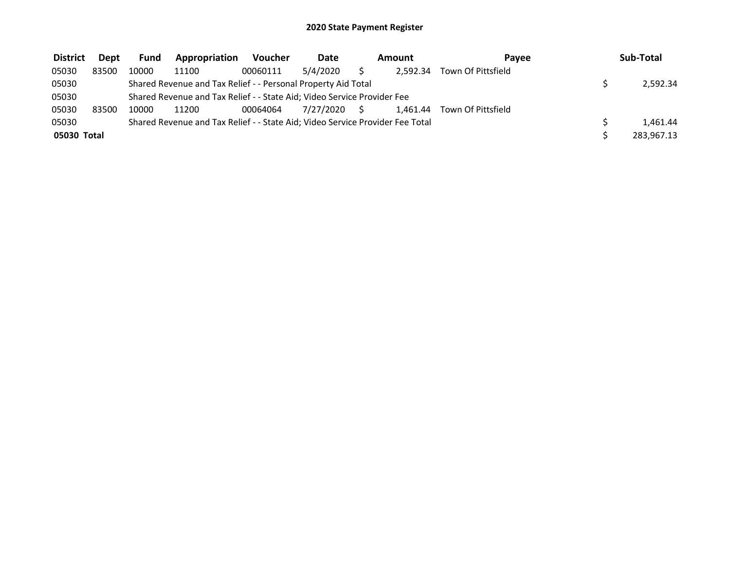| <b>District</b> | <b>Dept</b> | Fund  | Appropriation                                                                 | Voucher  | Date         | Amount   | Pavee                       | Sub-Total  |
|-----------------|-------------|-------|-------------------------------------------------------------------------------|----------|--------------|----------|-----------------------------|------------|
| 05030           | 83500       | 10000 | 11100                                                                         | 00060111 | 5/4/2020     | 2.592.34 | Town Of Pittsfield          |            |
| 05030           |             |       | Shared Revenue and Tax Relief - - Personal Property Aid Total                 |          |              |          |                             | 2,592.34   |
| 05030           |             |       | Shared Revenue and Tax Relief - - State Aid; Video Service Provider Fee       |          |              |          |                             |            |
| 05030           | 83500       | 10000 | 11200                                                                         | 00064064 | 7/27/2020 \$ |          | 1.461.44 Town Of Pittsfield |            |
| 05030           |             |       | Shared Revenue and Tax Relief - - State Aid; Video Service Provider Fee Total |          |              |          |                             | 1.461.44   |
| 05030 Total     |             |       |                                                                               |          |              |          |                             | 283,967.13 |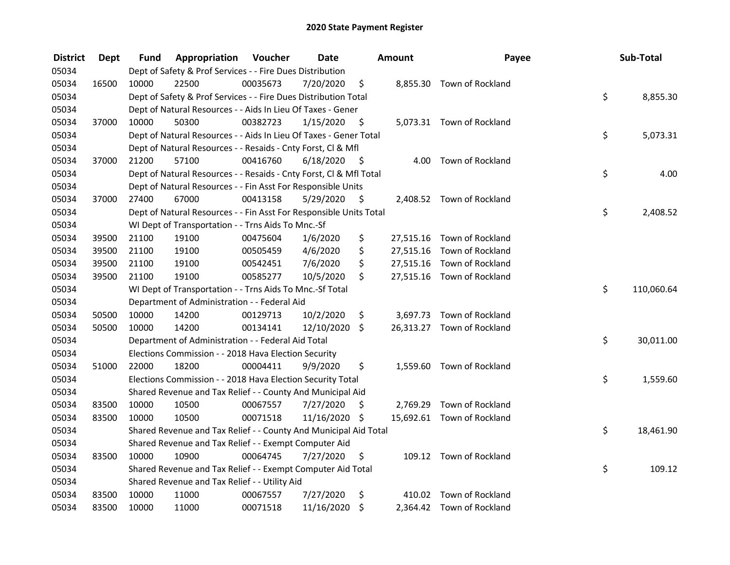| <b>District</b> | Dept  | Fund  | Appropriation                                                      | Voucher  | <b>Date</b>   |      | Amount | Payee                      | Sub-Total        |
|-----------------|-------|-------|--------------------------------------------------------------------|----------|---------------|------|--------|----------------------------|------------------|
| 05034           |       |       | Dept of Safety & Prof Services - - Fire Dues Distribution          |          |               |      |        |                            |                  |
| 05034           | 16500 | 10000 | 22500                                                              | 00035673 | 7/20/2020     | \$   |        | 8,855.30 Town of Rockland  |                  |
| 05034           |       |       | Dept of Safety & Prof Services - - Fire Dues Distribution Total    |          |               |      |        |                            | \$<br>8,855.30   |
| 05034           |       |       | Dept of Natural Resources - - Aids In Lieu Of Taxes - Gener        |          |               |      |        |                            |                  |
| 05034           | 37000 | 10000 | 50300                                                              | 00382723 | 1/15/2020     | - \$ |        | 5,073.31 Town of Rockland  |                  |
| 05034           |       |       | Dept of Natural Resources - - Aids In Lieu Of Taxes - Gener Total  |          |               |      |        |                            | \$<br>5,073.31   |
| 05034           |       |       | Dept of Natural Resources - - Resaids - Cnty Forst, Cl & Mfl       |          |               |      |        |                            |                  |
| 05034           | 37000 | 21200 | 57100                                                              | 00416760 | 6/18/2020     | - \$ |        | 4.00 Town of Rockland      |                  |
| 05034           |       |       | Dept of Natural Resources - - Resaids - Cnty Forst, Cl & Mfl Total |          |               |      |        |                            | \$<br>4.00       |
| 05034           |       |       | Dept of Natural Resources - - Fin Asst For Responsible Units       |          |               |      |        |                            |                  |
| 05034           | 37000 | 27400 | 67000                                                              | 00413158 | 5/29/2020     | - \$ |        | 2,408.52 Town of Rockland  |                  |
| 05034           |       |       | Dept of Natural Resources - - Fin Asst For Responsible Units Total |          |               |      |        |                            | \$<br>2,408.52   |
| 05034           |       |       | WI Dept of Transportation - - Trns Aids To Mnc.-Sf                 |          |               |      |        |                            |                  |
| 05034           | 39500 | 21100 | 19100                                                              | 00475604 | 1/6/2020      | \$   |        | 27,515.16 Town of Rockland |                  |
| 05034           | 39500 | 21100 | 19100                                                              | 00505459 | 4/6/2020      | \$   |        | 27,515.16 Town of Rockland |                  |
| 05034           | 39500 | 21100 | 19100                                                              | 00542451 | 7/6/2020      | \$   |        | 27,515.16 Town of Rockland |                  |
| 05034           | 39500 | 21100 | 19100                                                              | 00585277 | 10/5/2020     | \$   |        | 27,515.16 Town of Rockland |                  |
| 05034           |       |       | WI Dept of Transportation - - Trns Aids To Mnc.-Sf Total           |          |               |      |        |                            | \$<br>110,060.64 |
| 05034           |       |       | Department of Administration - - Federal Aid                       |          |               |      |        |                            |                  |
| 05034           | 50500 | 10000 | 14200                                                              | 00129713 | 10/2/2020     | \$   |        | 3,697.73 Town of Rockland  |                  |
| 05034           | 50500 | 10000 | 14200                                                              | 00134141 | 12/10/2020 \$ |      |        | 26,313.27 Town of Rockland |                  |
| 05034           |       |       | Department of Administration - - Federal Aid Total                 |          |               |      |        |                            | \$<br>30,011.00  |
| 05034           |       |       | Elections Commission - - 2018 Hava Election Security               |          |               |      |        |                            |                  |
| 05034           | 51000 | 22000 | 18200                                                              | 00004411 | 9/9/2020      | \$   |        | 1,559.60 Town of Rockland  |                  |
| 05034           |       |       | Elections Commission - - 2018 Hava Election Security Total         |          |               |      |        |                            | \$<br>1,559.60   |
| 05034           |       |       | Shared Revenue and Tax Relief - - County And Municipal Aid         |          |               |      |        |                            |                  |
| 05034           | 83500 | 10000 | 10500                                                              | 00067557 | 7/27/2020     | \$   |        | 2,769.29 Town of Rockland  |                  |
| 05034           | 83500 | 10000 | 10500                                                              | 00071518 | 11/16/2020 \$ |      |        | 15,692.61 Town of Rockland |                  |
| 05034           |       |       | Shared Revenue and Tax Relief - - County And Municipal Aid Total   |          |               |      |        |                            | \$<br>18,461.90  |
| 05034           |       |       | Shared Revenue and Tax Relief - - Exempt Computer Aid              |          |               |      |        |                            |                  |
| 05034           | 83500 | 10000 | 10900                                                              | 00064745 | 7/27/2020     | \$   |        | 109.12 Town of Rockland    |                  |
| 05034           |       |       | Shared Revenue and Tax Relief - - Exempt Computer Aid Total        |          |               |      |        |                            | \$<br>109.12     |
| 05034           |       |       | Shared Revenue and Tax Relief - - Utility Aid                      |          |               |      |        |                            |                  |
| 05034           | 83500 | 10000 | 11000                                                              | 00067557 | 7/27/2020     | \$   |        | 410.02 Town of Rockland    |                  |
| 05034           | 83500 | 10000 | 11000                                                              | 00071518 | 11/16/2020    | \$   |        | 2,364.42 Town of Rockland  |                  |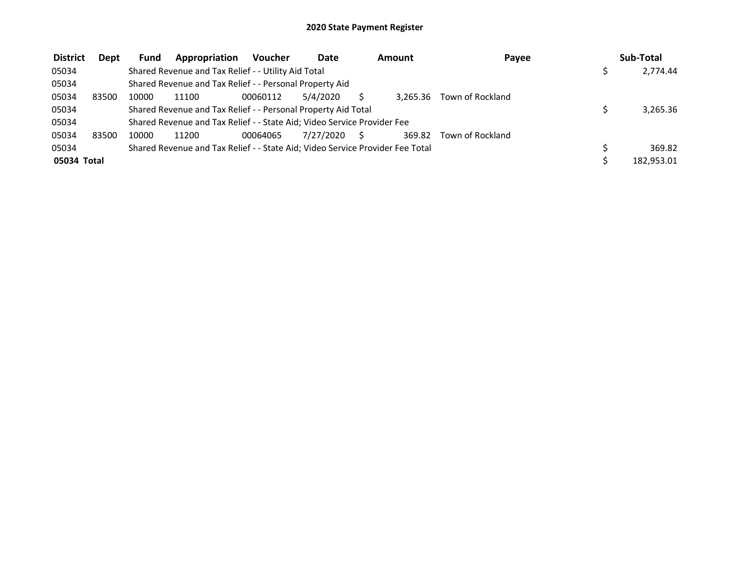| <b>District</b> | <b>Dept</b> | <b>Fund</b> | Appropriation                                                                 | <b>Voucher</b> | Date      |    | Amount   | Payee            | Sub-Total  |
|-----------------|-------------|-------------|-------------------------------------------------------------------------------|----------------|-----------|----|----------|------------------|------------|
| 05034           |             |             | Shared Revenue and Tax Relief - - Utility Aid Total                           |                |           |    |          |                  | 2,774.44   |
| 05034           |             |             | Shared Revenue and Tax Relief - - Personal Property Aid                       |                |           |    |          |                  |            |
| 05034           | 83500       | 10000       | 11100                                                                         | 00060112       | 5/4/2020  |    | 3.265.36 | Town of Rockland |            |
| 05034           |             |             | Shared Revenue and Tax Relief - - Personal Property Aid Total                 |                |           |    |          |                  | 3,265.36   |
| 05034           |             |             | Shared Revenue and Tax Relief - - State Aid; Video Service Provider Fee       |                |           |    |          |                  |            |
| 05034           | 83500       | 10000       | 11200                                                                         | 00064065       | 7/27/2020 | S. | 369.82   | Town of Rockland |            |
| 05034           |             |             | Shared Revenue and Tax Relief - - State Aid; Video Service Provider Fee Total |                |           |    |          |                  | 369.82     |
| 05034 Total     |             |             |                                                                               |                |           |    |          |                  | 182,953.01 |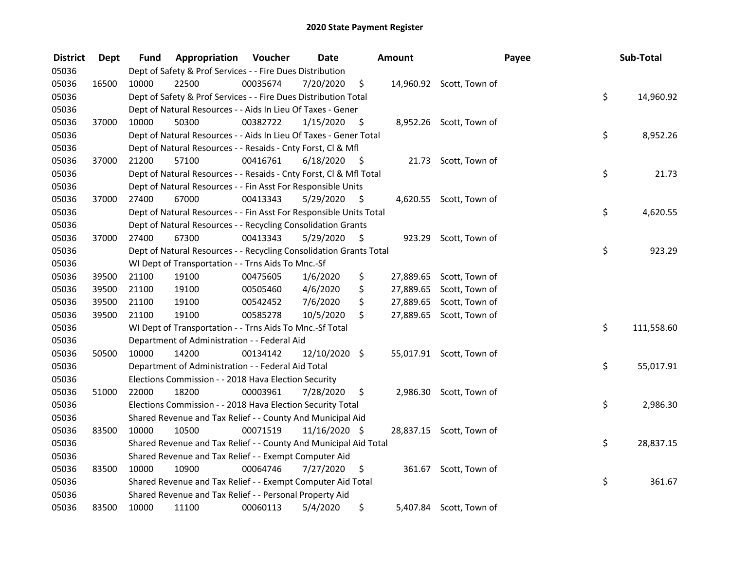| <b>District</b> | <b>Dept</b> | Fund  | Appropriation                                                      | Voucher  | <b>Date</b>   |      | <b>Amount</b> |                          | Payee | Sub-Total  |
|-----------------|-------------|-------|--------------------------------------------------------------------|----------|---------------|------|---------------|--------------------------|-------|------------|
| 05036           |             |       | Dept of Safety & Prof Services - - Fire Dues Distribution          |          |               |      |               |                          |       |            |
| 05036           | 16500       | 10000 | 22500                                                              | 00035674 | 7/20/2020     | \$   |               | 14,960.92 Scott, Town of |       |            |
| 05036           |             |       | Dept of Safety & Prof Services - - Fire Dues Distribution Total    |          |               |      |               |                          | \$    | 14,960.92  |
| 05036           |             |       | Dept of Natural Resources - - Aids In Lieu Of Taxes - Gener        |          |               |      |               |                          |       |            |
| 05036           | 37000       | 10000 | 50300                                                              | 00382722 | 1/15/2020     | \$   |               | 8,952.26 Scott, Town of  |       |            |
| 05036           |             |       | Dept of Natural Resources - - Aids In Lieu Of Taxes - Gener Total  |          |               |      |               |                          | \$    | 8,952.26   |
| 05036           |             |       | Dept of Natural Resources - - Resaids - Cnty Forst, Cl & Mfl       |          |               |      |               |                          |       |            |
| 05036           | 37000       | 21200 | 57100                                                              | 00416761 | 6/18/2020     | - \$ |               | 21.73 Scott, Town of     |       |            |
| 05036           |             |       | Dept of Natural Resources - - Resaids - Cnty Forst, Cl & Mfl Total |          |               |      |               |                          | \$    | 21.73      |
| 05036           |             |       | Dept of Natural Resources - - Fin Asst For Responsible Units       |          |               |      |               |                          |       |            |
| 05036           | 37000       | 27400 | 67000                                                              | 00413343 | 5/29/2020     | - \$ |               | 4,620.55 Scott, Town of  |       |            |
| 05036           |             |       | Dept of Natural Resources - - Fin Asst For Responsible Units Total |          |               |      |               |                          | \$    | 4,620.55   |
| 05036           |             |       | Dept of Natural Resources - - Recycling Consolidation Grants       |          |               |      |               |                          |       |            |
| 05036           | 37000       | 27400 | 67300                                                              | 00413343 | 5/29/2020     | \$.  |               | 923.29 Scott, Town of    |       |            |
| 05036           |             |       | Dept of Natural Resources - - Recycling Consolidation Grants Total |          |               |      |               |                          | \$    | 923.29     |
| 05036           |             |       | WI Dept of Transportation - - Trns Aids To Mnc.-Sf                 |          |               |      |               |                          |       |            |
| 05036           | 39500       | 21100 | 19100                                                              | 00475605 | 1/6/2020      | \$   | 27,889.65     | Scott, Town of           |       |            |
| 05036           | 39500       | 21100 | 19100                                                              | 00505460 | 4/6/2020      | \$   | 27,889.65     | Scott, Town of           |       |            |
| 05036           | 39500       | 21100 | 19100                                                              | 00542452 | 7/6/2020      | \$   | 27,889.65     | Scott, Town of           |       |            |
| 05036           | 39500       | 21100 | 19100                                                              | 00585278 | 10/5/2020     | \$   |               | 27,889.65 Scott, Town of |       |            |
| 05036           |             |       | WI Dept of Transportation - - Trns Aids To Mnc.-Sf Total           |          |               |      |               |                          | \$    | 111,558.60 |
| 05036           |             |       | Department of Administration - - Federal Aid                       |          |               |      |               |                          |       |            |
| 05036           | 50500       | 10000 | 14200                                                              | 00134142 | 12/10/2020 \$ |      |               | 55,017.91 Scott, Town of |       |            |
| 05036           |             |       | Department of Administration - - Federal Aid Total                 |          |               |      |               |                          | \$    | 55,017.91  |
| 05036           |             |       | Elections Commission - - 2018 Hava Election Security               |          |               |      |               |                          |       |            |
| 05036           | 51000       | 22000 | 18200                                                              | 00003961 | 7/28/2020     | \$   |               | 2,986.30 Scott, Town of  |       |            |
| 05036           |             |       | Elections Commission - - 2018 Hava Election Security Total         |          |               |      |               |                          | \$    | 2,986.30   |
| 05036           |             |       | Shared Revenue and Tax Relief - - County And Municipal Aid         |          |               |      |               |                          |       |            |
| 05036           | 83500       | 10000 | 10500                                                              | 00071519 | 11/16/2020 \$ |      |               | 28,837.15 Scott, Town of |       |            |
| 05036           |             |       | Shared Revenue and Tax Relief - - County And Municipal Aid Total   |          |               |      |               |                          | \$    | 28,837.15  |
| 05036           |             |       | Shared Revenue and Tax Relief - - Exempt Computer Aid              |          |               |      |               |                          |       |            |
| 05036           | 83500       | 10000 | 10900                                                              | 00064746 | 7/27/2020     | \$   |               | 361.67 Scott, Town of    |       |            |
| 05036           |             |       | Shared Revenue and Tax Relief - - Exempt Computer Aid Total        |          |               |      |               |                          | \$    | 361.67     |
| 05036           |             |       | Shared Revenue and Tax Relief - - Personal Property Aid            |          |               |      |               |                          |       |            |
| 05036           | 83500       | 10000 | 11100                                                              | 00060113 | 5/4/2020      | \$   |               | 5,407.84 Scott, Town of  |       |            |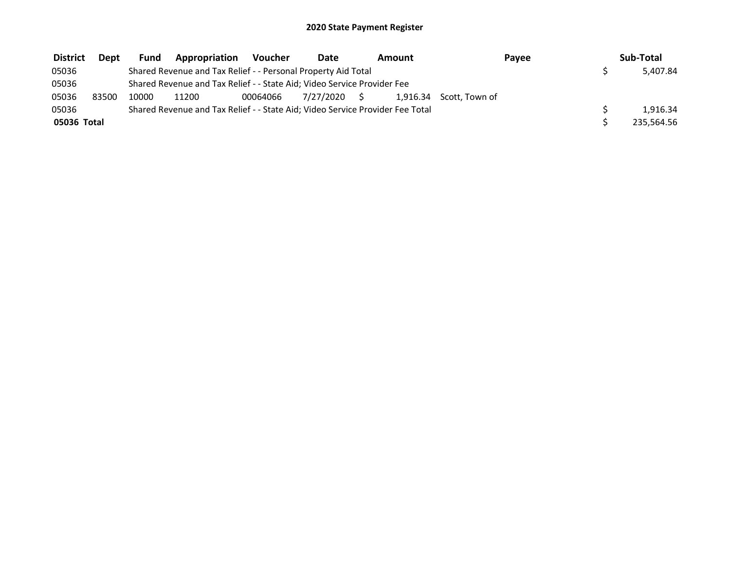| <b>District</b> | Dept  | Fund  | Appropriation                                                                 | Voucher  | Date         | Amount |                         | Payee | Sub-Total  |
|-----------------|-------|-------|-------------------------------------------------------------------------------|----------|--------------|--------|-------------------------|-------|------------|
| 05036           |       |       | Shared Revenue and Tax Relief - - Personal Property Aid Total                 |          |              |        |                         |       | 5.407.84   |
| 05036           |       |       | Shared Revenue and Tax Relief - - State Aid; Video Service Provider Fee       |          |              |        |                         |       |            |
| 05036           | 83500 | 10000 | 11200                                                                         | 00064066 | 7/27/2020 \$ |        | 1,916.34 Scott, Town of |       |            |
| 05036           |       |       | Shared Revenue and Tax Relief - - State Aid; Video Service Provider Fee Total |          |              |        |                         |       | 1.916.34   |
| 05036 Total     |       |       |                                                                               |          |              |        |                         |       | 235,564.56 |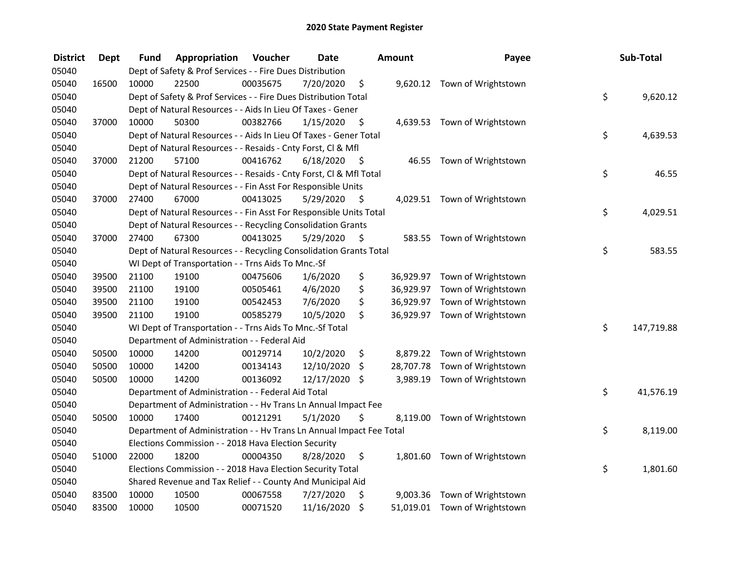| <b>District</b> | <b>Dept</b> | Fund  | Appropriation                                                        | Voucher  | <b>Date</b> |      | <b>Amount</b> | Payee                         | Sub-Total        |
|-----------------|-------------|-------|----------------------------------------------------------------------|----------|-------------|------|---------------|-------------------------------|------------------|
| 05040           |             |       | Dept of Safety & Prof Services - - Fire Dues Distribution            |          |             |      |               |                               |                  |
| 05040           | 16500       | 10000 | 22500                                                                | 00035675 | 7/20/2020   | \$   |               | 9,620.12 Town of Wrightstown  |                  |
| 05040           |             |       | Dept of Safety & Prof Services - - Fire Dues Distribution Total      |          |             |      |               |                               | \$<br>9,620.12   |
| 05040           |             |       | Dept of Natural Resources - - Aids In Lieu Of Taxes - Gener          |          |             |      |               |                               |                  |
| 05040           | 37000       | 10000 | 50300                                                                | 00382766 | 1/15/2020   | \$   |               | 4,639.53 Town of Wrightstown  |                  |
| 05040           |             |       | Dept of Natural Resources - - Aids In Lieu Of Taxes - Gener Total    |          |             |      |               |                               | \$<br>4,639.53   |
| 05040           |             |       | Dept of Natural Resources - - Resaids - Cnty Forst, Cl & Mfl         |          |             |      |               |                               |                  |
| 05040           | 37000       | 21200 | 57100                                                                | 00416762 | 6/18/2020   | - \$ |               | 46.55 Town of Wrightstown     |                  |
| 05040           |             |       | Dept of Natural Resources - - Resaids - Cnty Forst, Cl & Mfl Total   |          |             |      |               |                               | \$<br>46.55      |
| 05040           |             |       | Dept of Natural Resources - - Fin Asst For Responsible Units         |          |             |      |               |                               |                  |
| 05040           | 37000       | 27400 | 67000                                                                | 00413025 | 5/29/2020   | - \$ |               | 4,029.51 Town of Wrightstown  |                  |
| 05040           |             |       | Dept of Natural Resources - - Fin Asst For Responsible Units Total   |          |             |      |               |                               | \$<br>4,029.51   |
| 05040           |             |       | Dept of Natural Resources - - Recycling Consolidation Grants         |          |             |      |               |                               |                  |
| 05040           | 37000       | 27400 | 67300                                                                | 00413025 | 5/29/2020   | \$.  | 583.55        | Town of Wrightstown           |                  |
| 05040           |             |       | Dept of Natural Resources - - Recycling Consolidation Grants Total   |          |             |      |               |                               | \$<br>583.55     |
| 05040           |             |       | WI Dept of Transportation - - Trns Aids To Mnc.-Sf                   |          |             |      |               |                               |                  |
| 05040           | 39500       | 21100 | 19100                                                                | 00475606 | 1/6/2020    | \$   | 36,929.97     | Town of Wrightstown           |                  |
| 05040           | 39500       | 21100 | 19100                                                                | 00505461 | 4/6/2020    | \$   |               | 36,929.97 Town of Wrightstown |                  |
| 05040           | 39500       | 21100 | 19100                                                                | 00542453 | 7/6/2020    | \$   |               | 36,929.97 Town of Wrightstown |                  |
| 05040           | 39500       | 21100 | 19100                                                                | 00585279 | 10/5/2020   | \$   |               | 36,929.97 Town of Wrightstown |                  |
| 05040           |             |       | WI Dept of Transportation - - Trns Aids To Mnc.-Sf Total             |          |             |      |               |                               | \$<br>147,719.88 |
| 05040           |             |       | Department of Administration - - Federal Aid                         |          |             |      |               |                               |                  |
| 05040           | 50500       | 10000 | 14200                                                                | 00129714 | 10/2/2020   | \$   |               | 8,879.22 Town of Wrightstown  |                  |
| 05040           | 50500       | 10000 | 14200                                                                | 00134143 | 12/10/2020  | \$   | 28,707.78     | Town of Wrightstown           |                  |
| 05040           | 50500       | 10000 | 14200                                                                | 00136092 | 12/17/2020  | \$   | 3,989.19      | Town of Wrightstown           |                  |
| 05040           |             |       | Department of Administration - - Federal Aid Total                   |          |             |      |               |                               | \$<br>41,576.19  |
| 05040           |             |       | Department of Administration - - Hv Trans Ln Annual Impact Fee       |          |             |      |               |                               |                  |
| 05040           | 50500       | 10000 | 17400                                                                | 00121291 | 5/1/2020    | \$   |               | 8,119.00 Town of Wrightstown  |                  |
| 05040           |             |       | Department of Administration - - Hv Trans Ln Annual Impact Fee Total |          |             |      |               |                               | \$<br>8,119.00   |
| 05040           |             |       | Elections Commission - - 2018 Hava Election Security                 |          |             |      |               |                               |                  |
| 05040           | 51000       | 22000 | 18200                                                                | 00004350 | 8/28/2020   | \$   |               | 1,801.60 Town of Wrightstown  |                  |
| 05040           |             |       | Elections Commission - - 2018 Hava Election Security Total           |          |             |      |               |                               | \$<br>1,801.60   |
| 05040           |             |       | Shared Revenue and Tax Relief - - County And Municipal Aid           |          |             |      |               |                               |                  |
| 05040           | 83500       | 10000 | 10500                                                                | 00067558 | 7/27/2020   | \$   |               | 9,003.36 Town of Wrightstown  |                  |
| 05040           | 83500       | 10000 | 10500                                                                | 00071520 | 11/16/2020  | \$   |               | 51,019.01 Town of Wrightstown |                  |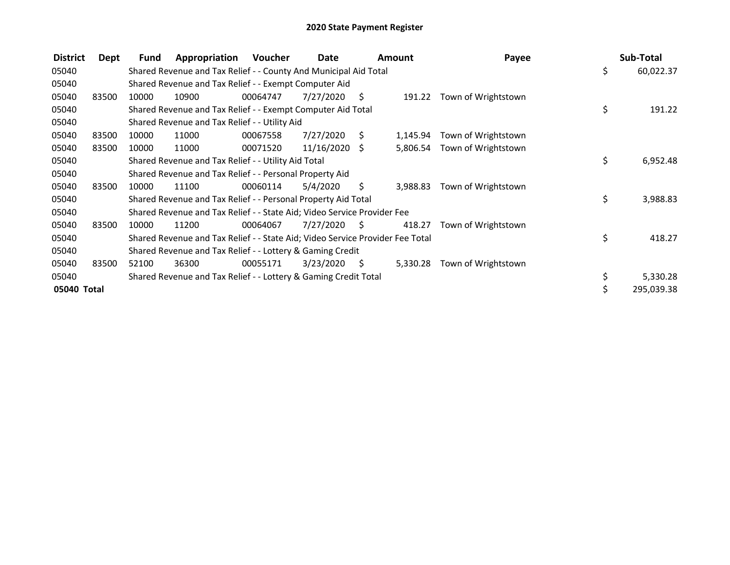| <b>District</b> | Dept  | Fund  | Appropriation                                                                 | <b>Voucher</b> | Date            |                     | <b>Amount</b> | Payee                      | Sub-Total        |
|-----------------|-------|-------|-------------------------------------------------------------------------------|----------------|-----------------|---------------------|---------------|----------------------------|------------------|
| 05040           |       |       | Shared Revenue and Tax Relief - - County And Municipal Aid Total              |                |                 |                     |               |                            | \$<br>60,022.37  |
| 05040           |       |       | Shared Revenue and Tax Relief - - Exempt Computer Aid                         |                |                 |                     |               |                            |                  |
| 05040           | 83500 | 10000 | 10900                                                                         | 00064747       | 7/27/2020       | S.                  |               | 191.22 Town of Wrightstown |                  |
| 05040           |       |       | Shared Revenue and Tax Relief - - Exempt Computer Aid Total                   |                |                 |                     |               |                            | \$<br>191.22     |
| 05040           |       |       | Shared Revenue and Tax Relief - - Utility Aid                                 |                |                 |                     |               |                            |                  |
| 05040           | 83500 | 10000 | 11000                                                                         | 00067558       | 7/27/2020       | S.                  | 1,145.94      | Town of Wrightstown        |                  |
| 05040           | 83500 | 10000 | 11000                                                                         | 00071520       | $11/16/2020$ \$ |                     | 5,806.54      | Town of Wrightstown        |                  |
| 05040           |       |       | Shared Revenue and Tax Relief - - Utility Aid Total                           |                |                 |                     |               |                            | \$<br>6,952.48   |
| 05040           |       |       | Shared Revenue and Tax Relief - - Personal Property Aid                       |                |                 |                     |               |                            |                  |
| 05040           | 83500 | 10000 | 11100                                                                         | 00060114       | 5/4/2020        | S.                  | 3,988.83      | Town of Wrightstown        |                  |
| 05040           |       |       | Shared Revenue and Tax Relief - - Personal Property Aid Total                 |                |                 |                     |               |                            | \$<br>3,988.83   |
| 05040           |       |       | Shared Revenue and Tax Relief - - State Aid; Video Service Provider Fee       |                |                 |                     |               |                            |                  |
| 05040           | 83500 | 10000 | 11200                                                                         | 00064067       | 7/27/2020       | - S                 | 418.27        | Town of Wrightstown        |                  |
| 05040           |       |       | Shared Revenue and Tax Relief - - State Aid; Video Service Provider Fee Total |                |                 |                     |               |                            | \$<br>418.27     |
| 05040           |       |       | Shared Revenue and Tax Relief - - Lottery & Gaming Credit                     |                |                 |                     |               |                            |                  |
| 05040           | 83500 | 52100 | 36300                                                                         | 00055171       | 3/23/2020       | $\ddot{\mathsf{s}}$ | 5,330.28      | Town of Wrightstown        |                  |
| 05040           |       |       | Shared Revenue and Tax Relief - - Lottery & Gaming Credit Total               |                |                 |                     |               |                            | \$<br>5,330.28   |
| 05040 Total     |       |       |                                                                               |                |                 |                     |               |                            | \$<br>295,039.38 |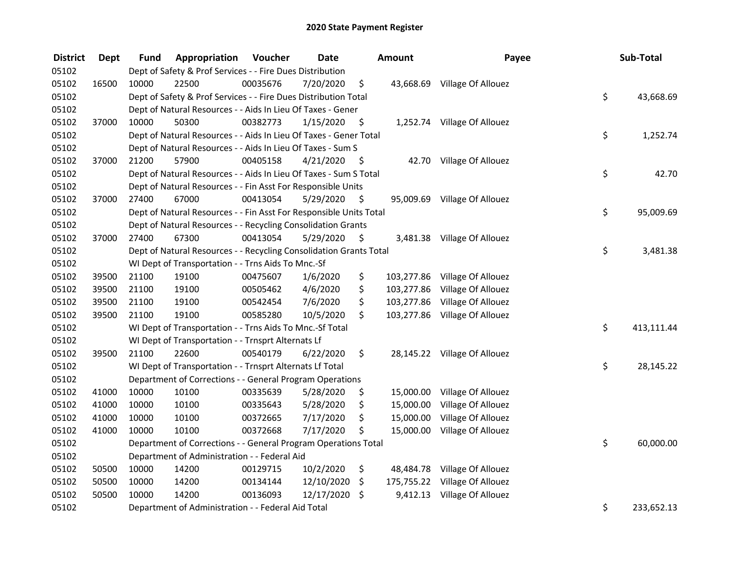| <b>District</b> | <b>Dept</b> | Fund  | Appropriation                                                      | Voucher  | <b>Date</b> |      | <b>Amount</b> | Payee                         | Sub-Total        |
|-----------------|-------------|-------|--------------------------------------------------------------------|----------|-------------|------|---------------|-------------------------------|------------------|
| 05102           |             |       | Dept of Safety & Prof Services - - Fire Dues Distribution          |          |             |      |               |                               |                  |
| 05102           | 16500       | 10000 | 22500                                                              | 00035676 | 7/20/2020   | \$   |               | 43,668.69 Village Of Allouez  |                  |
| 05102           |             |       | Dept of Safety & Prof Services - - Fire Dues Distribution Total    |          |             |      |               |                               | \$<br>43,668.69  |
| 05102           |             |       | Dept of Natural Resources - - Aids In Lieu Of Taxes - Gener        |          |             |      |               |                               |                  |
| 05102           | 37000       | 10000 | 50300                                                              | 00382773 | 1/15/2020   | \$   |               | 1,252.74 Village Of Allouez   |                  |
| 05102           |             |       | Dept of Natural Resources - - Aids In Lieu Of Taxes - Gener Total  |          |             |      |               |                               | \$<br>1,252.74   |
| 05102           |             |       | Dept of Natural Resources - - Aids In Lieu Of Taxes - Sum S        |          |             |      |               |                               |                  |
| 05102           | 37000       | 21200 | 57900                                                              | 00405158 | 4/21/2020   | - \$ |               | 42.70 Village Of Allouez      |                  |
| 05102           |             |       | Dept of Natural Resources - - Aids In Lieu Of Taxes - Sum S Total  |          |             |      |               |                               | \$<br>42.70      |
| 05102           |             |       | Dept of Natural Resources - - Fin Asst For Responsible Units       |          |             |      |               |                               |                  |
| 05102           | 37000       | 27400 | 67000                                                              | 00413054 | 5/29/2020   | \$   |               | 95,009.69 Village Of Allouez  |                  |
| 05102           |             |       | Dept of Natural Resources - - Fin Asst For Responsible Units Total |          |             |      |               |                               | \$<br>95,009.69  |
| 05102           |             |       | Dept of Natural Resources - - Recycling Consolidation Grants       |          |             |      |               |                               |                  |
| 05102           | 37000       | 27400 | 67300                                                              | 00413054 | 5/29/2020   | \$.  |               | 3,481.38 Village Of Allouez   |                  |
| 05102           |             |       | Dept of Natural Resources - - Recycling Consolidation Grants Total |          |             |      |               |                               | \$<br>3,481.38   |
| 05102           |             |       | WI Dept of Transportation - - Trns Aids To Mnc.-Sf                 |          |             |      |               |                               |                  |
| 05102           | 39500       | 21100 | 19100                                                              | 00475607 | 1/6/2020    | \$   | 103,277.86    | Village Of Allouez            |                  |
| 05102           | 39500       | 21100 | 19100                                                              | 00505462 | 4/6/2020    | \$   | 103,277.86    | Village Of Allouez            |                  |
| 05102           | 39500       | 21100 | 19100                                                              | 00542454 | 7/6/2020    | \$   |               | 103,277.86 Village Of Allouez |                  |
| 05102           | 39500       | 21100 | 19100                                                              | 00585280 | 10/5/2020   | \$   |               | 103,277.86 Village Of Allouez |                  |
| 05102           |             |       | WI Dept of Transportation - - Trns Aids To Mnc.-Sf Total           |          |             |      |               |                               | \$<br>413,111.44 |
| 05102           |             |       | WI Dept of Transportation - - Trnsprt Alternats Lf                 |          |             |      |               |                               |                  |
| 05102           | 39500       | 21100 | 22600                                                              | 00540179 | 6/22/2020   | \$.  |               | 28,145.22 Village Of Allouez  |                  |
| 05102           |             |       | WI Dept of Transportation - - Trnsprt Alternats Lf Total           |          |             |      |               |                               | \$<br>28,145.22  |
| 05102           |             |       | Department of Corrections - - General Program Operations           |          |             |      |               |                               |                  |
| 05102           | 41000       | 10000 | 10100                                                              | 00335639 | 5/28/2020   | \$   | 15,000.00     | Village Of Allouez            |                  |
| 05102           | 41000       | 10000 | 10100                                                              | 00335643 | 5/28/2020   | \$   | 15,000.00     | Village Of Allouez            |                  |
| 05102           | 41000       | 10000 | 10100                                                              | 00372665 | 7/17/2020   | \$   | 15,000.00     | Village Of Allouez            |                  |
| 05102           | 41000       | 10000 | 10100                                                              | 00372668 | 7/17/2020   | \$   | 15,000.00     | Village Of Allouez            |                  |
| 05102           |             |       | Department of Corrections - - General Program Operations Total     |          |             |      |               |                               | \$<br>60,000.00  |
| 05102           |             |       | Department of Administration - - Federal Aid                       |          |             |      |               |                               |                  |
| 05102           | 50500       | 10000 | 14200                                                              | 00129715 | 10/2/2020   | \$   |               | 48,484.78 Village Of Allouez  |                  |
| 05102           | 50500       | 10000 | 14200                                                              | 00134144 | 12/10/2020  | \$   |               | 175,755.22 Village Of Allouez |                  |
| 05102           | 50500       | 10000 | 14200                                                              | 00136093 | 12/17/2020  | \$   |               | 9,412.13 Village Of Allouez   |                  |
| 05102           |             |       | Department of Administration - - Federal Aid Total                 |          |             |      |               |                               | \$<br>233,652.13 |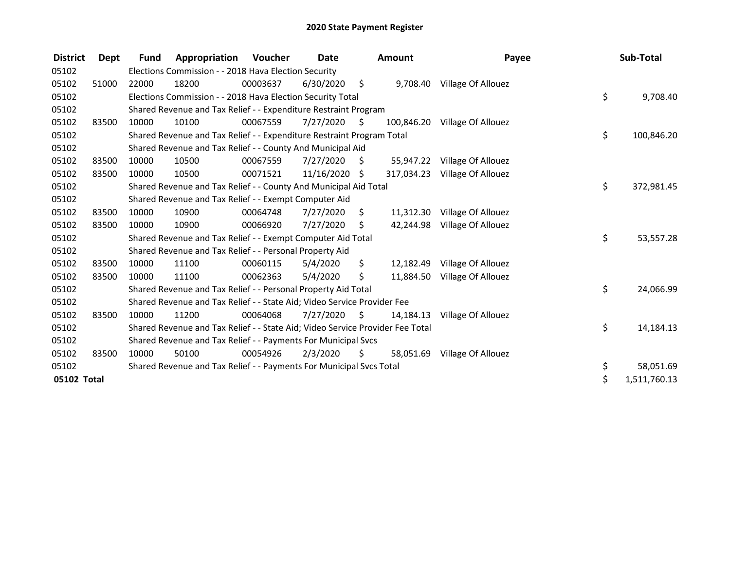| <b>District</b> | Dept  | <b>Fund</b> | Appropriation                                                                 | Voucher  | Date          |    | Amount     | Payee                         | Sub-Total          |
|-----------------|-------|-------------|-------------------------------------------------------------------------------|----------|---------------|----|------------|-------------------------------|--------------------|
| 05102           |       |             | Elections Commission - - 2018 Hava Election Security                          |          |               |    |            |                               |                    |
| 05102           | 51000 | 22000       | 18200                                                                         | 00003637 | 6/30/2020     | \$ |            | 9,708.40 Village Of Allouez   |                    |
| 05102           |       |             | Elections Commission - - 2018 Hava Election Security Total                    |          |               |    |            |                               | \$<br>9,708.40     |
| 05102           |       |             | Shared Revenue and Tax Relief - - Expenditure Restraint Program               |          |               |    |            |                               |                    |
| 05102           | 83500 | 10000       | 10100                                                                         | 00067559 | 7/27/2020     | Ŝ. | 100,846.20 | Village Of Allouez            |                    |
| 05102           |       |             | Shared Revenue and Tax Relief - - Expenditure Restraint Program Total         |          |               |    |            |                               | \$<br>100,846.20   |
| 05102           |       |             | Shared Revenue and Tax Relief - - County And Municipal Aid                    |          |               |    |            |                               |                    |
| 05102           | 83500 | 10000       | 10500                                                                         | 00067559 | 7/27/2020     | S  | 55,947.22  | Village Of Allouez            |                    |
| 05102           | 83500 | 10000       | 10500                                                                         | 00071521 | 11/16/2020 \$ |    |            | 317,034.23 Village Of Allouez |                    |
| 05102           |       |             | Shared Revenue and Tax Relief - - County And Municipal Aid Total              |          |               |    |            |                               | \$<br>372,981.45   |
| 05102           |       |             | Shared Revenue and Tax Relief - - Exempt Computer Aid                         |          |               |    |            |                               |                    |
| 05102           | 83500 | 10000       | 10900                                                                         | 00064748 | 7/27/2020     | S  | 11,312.30  | Village Of Allouez            |                    |
| 05102           | 83500 | 10000       | 10900                                                                         | 00066920 | 7/27/2020     | \$ | 42,244.98  | Village Of Allouez            |                    |
| 05102           |       |             | Shared Revenue and Tax Relief - - Exempt Computer Aid Total                   |          |               |    |            |                               | \$<br>53,557.28    |
| 05102           |       |             | Shared Revenue and Tax Relief - - Personal Property Aid                       |          |               |    |            |                               |                    |
| 05102           | 83500 | 10000       | 11100                                                                         | 00060115 | 5/4/2020      | \$ | 12,182.49  | Village Of Allouez            |                    |
| 05102           | 83500 | 10000       | 11100                                                                         | 00062363 | 5/4/2020      | \$ | 11,884.50  | Village Of Allouez            |                    |
| 05102           |       |             | Shared Revenue and Tax Relief - - Personal Property Aid Total                 |          |               |    |            |                               | \$<br>24,066.99    |
| 05102           |       |             | Shared Revenue and Tax Relief - - State Aid; Video Service Provider Fee       |          |               |    |            |                               |                    |
| 05102           | 83500 | 10000       | 11200                                                                         | 00064068 | 7/27/2020     | Ŝ. | 14,184.13  | Village Of Allouez            |                    |
| 05102           |       |             | Shared Revenue and Tax Relief - - State Aid; Video Service Provider Fee Total |          |               |    |            |                               | \$<br>14,184.13    |
| 05102           |       |             | Shared Revenue and Tax Relief - - Payments For Municipal Svcs                 |          |               |    |            |                               |                    |
| 05102           | 83500 | 10000       | 50100                                                                         | 00054926 | 2/3/2020      | S  | 58,051.69  | Village Of Allouez            |                    |
| 05102           |       |             | Shared Revenue and Tax Relief - - Payments For Municipal Svcs Total           |          |               |    |            |                               | \$<br>58,051.69    |
| 05102 Total     |       |             |                                                                               |          |               |    |            |                               | \$<br>1,511,760.13 |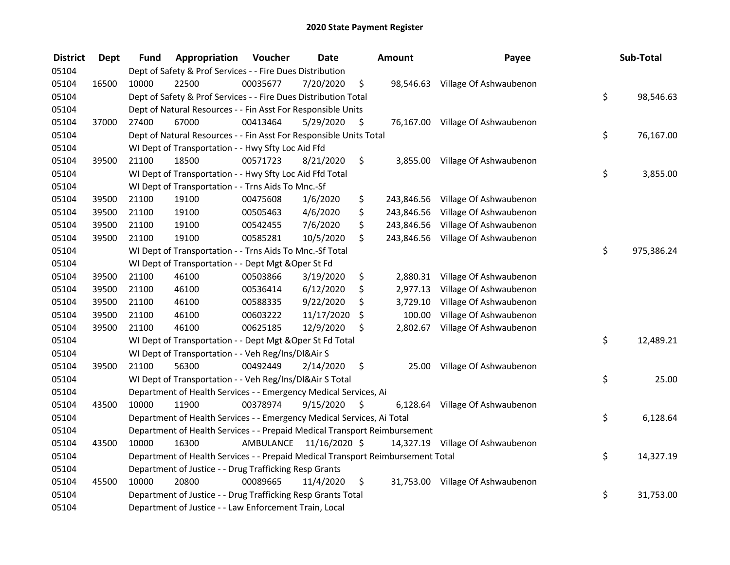| <b>District</b> | <b>Dept</b> | Fund  | Appropriation                                                                   | Voucher  | <b>Date</b>             | <b>Amount</b>    | Payee                            | Sub-Total        |
|-----------------|-------------|-------|---------------------------------------------------------------------------------|----------|-------------------------|------------------|----------------------------------|------------------|
| 05104           |             |       | Dept of Safety & Prof Services - - Fire Dues Distribution                       |          |                         |                  |                                  |                  |
| 05104           | 16500       | 10000 | 22500                                                                           | 00035677 | 7/20/2020               | \$               | 98,546.63 Village Of Ashwaubenon |                  |
| 05104           |             |       | Dept of Safety & Prof Services - - Fire Dues Distribution Total                 |          |                         |                  |                                  | \$<br>98,546.63  |
| 05104           |             |       | Dept of Natural Resources - - Fin Asst For Responsible Units                    |          |                         |                  |                                  |                  |
| 05104           | 37000       | 27400 | 67000                                                                           | 00413464 | 5/29/2020               | \$               | 76,167.00 Village Of Ashwaubenon |                  |
| 05104           |             |       | Dept of Natural Resources - - Fin Asst For Responsible Units Total              |          |                         |                  |                                  | \$<br>76,167.00  |
| 05104           |             |       | WI Dept of Transportation - - Hwy Sfty Loc Aid Ffd                              |          |                         |                  |                                  |                  |
| 05104           | 39500       | 21100 | 18500                                                                           | 00571723 | 8/21/2020               | \$               | 3,855.00 Village Of Ashwaubenon  |                  |
| 05104           |             |       | WI Dept of Transportation - - Hwy Sfty Loc Aid Ffd Total                        |          |                         |                  |                                  | \$<br>3,855.00   |
| 05104           |             |       | WI Dept of Transportation - - Trns Aids To Mnc.-Sf                              |          |                         |                  |                                  |                  |
| 05104           | 39500       | 21100 | 19100                                                                           | 00475608 | 1/6/2020                | \$<br>243,846.56 | Village Of Ashwaubenon           |                  |
| 05104           | 39500       | 21100 | 19100                                                                           | 00505463 | 4/6/2020                | \$<br>243,846.56 | Village Of Ashwaubenon           |                  |
| 05104           | 39500       | 21100 | 19100                                                                           | 00542455 | 7/6/2020                | \$<br>243,846.56 | Village Of Ashwaubenon           |                  |
| 05104           | 39500       | 21100 | 19100                                                                           | 00585281 | 10/5/2020               | \$<br>243,846.56 | Village Of Ashwaubenon           |                  |
| 05104           |             |       | WI Dept of Transportation - - Trns Aids To Mnc.-Sf Total                        |          |                         |                  |                                  | \$<br>975,386.24 |
| 05104           |             |       | WI Dept of Transportation - - Dept Mgt & Oper St Fd                             |          |                         |                  |                                  |                  |
| 05104           | 39500       | 21100 | 46100                                                                           | 00503866 | 3/19/2020               | \$<br>2,880.31   | Village Of Ashwaubenon           |                  |
| 05104           | 39500       | 21100 | 46100                                                                           | 00536414 | 6/12/2020               | \$<br>2,977.13   | Village Of Ashwaubenon           |                  |
| 05104           | 39500       | 21100 | 46100                                                                           | 00588335 | 9/22/2020               | \$<br>3,729.10   | Village Of Ashwaubenon           |                  |
| 05104           | 39500       | 21100 | 46100                                                                           | 00603222 | 11/17/2020              | \$<br>100.00     | Village Of Ashwaubenon           |                  |
| 05104           | 39500       | 21100 | 46100                                                                           | 00625185 | 12/9/2020               | \$<br>2,802.67   | Village Of Ashwaubenon           |                  |
| 05104           |             |       | WI Dept of Transportation - - Dept Mgt & Oper St Fd Total                       |          |                         |                  |                                  | \$<br>12,489.21  |
| 05104           |             |       | WI Dept of Transportation - - Veh Reg/Ins/DI&Air S                              |          |                         |                  |                                  |                  |
| 05104           | 39500       | 21100 | 56300                                                                           | 00492449 | 2/14/2020               | \$<br>25.00      | Village Of Ashwaubenon           |                  |
| 05104           |             |       | WI Dept of Transportation - - Veh Reg/Ins/DI&Air S Total                        |          |                         |                  |                                  | \$<br>25.00      |
| 05104           |             |       | Department of Health Services - - Emergency Medical Services, Ai                |          |                         |                  |                                  |                  |
| 05104           | 43500       | 10000 | 11900                                                                           | 00378974 | 9/15/2020               | \$               | 6,128.64 Village Of Ashwaubenon  |                  |
| 05104           |             |       | Department of Health Services - - Emergency Medical Services, Ai Total          |          |                         |                  |                                  | \$<br>6,128.64   |
| 05104           |             |       | Department of Health Services - - Prepaid Medical Transport Reimbursement       |          |                         |                  |                                  |                  |
| 05104           | 43500       | 10000 | 16300                                                                           |          | AMBULANCE 11/16/2020 \$ |                  | 14,327.19 Village Of Ashwaubenon |                  |
| 05104           |             |       | Department of Health Services - - Prepaid Medical Transport Reimbursement Total |          |                         |                  |                                  | \$<br>14,327.19  |
| 05104           |             |       | Department of Justice - - Drug Trafficking Resp Grants                          |          |                         |                  |                                  |                  |
| 05104           | 45500       | 10000 | 20800                                                                           | 00089665 | 11/4/2020               | \$               | 31,753.00 Village Of Ashwaubenon |                  |
| 05104           |             |       | Department of Justice - - Drug Trafficking Resp Grants Total                    |          |                         |                  |                                  | \$<br>31,753.00  |
| 05104           |             |       | Department of Justice - - Law Enforcement Train, Local                          |          |                         |                  |                                  |                  |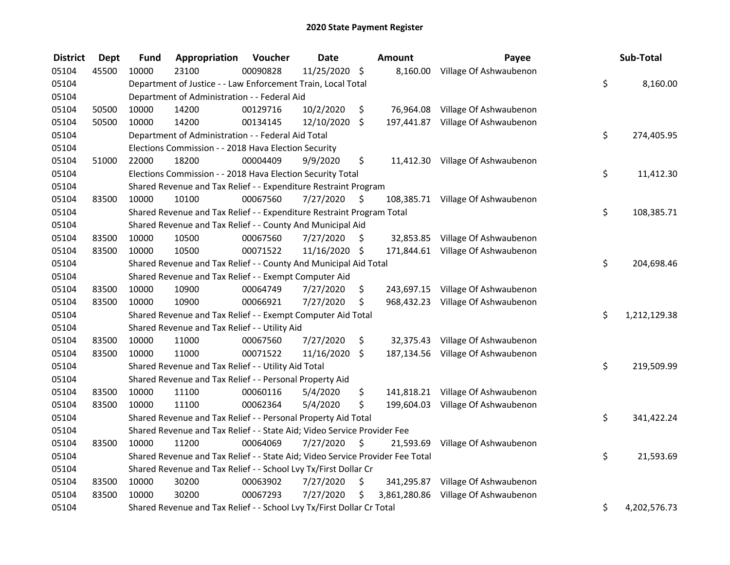| <b>District</b> | <b>Dept</b> | <b>Fund</b> | Appropriation                                                                 | Voucher  | <b>Date</b>   | Amount           | Payee                               | Sub-Total          |
|-----------------|-------------|-------------|-------------------------------------------------------------------------------|----------|---------------|------------------|-------------------------------------|--------------------|
| 05104           | 45500       | 10000       | 23100                                                                         | 00090828 | 11/25/2020 \$ |                  | 8,160.00 Village Of Ashwaubenon     |                    |
| 05104           |             |             | Department of Justice - - Law Enforcement Train, Local Total                  |          |               |                  |                                     | \$<br>8,160.00     |
| 05104           |             |             | Department of Administration - - Federal Aid                                  |          |               |                  |                                     |                    |
| 05104           | 50500       | 10000       | 14200                                                                         | 00129716 | 10/2/2020     | \$               | 76,964.08 Village Of Ashwaubenon    |                    |
| 05104           | 50500       | 10000       | 14200                                                                         | 00134145 | 12/10/2020    | \$               | 197,441.87 Village Of Ashwaubenon   |                    |
| 05104           |             |             | Department of Administration - - Federal Aid Total                            |          |               |                  |                                     | \$<br>274,405.95   |
| 05104           |             |             | Elections Commission - - 2018 Hava Election Security                          |          |               |                  |                                     |                    |
| 05104           | 51000       | 22000       | 18200                                                                         | 00004409 | 9/9/2020      | \$               | 11,412.30 Village Of Ashwaubenon    |                    |
| 05104           |             |             | Elections Commission - - 2018 Hava Election Security Total                    |          |               |                  |                                     | \$<br>11,412.30    |
| 05104           |             |             | Shared Revenue and Tax Relief - - Expenditure Restraint Program               |          |               |                  |                                     |                    |
| 05104           | 83500       | 10000       | 10100                                                                         | 00067560 | 7/27/2020     | \$               | 108,385.71 Village Of Ashwaubenon   |                    |
| 05104           |             |             | Shared Revenue and Tax Relief - - Expenditure Restraint Program Total         |          |               |                  |                                     | \$<br>108,385.71   |
| 05104           |             |             | Shared Revenue and Tax Relief - - County And Municipal Aid                    |          |               |                  |                                     |                    |
| 05104           | 83500       | 10000       | 10500                                                                         | 00067560 | 7/27/2020     | \$               | 32,853.85 Village Of Ashwaubenon    |                    |
| 05104           | 83500       | 10000       | 10500                                                                         | 00071522 | 11/16/2020    | \$               | 171,844.61 Village Of Ashwaubenon   |                    |
| 05104           |             |             | Shared Revenue and Tax Relief - - County And Municipal Aid Total              |          |               |                  |                                     | \$<br>204,698.46   |
| 05104           |             |             | Shared Revenue and Tax Relief - - Exempt Computer Aid                         |          |               |                  |                                     |                    |
| 05104           | 83500       | 10000       | 10900                                                                         | 00064749 | 7/27/2020     | \$               | 243,697.15 Village Of Ashwaubenon   |                    |
| 05104           | 83500       | 10000       | 10900                                                                         | 00066921 | 7/27/2020     | \$               | 968,432.23 Village Of Ashwaubenon   |                    |
| 05104           |             |             | Shared Revenue and Tax Relief - - Exempt Computer Aid Total                   |          |               |                  |                                     | \$<br>1,212,129.38 |
| 05104           |             |             | Shared Revenue and Tax Relief - - Utility Aid                                 |          |               |                  |                                     |                    |
| 05104           | 83500       | 10000       | 11000                                                                         | 00067560 | 7/27/2020     | \$               | 32,375.43 Village Of Ashwaubenon    |                    |
| 05104           | 83500       | 10000       | 11000                                                                         | 00071522 | 11/16/2020    | \$               | 187,134.56 Village Of Ashwaubenon   |                    |
| 05104           |             |             | Shared Revenue and Tax Relief - - Utility Aid Total                           |          |               |                  |                                     | \$<br>219,509.99   |
| 05104           |             |             | Shared Revenue and Tax Relief - - Personal Property Aid                       |          |               |                  |                                     |                    |
| 05104           | 83500       | 10000       | 11100                                                                         | 00060116 | 5/4/2020      | \$               | 141,818.21 Village Of Ashwaubenon   |                    |
| 05104           | 83500       | 10000       | 11100                                                                         | 00062364 | 5/4/2020      | \$               | 199,604.03 Village Of Ashwaubenon   |                    |
| 05104           |             |             | Shared Revenue and Tax Relief - - Personal Property Aid Total                 |          |               |                  |                                     | \$<br>341,422.24   |
| 05104           |             |             | Shared Revenue and Tax Relief - - State Aid; Video Service Provider Fee       |          |               |                  |                                     |                    |
| 05104           | 83500       | 10000       | 11200                                                                         | 00064069 | 7/27/2020     | \$<br>21,593.69  | Village Of Ashwaubenon              |                    |
| 05104           |             |             | Shared Revenue and Tax Relief - - State Aid; Video Service Provider Fee Total |          |               |                  |                                     | \$<br>21,593.69    |
| 05104           |             |             | Shared Revenue and Tax Relief - - School Lvy Tx/First Dollar Cr               |          |               |                  |                                     |                    |
| 05104           | 83500       | 10000       | 30200                                                                         | 00063902 | 7/27/2020     | \$<br>341,295.87 | Village Of Ashwaubenon              |                    |
| 05104           | 83500       | 10000       | 30200                                                                         | 00067293 | 7/27/2020     | \$               | 3,861,280.86 Village Of Ashwaubenon |                    |
| 05104           |             |             | Shared Revenue and Tax Relief - - School Lvy Tx/First Dollar Cr Total         |          |               |                  |                                     | \$<br>4,202,576.73 |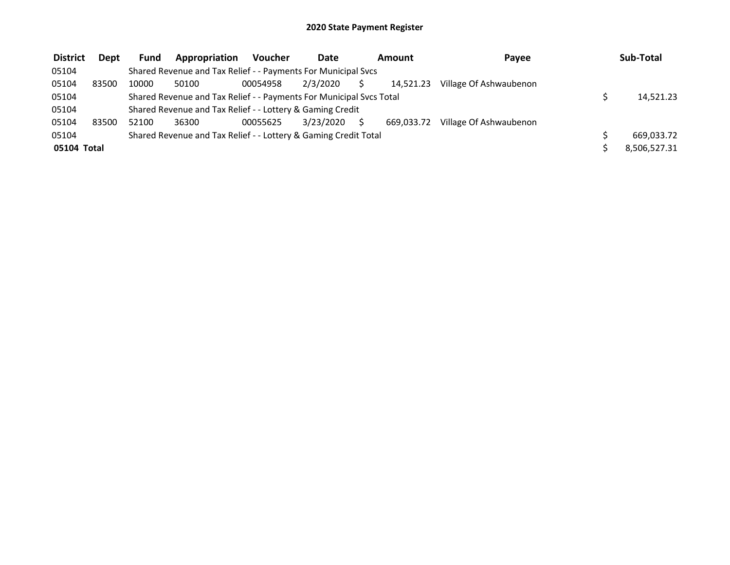| <b>District</b> | <b>Dept</b> | <b>Fund</b> | Appropriation                                                       | <b>Voucher</b> | Date      | Amount     | Pavee                  | Sub-Total    |
|-----------------|-------------|-------------|---------------------------------------------------------------------|----------------|-----------|------------|------------------------|--------------|
| 05104           |             |             | Shared Revenue and Tax Relief - - Payments For Municipal Svcs       |                |           |            |                        |              |
| 05104           | 83500       | 10000       | 50100                                                               | 00054958       | 2/3/2020  | 14.521.23  | Village Of Ashwaubenon |              |
| 05104           |             |             | Shared Revenue and Tax Relief - - Payments For Municipal Svcs Total |                |           |            |                        | 14,521.23    |
| 05104           |             |             | Shared Revenue and Tax Relief - - Lottery & Gaming Credit           |                |           |            |                        |              |
| 05104           | 83500       | 52100       | 36300                                                               | 00055625       | 3/23/2020 | 669.033.72 | Village Of Ashwaubenon |              |
| 05104           |             |             | Shared Revenue and Tax Relief - - Lottery & Gaming Credit Total     |                |           |            |                        | 669,033.72   |
| 05104 Total     |             |             |                                                                     |                |           |            |                        | 8,506,527.31 |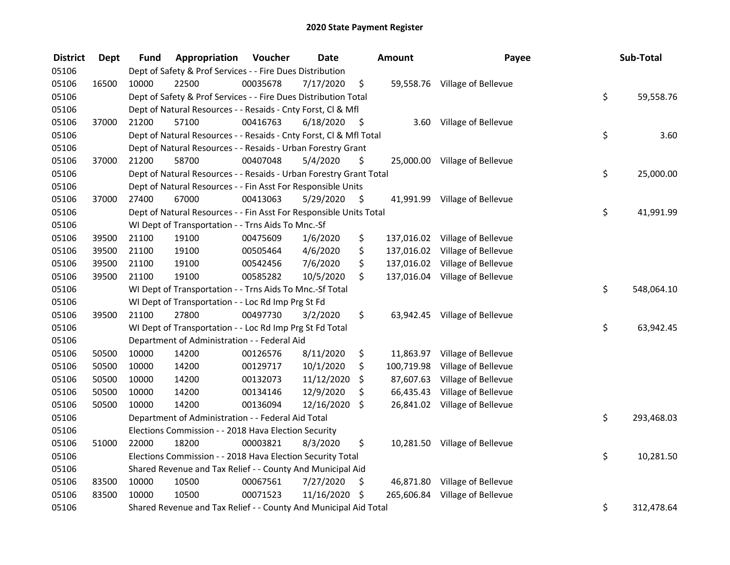| <b>District</b> | <b>Dept</b> | Fund  | Appropriation                                                      | Voucher  | <b>Date</b> |      | Amount     | Payee                          | Sub-Total        |
|-----------------|-------------|-------|--------------------------------------------------------------------|----------|-------------|------|------------|--------------------------------|------------------|
| 05106           |             |       | Dept of Safety & Prof Services - - Fire Dues Distribution          |          |             |      |            |                                |                  |
| 05106           | 16500       | 10000 | 22500                                                              | 00035678 | 7/17/2020   | \$   |            | 59,558.76 Village of Bellevue  |                  |
| 05106           |             |       | Dept of Safety & Prof Services - - Fire Dues Distribution Total    |          |             |      |            |                                | \$<br>59,558.76  |
| 05106           |             |       | Dept of Natural Resources - - Resaids - Cnty Forst, Cl & Mfl       |          |             |      |            |                                |                  |
| 05106           | 37000       | 21200 | 57100                                                              | 00416763 | 6/18/2020   | - \$ |            | 3.60 Village of Bellevue       |                  |
| 05106           |             |       | Dept of Natural Resources - - Resaids - Cnty Forst, Cl & Mfl Total |          |             |      |            |                                | \$<br>3.60       |
| 05106           |             |       | Dept of Natural Resources - - Resaids - Urban Forestry Grant       |          |             |      |            |                                |                  |
| 05106           | 37000       | 21200 | 58700                                                              | 00407048 | 5/4/2020    | \$   |            | 25,000.00 Village of Bellevue  |                  |
| 05106           |             |       | Dept of Natural Resources - - Resaids - Urban Forestry Grant Total |          |             |      |            |                                | \$<br>25,000.00  |
| 05106           |             |       | Dept of Natural Resources - - Fin Asst For Responsible Units       |          |             |      |            |                                |                  |
| 05106           | 37000       | 27400 | 67000                                                              | 00413063 | 5/29/2020   | \$   |            | 41,991.99 Village of Bellevue  |                  |
| 05106           |             |       | Dept of Natural Resources - - Fin Asst For Responsible Units Total |          |             |      |            |                                | \$<br>41,991.99  |
| 05106           |             |       | WI Dept of Transportation - - Trns Aids To Mnc.-Sf                 |          |             |      |            |                                |                  |
| 05106           | 39500       | 21100 | 19100                                                              | 00475609 | 1/6/2020    | \$   |            | 137,016.02 Village of Bellevue |                  |
| 05106           | 39500       | 21100 | 19100                                                              | 00505464 | 4/6/2020    | \$   |            | 137,016.02 Village of Bellevue |                  |
| 05106           | 39500       | 21100 | 19100                                                              | 00542456 | 7/6/2020    | \$   |            | 137,016.02 Village of Bellevue |                  |
| 05106           | 39500       | 21100 | 19100                                                              | 00585282 | 10/5/2020   | \$   |            | 137,016.04 Village of Bellevue |                  |
| 05106           |             |       | WI Dept of Transportation - - Trns Aids To Mnc.-Sf Total           |          |             |      |            |                                | \$<br>548,064.10 |
| 05106           |             |       | WI Dept of Transportation - - Loc Rd Imp Prg St Fd                 |          |             |      |            |                                |                  |
| 05106           | 39500       | 21100 | 27800                                                              | 00497730 | 3/2/2020    | \$   |            | 63,942.45 Village of Bellevue  |                  |
| 05106           |             |       | WI Dept of Transportation - - Loc Rd Imp Prg St Fd Total           |          |             |      |            |                                | \$<br>63,942.45  |
| 05106           |             |       | Department of Administration - - Federal Aid                       |          |             |      |            |                                |                  |
| 05106           | 50500       | 10000 | 14200                                                              | 00126576 | 8/11/2020   | \$   |            | 11,863.97 Village of Bellevue  |                  |
| 05106           | 50500       | 10000 | 14200                                                              | 00129717 | 10/1/2020   | \$   | 100,719.98 | Village of Bellevue            |                  |
| 05106           | 50500       | 10000 | 14200                                                              | 00132073 | 11/12/2020  | \$   | 87,607.63  | Village of Bellevue            |                  |
| 05106           | 50500       | 10000 | 14200                                                              | 00134146 | 12/9/2020   | \$   | 66,435.43  | Village of Bellevue            |                  |
| 05106           | 50500       | 10000 | 14200                                                              | 00136094 | 12/16/2020  | \$   |            | 26,841.02 Village of Bellevue  |                  |
| 05106           |             |       | Department of Administration - - Federal Aid Total                 |          |             |      |            |                                | \$<br>293,468.03 |
| 05106           |             |       | Elections Commission - - 2018 Hava Election Security               |          |             |      |            |                                |                  |
| 05106           | 51000       | 22000 | 18200                                                              | 00003821 | 8/3/2020    | \$   |            | 10,281.50 Village of Bellevue  |                  |
| 05106           |             |       | Elections Commission - - 2018 Hava Election Security Total         |          |             |      |            |                                | \$<br>10,281.50  |
| 05106           |             |       | Shared Revenue and Tax Relief - - County And Municipal Aid         |          |             |      |            |                                |                  |
| 05106           | 83500       | 10000 | 10500                                                              | 00067561 | 7/27/2020   | \$   |            | 46,871.80 Village of Bellevue  |                  |
| 05106           | 83500       | 10000 | 10500                                                              | 00071523 | 11/16/2020  | \$   |            | 265,606.84 Village of Bellevue |                  |
| 05106           |             |       | Shared Revenue and Tax Relief - - County And Municipal Aid Total   |          |             |      |            |                                | \$<br>312,478.64 |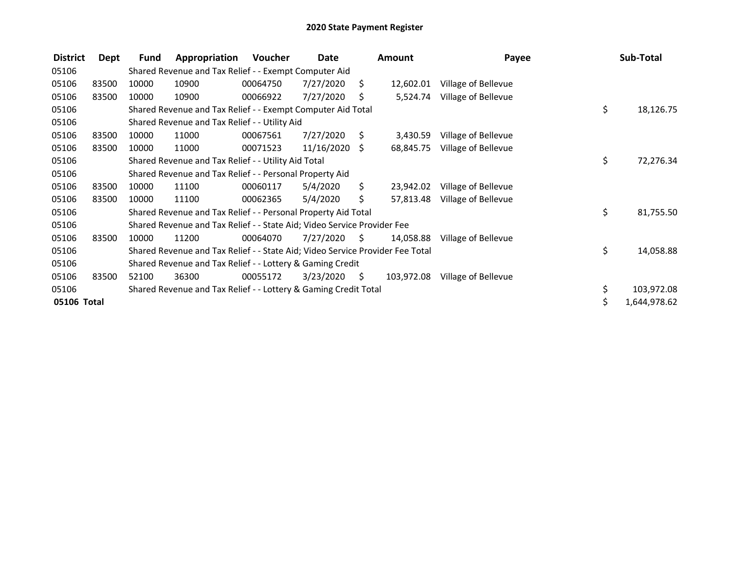| <b>District</b> | Dept  | Fund  | Appropriation                                                                 | Voucher  | Date       |      | <b>Amount</b> | Payee               | Sub-Total          |
|-----------------|-------|-------|-------------------------------------------------------------------------------|----------|------------|------|---------------|---------------------|--------------------|
| 05106           |       |       | Shared Revenue and Tax Relief - - Exempt Computer Aid                         |          |            |      |               |                     |                    |
| 05106           | 83500 | 10000 | 10900                                                                         | 00064750 | 7/27/2020  | S.   | 12,602.01     | Village of Bellevue |                    |
| 05106           | 83500 | 10000 | 10900                                                                         | 00066922 | 7/27/2020  | S    | 5,524.74      | Village of Bellevue |                    |
| 05106           |       |       | Shared Revenue and Tax Relief - - Exempt Computer Aid Total                   |          |            |      |               |                     | \$<br>18,126.75    |
| 05106           |       |       | Shared Revenue and Tax Relief - - Utility Aid                                 |          |            |      |               |                     |                    |
| 05106           | 83500 | 10000 | 11000                                                                         | 00067561 | 7/27/2020  | S.   | 3,430.59      | Village of Bellevue |                    |
| 05106           | 83500 | 10000 | 11000                                                                         | 00071523 | 11/16/2020 | S.   | 68,845.75     | Village of Bellevue |                    |
| 05106           |       |       | Shared Revenue and Tax Relief - - Utility Aid Total                           |          |            |      |               |                     | \$<br>72,276.34    |
| 05106           |       |       | Shared Revenue and Tax Relief - - Personal Property Aid                       |          |            |      |               |                     |                    |
| 05106           | 83500 | 10000 | 11100                                                                         | 00060117 | 5/4/2020   | \$.  | 23,942.02     | Village of Bellevue |                    |
| 05106           | 83500 | 10000 | 11100                                                                         | 00062365 | 5/4/2020   | \$.  | 57,813.48     | Village of Bellevue |                    |
| 05106           |       |       | Shared Revenue and Tax Relief - - Personal Property Aid Total                 |          |            |      |               |                     | \$<br>81,755.50    |
| 05106           |       |       | Shared Revenue and Tax Relief - - State Aid; Video Service Provider Fee       |          |            |      |               |                     |                    |
| 05106           | 83500 | 10000 | 11200                                                                         | 00064070 | 7/27/2020  | S    | 14,058.88     | Village of Bellevue |                    |
| 05106           |       |       | Shared Revenue and Tax Relief - - State Aid; Video Service Provider Fee Total |          |            |      |               |                     | \$<br>14,058.88    |
| 05106           |       |       | Shared Revenue and Tax Relief - - Lottery & Gaming Credit                     |          |            |      |               |                     |                    |
| 05106           | 83500 | 52100 | 36300                                                                         | 00055172 | 3/23/2020  | - \$ | 103,972.08    | Village of Bellevue |                    |
| 05106           |       |       | Shared Revenue and Tax Relief - - Lottery & Gaming Credit Total               |          |            |      |               |                     | \$<br>103,972.08   |
| 05106 Total     |       |       |                                                                               |          |            |      |               |                     | \$<br>1,644,978.62 |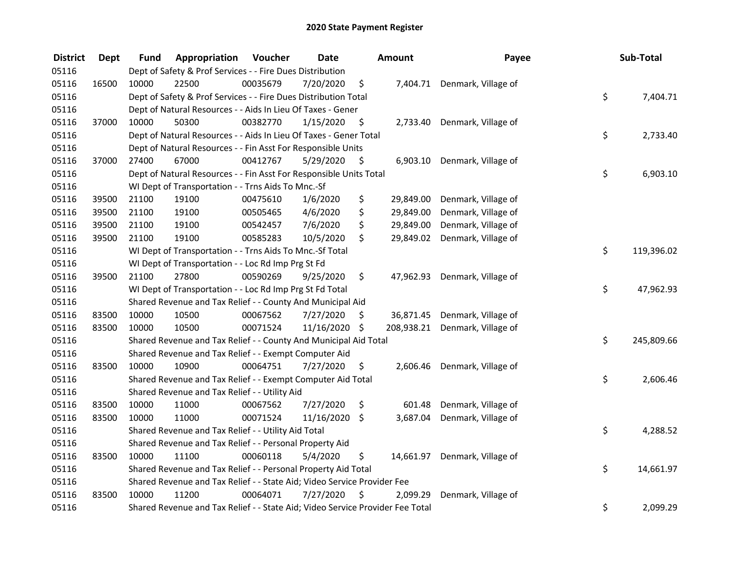| <b>District</b> | <b>Dept</b> | Fund  | Appropriation                                                                 | Voucher  | <b>Date</b>   |      | Amount    | Payee                          | Sub-Total        |
|-----------------|-------------|-------|-------------------------------------------------------------------------------|----------|---------------|------|-----------|--------------------------------|------------------|
| 05116           |             |       | Dept of Safety & Prof Services - - Fire Dues Distribution                     |          |               |      |           |                                |                  |
| 05116           | 16500       | 10000 | 22500                                                                         | 00035679 | 7/20/2020     | \$   |           | 7,404.71 Denmark, Village of   |                  |
| 05116           |             |       | Dept of Safety & Prof Services - - Fire Dues Distribution Total               |          |               |      |           |                                | \$<br>7,404.71   |
| 05116           |             |       | Dept of Natural Resources - - Aids In Lieu Of Taxes - Gener                   |          |               |      |           |                                |                  |
| 05116           | 37000       | 10000 | 50300                                                                         | 00382770 | 1/15/2020     | \$   |           | 2,733.40 Denmark, Village of   |                  |
| 05116           |             |       | Dept of Natural Resources - - Aids In Lieu Of Taxes - Gener Total             |          |               |      |           |                                | \$<br>2,733.40   |
| 05116           |             |       | Dept of Natural Resources - - Fin Asst For Responsible Units                  |          |               |      |           |                                |                  |
| 05116           | 37000       | 27400 | 67000                                                                         | 00412767 | 5/29/2020     | - \$ |           | 6,903.10 Denmark, Village of   |                  |
| 05116           |             |       | Dept of Natural Resources - - Fin Asst For Responsible Units Total            |          |               |      |           |                                | \$<br>6,903.10   |
| 05116           |             |       | WI Dept of Transportation - - Trns Aids To Mnc.-Sf                            |          |               |      |           |                                |                  |
| 05116           | 39500       | 21100 | 19100                                                                         | 00475610 | 1/6/2020      | \$   | 29,849.00 | Denmark, Village of            |                  |
| 05116           | 39500       | 21100 | 19100                                                                         | 00505465 | 4/6/2020      | \$   | 29,849.00 | Denmark, Village of            |                  |
| 05116           | 39500       | 21100 | 19100                                                                         | 00542457 | 7/6/2020      | \$   | 29,849.00 | Denmark, Village of            |                  |
| 05116           | 39500       | 21100 | 19100                                                                         | 00585283 | 10/5/2020     | \$   |           | 29,849.02 Denmark, Village of  |                  |
| 05116           |             |       | WI Dept of Transportation - - Trns Aids To Mnc.-Sf Total                      |          |               |      |           |                                | \$<br>119,396.02 |
| 05116           |             |       | WI Dept of Transportation - - Loc Rd Imp Prg St Fd                            |          |               |      |           |                                |                  |
| 05116           | 39500       | 21100 | 27800                                                                         | 00590269 | 9/25/2020     | \$   |           | 47,962.93 Denmark, Village of  |                  |
| 05116           |             |       | WI Dept of Transportation - - Loc Rd Imp Prg St Fd Total                      |          |               |      |           |                                | \$<br>47,962.93  |
| 05116           |             |       | Shared Revenue and Tax Relief - - County And Municipal Aid                    |          |               |      |           |                                |                  |
| 05116           | 83500       | 10000 | 10500                                                                         | 00067562 | 7/27/2020     | \$.  |           | 36,871.45 Denmark, Village of  |                  |
| 05116           | 83500       | 10000 | 10500                                                                         | 00071524 | 11/16/2020 \$ |      |           | 208,938.21 Denmark, Village of |                  |
| 05116           |             |       | Shared Revenue and Tax Relief - - County And Municipal Aid Total              |          |               |      |           |                                | \$<br>245,809.66 |
| 05116           |             |       | Shared Revenue and Tax Relief - - Exempt Computer Aid                         |          |               |      |           |                                |                  |
| 05116           | 83500       | 10000 | 10900                                                                         | 00064751 | 7/27/2020     | \$   |           | 2,606.46 Denmark, Village of   |                  |
| 05116           |             |       | Shared Revenue and Tax Relief - - Exempt Computer Aid Total                   |          |               |      |           |                                | \$<br>2,606.46   |
| 05116           |             |       | Shared Revenue and Tax Relief - - Utility Aid                                 |          |               |      |           |                                |                  |
| 05116           | 83500       | 10000 | 11000                                                                         | 00067562 | 7/27/2020     | \$   | 601.48    | Denmark, Village of            |                  |
| 05116           | 83500       | 10000 | 11000                                                                         | 00071524 | 11/16/2020    | \$   | 3,687.04  | Denmark, Village of            |                  |
| 05116           |             |       | Shared Revenue and Tax Relief - - Utility Aid Total                           |          |               |      |           |                                | \$<br>4,288.52   |
| 05116           |             |       | Shared Revenue and Tax Relief - - Personal Property Aid                       |          |               |      |           |                                |                  |
| 05116           | 83500       | 10000 | 11100                                                                         | 00060118 | 5/4/2020      | \$   |           | 14,661.97 Denmark, Village of  |                  |
| 05116           |             |       | Shared Revenue and Tax Relief - - Personal Property Aid Total                 |          |               |      |           |                                | \$<br>14,661.97  |
| 05116           |             |       | Shared Revenue and Tax Relief - - State Aid; Video Service Provider Fee       |          |               |      |           |                                |                  |
| 05116           | 83500       | 10000 | 11200                                                                         | 00064071 | 7/27/2020     | \$   | 2,099.29  | Denmark, Village of            |                  |
| 05116           |             |       | Shared Revenue and Tax Relief - - State Aid; Video Service Provider Fee Total |          |               |      |           |                                | \$<br>2,099.29   |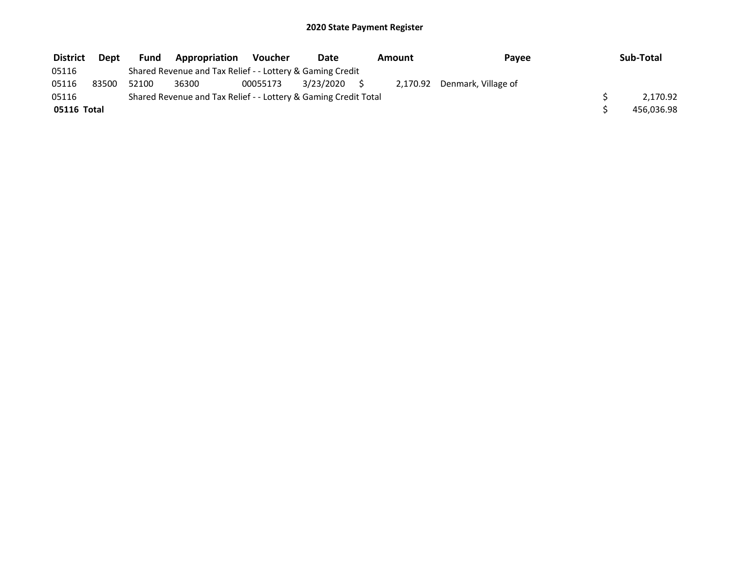| <b>District</b> | Dept  | Fund  | <b>Appropriation</b>                                            | Voucher  | Date         | Amount | Payee                        | Sub-Total  |
|-----------------|-------|-------|-----------------------------------------------------------------|----------|--------------|--------|------------------------------|------------|
| 05116           |       |       | Shared Revenue and Tax Relief - - Lottery & Gaming Credit       |          |              |        |                              |            |
| 05116           | 83500 | 52100 | 36300                                                           | 00055173 | 3/23/2020 \$ |        | 2,170.92 Denmark, Village of |            |
| 05116           |       |       | Shared Revenue and Tax Relief - - Lottery & Gaming Credit Total |          |              |        |                              | 2.170.92   |
| 05116 Total     |       |       |                                                                 |          |              |        |                              | 456,036.98 |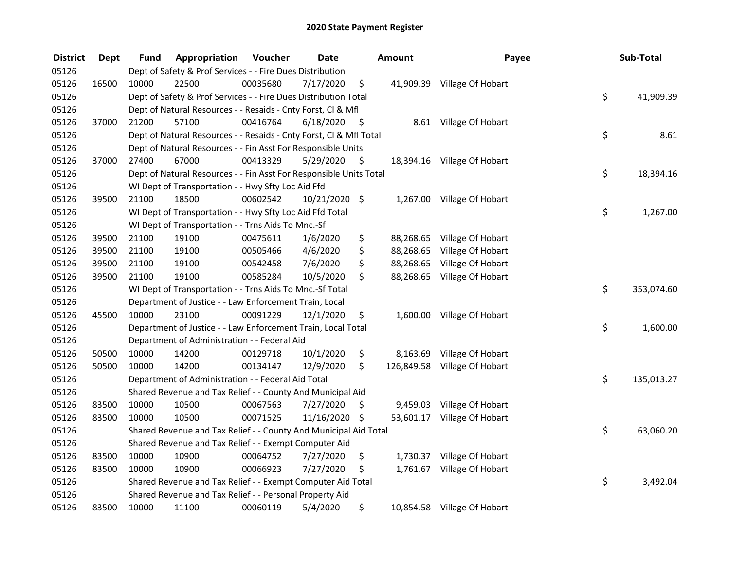| <b>District</b> | <b>Dept</b> | Fund  | Appropriation                                                      | Voucher  | <b>Date</b>     |      | <b>Amount</b> | Payee                       | Sub-Total        |
|-----------------|-------------|-------|--------------------------------------------------------------------|----------|-----------------|------|---------------|-----------------------------|------------------|
| 05126           |             |       | Dept of Safety & Prof Services - - Fire Dues Distribution          |          |                 |      |               |                             |                  |
| 05126           | 16500       | 10000 | 22500                                                              | 00035680 | 7/17/2020       | \$   |               | 41,909.39 Village Of Hobart |                  |
| 05126           |             |       | Dept of Safety & Prof Services - - Fire Dues Distribution Total    |          |                 |      |               |                             | \$<br>41,909.39  |
| 05126           |             |       | Dept of Natural Resources - - Resaids - Cnty Forst, Cl & Mfl       |          |                 |      |               |                             |                  |
| 05126           | 37000       | 21200 | 57100                                                              | 00416764 | 6/18/2020       | - \$ |               | 8.61 Village Of Hobart      |                  |
| 05126           |             |       | Dept of Natural Resources - - Resaids - Cnty Forst, CI & Mfl Total |          |                 |      |               |                             | \$<br>8.61       |
| 05126           |             |       | Dept of Natural Resources - - Fin Asst For Responsible Units       |          |                 |      |               |                             |                  |
| 05126           | 37000       | 27400 | 67000                                                              | 00413329 | 5/29/2020       | - \$ |               | 18,394.16 Village Of Hobart |                  |
| 05126           |             |       | Dept of Natural Resources - - Fin Asst For Responsible Units Total |          |                 |      |               |                             | \$<br>18,394.16  |
| 05126           |             |       | WI Dept of Transportation - - Hwy Sfty Loc Aid Ffd                 |          |                 |      |               |                             |                  |
| 05126           | 39500       | 21100 | 18500                                                              | 00602542 | $10/21/2020$ \$ |      |               | 1,267.00 Village Of Hobart  |                  |
| 05126           |             |       | WI Dept of Transportation - - Hwy Sfty Loc Aid Ffd Total           |          |                 |      |               |                             | \$<br>1,267.00   |
| 05126           |             |       | WI Dept of Transportation - - Trns Aids To Mnc.-Sf                 |          |                 |      |               |                             |                  |
| 05126           | 39500       | 21100 | 19100                                                              | 00475611 | 1/6/2020        | \$   | 88,268.65     | Village Of Hobart           |                  |
| 05126           | 39500       | 21100 | 19100                                                              | 00505466 | 4/6/2020        | \$   | 88,268.65     | Village Of Hobart           |                  |
| 05126           | 39500       | 21100 | 19100                                                              | 00542458 | 7/6/2020        | \$   | 88,268.65     | Village Of Hobart           |                  |
| 05126           | 39500       | 21100 | 19100                                                              | 00585284 | 10/5/2020       | \$   | 88,268.65     | Village Of Hobart           |                  |
| 05126           |             |       | WI Dept of Transportation - - Trns Aids To Mnc.-Sf Total           |          |                 |      |               |                             | \$<br>353,074.60 |
| 05126           |             |       | Department of Justice - - Law Enforcement Train, Local             |          |                 |      |               |                             |                  |
| 05126           | 45500       | 10000 | 23100                                                              | 00091229 | 12/1/2020       | \$   |               | 1,600.00 Village Of Hobart  |                  |
| 05126           |             |       | Department of Justice - - Law Enforcement Train, Local Total       |          |                 |      |               |                             | \$<br>1,600.00   |
| 05126           |             |       | Department of Administration - - Federal Aid                       |          |                 |      |               |                             |                  |
| 05126           | 50500       | 10000 | 14200                                                              | 00129718 | 10/1/2020       | \$   | 8,163.69      | Village Of Hobart           |                  |
| 05126           | 50500       | 10000 | 14200                                                              | 00134147 | 12/9/2020       | \$   | 126,849.58    | Village Of Hobart           |                  |
| 05126           |             |       | Department of Administration - - Federal Aid Total                 |          |                 |      |               |                             | \$<br>135,013.27 |
| 05126           |             |       | Shared Revenue and Tax Relief - - County And Municipal Aid         |          |                 |      |               |                             |                  |
| 05126           | 83500       | 10000 | 10500                                                              | 00067563 | 7/27/2020       | \$   | 9,459.03      | Village Of Hobart           |                  |
| 05126           | 83500       | 10000 | 10500                                                              | 00071525 | 11/16/2020 \$   |      |               | 53,601.17 Village Of Hobart |                  |
| 05126           |             |       | Shared Revenue and Tax Relief - - County And Municipal Aid Total   |          |                 |      |               |                             | \$<br>63,060.20  |
| 05126           |             |       | Shared Revenue and Tax Relief - - Exempt Computer Aid              |          |                 |      |               |                             |                  |
| 05126           | 83500       | 10000 | 10900                                                              | 00064752 | 7/27/2020       | \$   |               | 1,730.37 Village Of Hobart  |                  |
| 05126           | 83500       | 10000 | 10900                                                              | 00066923 | 7/27/2020       | \$   |               | 1,761.67 Village Of Hobart  |                  |
| 05126           |             |       | Shared Revenue and Tax Relief - - Exempt Computer Aid Total        |          |                 |      |               |                             | \$<br>3,492.04   |
| 05126           |             |       | Shared Revenue and Tax Relief - - Personal Property Aid            |          |                 |      |               |                             |                  |
| 05126           | 83500       | 10000 | 11100                                                              | 00060119 | 5/4/2020        | \$   |               | 10,854.58 Village Of Hobart |                  |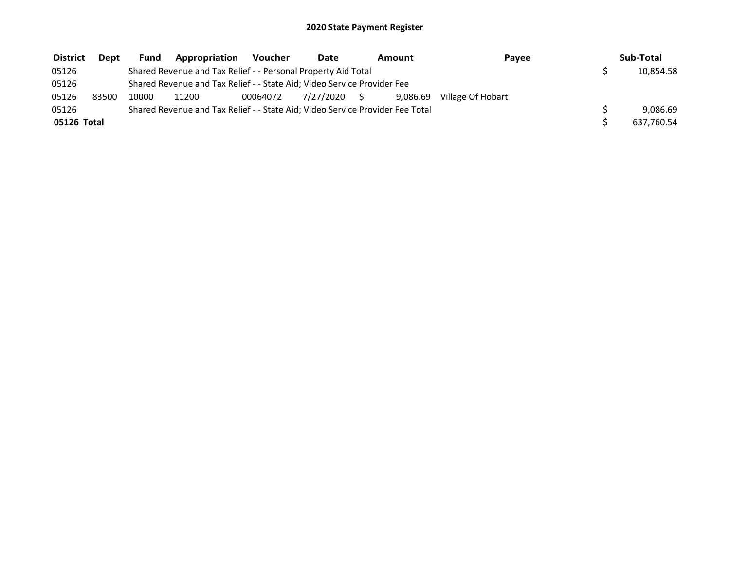| <b>District</b> | Dept  | Fund  | Appropriation                                                                 | Voucher  | Date         | Amount   | Payee             | Sub-Total  |
|-----------------|-------|-------|-------------------------------------------------------------------------------|----------|--------------|----------|-------------------|------------|
| 05126           |       |       | Shared Revenue and Tax Relief - - Personal Property Aid Total                 |          |              |          |                   | 10,854.58  |
| 05126           |       |       | Shared Revenue and Tax Relief - - State Aid; Video Service Provider Fee       |          |              |          |                   |            |
| 05126           | 83500 | 10000 | 11200                                                                         | 00064072 | 7/27/2020 \$ | 9.086.69 | Village Of Hobart |            |
| 05126           |       |       | Shared Revenue and Tax Relief - - State Aid; Video Service Provider Fee Total |          |              |          |                   | 9.086.69   |
| 05126 Total     |       |       |                                                                               |          |              |          |                   | 637,760.54 |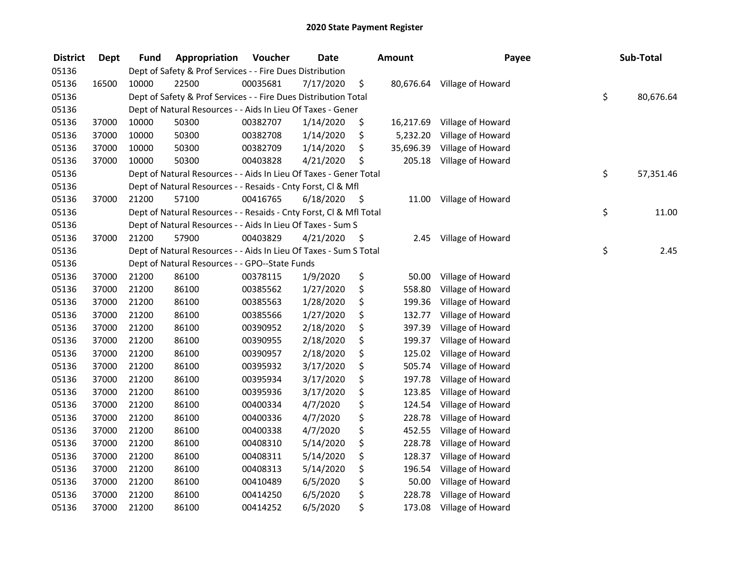| <b>District</b> | <b>Dept</b> | Fund  | Appropriation                                                      | Voucher  | <b>Date</b> |      | <b>Amount</b> | Payee             | Sub-Total       |
|-----------------|-------------|-------|--------------------------------------------------------------------|----------|-------------|------|---------------|-------------------|-----------------|
| 05136           |             |       | Dept of Safety & Prof Services - - Fire Dues Distribution          |          |             |      |               |                   |                 |
| 05136           | 16500       | 10000 | 22500                                                              | 00035681 | 7/17/2020   | \$   | 80,676.64     | Village of Howard |                 |
| 05136           |             |       | Dept of Safety & Prof Services - - Fire Dues Distribution Total    |          |             |      |               |                   | \$<br>80,676.64 |
| 05136           |             |       | Dept of Natural Resources - - Aids In Lieu Of Taxes - Gener        |          |             |      |               |                   |                 |
| 05136           | 37000       | 10000 | 50300                                                              | 00382707 | 1/14/2020   | \$   | 16,217.69     | Village of Howard |                 |
| 05136           | 37000       | 10000 | 50300                                                              | 00382708 | 1/14/2020   | \$   | 5,232.20      | Village of Howard |                 |
| 05136           | 37000       | 10000 | 50300                                                              | 00382709 | 1/14/2020   | \$   | 35,696.39     | Village of Howard |                 |
| 05136           | 37000       | 10000 | 50300                                                              | 00403828 | 4/21/2020   | \$   | 205.18        | Village of Howard |                 |
| 05136           |             |       | Dept of Natural Resources - - Aids In Lieu Of Taxes - Gener Total  |          |             |      |               |                   | \$<br>57,351.46 |
| 05136           |             |       | Dept of Natural Resources - - Resaids - Cnty Forst, Cl & Mfl       |          |             |      |               |                   |                 |
| 05136           | 37000       | 21200 | 57100                                                              | 00416765 | 6/18/2020   | - \$ | 11.00         | Village of Howard |                 |
| 05136           |             |       | Dept of Natural Resources - - Resaids - Cnty Forst, Cl & Mfl Total |          |             |      |               |                   | \$<br>11.00     |
| 05136           |             |       | Dept of Natural Resources - - Aids In Lieu Of Taxes - Sum S        |          |             |      |               |                   |                 |
| 05136           | 37000       | 21200 | 57900                                                              | 00403829 | 4/21/2020   | \$   | 2.45          | Village of Howard |                 |
| 05136           |             |       | Dept of Natural Resources - - Aids In Lieu Of Taxes - Sum S Total  |          |             |      |               |                   | \$<br>2.45      |
| 05136           |             |       | Dept of Natural Resources - - GPO--State Funds                     |          |             |      |               |                   |                 |
| 05136           | 37000       | 21200 | 86100                                                              | 00378115 | 1/9/2020    | \$   | 50.00         | Village of Howard |                 |
| 05136           | 37000       | 21200 | 86100                                                              | 00385562 | 1/27/2020   | \$   | 558.80        | Village of Howard |                 |
| 05136           | 37000       | 21200 | 86100                                                              | 00385563 | 1/28/2020   | \$   | 199.36        | Village of Howard |                 |
| 05136           | 37000       | 21200 | 86100                                                              | 00385566 | 1/27/2020   | \$   | 132.77        | Village of Howard |                 |
| 05136           | 37000       | 21200 | 86100                                                              | 00390952 | 2/18/2020   | \$   | 397.39        | Village of Howard |                 |
| 05136           | 37000       | 21200 | 86100                                                              | 00390955 | 2/18/2020   | \$   | 199.37        | Village of Howard |                 |
| 05136           | 37000       | 21200 | 86100                                                              | 00390957 | 2/18/2020   | \$   | 125.02        | Village of Howard |                 |
| 05136           | 37000       | 21200 | 86100                                                              | 00395932 | 3/17/2020   | \$   | 505.74        | Village of Howard |                 |
| 05136           | 37000       | 21200 | 86100                                                              | 00395934 | 3/17/2020   | \$   | 197.78        | Village of Howard |                 |
| 05136           | 37000       | 21200 | 86100                                                              | 00395936 | 3/17/2020   | \$   | 123.85        | Village of Howard |                 |
| 05136           | 37000       | 21200 | 86100                                                              | 00400334 | 4/7/2020    | \$   | 124.54        | Village of Howard |                 |
| 05136           | 37000       | 21200 | 86100                                                              | 00400336 | 4/7/2020    | \$   | 228.78        | Village of Howard |                 |
| 05136           | 37000       | 21200 | 86100                                                              | 00400338 | 4/7/2020    | \$   | 452.55        | Village of Howard |                 |
| 05136           | 37000       | 21200 | 86100                                                              | 00408310 | 5/14/2020   | \$   | 228.78        | Village of Howard |                 |
| 05136           | 37000       | 21200 | 86100                                                              | 00408311 | 5/14/2020   | \$   | 128.37        | Village of Howard |                 |
| 05136           | 37000       | 21200 | 86100                                                              | 00408313 | 5/14/2020   | \$   | 196.54        | Village of Howard |                 |
| 05136           | 37000       | 21200 | 86100                                                              | 00410489 | 6/5/2020    | \$   | 50.00         | Village of Howard |                 |
| 05136           | 37000       | 21200 | 86100                                                              | 00414250 | 6/5/2020    | \$   | 228.78        | Village of Howard |                 |
| 05136           | 37000       | 21200 | 86100                                                              | 00414252 | 6/5/2020    | \$   | 173.08        | Village of Howard |                 |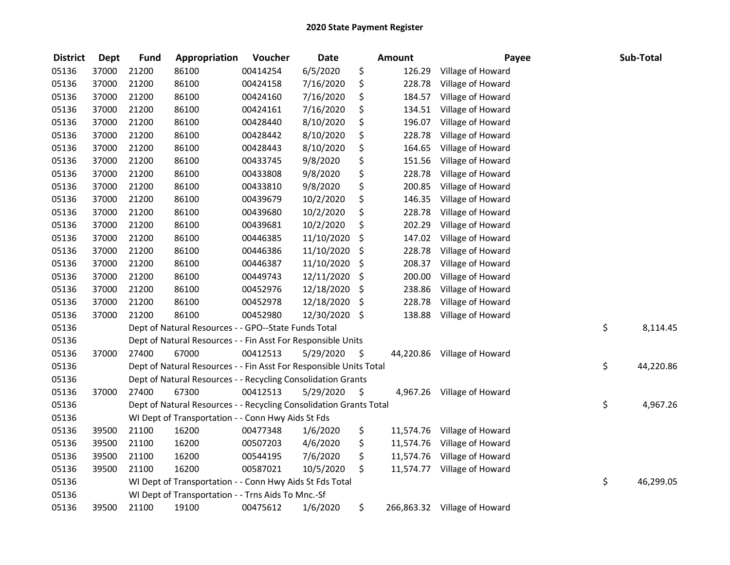| <b>District</b> | <b>Dept</b> | <b>Fund</b> | Appropriation                                                      | Voucher  | <b>Date</b> |         | <b>Amount</b> | Payee             | Sub-Total       |
|-----------------|-------------|-------------|--------------------------------------------------------------------|----------|-------------|---------|---------------|-------------------|-----------------|
| 05136           | 37000       | 21200       | 86100                                                              | 00414254 | 6/5/2020    | \$      | 126.29        | Village of Howard |                 |
| 05136           | 37000       | 21200       | 86100                                                              | 00424158 | 7/16/2020   | \$      | 228.78        | Village of Howard |                 |
| 05136           | 37000       | 21200       | 86100                                                              | 00424160 | 7/16/2020   | \$      | 184.57        | Village of Howard |                 |
| 05136           | 37000       | 21200       | 86100                                                              | 00424161 | 7/16/2020   | \$      | 134.51        | Village of Howard |                 |
| 05136           | 37000       | 21200       | 86100                                                              | 00428440 | 8/10/2020   | \$      | 196.07        | Village of Howard |                 |
| 05136           | 37000       | 21200       | 86100                                                              | 00428442 | 8/10/2020   | \$      | 228.78        | Village of Howard |                 |
| 05136           | 37000       | 21200       | 86100                                                              | 00428443 | 8/10/2020   | \$      | 164.65        | Village of Howard |                 |
| 05136           | 37000       | 21200       | 86100                                                              | 00433745 | 9/8/2020    | \$      | 151.56        | Village of Howard |                 |
| 05136           | 37000       | 21200       | 86100                                                              | 00433808 | 9/8/2020    | \$      | 228.78        | Village of Howard |                 |
| 05136           | 37000       | 21200       | 86100                                                              | 00433810 | 9/8/2020    | \$      | 200.85        | Village of Howard |                 |
| 05136           | 37000       | 21200       | 86100                                                              | 00439679 | 10/2/2020   | \$      | 146.35        | Village of Howard |                 |
| 05136           | 37000       | 21200       | 86100                                                              | 00439680 | 10/2/2020   | \$      | 228.78        | Village of Howard |                 |
| 05136           | 37000       | 21200       | 86100                                                              | 00439681 | 10/2/2020   | \$      | 202.29        | Village of Howard |                 |
| 05136           | 37000       | 21200       | 86100                                                              | 00446385 | 11/10/2020  | \$      | 147.02        | Village of Howard |                 |
| 05136           | 37000       | 21200       | 86100                                                              | 00446386 | 11/10/2020  | \$      | 228.78        | Village of Howard |                 |
| 05136           | 37000       | 21200       | 86100                                                              | 00446387 | 11/10/2020  | \$      | 208.37        | Village of Howard |                 |
| 05136           | 37000       | 21200       | 86100                                                              | 00449743 | 12/11/2020  | \$      | 200.00        | Village of Howard |                 |
| 05136           | 37000       | 21200       | 86100                                                              | 00452976 | 12/18/2020  | \$      | 238.86        | Village of Howard |                 |
| 05136           | 37000       | 21200       | 86100                                                              | 00452978 | 12/18/2020  | \$,     | 228.78        | Village of Howard |                 |
| 05136           | 37000       | 21200       | 86100                                                              | 00452980 | 12/30/2020  | -\$     | 138.88        | Village of Howard |                 |
| 05136           |             |             | Dept of Natural Resources - - GPO--State Funds Total               |          |             |         |               |                   | \$<br>8,114.45  |
| 05136           |             |             | Dept of Natural Resources - - Fin Asst For Responsible Units       |          |             |         |               |                   |                 |
| 05136           | 37000       | 27400       | 67000                                                              | 00412513 | 5/29/2020   | $\zeta$ | 44,220.86     | Village of Howard |                 |
| 05136           |             |             | Dept of Natural Resources - - Fin Asst For Responsible Units Total |          |             |         |               |                   | \$<br>44,220.86 |
| 05136           |             |             | Dept of Natural Resources - - Recycling Consolidation Grants       |          |             |         |               |                   |                 |
| 05136           | 37000       | 27400       | 67300                                                              | 00412513 | 5/29/2020   | \$      | 4,967.26      | Village of Howard |                 |
| 05136           |             |             | Dept of Natural Resources - - Recycling Consolidation Grants Total |          |             |         |               |                   | \$<br>4,967.26  |
| 05136           |             |             | WI Dept of Transportation - - Conn Hwy Aids St Fds                 |          |             |         |               |                   |                 |
| 05136           | 39500       | 21100       | 16200                                                              | 00477348 | 1/6/2020    | \$      | 11,574.76     | Village of Howard |                 |
| 05136           | 39500       | 21100       | 16200                                                              | 00507203 | 4/6/2020    | \$      | 11,574.76     | Village of Howard |                 |
| 05136           | 39500       | 21100       | 16200                                                              | 00544195 | 7/6/2020    | \$      | 11,574.76     | Village of Howard |                 |
| 05136           | 39500       | 21100       | 16200                                                              | 00587021 | 10/5/2020   | \$      | 11,574.77     | Village of Howard |                 |
| 05136           |             |             | WI Dept of Transportation - - Conn Hwy Aids St Fds Total           |          |             |         |               |                   | \$<br>46,299.05 |
| 05136           |             |             | WI Dept of Transportation - - Trns Aids To Mnc.-Sf                 |          |             |         |               |                   |                 |
| 05136           | 39500       | 21100       | 19100                                                              | 00475612 | 1/6/2020    | \$      | 266,863.32    | Village of Howard |                 |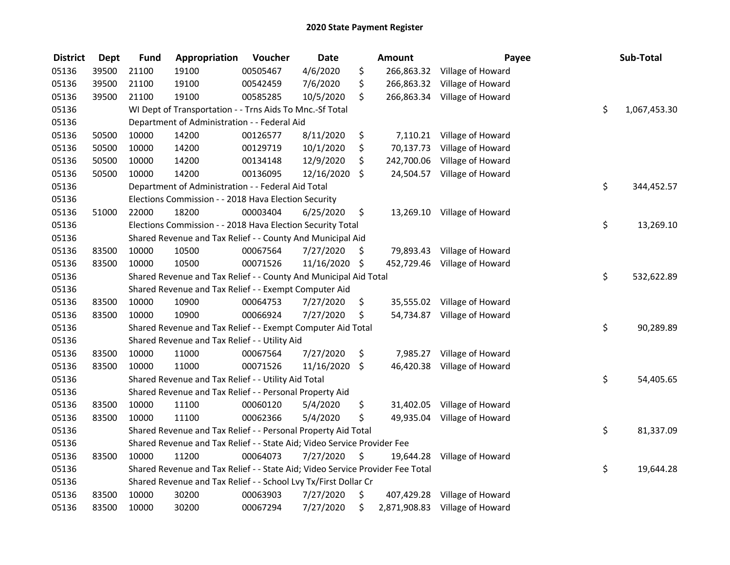| <b>District</b> | <b>Dept</b> | <b>Fund</b> | Appropriation                                                                 | Voucher  | <b>Date</b>   |     | Amount     | Payee                          | Sub-Total          |
|-----------------|-------------|-------------|-------------------------------------------------------------------------------|----------|---------------|-----|------------|--------------------------------|--------------------|
| 05136           | 39500       | 21100       | 19100                                                                         | 00505467 | 4/6/2020      | \$  |            | 266,863.32 Village of Howard   |                    |
| 05136           | 39500       | 21100       | 19100                                                                         | 00542459 | 7/6/2020      | \$. |            | 266,863.32 Village of Howard   |                    |
| 05136           | 39500       | 21100       | 19100                                                                         | 00585285 | 10/5/2020     | \$  |            | 266,863.34 Village of Howard   |                    |
| 05136           |             |             | WI Dept of Transportation - - Trns Aids To Mnc.-Sf Total                      |          |               |     |            |                                | \$<br>1,067,453.30 |
| 05136           |             |             | Department of Administration - - Federal Aid                                  |          |               |     |            |                                |                    |
| 05136           | 50500       | 10000       | 14200                                                                         | 00126577 | 8/11/2020     | \$  |            | 7,110.21 Village of Howard     |                    |
| 05136           | 50500       | 10000       | 14200                                                                         | 00129719 | 10/1/2020     | \$  | 70,137.73  | Village of Howard              |                    |
| 05136           | 50500       | 10000       | 14200                                                                         | 00134148 | 12/9/2020     | \$  | 242,700.06 | Village of Howard              |                    |
| 05136           | 50500       | 10000       | 14200                                                                         | 00136095 | 12/16/2020    | \$  |            | 24,504.57 Village of Howard    |                    |
| 05136           |             |             | Department of Administration - - Federal Aid Total                            |          |               |     |            |                                | \$<br>344,452.57   |
| 05136           |             |             | Elections Commission - - 2018 Hava Election Security                          |          |               |     |            |                                |                    |
| 05136           | 51000       | 22000       | 18200                                                                         | 00003404 | 6/25/2020     | \$  |            | 13,269.10 Village of Howard    |                    |
| 05136           |             |             | Elections Commission - - 2018 Hava Election Security Total                    |          |               |     |            |                                | \$<br>13,269.10    |
| 05136           |             |             | Shared Revenue and Tax Relief - - County And Municipal Aid                    |          |               |     |            |                                |                    |
| 05136           | 83500       | 10000       | 10500                                                                         | 00067564 | 7/27/2020     | \$. | 79,893.43  | Village of Howard              |                    |
| 05136           | 83500       | 10000       | 10500                                                                         | 00071526 | 11/16/2020 \$ |     |            | 452,729.46 Village of Howard   |                    |
| 05136           |             |             | Shared Revenue and Tax Relief - - County And Municipal Aid Total              |          |               |     |            |                                | \$<br>532,622.89   |
| 05136           |             |             | Shared Revenue and Tax Relief - - Exempt Computer Aid                         |          |               |     |            |                                |                    |
| 05136           | 83500       | 10000       | 10900                                                                         | 00064753 | 7/27/2020     | \$  |            | 35,555.02 Village of Howard    |                    |
| 05136           | 83500       | 10000       | 10900                                                                         | 00066924 | 7/27/2020     | \$  |            | 54,734.87 Village of Howard    |                    |
| 05136           |             |             | Shared Revenue and Tax Relief - - Exempt Computer Aid Total                   |          |               |     |            |                                | \$<br>90,289.89    |
| 05136           |             |             | Shared Revenue and Tax Relief - - Utility Aid                                 |          |               |     |            |                                |                    |
| 05136           | 83500       | 10000       | 11000                                                                         | 00067564 | 7/27/2020     | \$  | 7,985.27   | Village of Howard              |                    |
| 05136           | 83500       | 10000       | 11000                                                                         | 00071526 | 11/16/2020    | \$  | 46,420.38  | Village of Howard              |                    |
| 05136           |             |             | Shared Revenue and Tax Relief - - Utility Aid Total                           |          |               |     |            |                                | \$<br>54,405.65    |
| 05136           |             |             | Shared Revenue and Tax Relief - - Personal Property Aid                       |          |               |     |            |                                |                    |
| 05136           | 83500       | 10000       | 11100                                                                         | 00060120 | 5/4/2020      | \$  | 31,402.05  | Village of Howard              |                    |
| 05136           | 83500       | 10000       | 11100                                                                         | 00062366 | 5/4/2020      | \$  |            | 49,935.04 Village of Howard    |                    |
| 05136           |             |             | Shared Revenue and Tax Relief - - Personal Property Aid Total                 |          |               |     |            |                                | \$<br>81,337.09    |
| 05136           |             |             | Shared Revenue and Tax Relief - - State Aid; Video Service Provider Fee       |          |               |     |            |                                |                    |
| 05136           | 83500       | 10000       | 11200                                                                         | 00064073 | 7/27/2020     | \$  | 19,644.28  | Village of Howard              |                    |
| 05136           |             |             | Shared Revenue and Tax Relief - - State Aid; Video Service Provider Fee Total |          |               |     |            |                                | \$<br>19,644.28    |
| 05136           |             |             | Shared Revenue and Tax Relief - - School Lvy Tx/First Dollar Cr               |          |               |     |            |                                |                    |
| 05136           | 83500       | 10000       | 30200                                                                         | 00063903 | 7/27/2020     | \$  | 407,429.28 | Village of Howard              |                    |
| 05136           | 83500       | 10000       | 30200                                                                         | 00067294 | 7/27/2020     | \$  |            | 2,871,908.83 Village of Howard |                    |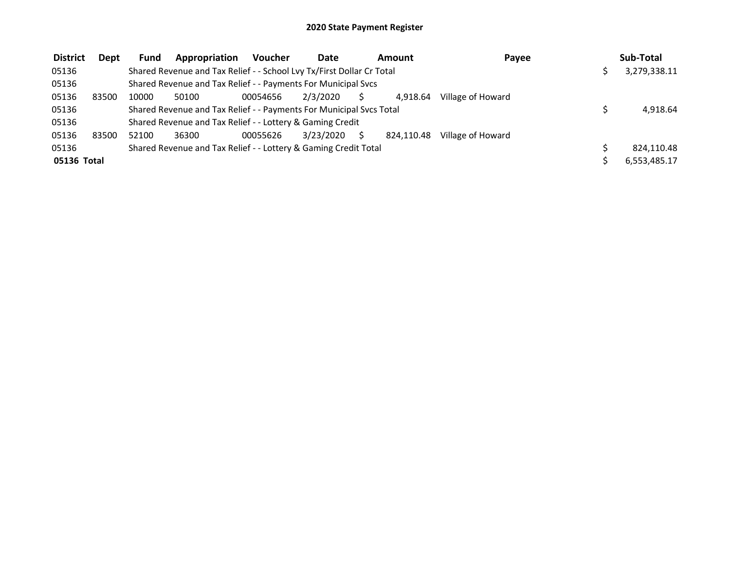| <b>District</b> | <b>Dept</b> | <b>Fund</b> | Appropriation                                                         | <b>Voucher</b> | Date      | Amount     | Payee             | Sub-Total    |
|-----------------|-------------|-------------|-----------------------------------------------------------------------|----------------|-----------|------------|-------------------|--------------|
| 05136           |             |             | Shared Revenue and Tax Relief - - School Lvy Tx/First Dollar Cr Total |                |           |            |                   | 3,279,338.11 |
| 05136           |             |             | Shared Revenue and Tax Relief - - Payments For Municipal Svcs         |                |           |            |                   |              |
| 05136           | 83500       | 10000       | 50100                                                                 | 00054656       | 2/3/2020  | 4.918.64   | Village of Howard |              |
| 05136           |             |             | Shared Revenue and Tax Relief - - Payments For Municipal Svcs Total   |                |           |            |                   | 4,918.64     |
| 05136           |             |             | Shared Revenue and Tax Relief - - Lottery & Gaming Credit             |                |           |            |                   |              |
| 05136           | 83500       | 52100       | 36300                                                                 | 00055626       | 3/23/2020 | 824.110.48 | Village of Howard |              |
| 05136           |             |             | Shared Revenue and Tax Relief - - Lottery & Gaming Credit Total       |                |           |            |                   | 824,110.48   |
| 05136 Total     |             |             |                                                                       |                |           |            |                   | 6,553,485.17 |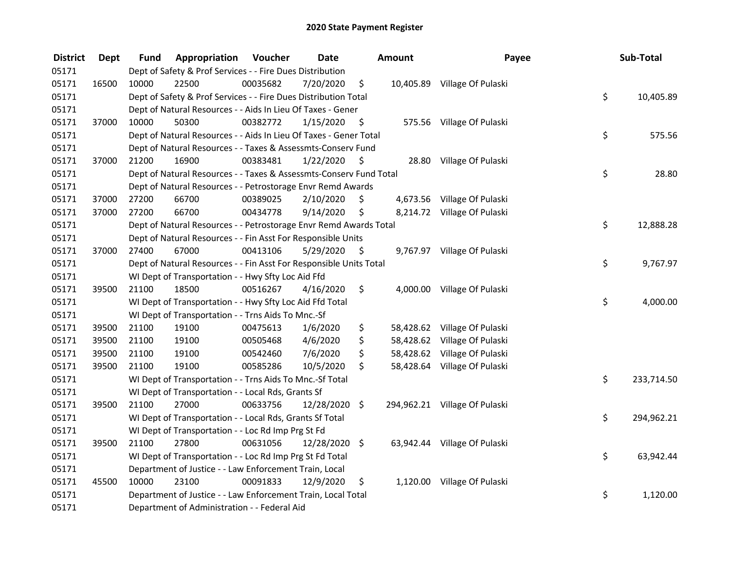| <b>District</b> | <b>Dept</b> | Fund  | Appropriation                                                      | Voucher  | <b>Date</b>   |      | Amount   | Payee                         | Sub-Total        |
|-----------------|-------------|-------|--------------------------------------------------------------------|----------|---------------|------|----------|-------------------------------|------------------|
| 05171           |             |       | Dept of Safety & Prof Services - - Fire Dues Distribution          |          |               |      |          |                               |                  |
| 05171           | 16500       | 10000 | 22500                                                              | 00035682 | 7/20/2020     | \$   |          | 10,405.89 Village Of Pulaski  |                  |
| 05171           |             |       | Dept of Safety & Prof Services - - Fire Dues Distribution Total    |          |               |      |          |                               | \$<br>10,405.89  |
| 05171           |             |       | Dept of Natural Resources - - Aids In Lieu Of Taxes - Gener        |          |               |      |          |                               |                  |
| 05171           | 37000       | 10000 | 50300                                                              | 00382772 | 1/15/2020     | \$   |          | 575.56 Village Of Pulaski     |                  |
| 05171           |             |       | Dept of Natural Resources - - Aids In Lieu Of Taxes - Gener Total  |          |               |      |          |                               | \$<br>575.56     |
| 05171           |             |       | Dept of Natural Resources - - Taxes & Assessmts-Conserv Fund       |          |               |      |          |                               |                  |
| 05171           | 37000       | 21200 | 16900                                                              | 00383481 | 1/22/2020     | - \$ |          | 28.80 Village Of Pulaski      |                  |
| 05171           |             |       | Dept of Natural Resources - - Taxes & Assessmts-Conserv Fund Total |          |               |      |          |                               | \$<br>28.80      |
| 05171           |             |       | Dept of Natural Resources - - Petrostorage Envr Remd Awards        |          |               |      |          |                               |                  |
| 05171           | 37000       | 27200 | 66700                                                              | 00389025 | 2/10/2020     | \$   |          | 4,673.56 Village Of Pulaski   |                  |
| 05171           | 37000       | 27200 | 66700                                                              | 00434778 | 9/14/2020     | \$   |          | 8,214.72 Village Of Pulaski   |                  |
| 05171           |             |       | Dept of Natural Resources - - Petrostorage Envr Remd Awards Total  |          |               |      |          |                               | \$<br>12,888.28  |
| 05171           |             |       | Dept of Natural Resources - - Fin Asst For Responsible Units       |          |               |      |          |                               |                  |
| 05171           | 37000       | 27400 | 67000                                                              | 00413106 | 5/29/2020     | \$   |          | 9,767.97 Village Of Pulaski   |                  |
| 05171           |             |       | Dept of Natural Resources - - Fin Asst For Responsible Units Total |          |               |      |          |                               | \$<br>9,767.97   |
| 05171           |             |       | WI Dept of Transportation - - Hwy Sfty Loc Aid Ffd                 |          |               |      |          |                               |                  |
| 05171           | 39500       | 21100 | 18500                                                              | 00516267 | 4/16/2020     | \$   | 4,000.00 | Village Of Pulaski            |                  |
| 05171           |             |       | WI Dept of Transportation - - Hwy Sfty Loc Aid Ffd Total           |          |               |      |          |                               | \$<br>4,000.00   |
| 05171           |             |       | WI Dept of Transportation - - Trns Aids To Mnc.-Sf                 |          |               |      |          |                               |                  |
| 05171           | 39500       | 21100 | 19100                                                              | 00475613 | 1/6/2020      | \$   |          | 58,428.62 Village Of Pulaski  |                  |
| 05171           | 39500       | 21100 | 19100                                                              | 00505468 | 4/6/2020      | \$   |          | 58,428.62 Village Of Pulaski  |                  |
| 05171           | 39500       | 21100 | 19100                                                              | 00542460 | 7/6/2020      | \$   |          | 58,428.62 Village Of Pulaski  |                  |
| 05171           | 39500       | 21100 | 19100                                                              | 00585286 | 10/5/2020     | \$   |          | 58,428.64 Village Of Pulaski  |                  |
| 05171           |             |       | WI Dept of Transportation - - Trns Aids To Mnc.-Sf Total           |          |               |      |          |                               | \$<br>233,714.50 |
| 05171           |             |       | WI Dept of Transportation - - Local Rds, Grants Sf                 |          |               |      |          |                               |                  |
| 05171           | 39500       | 21100 | 27000                                                              | 00633756 | 12/28/2020 \$ |      |          | 294,962.21 Village Of Pulaski |                  |
| 05171           |             |       | WI Dept of Transportation - - Local Rds, Grants Sf Total           |          |               |      |          |                               | \$<br>294,962.21 |
| 05171           |             |       | WI Dept of Transportation - - Loc Rd Imp Prg St Fd                 |          |               |      |          |                               |                  |
| 05171           | 39500       | 21100 | 27800                                                              | 00631056 | 12/28/2020 \$ |      |          | 63,942.44 Village Of Pulaski  |                  |
| 05171           |             |       | WI Dept of Transportation - - Loc Rd Imp Prg St Fd Total           |          |               |      |          |                               | \$<br>63,942.44  |
| 05171           |             |       | Department of Justice - - Law Enforcement Train, Local             |          |               |      |          |                               |                  |
| 05171           | 45500       | 10000 | 23100                                                              | 00091833 | 12/9/2020     | \$   |          | 1,120.00 Village Of Pulaski   |                  |
| 05171           |             |       | Department of Justice - - Law Enforcement Train, Local Total       |          |               |      |          |                               | \$<br>1,120.00   |
| 05171           |             |       | Department of Administration - - Federal Aid                       |          |               |      |          |                               |                  |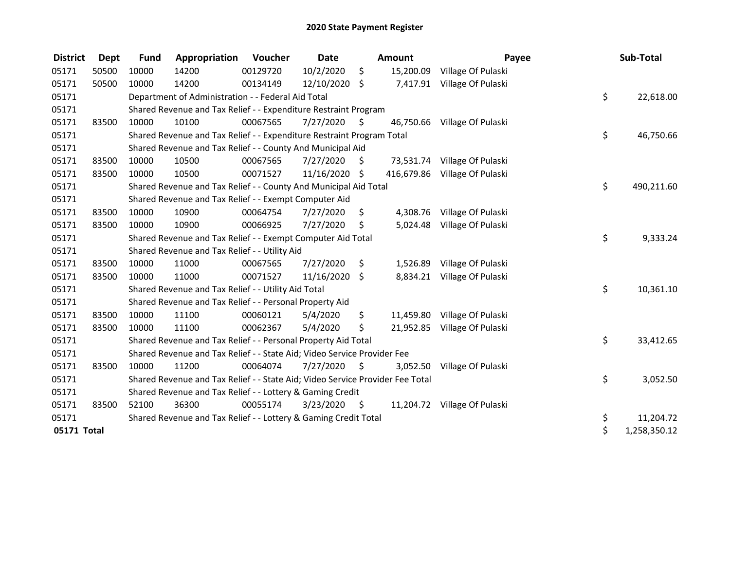| <b>District</b> | Dept  | <b>Fund</b> | Appropriation                                                                 | Voucher  | <b>Date</b>   |      | <b>Amount</b> | Payee                         | Sub-Total          |
|-----------------|-------|-------------|-------------------------------------------------------------------------------|----------|---------------|------|---------------|-------------------------------|--------------------|
| 05171           | 50500 | 10000       | 14200                                                                         | 00129720 | 10/2/2020     | \$   | 15,200.09     | Village Of Pulaski            |                    |
| 05171           | 50500 | 10000       | 14200                                                                         | 00134149 | 12/10/2020 \$ |      |               | 7,417.91 Village Of Pulaski   |                    |
| 05171           |       |             | Department of Administration - - Federal Aid Total                            |          |               |      |               |                               | \$<br>22,618.00    |
| 05171           |       |             | Shared Revenue and Tax Relief - - Expenditure Restraint Program               |          |               |      |               |                               |                    |
| 05171           | 83500 | 10000       | 10100                                                                         | 00067565 | 7/27/2020     | - \$ |               | 46,750.66 Village Of Pulaski  |                    |
| 05171           |       |             | Shared Revenue and Tax Relief - - Expenditure Restraint Program Total         |          |               |      |               |                               | \$<br>46,750.66    |
| 05171           |       |             | Shared Revenue and Tax Relief - - County And Municipal Aid                    |          |               |      |               |                               |                    |
| 05171           | 83500 | 10000       | 10500                                                                         | 00067565 | 7/27/2020     | \$.  |               | 73,531.74 Village Of Pulaski  |                    |
| 05171           | 83500 | 10000       | 10500                                                                         | 00071527 | 11/16/2020 \$ |      |               | 416,679.86 Village Of Pulaski |                    |
| 05171           |       |             | Shared Revenue and Tax Relief - - County And Municipal Aid Total              |          |               |      |               |                               | \$<br>490,211.60   |
| 05171           |       |             | Shared Revenue and Tax Relief - - Exempt Computer Aid                         |          |               |      |               |                               |                    |
| 05171           | 83500 | 10000       | 10900                                                                         | 00064754 | 7/27/2020     | S    |               | 4,308.76 Village Of Pulaski   |                    |
| 05171           | 83500 | 10000       | 10900                                                                         | 00066925 | 7/27/2020     | \$   |               | 5,024.48 Village Of Pulaski   |                    |
| 05171           |       |             | Shared Revenue and Tax Relief - - Exempt Computer Aid Total                   |          |               |      |               |                               | \$<br>9,333.24     |
| 05171           |       |             | Shared Revenue and Tax Relief - - Utility Aid                                 |          |               |      |               |                               |                    |
| 05171           | 83500 | 10000       | 11000                                                                         | 00067565 | 7/27/2020     | \$.  | 1,526.89      | Village Of Pulaski            |                    |
| 05171           | 83500 | 10000       | 11000                                                                         | 00071527 | 11/16/2020 \$ |      |               | 8,834.21 Village Of Pulaski   |                    |
| 05171           |       |             | Shared Revenue and Tax Relief - - Utility Aid Total                           |          |               |      |               |                               | \$<br>10,361.10    |
| 05171           |       |             | Shared Revenue and Tax Relief - - Personal Property Aid                       |          |               |      |               |                               |                    |
| 05171           | 83500 | 10000       | 11100                                                                         | 00060121 | 5/4/2020      | \$   |               | 11,459.80 Village Of Pulaski  |                    |
| 05171           | 83500 | 10000       | 11100                                                                         | 00062367 | 5/4/2020      | \$   |               | 21,952.85 Village Of Pulaski  |                    |
| 05171           |       |             | Shared Revenue and Tax Relief - - Personal Property Aid Total                 |          |               |      |               |                               | \$<br>33,412.65    |
| 05171           |       |             | Shared Revenue and Tax Relief - - State Aid; Video Service Provider Fee       |          |               |      |               |                               |                    |
| 05171           | 83500 | 10000       | 11200                                                                         | 00064074 | 7/27/2020     | \$   | 3,052.50      | Village Of Pulaski            |                    |
| 05171           |       |             | Shared Revenue and Tax Relief - - State Aid; Video Service Provider Fee Total |          |               |      |               |                               | \$<br>3,052.50     |
| 05171           |       |             | Shared Revenue and Tax Relief - - Lottery & Gaming Credit                     |          |               |      |               |                               |                    |
| 05171           | 83500 | 52100       | 36300                                                                         | 00055174 | 3/23/2020     | - \$ |               | 11,204.72 Village Of Pulaski  |                    |
| 05171           |       |             | Shared Revenue and Tax Relief - - Lottery & Gaming Credit Total               |          |               |      |               |                               | \$<br>11,204.72    |
| 05171 Total     |       |             |                                                                               |          |               |      |               |                               | \$<br>1,258,350.12 |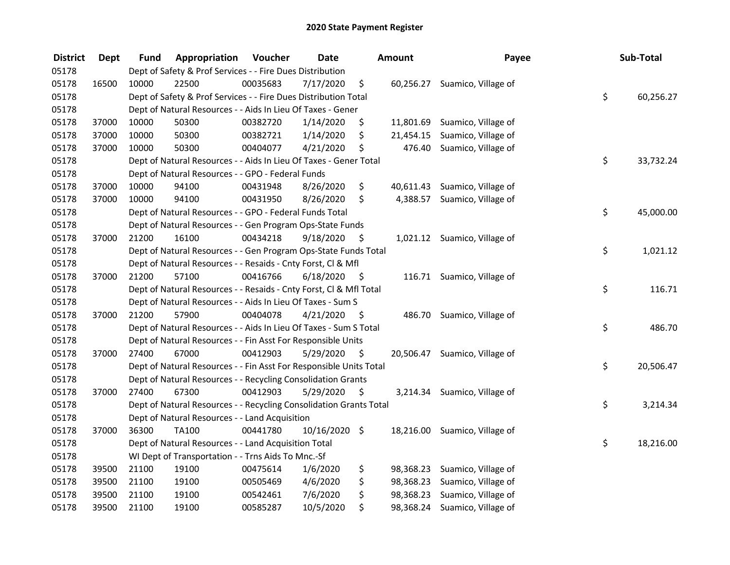| <b>District</b> | <b>Dept</b> | Fund  | Appropriation                                                      | Voucher  | <b>Date</b>   |                     | <b>Amount</b> | Payee                         | Sub-Total       |
|-----------------|-------------|-------|--------------------------------------------------------------------|----------|---------------|---------------------|---------------|-------------------------------|-----------------|
| 05178           |             |       | Dept of Safety & Prof Services - - Fire Dues Distribution          |          |               |                     |               |                               |                 |
| 05178           | 16500       | 10000 | 22500                                                              | 00035683 | 7/17/2020     | \$                  |               | 60,256.27 Suamico, Village of |                 |
| 05178           |             |       | Dept of Safety & Prof Services - - Fire Dues Distribution Total    |          |               |                     |               |                               | \$<br>60,256.27 |
| 05178           |             |       | Dept of Natural Resources - - Aids In Lieu Of Taxes - Gener        |          |               |                     |               |                               |                 |
| 05178           | 37000       | 10000 | 50300                                                              | 00382720 | 1/14/2020     | \$                  |               | 11,801.69 Suamico, Village of |                 |
| 05178           | 37000       | 10000 | 50300                                                              | 00382721 | 1/14/2020     | \$                  |               | 21,454.15 Suamico, Village of |                 |
| 05178           | 37000       | 10000 | 50300                                                              | 00404077 | 4/21/2020     | \$                  |               | 476.40 Suamico, Village of    |                 |
| 05178           |             |       | Dept of Natural Resources - - Aids In Lieu Of Taxes - Gener Total  |          |               |                     |               |                               | \$<br>33,732.24 |
| 05178           |             |       | Dept of Natural Resources - - GPO - Federal Funds                  |          |               |                     |               |                               |                 |
| 05178           | 37000       | 10000 | 94100                                                              | 00431948 | 8/26/2020     | \$                  |               | 40,611.43 Suamico, Village of |                 |
| 05178           | 37000       | 10000 | 94100                                                              | 00431950 | 8/26/2020     | \$                  |               | 4,388.57 Suamico, Village of  |                 |
| 05178           |             |       | Dept of Natural Resources - - GPO - Federal Funds Total            |          |               |                     |               |                               | \$<br>45,000.00 |
| 05178           |             |       | Dept of Natural Resources - - Gen Program Ops-State Funds          |          |               |                     |               |                               |                 |
| 05178           | 37000       | 21200 | 16100                                                              | 00434218 | 9/18/2020     | -\$                 |               | 1,021.12 Suamico, Village of  |                 |
| 05178           |             |       | Dept of Natural Resources - - Gen Program Ops-State Funds Total    |          |               |                     |               |                               | \$<br>1,021.12  |
| 05178           |             |       | Dept of Natural Resources - - Resaids - Cnty Forst, CI & Mfl       |          |               |                     |               |                               |                 |
| 05178           | 37000       | 21200 | 57100                                                              | 00416766 | 6/18/2020     | - \$                |               | 116.71 Suamico, Village of    |                 |
| 05178           |             |       | Dept of Natural Resources - - Resaids - Cnty Forst, Cl & Mfl Total |          |               |                     |               |                               | \$<br>116.71    |
| 05178           |             |       | Dept of Natural Resources - - Aids In Lieu Of Taxes - Sum S        |          |               |                     |               |                               |                 |
| 05178           | 37000       | 21200 | 57900                                                              | 00404078 | 4/21/2020     | $\ddot{\mathsf{s}}$ |               | 486.70 Suamico, Village of    |                 |
| 05178           |             |       | Dept of Natural Resources - - Aids In Lieu Of Taxes - Sum S Total  |          |               |                     |               |                               | \$<br>486.70    |
| 05178           |             |       | Dept of Natural Resources - - Fin Asst For Responsible Units       |          |               |                     |               |                               |                 |
| 05178           | 37000       | 27400 | 67000                                                              | 00412903 | 5/29/2020     | - \$                |               | 20,506.47 Suamico, Village of |                 |
| 05178           |             |       | Dept of Natural Resources - - Fin Asst For Responsible Units Total |          |               |                     |               |                               | \$<br>20,506.47 |
| 05178           |             |       | Dept of Natural Resources - - Recycling Consolidation Grants       |          |               |                     |               |                               |                 |
| 05178           | 37000       | 27400 | 67300                                                              | 00412903 | 5/29/2020     | $\zeta$             |               | 3,214.34 Suamico, Village of  |                 |
| 05178           |             |       | Dept of Natural Resources - - Recycling Consolidation Grants Total |          |               |                     |               |                               | \$<br>3,214.34  |
| 05178           |             |       | Dept of Natural Resources - - Land Acquisition                     |          |               |                     |               |                               |                 |
| 05178           | 37000       | 36300 | <b>TA100</b>                                                       | 00441780 | 10/16/2020 \$ |                     |               | 18,216.00 Suamico, Village of |                 |
| 05178           |             |       | Dept of Natural Resources - - Land Acquisition Total               |          |               |                     |               |                               | \$<br>18,216.00 |
| 05178           |             |       | WI Dept of Transportation - - Trns Aids To Mnc.-Sf                 |          |               |                     |               |                               |                 |
| 05178           | 39500       | 21100 | 19100                                                              | 00475614 | 1/6/2020      | \$                  |               | 98,368.23 Suamico, Village of |                 |
| 05178           | 39500       | 21100 | 19100                                                              | 00505469 | 4/6/2020      | \$                  |               | 98,368.23 Suamico, Village of |                 |
| 05178           | 39500       | 21100 | 19100                                                              | 00542461 | 7/6/2020      | \$                  |               | 98,368.23 Suamico, Village of |                 |
| 05178           | 39500       | 21100 | 19100                                                              | 00585287 | 10/5/2020     | \$                  |               | 98,368.24 Suamico, Village of |                 |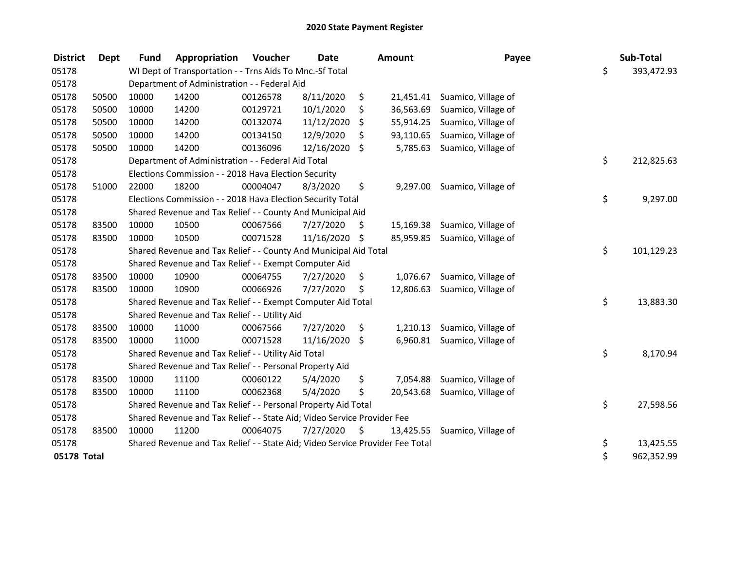| <b>District</b> | <b>Dept</b> | <b>Fund</b> | Appropriation                                                                 | Voucher  | <b>Date</b>   |    | <b>Amount</b> | Payee                         | Sub-Total        |
|-----------------|-------------|-------------|-------------------------------------------------------------------------------|----------|---------------|----|---------------|-------------------------------|------------------|
| 05178           |             |             | WI Dept of Transportation - - Trns Aids To Mnc.-Sf Total                      |          |               |    |               |                               | \$<br>393,472.93 |
| 05178           |             |             | Department of Administration - - Federal Aid                                  |          |               |    |               |                               |                  |
| 05178           | 50500       | 10000       | 14200                                                                         | 00126578 | 8/11/2020     | \$ | 21,451.41     | Suamico, Village of           |                  |
| 05178           | 50500       | 10000       | 14200                                                                         | 00129721 | 10/1/2020     | \$ | 36,563.69     | Suamico, Village of           |                  |
| 05178           | 50500       | 10000       | 14200                                                                         | 00132074 | 11/12/2020    | \$ | 55,914.25     | Suamico, Village of           |                  |
| 05178           | 50500       | 10000       | 14200                                                                         | 00134150 | 12/9/2020     | S  | 93,110.65     | Suamico, Village of           |                  |
| 05178           | 50500       | 10000       | 14200                                                                         | 00136096 | 12/16/2020    | \$ | 5,785.63      | Suamico, Village of           |                  |
| 05178           |             |             | Department of Administration - - Federal Aid Total                            |          |               |    |               |                               | \$<br>212,825.63 |
| 05178           |             |             | Elections Commission - - 2018 Hava Election Security                          |          |               |    |               |                               |                  |
| 05178           | 51000       | 22000       | 18200                                                                         | 00004047 | 8/3/2020      | \$ | 9,297.00      | Suamico, Village of           |                  |
| 05178           |             |             | Elections Commission - - 2018 Hava Election Security Total                    |          |               |    |               |                               | \$<br>9,297.00   |
| 05178           |             |             | Shared Revenue and Tax Relief - - County And Municipal Aid                    |          |               |    |               |                               |                  |
| 05178           | 83500       | 10000       | 10500                                                                         | 00067566 | 7/27/2020     | \$ | 15,169.38     | Suamico, Village of           |                  |
| 05178           | 83500       | 10000       | 10500                                                                         | 00071528 | 11/16/2020 \$ |    |               | 85,959.85 Suamico, Village of |                  |
| 05178           |             |             | Shared Revenue and Tax Relief - - County And Municipal Aid Total              |          |               |    |               |                               | \$<br>101,129.23 |
| 05178           |             |             | Shared Revenue and Tax Relief - - Exempt Computer Aid                         |          |               |    |               |                               |                  |
| 05178           | 83500       | 10000       | 10900                                                                         | 00064755 | 7/27/2020     | \$ | 1,076.67      | Suamico, Village of           |                  |
| 05178           | 83500       | 10000       | 10900                                                                         | 00066926 | 7/27/2020     | \$ | 12,806.63     | Suamico, Village of           |                  |
| 05178           |             |             | Shared Revenue and Tax Relief - - Exempt Computer Aid Total                   |          |               |    |               |                               | \$<br>13,883.30  |
| 05178           |             |             | Shared Revenue and Tax Relief - - Utility Aid                                 |          |               |    |               |                               |                  |
| 05178           | 83500       | 10000       | 11000                                                                         | 00067566 | 7/27/2020     | \$ | 1,210.13      | Suamico, Village of           |                  |
| 05178           | 83500       | 10000       | 11000                                                                         | 00071528 | 11/16/2020    | \$ | 6,960.81      | Suamico, Village of           |                  |
| 05178           |             |             | Shared Revenue and Tax Relief - - Utility Aid Total                           |          |               |    |               |                               | \$<br>8,170.94   |
| 05178           |             |             | Shared Revenue and Tax Relief - - Personal Property Aid                       |          |               |    |               |                               |                  |
| 05178           | 83500       | 10000       | 11100                                                                         | 00060122 | 5/4/2020      | \$ |               | 7,054.88 Suamico, Village of  |                  |
| 05178           | 83500       | 10000       | 11100                                                                         | 00062368 | 5/4/2020      | \$ | 20,543.68     | Suamico, Village of           |                  |
| 05178           |             |             | Shared Revenue and Tax Relief - - Personal Property Aid Total                 |          |               |    |               |                               | \$<br>27,598.56  |
| 05178           |             |             | Shared Revenue and Tax Relief - - State Aid; Video Service Provider Fee       |          |               |    |               |                               |                  |
| 05178           | 83500       | 10000       | 11200                                                                         | 00064075 | 7/27/2020     | \$ | 13,425.55     | Suamico, Village of           |                  |
| 05178           |             |             | Shared Revenue and Tax Relief - - State Aid; Video Service Provider Fee Total |          |               |    |               |                               | \$<br>13,425.55  |
| 05178 Total     |             |             |                                                                               |          |               |    |               |                               | \$<br>962,352.99 |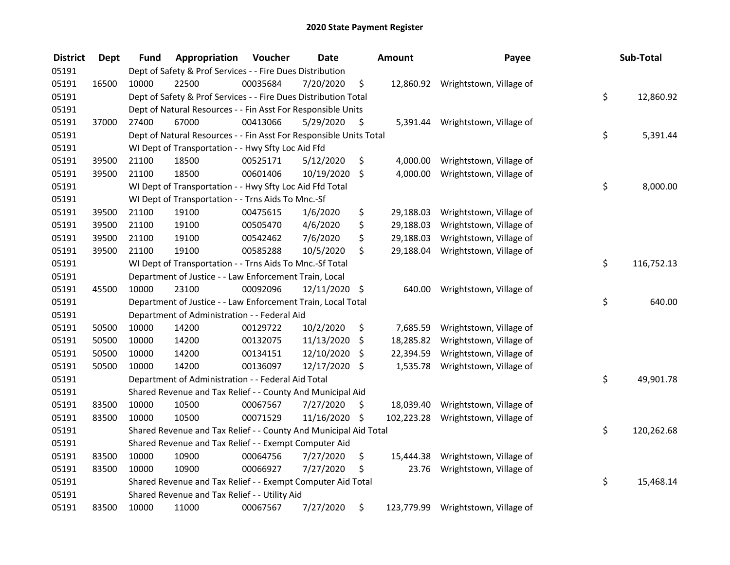| <b>District</b> | <b>Dept</b> | <b>Fund</b> | Appropriation                                                      | Voucher  | <b>Date</b>   |         | <b>Amount</b> | Payee                             | Sub-Total        |
|-----------------|-------------|-------------|--------------------------------------------------------------------|----------|---------------|---------|---------------|-----------------------------------|------------------|
| 05191           |             |             | Dept of Safety & Prof Services - - Fire Dues Distribution          |          |               |         |               |                                   |                  |
| 05191           | 16500       | 10000       | 22500                                                              | 00035684 | 7/20/2020     | \$      |               | 12,860.92 Wrightstown, Village of |                  |
| 05191           |             |             | Dept of Safety & Prof Services - - Fire Dues Distribution Total    |          |               |         |               |                                   | \$<br>12,860.92  |
| 05191           |             |             | Dept of Natural Resources - - Fin Asst For Responsible Units       |          |               |         |               |                                   |                  |
| 05191           | 37000       | 27400       | 67000                                                              | 00413066 | 5/29/2020     | \$      | 5,391.44      | Wrightstown, Village of           |                  |
| 05191           |             |             | Dept of Natural Resources - - Fin Asst For Responsible Units Total |          |               |         |               |                                   | \$<br>5,391.44   |
| 05191           |             |             | WI Dept of Transportation - - Hwy Sfty Loc Aid Ffd                 |          |               |         |               |                                   |                  |
| 05191           | 39500       | 21100       | 18500                                                              | 00525171 | 5/12/2020     | \$      | 4,000.00      | Wrightstown, Village of           |                  |
| 05191           | 39500       | 21100       | 18500                                                              | 00601406 | 10/19/2020    | $\zeta$ | 4,000.00      | Wrightstown, Village of           |                  |
| 05191           |             |             | WI Dept of Transportation - - Hwy Sfty Loc Aid Ffd Total           |          |               |         |               |                                   | \$<br>8,000.00   |
| 05191           |             |             | WI Dept of Transportation - - Trns Aids To Mnc.-Sf                 |          |               |         |               |                                   |                  |
| 05191           | 39500       | 21100       | 19100                                                              | 00475615 | 1/6/2020      | \$      | 29,188.03     | Wrightstown, Village of           |                  |
| 05191           | 39500       | 21100       | 19100                                                              | 00505470 | 4/6/2020      | \$      | 29,188.03     | Wrightstown, Village of           |                  |
| 05191           | 39500       | 21100       | 19100                                                              | 00542462 | 7/6/2020      | \$      | 29,188.03     | Wrightstown, Village of           |                  |
| 05191           | 39500       | 21100       | 19100                                                              | 00585288 | 10/5/2020     | \$      | 29,188.04     | Wrightstown, Village of           |                  |
| 05191           |             |             | WI Dept of Transportation - - Trns Aids To Mnc.-Sf Total           |          |               |         |               |                                   | \$<br>116,752.13 |
| 05191           |             |             | Department of Justice - - Law Enforcement Train, Local             |          |               |         |               |                                   |                  |
| 05191           | 45500       | 10000       | 23100                                                              | 00092096 | 12/11/2020 \$ |         | 640.00        | Wrightstown, Village of           |                  |
| 05191           |             |             | Department of Justice - - Law Enforcement Train, Local Total       |          |               |         |               |                                   | \$<br>640.00     |
| 05191           |             |             | Department of Administration - - Federal Aid                       |          |               |         |               |                                   |                  |
| 05191           | 50500       | 10000       | 14200                                                              | 00129722 | 10/2/2020     | \$      | 7,685.59      | Wrightstown, Village of           |                  |
| 05191           | 50500       | 10000       | 14200                                                              | 00132075 | 11/13/2020    | \$      | 18,285.82     | Wrightstown, Village of           |                  |
| 05191           | 50500       | 10000       | 14200                                                              | 00134151 | 12/10/2020    | \$      | 22,394.59     | Wrightstown, Village of           |                  |
| 05191           | 50500       | 10000       | 14200                                                              | 00136097 | 12/17/2020    | \$      | 1,535.78      | Wrightstown, Village of           |                  |
| 05191           |             |             | Department of Administration - - Federal Aid Total                 |          |               |         |               |                                   | \$<br>49,901.78  |
| 05191           |             |             | Shared Revenue and Tax Relief - - County And Municipal Aid         |          |               |         |               |                                   |                  |
| 05191           | 83500       | 10000       | 10500                                                              | 00067567 | 7/27/2020     | \$      | 18,039.40     | Wrightstown, Village of           |                  |
| 05191           | 83500       | 10000       | 10500                                                              | 00071529 | 11/16/2020 \$ |         | 102,223.28    | Wrightstown, Village of           |                  |
| 05191           |             |             | Shared Revenue and Tax Relief - - County And Municipal Aid Total   |          |               |         |               |                                   | \$<br>120,262.68 |
| 05191           |             |             | Shared Revenue and Tax Relief - - Exempt Computer Aid              |          |               |         |               |                                   |                  |
| 05191           | 83500       | 10000       | 10900                                                              | 00064756 | 7/27/2020     | \$      | 15,444.38     | Wrightstown, Village of           |                  |
| 05191           | 83500       | 10000       | 10900                                                              | 00066927 | 7/27/2020     | \$      | 23.76         | Wrightstown, Village of           |                  |
| 05191           |             |             | Shared Revenue and Tax Relief - - Exempt Computer Aid Total        |          |               |         |               |                                   | \$<br>15,468.14  |
| 05191           |             |             | Shared Revenue and Tax Relief - - Utility Aid                      |          |               |         |               |                                   |                  |
| 05191           | 83500       | 10000       | 11000                                                              | 00067567 | 7/27/2020     | \$      | 123,779.99    | Wrightstown, Village of           |                  |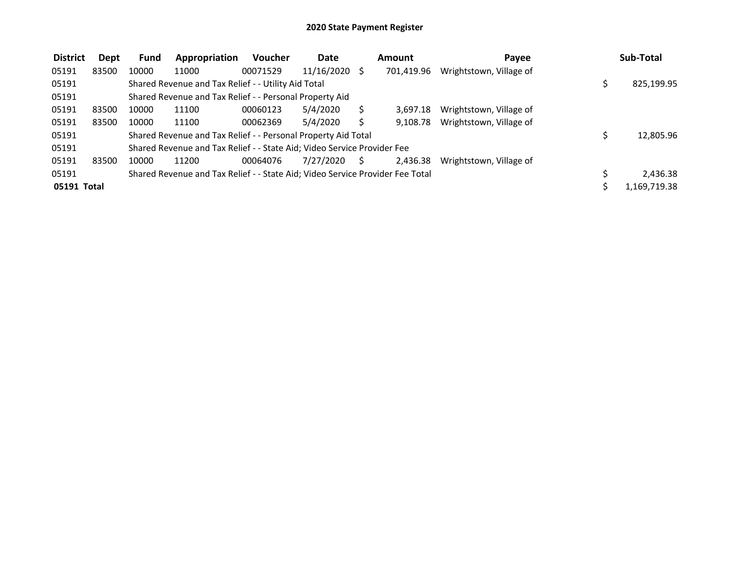| <b>District</b> | Dept  | <b>Fund</b> | Appropriation                                                                 | <b>Voucher</b> | Date            |    | Amount     | Payee                   | Sub-Total    |
|-----------------|-------|-------------|-------------------------------------------------------------------------------|----------------|-----------------|----|------------|-------------------------|--------------|
| 05191           | 83500 | 10000       | 11000                                                                         | 00071529       | $11/16/2020$ \$ |    | 701,419.96 | Wrightstown, Village of |              |
| 05191           |       |             | Shared Revenue and Tax Relief - - Utility Aid Total                           |                |                 |    |            |                         | 825,199.95   |
| 05191           |       |             | Shared Revenue and Tax Relief - - Personal Property Aid                       |                |                 |    |            |                         |              |
| 05191           | 83500 | 10000       | 11100                                                                         | 00060123       | 5/4/2020        |    | 3.697.18   | Wrightstown, Village of |              |
| 05191           | 83500 | 10000       | 11100                                                                         | 00062369       | 5/4/2020        |    | 9.108.78   | Wrightstown, Village of |              |
| 05191           |       |             | Shared Revenue and Tax Relief - - Personal Property Aid Total                 |                |                 |    |            |                         | 12,805.96    |
| 05191           |       |             | Shared Revenue and Tax Relief - - State Aid; Video Service Provider Fee       |                |                 |    |            |                         |              |
| 05191           | 83500 | 10000       | 11200                                                                         | 00064076       | 7/27/2020       | S. | 2,436.38   | Wrightstown, Village of |              |
| 05191           |       |             | Shared Revenue and Tax Relief - - State Aid; Video Service Provider Fee Total |                |                 |    |            |                         | 2,436.38     |
| 05191 Total     |       |             |                                                                               |                |                 |    |            |                         | 1,169,719.38 |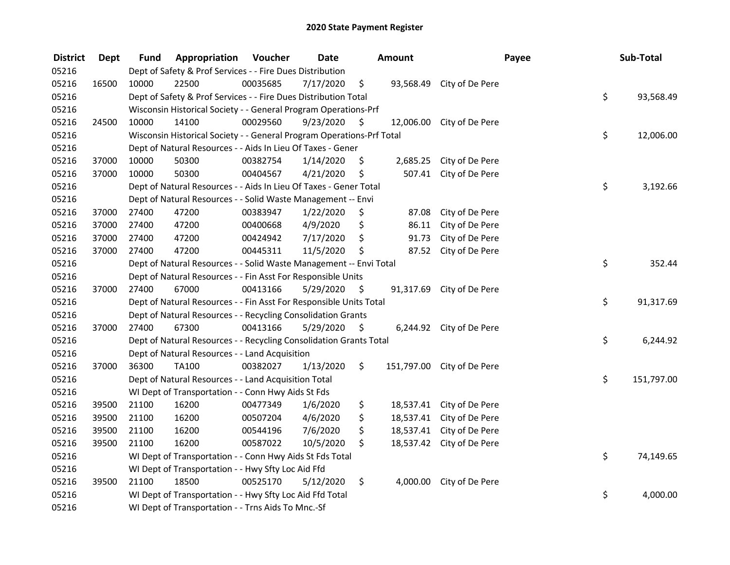| <b>District</b> | <b>Dept</b> | Fund  | Appropriation                                                         | Voucher  | <b>Date</b> |                     | Amount    |                            | Payee | Sub-Total        |
|-----------------|-------------|-------|-----------------------------------------------------------------------|----------|-------------|---------------------|-----------|----------------------------|-------|------------------|
| 05216           |             |       | Dept of Safety & Prof Services - - Fire Dues Distribution             |          |             |                     |           |                            |       |                  |
| 05216           | 16500       | 10000 | 22500                                                                 | 00035685 | 7/17/2020   | \$                  |           | 93,568.49 City of De Pere  |       |                  |
| 05216           |             |       | Dept of Safety & Prof Services - - Fire Dues Distribution Total       |          |             |                     |           |                            |       | \$<br>93,568.49  |
| 05216           |             |       | Wisconsin Historical Society - - General Program Operations-Prf       |          |             |                     |           |                            |       |                  |
| 05216           | 24500       | 10000 | 14100                                                                 | 00029560 | 9/23/2020   | -\$                 |           | 12,006.00 City of De Pere  |       |                  |
| 05216           |             |       | Wisconsin Historical Society - - General Program Operations-Prf Total |          |             |                     |           |                            |       | \$<br>12,006.00  |
| 05216           |             |       | Dept of Natural Resources - - Aids In Lieu Of Taxes - Gener           |          |             |                     |           |                            |       |                  |
| 05216           | 37000       | 10000 | 50300                                                                 | 00382754 | 1/14/2020   | \$                  |           | 2,685.25 City of De Pere   |       |                  |
| 05216           | 37000       | 10000 | 50300                                                                 | 00404567 | 4/21/2020   | \$                  |           | 507.41 City of De Pere     |       |                  |
| 05216           |             |       | Dept of Natural Resources - - Aids In Lieu Of Taxes - Gener Total     |          |             |                     |           |                            |       | \$<br>3,192.66   |
| 05216           |             |       | Dept of Natural Resources - - Solid Waste Management -- Envi          |          |             |                     |           |                            |       |                  |
| 05216           | 37000       | 27400 | 47200                                                                 | 00383947 | 1/22/2020   | \$                  | 87.08     | City of De Pere            |       |                  |
| 05216           | 37000       | 27400 | 47200                                                                 | 00400668 | 4/9/2020    | \$                  | 86.11     | City of De Pere            |       |                  |
| 05216           | 37000       | 27400 | 47200                                                                 | 00424942 | 7/17/2020   | \$                  | 91.73     | City of De Pere            |       |                  |
| 05216           | 37000       | 27400 | 47200                                                                 | 00445311 | 11/5/2020   | \$                  | 87.52     | City of De Pere            |       |                  |
| 05216           |             |       | Dept of Natural Resources - - Solid Waste Management -- Envi Total    |          |             |                     |           |                            |       | \$<br>352.44     |
| 05216           |             |       | Dept of Natural Resources - - Fin Asst For Responsible Units          |          |             |                     |           |                            |       |                  |
| 05216           | 37000       | 27400 | 67000                                                                 | 00413166 | 5/29/2020   | \$                  | 91,317.69 | City of De Pere            |       |                  |
| 05216           |             |       | Dept of Natural Resources - - Fin Asst For Responsible Units Total    |          |             |                     |           |                            |       | \$<br>91,317.69  |
| 05216           |             |       | Dept of Natural Resources - - Recycling Consolidation Grants          |          |             |                     |           |                            |       |                  |
| 05216           | 37000       | 27400 | 67300                                                                 | 00413166 | 5/29/2020   | $\ddot{\mathsf{s}}$ |           | 6,244.92 City of De Pere   |       |                  |
| 05216           |             |       | Dept of Natural Resources - - Recycling Consolidation Grants Total    |          |             |                     |           |                            |       | \$<br>6,244.92   |
| 05216           |             |       | Dept of Natural Resources - - Land Acquisition                        |          |             |                     |           |                            |       |                  |
| 05216           | 37000       | 36300 | <b>TA100</b>                                                          | 00382027 | 1/13/2020   | \$.                 |           | 151,797.00 City of De Pere |       |                  |
| 05216           |             |       | Dept of Natural Resources - - Land Acquisition Total                  |          |             |                     |           |                            |       | \$<br>151,797.00 |
| 05216           |             |       | WI Dept of Transportation - - Conn Hwy Aids St Fds                    |          |             |                     |           |                            |       |                  |
| 05216           | 39500       | 21100 | 16200                                                                 | 00477349 | 1/6/2020    | \$                  |           | 18,537.41 City of De Pere  |       |                  |
| 05216           | 39500       | 21100 | 16200                                                                 | 00507204 | 4/6/2020    | \$                  | 18,537.41 | City of De Pere            |       |                  |
| 05216           | 39500       | 21100 | 16200                                                                 | 00544196 | 7/6/2020    | \$                  | 18,537.41 | City of De Pere            |       |                  |
| 05216           | 39500       | 21100 | 16200                                                                 | 00587022 | 10/5/2020   | \$                  |           | 18,537.42 City of De Pere  |       |                  |
| 05216           |             |       | WI Dept of Transportation - - Conn Hwy Aids St Fds Total              |          |             |                     |           |                            |       | \$<br>74,149.65  |
| 05216           |             |       | WI Dept of Transportation - - Hwy Sfty Loc Aid Ffd                    |          |             |                     |           |                            |       |                  |
| 05216           | 39500       | 21100 | 18500                                                                 | 00525170 | 5/12/2020   | \$                  |           | 4,000.00 City of De Pere   |       |                  |
| 05216           |             |       | WI Dept of Transportation - - Hwy Sfty Loc Aid Ffd Total              |          |             |                     |           |                            |       | \$<br>4,000.00   |
| 05216           |             |       | WI Dept of Transportation - - Trns Aids To Mnc.-Sf                    |          |             |                     |           |                            |       |                  |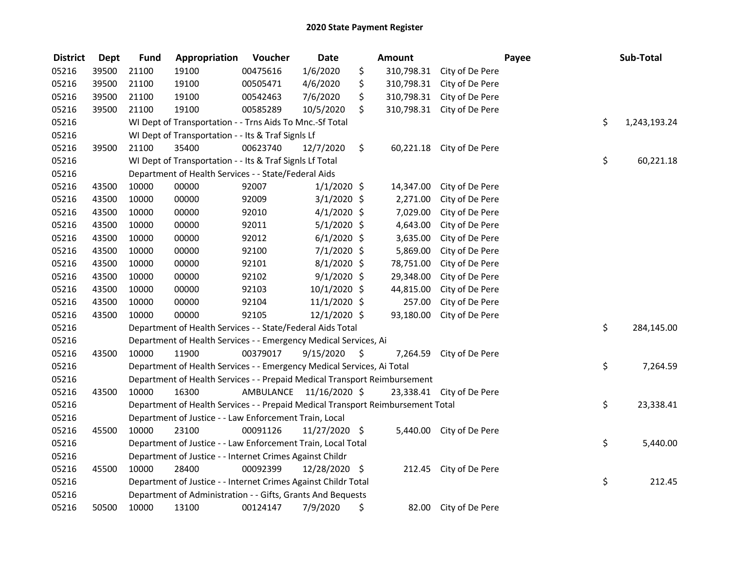| <b>District</b> | <b>Dept</b> | <b>Fund</b> | Appropriation                                                                   | Voucher  | <b>Date</b>             |      | Amount    |                            | Payee | Sub-Total    |
|-----------------|-------------|-------------|---------------------------------------------------------------------------------|----------|-------------------------|------|-----------|----------------------------|-------|--------------|
| 05216           | 39500       | 21100       | 19100                                                                           | 00475616 | 1/6/2020                | \$   |           | 310,798.31 City of De Pere |       |              |
| 05216           | 39500       | 21100       | 19100                                                                           | 00505471 | 4/6/2020                | \$   |           | 310,798.31 City of De Pere |       |              |
| 05216           | 39500       | 21100       | 19100                                                                           | 00542463 | 7/6/2020                | \$   |           | 310,798.31 City of De Pere |       |              |
| 05216           | 39500       | 21100       | 19100                                                                           | 00585289 | 10/5/2020               | \$   |           | 310,798.31 City of De Pere |       |              |
| 05216           |             |             | WI Dept of Transportation - - Trns Aids To Mnc.-Sf Total                        |          |                         |      |           |                            | \$    | 1,243,193.24 |
| 05216           |             |             | WI Dept of Transportation - - Its & Traf SignIs Lf                              |          |                         |      |           |                            |       |              |
| 05216           | 39500       | 21100       | 35400                                                                           | 00623740 | 12/7/2020               | \$   |           | 60,221.18 City of De Pere  |       |              |
| 05216           |             |             | WI Dept of Transportation - - Its & Traf SignIs Lf Total                        |          |                         |      |           |                            | \$    | 60,221.18    |
| 05216           |             |             | Department of Health Services - - State/Federal Aids                            |          |                         |      |           |                            |       |              |
| 05216           | 43500       | 10000       | 00000                                                                           | 92007    | $1/1/2020$ \$           |      | 14,347.00 | City of De Pere            |       |              |
| 05216           | 43500       | 10000       | 00000                                                                           | 92009    | $3/1/2020$ \$           |      | 2,271.00  | City of De Pere            |       |              |
| 05216           | 43500       | 10000       | 00000                                                                           | 92010    | $4/1/2020$ \$           |      | 7,029.00  | City of De Pere            |       |              |
| 05216           | 43500       | 10000       | 00000                                                                           | 92011    | $5/1/2020$ \$           |      | 4,643.00  | City of De Pere            |       |              |
| 05216           | 43500       | 10000       | 00000                                                                           | 92012    | $6/1/2020$ \$           |      | 3,635.00  | City of De Pere            |       |              |
| 05216           | 43500       | 10000       | 00000                                                                           | 92100    | $7/1/2020$ \$           |      | 5,869.00  | City of De Pere            |       |              |
| 05216           | 43500       | 10000       | 00000                                                                           | 92101    | $8/1/2020$ \$           |      | 78,751.00 | City of De Pere            |       |              |
| 05216           | 43500       | 10000       | 00000                                                                           | 92102    | $9/1/2020$ \$           |      | 29,348.00 | City of De Pere            |       |              |
| 05216           | 43500       | 10000       | 00000                                                                           | 92103    | 10/1/2020 \$            |      | 44,815.00 | City of De Pere            |       |              |
| 05216           | 43500       | 10000       | 00000                                                                           | 92104    | 11/1/2020 \$            |      | 257.00    | City of De Pere            |       |              |
| 05216           | 43500       | 10000       | 00000                                                                           | 92105    | $12/1/2020$ \$          |      | 93,180.00 | City of De Pere            |       |              |
| 05216           |             |             | Department of Health Services - - State/Federal Aids Total                      |          |                         |      |           |                            | \$    | 284,145.00   |
| 05216           |             |             | Department of Health Services - - Emergency Medical Services, Ai                |          |                         |      |           |                            |       |              |
| 05216           | 43500       | 10000       | 11900                                                                           | 00379017 | 9/15/2020               | - \$ |           | 7,264.59 City of De Pere   |       |              |
| 05216           |             |             | Department of Health Services - - Emergency Medical Services, Ai Total          |          |                         |      |           |                            | \$    | 7,264.59     |
| 05216           |             |             | Department of Health Services - - Prepaid Medical Transport Reimbursement       |          |                         |      |           |                            |       |              |
| 05216           | 43500       | 10000       | 16300                                                                           |          | AMBULANCE 11/16/2020 \$ |      |           | 23,338.41 City of De Pere  |       |              |
| 05216           |             |             | Department of Health Services - - Prepaid Medical Transport Reimbursement Total |          |                         |      |           |                            | \$    | 23,338.41    |
| 05216           |             |             | Department of Justice - - Law Enforcement Train, Local                          |          |                         |      |           |                            |       |              |
| 05216           | 45500       | 10000       | 23100                                                                           | 00091126 | 11/27/2020 \$           |      |           | 5,440.00 City of De Pere   |       |              |
| 05216           |             |             | Department of Justice - - Law Enforcement Train, Local Total                    |          |                         |      |           |                            | \$    | 5,440.00     |
| 05216           |             |             | Department of Justice - - Internet Crimes Against Childr                        |          |                         |      |           |                            |       |              |
| 05216           | 45500       | 10000       | 28400                                                                           | 00092399 | 12/28/2020 \$           |      | 212.45    | City of De Pere            |       |              |
| 05216           |             |             | Department of Justice - - Internet Crimes Against Childr Total                  |          |                         |      |           |                            | \$    | 212.45       |
| 05216           |             |             | Department of Administration - - Gifts, Grants And Bequests                     |          |                         |      |           |                            |       |              |
| 05216           | 50500       | 10000       | 13100                                                                           | 00124147 | 7/9/2020                | \$   |           | 82.00 City of De Pere      |       |              |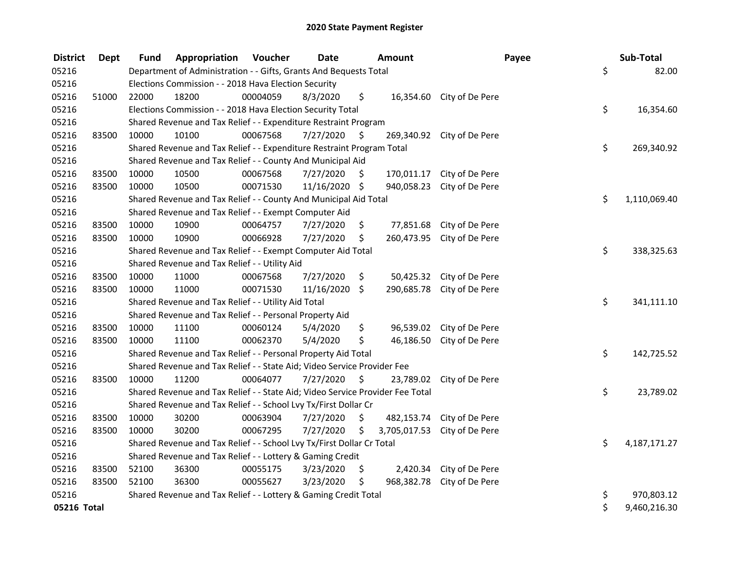| <b>District</b> | <b>Dept</b> | Fund  | Appropriation                                                                 | Voucher  | <b>Date</b>     |    | Amount       |                            | Payee | Sub-Total    |
|-----------------|-------------|-------|-------------------------------------------------------------------------------|----------|-----------------|----|--------------|----------------------------|-------|--------------|
| 05216           |             |       | Department of Administration - - Gifts, Grants And Bequests Total             |          |                 |    |              |                            | \$    | 82.00        |
| 05216           |             |       | Elections Commission - - 2018 Hava Election Security                          |          |                 |    |              |                            |       |              |
| 05216           | 51000       | 22000 | 18200                                                                         | 00004059 | 8/3/2020        | \$ |              | 16,354.60 City of De Pere  |       |              |
| 05216           |             |       | Elections Commission - - 2018 Hava Election Security Total                    |          |                 |    |              |                            | \$    | 16,354.60    |
| 05216           |             |       | Shared Revenue and Tax Relief - - Expenditure Restraint Program               |          |                 |    |              |                            |       |              |
| 05216           | 83500       | 10000 | 10100                                                                         | 00067568 | 7/27/2020       | S. |              | 269,340.92 City of De Pere |       |              |
| 05216           |             |       | Shared Revenue and Tax Relief - - Expenditure Restraint Program Total         |          |                 |    |              |                            | \$    | 269,340.92   |
| 05216           |             |       | Shared Revenue and Tax Relief - - County And Municipal Aid                    |          |                 |    |              |                            |       |              |
| 05216           | 83500       | 10000 | 10500                                                                         | 00067568 | 7/27/2020       | \$ |              | 170,011.17 City of De Pere |       |              |
| 05216           | 83500       | 10000 | 10500                                                                         | 00071530 | 11/16/2020 \$   |    | 940,058.23   | City of De Pere            |       |              |
| 05216           |             |       | Shared Revenue and Tax Relief - - County And Municipal Aid Total              |          |                 |    |              |                            | \$    | 1,110,069.40 |
| 05216           |             |       | Shared Revenue and Tax Relief - - Exempt Computer Aid                         |          |                 |    |              |                            |       |              |
| 05216           | 83500       | 10000 | 10900                                                                         | 00064757 | 7/27/2020       | \$ | 77,851.68    | City of De Pere            |       |              |
| 05216           | 83500       | 10000 | 10900                                                                         | 00066928 | 7/27/2020       | \$ | 260,473.95   | City of De Pere            |       |              |
| 05216           |             |       | Shared Revenue and Tax Relief - - Exempt Computer Aid Total                   |          |                 |    |              |                            | \$    | 338,325.63   |
| 05216           |             |       | Shared Revenue and Tax Relief - - Utility Aid                                 |          |                 |    |              |                            |       |              |
| 05216           | 83500       | 10000 | 11000                                                                         | 00067568 | 7/27/2020       | \$ | 50,425.32    | City of De Pere            |       |              |
| 05216           | 83500       | 10000 | 11000                                                                         | 00071530 | $11/16/2020$ \$ |    | 290,685.78   | City of De Pere            |       |              |
| 05216           |             |       | Shared Revenue and Tax Relief - - Utility Aid Total                           |          |                 |    |              |                            | \$    | 341,111.10   |
| 05216           |             |       | Shared Revenue and Tax Relief - - Personal Property Aid                       |          |                 |    |              |                            |       |              |
| 05216           | 83500       | 10000 | 11100                                                                         | 00060124 | 5/4/2020        | \$ |              | 96,539.02 City of De Pere  |       |              |
| 05216           | 83500       | 10000 | 11100                                                                         | 00062370 | 5/4/2020        | \$ | 46,186.50    | City of De Pere            |       |              |
| 05216           |             |       | Shared Revenue and Tax Relief - - Personal Property Aid Total                 |          |                 |    |              |                            | \$    | 142,725.52   |
| 05216           |             |       | Shared Revenue and Tax Relief - - State Aid; Video Service Provider Fee       |          |                 |    |              |                            |       |              |
| 05216           | 83500       | 10000 | 11200                                                                         | 00064077 | 7/27/2020       | S  | 23,789.02    | City of De Pere            |       |              |
| 05216           |             |       | Shared Revenue and Tax Relief - - State Aid; Video Service Provider Fee Total |          |                 |    |              |                            | \$    | 23,789.02    |
| 05216           |             |       | Shared Revenue and Tax Relief - - School Lvy Tx/First Dollar Cr               |          |                 |    |              |                            |       |              |
| 05216           | 83500       | 10000 | 30200                                                                         | 00063904 | 7/27/2020       | \$ | 482,153.74   | City of De Pere            |       |              |
| 05216           | 83500       | 10000 | 30200                                                                         | 00067295 | 7/27/2020       | \$ | 3,705,017.53 | City of De Pere            |       |              |
| 05216           |             |       | Shared Revenue and Tax Relief - - School Lvy Tx/First Dollar Cr Total         |          |                 |    |              |                            | \$    | 4,187,171.27 |
| 05216           |             |       | Shared Revenue and Tax Relief - - Lottery & Gaming Credit                     |          |                 |    |              |                            |       |              |
| 05216           | 83500       | 52100 | 36300                                                                         | 00055175 | 3/23/2020       | \$ |              | 2,420.34 City of De Pere   |       |              |
| 05216           | 83500       | 52100 | 36300                                                                         | 00055627 | 3/23/2020       | \$ |              | 968,382.78 City of De Pere |       |              |
| 05216           |             |       | Shared Revenue and Tax Relief - - Lottery & Gaming Credit Total               |          |                 |    |              |                            | \$    | 970,803.12   |
| 05216 Total     |             |       |                                                                               |          |                 |    |              |                            | \$    | 9,460,216.30 |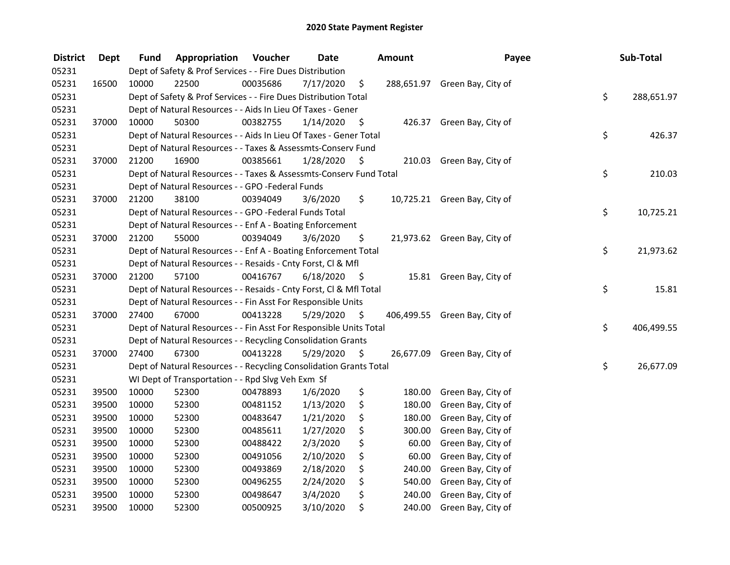| <b>District</b> | <b>Dept</b> | Fund  | Appropriation                                                      | Voucher  | <b>Date</b> |      | Amount | Payee                         | Sub-Total        |
|-----------------|-------------|-------|--------------------------------------------------------------------|----------|-------------|------|--------|-------------------------------|------------------|
| 05231           |             |       | Dept of Safety & Prof Services - - Fire Dues Distribution          |          |             |      |        |                               |                  |
| 05231           | 16500       | 10000 | 22500                                                              | 00035686 | 7/17/2020   | \$   |        | 288,651.97 Green Bay, City of |                  |
| 05231           |             |       | Dept of Safety & Prof Services - - Fire Dues Distribution Total    |          |             |      |        |                               | \$<br>288,651.97 |
| 05231           |             |       | Dept of Natural Resources - - Aids In Lieu Of Taxes - Gener        |          |             |      |        |                               |                  |
| 05231           | 37000       | 10000 | 50300                                                              | 00382755 | 1/14/2020   | \$   |        | 426.37 Green Bay, City of     |                  |
| 05231           |             |       | Dept of Natural Resources - - Aids In Lieu Of Taxes - Gener Total  |          |             |      |        |                               | \$<br>426.37     |
| 05231           |             |       | Dept of Natural Resources - - Taxes & Assessmts-Conserv Fund       |          |             |      |        |                               |                  |
| 05231           | 37000       | 21200 | 16900                                                              | 00385661 | 1/28/2020   | - \$ |        | 210.03 Green Bay, City of     |                  |
| 05231           |             |       | Dept of Natural Resources - - Taxes & Assessmts-Conserv Fund Total |          |             |      |        |                               | \$<br>210.03     |
| 05231           |             |       | Dept of Natural Resources - - GPO -Federal Funds                   |          |             |      |        |                               |                  |
| 05231           | 37000       | 21200 | 38100                                                              | 00394049 | 3/6/2020    | \$.  |        | 10,725.21 Green Bay, City of  |                  |
| 05231           |             |       | Dept of Natural Resources - - GPO -Federal Funds Total             |          |             |      |        |                               | \$<br>10,725.21  |
| 05231           |             |       | Dept of Natural Resources - - Enf A - Boating Enforcement          |          |             |      |        |                               |                  |
| 05231           | 37000       | 21200 | 55000                                                              | 00394049 | 3/6/2020    | \$   |        | 21,973.62 Green Bay, City of  |                  |
| 05231           |             |       | Dept of Natural Resources - - Enf A - Boating Enforcement Total    |          |             |      |        |                               | \$<br>21,973.62  |
| 05231           |             |       | Dept of Natural Resources - - Resaids - Cnty Forst, CI & Mfl       |          |             |      |        |                               |                  |
| 05231           | 37000       | 21200 | 57100                                                              | 00416767 | 6/18/2020   | - \$ |        | 15.81 Green Bay, City of      |                  |
| 05231           |             |       | Dept of Natural Resources - - Resaids - Cnty Forst, Cl & Mfl Total |          |             |      |        |                               | \$<br>15.81      |
| 05231           |             |       | Dept of Natural Resources - - Fin Asst For Responsible Units       |          |             |      |        |                               |                  |
| 05231           | 37000       | 27400 | 67000                                                              | 00413228 | 5/29/2020   | - \$ |        | 406,499.55 Green Bay, City of |                  |
| 05231           |             |       | Dept of Natural Resources - - Fin Asst For Responsible Units Total |          |             |      |        |                               | \$<br>406,499.55 |
| 05231           |             |       | Dept of Natural Resources - - Recycling Consolidation Grants       |          |             |      |        |                               |                  |
| 05231           | 37000       | 27400 | 67300                                                              | 00413228 | 5/29/2020   | \$   |        | 26,677.09 Green Bay, City of  |                  |
| 05231           |             |       | Dept of Natural Resources - - Recycling Consolidation Grants Total |          |             |      |        |                               | \$<br>26,677.09  |
| 05231           |             |       | WI Dept of Transportation - - Rpd Slvg Veh Exm Sf                  |          |             |      |        |                               |                  |
| 05231           | 39500       | 10000 | 52300                                                              | 00478893 | 1/6/2020    | \$   | 180.00 | Green Bay, City of            |                  |
| 05231           | 39500       | 10000 | 52300                                                              | 00481152 | 1/13/2020   | \$   | 180.00 | Green Bay, City of            |                  |
| 05231           | 39500       | 10000 | 52300                                                              | 00483647 | 1/21/2020   | \$   | 180.00 | Green Bay, City of            |                  |
| 05231           | 39500       | 10000 | 52300                                                              | 00485611 | 1/27/2020   | \$   | 300.00 | Green Bay, City of            |                  |
| 05231           | 39500       | 10000 | 52300                                                              | 00488422 | 2/3/2020    | \$   | 60.00  | Green Bay, City of            |                  |
| 05231           | 39500       | 10000 | 52300                                                              | 00491056 | 2/10/2020   | \$   | 60.00  | Green Bay, City of            |                  |
| 05231           | 39500       | 10000 | 52300                                                              | 00493869 | 2/18/2020   | \$   | 240.00 | Green Bay, City of            |                  |
| 05231           | 39500       | 10000 | 52300                                                              | 00496255 | 2/24/2020   | \$   | 540.00 | Green Bay, City of            |                  |
| 05231           | 39500       | 10000 | 52300                                                              | 00498647 | 3/4/2020    | \$   | 240.00 | Green Bay, City of            |                  |
| 05231           | 39500       | 10000 | 52300                                                              | 00500925 | 3/10/2020   | \$   | 240.00 | Green Bay, City of            |                  |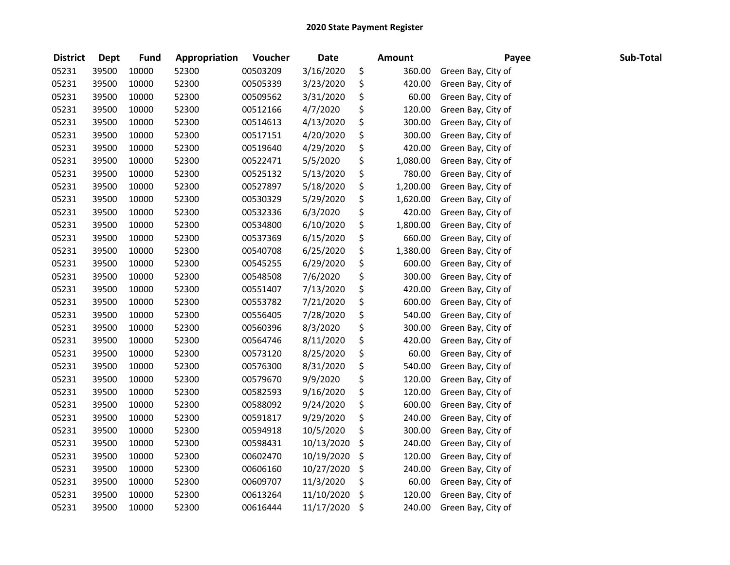| <b>District</b> | <b>Dept</b> | <b>Fund</b> | Appropriation | Voucher  | <b>Date</b> | Amount         | Payee              | Sub-Total |
|-----------------|-------------|-------------|---------------|----------|-------------|----------------|--------------------|-----------|
| 05231           | 39500       | 10000       | 52300         | 00503209 | 3/16/2020   | \$<br>360.00   | Green Bay, City of |           |
| 05231           | 39500       | 10000       | 52300         | 00505339 | 3/23/2020   | \$<br>420.00   | Green Bay, City of |           |
| 05231           | 39500       | 10000       | 52300         | 00509562 | 3/31/2020   | \$<br>60.00    | Green Bay, City of |           |
| 05231           | 39500       | 10000       | 52300         | 00512166 | 4/7/2020    | \$<br>120.00   | Green Bay, City of |           |
| 05231           | 39500       | 10000       | 52300         | 00514613 | 4/13/2020   | \$<br>300.00   | Green Bay, City of |           |
| 05231           | 39500       | 10000       | 52300         | 00517151 | 4/20/2020   | \$<br>300.00   | Green Bay, City of |           |
| 05231           | 39500       | 10000       | 52300         | 00519640 | 4/29/2020   | \$<br>420.00   | Green Bay, City of |           |
| 05231           | 39500       | 10000       | 52300         | 00522471 | 5/5/2020    | \$<br>1,080.00 | Green Bay, City of |           |
| 05231           | 39500       | 10000       | 52300         | 00525132 | 5/13/2020   | \$<br>780.00   | Green Bay, City of |           |
| 05231           | 39500       | 10000       | 52300         | 00527897 | 5/18/2020   | \$<br>1,200.00 | Green Bay, City of |           |
| 05231           | 39500       | 10000       | 52300         | 00530329 | 5/29/2020   | \$<br>1,620.00 | Green Bay, City of |           |
| 05231           | 39500       | 10000       | 52300         | 00532336 | 6/3/2020    | \$<br>420.00   | Green Bay, City of |           |
| 05231           | 39500       | 10000       | 52300         | 00534800 | 6/10/2020   | \$<br>1,800.00 | Green Bay, City of |           |
| 05231           | 39500       | 10000       | 52300         | 00537369 | 6/15/2020   | \$<br>660.00   | Green Bay, City of |           |
| 05231           | 39500       | 10000       | 52300         | 00540708 | 6/25/2020   | \$<br>1,380.00 | Green Bay, City of |           |
| 05231           | 39500       | 10000       | 52300         | 00545255 | 6/29/2020   | \$<br>600.00   | Green Bay, City of |           |
| 05231           | 39500       | 10000       | 52300         | 00548508 | 7/6/2020    | \$<br>300.00   | Green Bay, City of |           |
| 05231           | 39500       | 10000       | 52300         | 00551407 | 7/13/2020   | \$<br>420.00   | Green Bay, City of |           |
| 05231           | 39500       | 10000       | 52300         | 00553782 | 7/21/2020   | \$<br>600.00   | Green Bay, City of |           |
| 05231           | 39500       | 10000       | 52300         | 00556405 | 7/28/2020   | \$<br>540.00   | Green Bay, City of |           |
| 05231           | 39500       | 10000       | 52300         | 00560396 | 8/3/2020    | \$<br>300.00   | Green Bay, City of |           |
| 05231           | 39500       | 10000       | 52300         | 00564746 | 8/11/2020   | \$<br>420.00   | Green Bay, City of |           |
| 05231           | 39500       | 10000       | 52300         | 00573120 | 8/25/2020   | \$<br>60.00    | Green Bay, City of |           |
| 05231           | 39500       | 10000       | 52300         | 00576300 | 8/31/2020   | \$<br>540.00   | Green Bay, City of |           |
| 05231           | 39500       | 10000       | 52300         | 00579670 | 9/9/2020    | \$<br>120.00   | Green Bay, City of |           |
| 05231           | 39500       | 10000       | 52300         | 00582593 | 9/16/2020   | \$<br>120.00   | Green Bay, City of |           |
| 05231           | 39500       | 10000       | 52300         | 00588092 | 9/24/2020   | \$<br>600.00   | Green Bay, City of |           |
| 05231           | 39500       | 10000       | 52300         | 00591817 | 9/29/2020   | \$<br>240.00   | Green Bay, City of |           |
| 05231           | 39500       | 10000       | 52300         | 00594918 | 10/5/2020   | \$<br>300.00   | Green Bay, City of |           |
| 05231           | 39500       | 10000       | 52300         | 00598431 | 10/13/2020  | \$<br>240.00   | Green Bay, City of |           |
| 05231           | 39500       | 10000       | 52300         | 00602470 | 10/19/2020  | \$<br>120.00   | Green Bay, City of |           |
| 05231           | 39500       | 10000       | 52300         | 00606160 | 10/27/2020  | \$<br>240.00   | Green Bay, City of |           |
| 05231           | 39500       | 10000       | 52300         | 00609707 | 11/3/2020   | \$<br>60.00    | Green Bay, City of |           |
| 05231           | 39500       | 10000       | 52300         | 00613264 | 11/10/2020  | \$<br>120.00   | Green Bay, City of |           |
| 05231           | 39500       | 10000       | 52300         | 00616444 | 11/17/2020  | \$<br>240.00   | Green Bay, City of |           |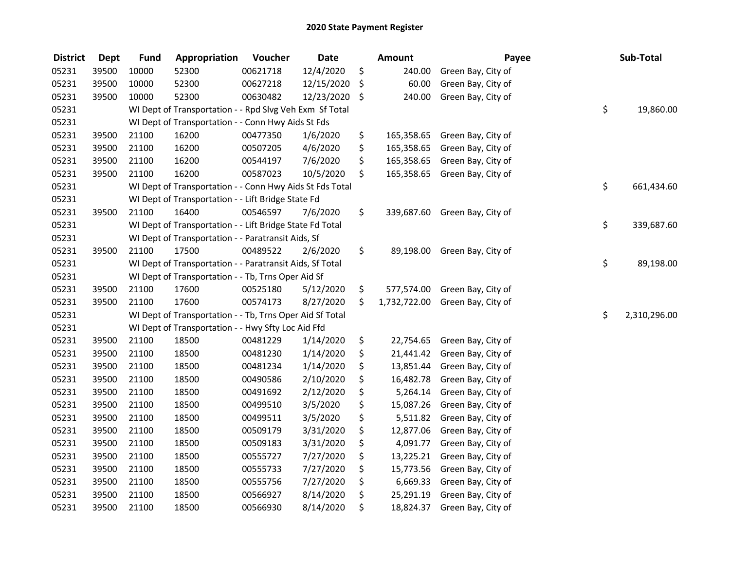| <b>District</b> | <b>Dept</b> | <b>Fund</b> | Appropriation                                            | Voucher  | <b>Date</b> | Amount             | Payee              | Sub-Total          |
|-----------------|-------------|-------------|----------------------------------------------------------|----------|-------------|--------------------|--------------------|--------------------|
| 05231           | 39500       | 10000       | 52300                                                    | 00621718 | 12/4/2020   | \$<br>240.00       | Green Bay, City of |                    |
| 05231           | 39500       | 10000       | 52300                                                    | 00627218 | 12/15/2020  | \$<br>60.00        | Green Bay, City of |                    |
| 05231           | 39500       | 10000       | 52300                                                    | 00630482 | 12/23/2020  | \$<br>240.00       | Green Bay, City of |                    |
| 05231           |             |             | WI Dept of Transportation - - Rpd Slvg Veh Exm Sf Total  |          |             |                    |                    | \$<br>19,860.00    |
| 05231           |             |             | WI Dept of Transportation - - Conn Hwy Aids St Fds       |          |             |                    |                    |                    |
| 05231           | 39500       | 21100       | 16200                                                    | 00477350 | 1/6/2020    | \$<br>165,358.65   | Green Bay, City of |                    |
| 05231           | 39500       | 21100       | 16200                                                    | 00507205 | 4/6/2020    | \$<br>165,358.65   | Green Bay, City of |                    |
| 05231           | 39500       | 21100       | 16200                                                    | 00544197 | 7/6/2020    | \$<br>165,358.65   | Green Bay, City of |                    |
| 05231           | 39500       | 21100       | 16200                                                    | 00587023 | 10/5/2020   | \$<br>165,358.65   | Green Bay, City of |                    |
| 05231           |             |             | WI Dept of Transportation - - Conn Hwy Aids St Fds Total |          |             |                    |                    | \$<br>661,434.60   |
| 05231           |             |             | WI Dept of Transportation - - Lift Bridge State Fd       |          |             |                    |                    |                    |
| 05231           | 39500       | 21100       | 16400                                                    | 00546597 | 7/6/2020    | \$<br>339,687.60   | Green Bay, City of |                    |
| 05231           |             |             | WI Dept of Transportation - - Lift Bridge State Fd Total |          |             |                    |                    | \$<br>339,687.60   |
| 05231           |             |             | WI Dept of Transportation - - Paratransit Aids, Sf       |          |             |                    |                    |                    |
| 05231           | 39500       | 21100       | 17500                                                    | 00489522 | 2/6/2020    | \$<br>89,198.00    | Green Bay, City of |                    |
| 05231           |             |             | WI Dept of Transportation - - Paratransit Aids, Sf Total |          |             |                    |                    | \$<br>89,198.00    |
| 05231           |             |             | WI Dept of Transportation - - Tb, Trns Oper Aid Sf       |          |             |                    |                    |                    |
| 05231           | 39500       | 21100       | 17600                                                    | 00525180 | 5/12/2020   | \$<br>577,574.00   | Green Bay, City of |                    |
| 05231           | 39500       | 21100       | 17600                                                    | 00574173 | 8/27/2020   | \$<br>1,732,722.00 | Green Bay, City of |                    |
| 05231           |             |             | WI Dept of Transportation - - Tb, Trns Oper Aid Sf Total |          |             |                    |                    | \$<br>2,310,296.00 |
| 05231           |             |             | WI Dept of Transportation - - Hwy Sfty Loc Aid Ffd       |          |             |                    |                    |                    |
| 05231           | 39500       | 21100       | 18500                                                    | 00481229 | 1/14/2020   | \$<br>22,754.65    | Green Bay, City of |                    |
| 05231           | 39500       | 21100       | 18500                                                    | 00481230 | 1/14/2020   | \$<br>21,441.42    | Green Bay, City of |                    |
| 05231           | 39500       | 21100       | 18500                                                    | 00481234 | 1/14/2020   | \$<br>13,851.44    | Green Bay, City of |                    |
| 05231           | 39500       | 21100       | 18500                                                    | 00490586 | 2/10/2020   | \$<br>16,482.78    | Green Bay, City of |                    |
| 05231           | 39500       | 21100       | 18500                                                    | 00491692 | 2/12/2020   | \$<br>5,264.14     | Green Bay, City of |                    |
| 05231           | 39500       | 21100       | 18500                                                    | 00499510 | 3/5/2020    | \$<br>15,087.26    | Green Bay, City of |                    |
| 05231           | 39500       | 21100       | 18500                                                    | 00499511 | 3/5/2020    | \$<br>5,511.82     | Green Bay, City of |                    |
| 05231           | 39500       | 21100       | 18500                                                    | 00509179 | 3/31/2020   | \$<br>12,877.06    | Green Bay, City of |                    |
| 05231           | 39500       | 21100       | 18500                                                    | 00509183 | 3/31/2020   | \$<br>4,091.77     | Green Bay, City of |                    |
| 05231           | 39500       | 21100       | 18500                                                    | 00555727 | 7/27/2020   | \$<br>13,225.21    | Green Bay, City of |                    |
| 05231           | 39500       | 21100       | 18500                                                    | 00555733 | 7/27/2020   | \$<br>15,773.56    | Green Bay, City of |                    |
| 05231           | 39500       | 21100       | 18500                                                    | 00555756 | 7/27/2020   | \$<br>6,669.33     | Green Bay, City of |                    |
| 05231           | 39500       | 21100       | 18500                                                    | 00566927 | 8/14/2020   | \$<br>25,291.19    | Green Bay, City of |                    |
| 05231           | 39500       | 21100       | 18500                                                    | 00566930 | 8/14/2020   | \$<br>18,824.37    | Green Bay, City of |                    |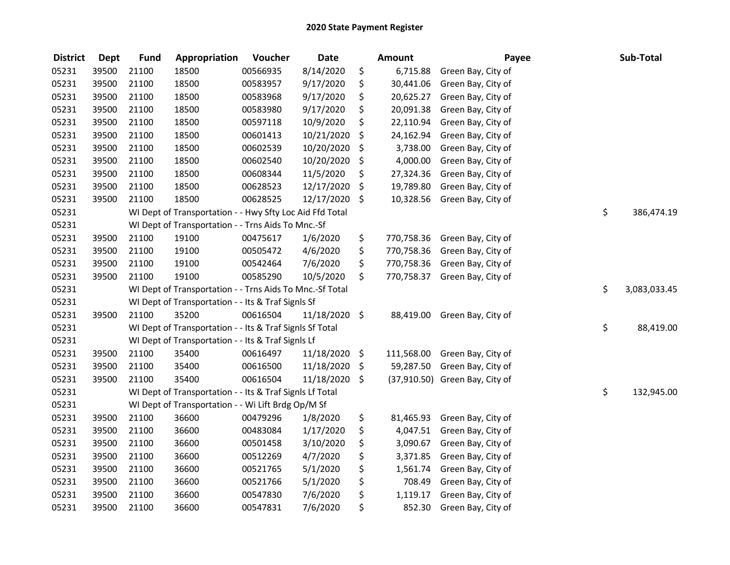| <b>District</b> | <b>Dept</b> | <b>Fund</b> | Appropriation                                            | Voucher  | <b>Date</b>   |         | <b>Amount</b> | Payee                          | Sub-Total          |
|-----------------|-------------|-------------|----------------------------------------------------------|----------|---------------|---------|---------------|--------------------------------|--------------------|
| 05231           | 39500       | 21100       | 18500                                                    | 00566935 | 8/14/2020     | \$      | 6,715.88      | Green Bay, City of             |                    |
| 05231           | 39500       | 21100       | 18500                                                    | 00583957 | 9/17/2020     | \$      | 30,441.06     | Green Bay, City of             |                    |
| 05231           | 39500       | 21100       | 18500                                                    | 00583968 | 9/17/2020     | \$      | 20,625.27     | Green Bay, City of             |                    |
| 05231           | 39500       | 21100       | 18500                                                    | 00583980 | 9/17/2020     | \$      | 20,091.38     | Green Bay, City of             |                    |
| 05231           | 39500       | 21100       | 18500                                                    | 00597118 | 10/9/2020     | \$      | 22,110.94     | Green Bay, City of             |                    |
| 05231           | 39500       | 21100       | 18500                                                    | 00601413 | 10/21/2020    | \$      | 24,162.94     | Green Bay, City of             |                    |
| 05231           | 39500       | 21100       | 18500                                                    | 00602539 | 10/20/2020    | \$      | 3,738.00      | Green Bay, City of             |                    |
| 05231           | 39500       | 21100       | 18500                                                    | 00602540 | 10/20/2020    | \$      | 4,000.00      | Green Bay, City of             |                    |
| 05231           | 39500       | 21100       | 18500                                                    | 00608344 | 11/5/2020     | \$      | 27,324.36     | Green Bay, City of             |                    |
| 05231           | 39500       | 21100       | 18500                                                    | 00628523 | 12/17/2020    | \$      | 19,789.80     | Green Bay, City of             |                    |
| 05231           | 39500       | 21100       | 18500                                                    | 00628525 | 12/17/2020    | \$      | 10,328.56     | Green Bay, City of             |                    |
| 05231           |             |             | WI Dept of Transportation - - Hwy Sfty Loc Aid Ffd Total |          |               |         |               |                                | \$<br>386,474.19   |
| 05231           |             |             | WI Dept of Transportation - - Trns Aids To Mnc.-Sf       |          |               |         |               |                                |                    |
| 05231           | 39500       | 21100       | 19100                                                    | 00475617 | 1/6/2020      | \$      | 770,758.36    | Green Bay, City of             |                    |
| 05231           | 39500       | 21100       | 19100                                                    | 00505472 | 4/6/2020      | \$      | 770,758.36    | Green Bay, City of             |                    |
| 05231           | 39500       | 21100       | 19100                                                    | 00542464 | 7/6/2020      | \$      | 770,758.36    | Green Bay, City of             |                    |
| 05231           | 39500       | 21100       | 19100                                                    | 00585290 | 10/5/2020     | \$      | 770,758.37    | Green Bay, City of             |                    |
| 05231           |             |             | WI Dept of Transportation - - Trns Aids To Mnc.-Sf Total |          |               |         |               |                                | \$<br>3,083,033.45 |
| 05231           |             |             | WI Dept of Transportation - - Its & Traf SignIs Sf       |          |               |         |               |                                |                    |
| 05231           | 39500       | 21100       | 35200                                                    | 00616504 | 11/18/2020 \$ |         | 88,419.00     | Green Bay, City of             |                    |
| 05231           |             |             | WI Dept of Transportation - - Its & Traf Signls Sf Total |          |               |         |               |                                | \$<br>88,419.00    |
| 05231           |             |             | WI Dept of Transportation - - Its & Traf SignIs Lf       |          |               |         |               |                                |                    |
| 05231           | 39500       | 21100       | 35400                                                    | 00616497 | 11/18/2020    | \$      | 111,568.00    | Green Bay, City of             |                    |
| 05231           | 39500       | 21100       | 35400                                                    | 00616500 | 11/18/2020    | \$      | 59,287.50     | Green Bay, City of             |                    |
| 05231           | 39500       | 21100       | 35400                                                    | 00616504 | 11/18/2020    | $\zeta$ |               | (37,910.50) Green Bay, City of |                    |
| 05231           |             |             | WI Dept of Transportation - - Its & Traf SignIs Lf Total |          |               |         |               |                                | \$<br>132,945.00   |
| 05231           |             |             | WI Dept of Transportation - - Wi Lift Brdg Op/M Sf       |          |               |         |               |                                |                    |
| 05231           | 39500       | 21100       | 36600                                                    | 00479296 | 1/8/2020      | \$      | 81,465.93     | Green Bay, City of             |                    |
| 05231           | 39500       | 21100       | 36600                                                    | 00483084 | 1/17/2020     | \$      | 4,047.51      | Green Bay, City of             |                    |
| 05231           | 39500       | 21100       | 36600                                                    | 00501458 | 3/10/2020     | \$      | 3,090.67      | Green Bay, City of             |                    |
| 05231           | 39500       | 21100       | 36600                                                    | 00512269 | 4/7/2020      | \$      | 3,371.85      | Green Bay, City of             |                    |
| 05231           | 39500       | 21100       | 36600                                                    | 00521765 | 5/1/2020      | \$      | 1,561.74      | Green Bay, City of             |                    |
| 05231           | 39500       | 21100       | 36600                                                    | 00521766 | 5/1/2020      | \$      | 708.49        | Green Bay, City of             |                    |
| 05231           | 39500       | 21100       | 36600                                                    | 00547830 | 7/6/2020      | \$      | 1,119.17      | Green Bay, City of             |                    |
| 05231           | 39500       | 21100       | 36600                                                    | 00547831 | 7/6/2020      | \$      | 852.30        | Green Bay, City of             |                    |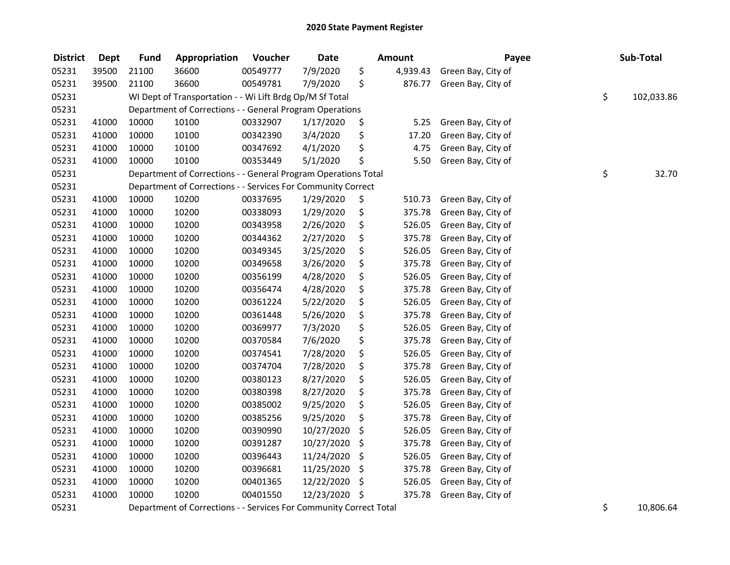| <b>District</b> | <b>Dept</b> | <b>Fund</b> | Appropriation                                                      | Voucher  | <b>Date</b>   | <b>Amount</b> |          | Payee              |    | Sub-Total  |  |
|-----------------|-------------|-------------|--------------------------------------------------------------------|----------|---------------|---------------|----------|--------------------|----|------------|--|
| 05231           | 39500       | 21100       | 36600                                                              | 00549777 | 7/9/2020      | \$            | 4,939.43 | Green Bay, City of |    |            |  |
| 05231           | 39500       | 21100       | 36600                                                              | 00549781 | 7/9/2020      | \$            | 876.77   | Green Bay, City of |    |            |  |
| 05231           |             |             | WI Dept of Transportation - - Wi Lift Brdg Op/M Sf Total           |          |               |               |          |                    | \$ | 102,033.86 |  |
| 05231           |             |             | Department of Corrections - - General Program Operations           |          |               |               |          |                    |    |            |  |
| 05231           | 41000       | 10000       | 10100                                                              | 00332907 | 1/17/2020     | \$            | 5.25     | Green Bay, City of |    |            |  |
| 05231           | 41000       | 10000       | 10100                                                              | 00342390 | 3/4/2020      | \$            | 17.20    | Green Bay, City of |    |            |  |
| 05231           | 41000       | 10000       | 10100                                                              | 00347692 | 4/1/2020      | \$            | 4.75     | Green Bay, City of |    |            |  |
| 05231           | 41000       | 10000       | 10100                                                              | 00353449 | 5/1/2020      | \$            | 5.50     | Green Bay, City of |    |            |  |
| 05231           |             |             | Department of Corrections - - General Program Operations Total     |          |               |               |          |                    | \$ | 32.70      |  |
| 05231           |             |             | Department of Corrections - - Services For Community Correct       |          |               |               |          |                    |    |            |  |
| 05231           | 41000       | 10000       | 10200                                                              | 00337695 | 1/29/2020     | \$            | 510.73   | Green Bay, City of |    |            |  |
| 05231           | 41000       | 10000       | 10200                                                              | 00338093 | 1/29/2020     | \$            | 375.78   | Green Bay, City of |    |            |  |
| 05231           | 41000       | 10000       | 10200                                                              | 00343958 | 2/26/2020     | \$            | 526.05   | Green Bay, City of |    |            |  |
| 05231           | 41000       | 10000       | 10200                                                              | 00344362 | 2/27/2020     | \$            | 375.78   | Green Bay, City of |    |            |  |
| 05231           | 41000       | 10000       | 10200                                                              | 00349345 | 3/25/2020     | \$            | 526.05   | Green Bay, City of |    |            |  |
| 05231           | 41000       | 10000       | 10200                                                              | 00349658 | 3/26/2020     | \$            | 375.78   | Green Bay, City of |    |            |  |
| 05231           | 41000       | 10000       | 10200                                                              | 00356199 | 4/28/2020     | \$            | 526.05   | Green Bay, City of |    |            |  |
| 05231           | 41000       | 10000       | 10200                                                              | 00356474 | 4/28/2020     | \$            | 375.78   | Green Bay, City of |    |            |  |
| 05231           | 41000       | 10000       | 10200                                                              | 00361224 | 5/22/2020     | \$            | 526.05   | Green Bay, City of |    |            |  |
| 05231           | 41000       | 10000       | 10200                                                              | 00361448 | 5/26/2020     | \$            | 375.78   | Green Bay, City of |    |            |  |
| 05231           | 41000       | 10000       | 10200                                                              | 00369977 | 7/3/2020      | \$            | 526.05   | Green Bay, City of |    |            |  |
| 05231           | 41000       | 10000       | 10200                                                              | 00370584 | 7/6/2020      | \$            | 375.78   | Green Bay, City of |    |            |  |
| 05231           | 41000       | 10000       | 10200                                                              | 00374541 | 7/28/2020     | \$            | 526.05   | Green Bay, City of |    |            |  |
| 05231           | 41000       | 10000       | 10200                                                              | 00374704 | 7/28/2020     | \$            | 375.78   | Green Bay, City of |    |            |  |
| 05231           | 41000       | 10000       | 10200                                                              | 00380123 | 8/27/2020     | \$            | 526.05   | Green Bay, City of |    |            |  |
| 05231           | 41000       | 10000       | 10200                                                              | 00380398 | 8/27/2020     | \$            | 375.78   | Green Bay, City of |    |            |  |
| 05231           | 41000       | 10000       | 10200                                                              | 00385002 | 9/25/2020     | \$            | 526.05   | Green Bay, City of |    |            |  |
| 05231           | 41000       | 10000       | 10200                                                              | 00385256 | 9/25/2020     | \$            | 375.78   | Green Bay, City of |    |            |  |
| 05231           | 41000       | 10000       | 10200                                                              | 00390990 | 10/27/2020    | \$            | 526.05   | Green Bay, City of |    |            |  |
| 05231           | 41000       | 10000       | 10200                                                              | 00391287 | 10/27/2020    | \$            | 375.78   | Green Bay, City of |    |            |  |
| 05231           | 41000       | 10000       | 10200                                                              | 00396443 | 11/24/2020    | \$            | 526.05   | Green Bay, City of |    |            |  |
| 05231           | 41000       | 10000       | 10200                                                              | 00396681 | 11/25/2020    | \$            | 375.78   | Green Bay, City of |    |            |  |
| 05231           | 41000       | 10000       | 10200                                                              | 00401365 | 12/22/2020    | \$            | 526.05   | Green Bay, City of |    |            |  |
| 05231           | 41000       | 10000       | 10200                                                              | 00401550 | 12/23/2020 \$ |               | 375.78   | Green Bay, City of |    |            |  |
| 05231           |             |             | Department of Corrections - - Services For Community Correct Total |          |               |               |          |                    | \$ | 10,806.64  |  |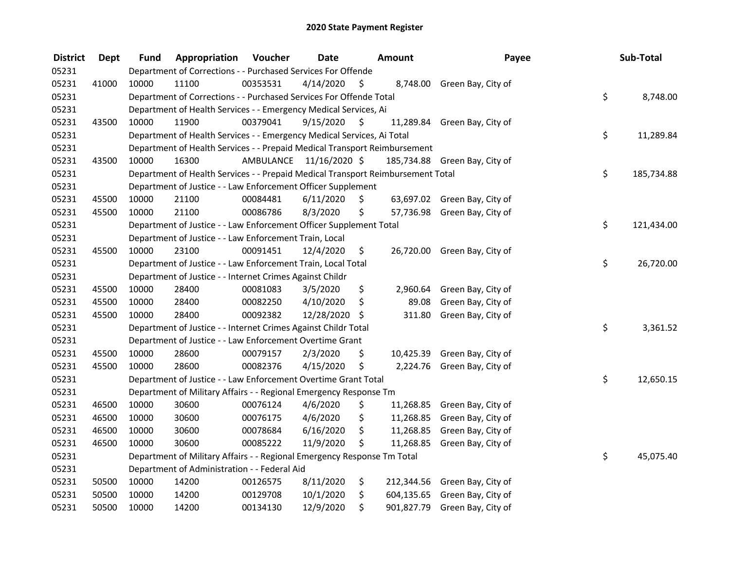| <b>District</b> | Dept  | Fund                                                                                 | Appropriation                                                                   | Voucher  | <b>Date</b>             |    | <b>Amount</b> | Payee                         |    | Sub-Total  |  |  |
|-----------------|-------|--------------------------------------------------------------------------------------|---------------------------------------------------------------------------------|----------|-------------------------|----|---------------|-------------------------------|----|------------|--|--|
| 05231           |       | Department of Corrections - - Purchased Services For Offende                         |                                                                                 |          |                         |    |               |                               |    |            |  |  |
| 05231           | 41000 | 10000                                                                                | 11100                                                                           | 00353531 | 4/14/2020               | \$ |               | 8,748.00 Green Bay, City of   |    |            |  |  |
| 05231           |       | \$<br>Department of Corrections - - Purchased Services For Offende Total<br>8,748.00 |                                                                                 |          |                         |    |               |                               |    |            |  |  |
| 05231           |       | Department of Health Services - - Emergency Medical Services, Ai                     |                                                                                 |          |                         |    |               |                               |    |            |  |  |
| 05231           | 43500 | 10000                                                                                | 11900                                                                           | 00379041 | 9/15/2020               | \$ |               | 11,289.84 Green Bay, City of  |    |            |  |  |
| 05231           |       |                                                                                      | Department of Health Services - - Emergency Medical Services, Ai Total          |          |                         |    |               |                               | \$ | 11,289.84  |  |  |
| 05231           |       |                                                                                      | Department of Health Services - - Prepaid Medical Transport Reimbursement       |          |                         |    |               |                               |    |            |  |  |
| 05231           | 43500 | 10000                                                                                | 16300                                                                           |          | AMBULANCE 11/16/2020 \$ |    |               | 185,734.88 Green Bay, City of |    |            |  |  |
| 05231           |       |                                                                                      | Department of Health Services - - Prepaid Medical Transport Reimbursement Total |          |                         |    |               |                               | \$ | 185,734.88 |  |  |
| 05231           |       |                                                                                      | Department of Justice - - Law Enforcement Officer Supplement                    |          |                         |    |               |                               |    |            |  |  |
| 05231           | 45500 | 10000                                                                                | 21100                                                                           | 00084481 | 6/11/2020               | \$ |               | 63,697.02 Green Bay, City of  |    |            |  |  |
| 05231           | 45500 | 10000                                                                                | 21100                                                                           | 00086786 | 8/3/2020                | \$ |               | 57,736.98 Green Bay, City of  |    |            |  |  |
| 05231           |       |                                                                                      | Department of Justice - - Law Enforcement Officer Supplement Total              |          |                         |    |               |                               | \$ | 121,434.00 |  |  |
| 05231           |       |                                                                                      | Department of Justice - - Law Enforcement Train, Local                          |          |                         |    |               |                               |    |            |  |  |
| 05231           | 45500 | 10000                                                                                | 23100                                                                           | 00091451 | 12/4/2020               | \$ |               | 26,720.00 Green Bay, City of  |    |            |  |  |
| 05231           |       |                                                                                      | Department of Justice - - Law Enforcement Train, Local Total                    |          |                         |    |               |                               | \$ | 26,720.00  |  |  |
| 05231           |       |                                                                                      | Department of Justice - - Internet Crimes Against Childr                        |          |                         |    |               |                               |    |            |  |  |
| 05231           | 45500 | 10000                                                                                | 28400                                                                           | 00081083 | 3/5/2020                | \$ | 2,960.64      | Green Bay, City of            |    |            |  |  |
| 05231           | 45500 | 10000                                                                                | 28400                                                                           | 00082250 | 4/10/2020               | \$ | 89.08         | Green Bay, City of            |    |            |  |  |
| 05231           | 45500 | 10000                                                                                | 28400                                                                           | 00092382 | 12/28/2020 \$           |    | 311.80        | Green Bay, City of            |    |            |  |  |
| 05231           |       | Department of Justice - - Internet Crimes Against Childr Total                       |                                                                                 |          |                         |    |               |                               |    | 3,361.52   |  |  |
| 05231           |       |                                                                                      | Department of Justice - - Law Enforcement Overtime Grant                        |          |                         |    |               |                               |    |            |  |  |
| 05231           | 45500 | 10000                                                                                | 28600                                                                           | 00079157 | 2/3/2020                | \$ | 10,425.39     | Green Bay, City of            |    |            |  |  |
| 05231           | 45500 | 10000                                                                                | 28600                                                                           | 00082376 | 4/15/2020               | \$ |               | 2,224.76 Green Bay, City of   |    |            |  |  |
| 05231           |       |                                                                                      | Department of Justice - - Law Enforcement Overtime Grant Total                  |          |                         |    |               |                               | \$ | 12,650.15  |  |  |
| 05231           |       |                                                                                      | Department of Military Affairs - - Regional Emergency Response Tm               |          |                         |    |               |                               |    |            |  |  |
| 05231           | 46500 | 10000                                                                                | 30600                                                                           | 00076124 | 4/6/2020                | \$ | 11,268.85     | Green Bay, City of            |    |            |  |  |
| 05231           | 46500 | 10000                                                                                | 30600                                                                           | 00076175 | 4/6/2020                | \$ | 11,268.85     | Green Bay, City of            |    |            |  |  |
| 05231           | 46500 | 10000                                                                                | 30600                                                                           | 00078684 | 6/16/2020               | \$ | 11,268.85     | Green Bay, City of            |    |            |  |  |
| 05231           | 46500 | 10000                                                                                | 30600                                                                           | 00085222 | 11/9/2020               | \$ | 11,268.85     | Green Bay, City of            |    |            |  |  |
| 05231           |       |                                                                                      | Department of Military Affairs - - Regional Emergency Response Tm Total         |          |                         |    |               |                               | \$ | 45,075.40  |  |  |
| 05231           |       | Department of Administration - - Federal Aid                                         |                                                                                 |          |                         |    |               |                               |    |            |  |  |
| 05231           | 50500 | 10000                                                                                | 14200                                                                           | 00126575 | 8/11/2020               | \$ |               | 212,344.56 Green Bay, City of |    |            |  |  |
| 05231           | 50500 | 10000                                                                                | 14200                                                                           | 00129708 | 10/1/2020               | \$ | 604,135.65    | Green Bay, City of            |    |            |  |  |
| 05231           | 50500 | 10000                                                                                | 14200                                                                           | 00134130 | 12/9/2020               | \$ |               | 901,827.79 Green Bay, City of |    |            |  |  |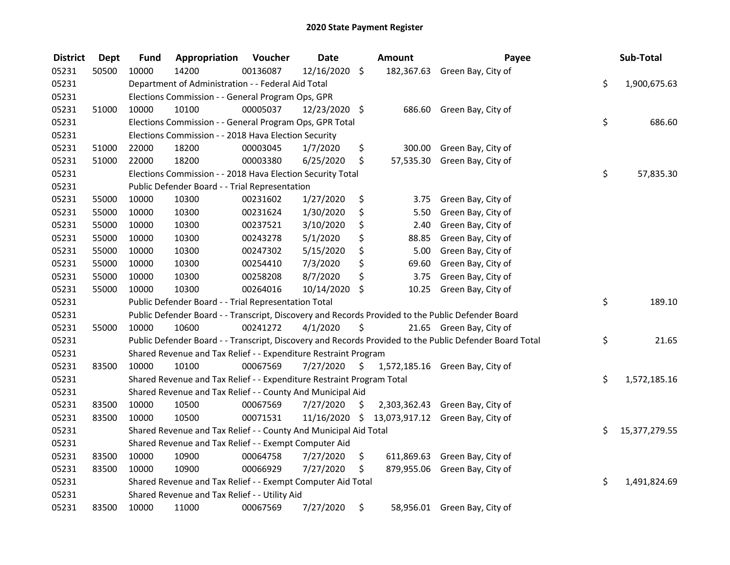| <b>District</b> | Dept  | <b>Fund</b>                                           | Appropriation                                                         | Voucher      | <b>Date</b>   |               | Amount | Payee                                                                                                   |    | Sub-Total     |
|-----------------|-------|-------------------------------------------------------|-----------------------------------------------------------------------|--------------|---------------|---------------|--------|---------------------------------------------------------------------------------------------------------|----|---------------|
| 05231           | 50500 | 10000                                                 | 14200                                                                 | 00136087     | 12/16/2020    | \$            |        | 182,367.63 Green Bay, City of                                                                           |    |               |
| 05231           |       | Department of Administration - - Federal Aid Total    | \$                                                                    | 1,900,675.63 |               |               |        |                                                                                                         |    |               |
| 05231           |       | Elections Commission - - General Program Ops, GPR     |                                                                       |              |               |               |        |                                                                                                         |    |               |
| 05231           | 51000 | 10000                                                 | 10100                                                                 | 00005037     | 12/23/2020 \$ |               |        | 686.60 Green Bay, City of                                                                               |    |               |
| 05231           |       |                                                       | Elections Commission - - General Program Ops, GPR Total               |              |               |               |        |                                                                                                         | \$ | 686.60        |
| 05231           |       |                                                       | Elections Commission - - 2018 Hava Election Security                  |              |               |               |        |                                                                                                         |    |               |
| 05231           | 51000 | 22000                                                 | 18200                                                                 | 00003045     | 1/7/2020      | \$            |        | 300.00 Green Bay, City of                                                                               |    |               |
| 05231           | 51000 | 22000                                                 | 18200                                                                 | 00003380     | 6/25/2020     | \$            |        | 57,535.30 Green Bay, City of                                                                            |    |               |
| 05231           |       |                                                       | Elections Commission - - 2018 Hava Election Security Total            |              |               |               |        |                                                                                                         | \$ | 57,835.30     |
| 05231           |       |                                                       | Public Defender Board - - Trial Representation                        |              |               |               |        |                                                                                                         |    |               |
| 05231           | 55000 | 10000                                                 | 10300                                                                 | 00231602     | 1/27/2020     | \$            | 3.75   | Green Bay, City of                                                                                      |    |               |
| 05231           | 55000 | 10000                                                 | 10300                                                                 | 00231624     | 1/30/2020     | \$            | 5.50   | Green Bay, City of                                                                                      |    |               |
| 05231           | 55000 | 10000                                                 | 10300                                                                 | 00237521     | 3/10/2020     | \$            | 2.40   | Green Bay, City of                                                                                      |    |               |
| 05231           | 55000 | 10000                                                 | 10300                                                                 | 00243278     | 5/1/2020      | \$            | 88.85  | Green Bay, City of                                                                                      |    |               |
| 05231           | 55000 | 10000                                                 | 10300                                                                 | 00247302     | 5/15/2020     | \$            | 5.00   | Green Bay, City of                                                                                      |    |               |
| 05231           | 55000 | 10000                                                 | 10300                                                                 | 00254410     | 7/3/2020      | \$            | 69.60  | Green Bay, City of                                                                                      |    |               |
| 05231           | 55000 | 10000                                                 | 10300                                                                 | 00258208     | 8/7/2020      | \$            | 3.75   | Green Bay, City of                                                                                      |    |               |
| 05231           | 55000 | 10000                                                 | 10300                                                                 | 00264016     | 10/14/2020    | \$            | 10.25  | Green Bay, City of                                                                                      |    |               |
| 05231           |       |                                                       | Public Defender Board - - Trial Representation Total                  |              |               |               |        |                                                                                                         | \$ | 189.10        |
| 05231           |       |                                                       |                                                                       |              |               |               |        | Public Defender Board - - Transcript, Discovery and Records Provided to the Public Defender Board       |    |               |
| 05231           | 55000 | 10000                                                 | 10600                                                                 | 00241272     | 4/1/2020      | \$            |        | 21.65 Green Bay, City of                                                                                |    |               |
| 05231           |       |                                                       |                                                                       |              |               |               |        | Public Defender Board - - Transcript, Discovery and Records Provided to the Public Defender Board Total | \$ | 21.65         |
| 05231           |       |                                                       | Shared Revenue and Tax Relief - - Expenditure Restraint Program       |              |               |               |        |                                                                                                         |    |               |
| 05231           | 83500 | 10000                                                 | 10100                                                                 | 00067569     | 7/27/2020     | $\frac{1}{2}$ |        | 1,572,185.16 Green Bay, City of                                                                         |    |               |
| 05231           |       |                                                       | Shared Revenue and Tax Relief - - Expenditure Restraint Program Total |              |               |               |        |                                                                                                         | \$ | 1,572,185.16  |
| 05231           |       |                                                       | Shared Revenue and Tax Relief - - County And Municipal Aid            |              |               |               |        |                                                                                                         |    |               |
| 05231           | 83500 | 10000                                                 | 10500                                                                 | 00067569     | 7/27/2020     | \$            |        | 2,303,362.43 Green Bay, City of                                                                         |    |               |
| 05231           | 83500 | 10000                                                 | 10500                                                                 | 00071531     |               |               |        | 11/16/2020 \$ 13,073,917.12 Green Bay, City of                                                          |    |               |
| 05231           |       |                                                       | Shared Revenue and Tax Relief - - County And Municipal Aid Total      |              |               |               |        |                                                                                                         | \$ | 15,377,279.55 |
| 05231           |       | Shared Revenue and Tax Relief - - Exempt Computer Aid |                                                                       |              |               |               |        |                                                                                                         |    |               |
| 05231           | 83500 | 10000                                                 | 10900                                                                 | 00064758     | 7/27/2020     | \$            |        | 611,869.63 Green Bay, City of                                                                           |    |               |
| 05231           | 83500 | 10000                                                 | 10900                                                                 | 00066929     | 7/27/2020     | \$            |        | 879,955.06 Green Bay, City of                                                                           |    |               |
| 05231           |       |                                                       | Shared Revenue and Tax Relief - - Exempt Computer Aid Total           |              |               |               |        |                                                                                                         | \$ | 1,491,824.69  |
| 05231           |       | Shared Revenue and Tax Relief - - Utility Aid         |                                                                       |              |               |               |        |                                                                                                         |    |               |
| 05231           | 83500 | 10000                                                 | 11000                                                                 | 00067569     | 7/27/2020     | \$            |        | 58,956.01 Green Bay, City of                                                                            |    |               |